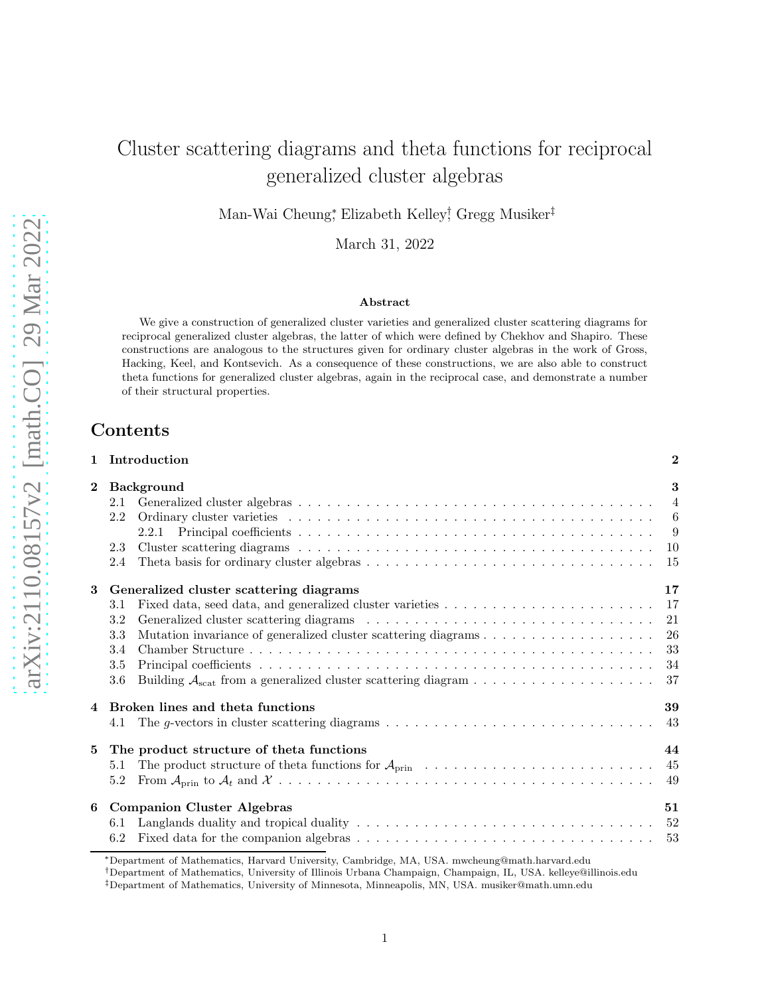# Cluster scattering diagrams and theta functions for reciprocal generalized cluster algebras

Man-Wai Cheung<sup>\*</sup>, Elizabeth Kelley<sup>†</sup>, Gregg Musiker<sup>‡</sup>

March 31, 2022

#### Abstract

We give a construction of generalized cluster varieties and generalized cluster scattering diagrams for reciprocal generalized cluster algebras, the latter of which were defined by Chekhov and Shapiro. These constructions are analogous to the structures given for ordinary cluster algebras in the work of Gross, Hacking, Keel, and Kontsevich. As a consequence of these constructions, we are also able to construct theta functions for generalized cluster algebras, again in the reciprocal case, and demonstrate a number of their structural properties.

# Contents

|                | Introduction                                                                                                                | $\bf{2}$       |
|----------------|-----------------------------------------------------------------------------------------------------------------------------|----------------|
| $\mathbf{2}$   | <b>Background</b>                                                                                                           | 3              |
|                | 2.1                                                                                                                         | $\overline{4}$ |
|                | 2.2                                                                                                                         | 6              |
|                | 2.2.1                                                                                                                       | 9              |
|                | 2.3                                                                                                                         | 10             |
|                | 2.4                                                                                                                         | 15             |
| 3              | Generalized cluster scattering diagrams                                                                                     | 17             |
|                | 3.1                                                                                                                         | 17             |
|                | 3.2                                                                                                                         | 21             |
|                | 3.3                                                                                                                         | 26             |
|                | 3.4                                                                                                                         | 33             |
|                | 3.5                                                                                                                         | 34             |
|                | 3.6                                                                                                                         | 37             |
| $\overline{4}$ | Broken lines and theta functions                                                                                            | 39             |
|                | The g-vectors in cluster scattering diagrams $\ldots \ldots \ldots \ldots \ldots \ldots \ldots \ldots \ldots \ldots$<br>4.1 | 43             |
| 5              | The product structure of theta functions                                                                                    | 44             |
|                | 5.1                                                                                                                         | 45             |
|                | 5.2                                                                                                                         | -49            |
| 6              | <b>Companion Cluster Algebras</b>                                                                                           | 51             |
|                | 6.1                                                                                                                         | 52             |
|                | 6.2                                                                                                                         | - 53           |

<sup>∗</sup>Department of Mathematics, Harvard University, Cambridge, MA, USA. mwcheung@math.harvard.edu

†Department of Mathematics, University of Illinois Urbana Champaign, Champaign, IL, USA. kelleye@illinois.edu

<sup>‡</sup>Department of Mathematics, University of Minnesota, Minneapolis, MN, USA. musiker@math.umn.edu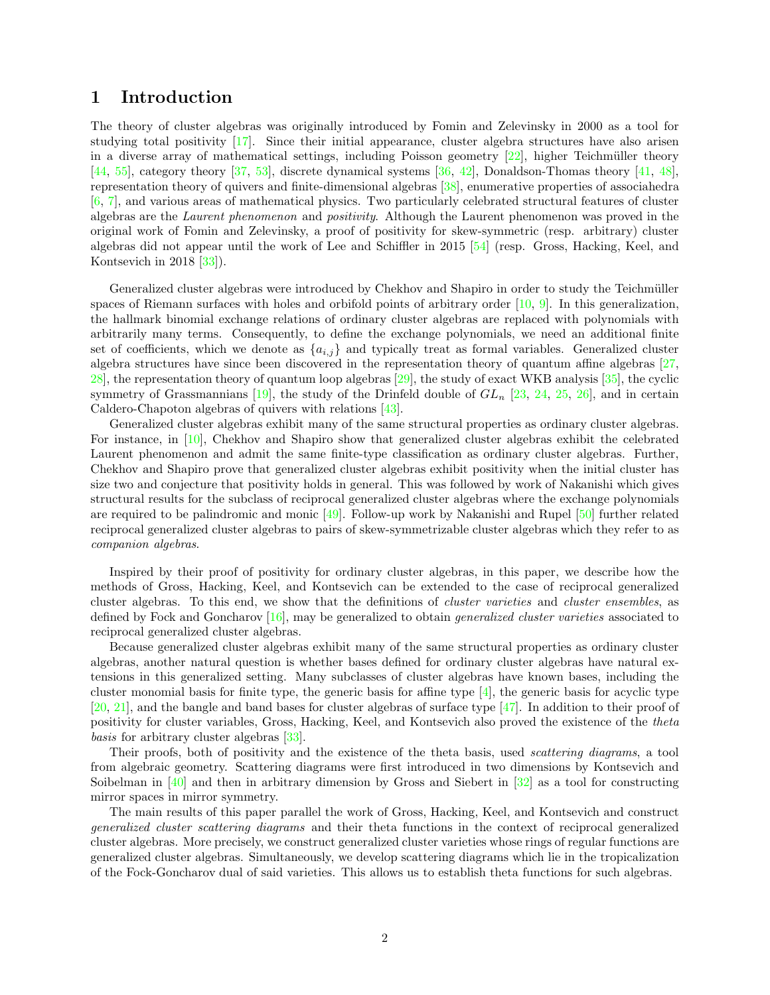# <span id="page-1-0"></span>1 Introduction

The theory of cluster algebras was originally introduced by Fomin and Zelevinsky in 2000 as a tool for studying total positivity  $\left[17\right]$ . Since their initial appearance, cluster algebra structures have also arisen in a diverse array of mathematical settings, including Poisson geometry  $[22]$ , higher Teichmüller theory [\[44,](#page-57-0) [55\]](#page-58-0), category theory [\[37,](#page-57-1) [53](#page-58-1)], discrete dynamical systems [\[36,](#page-57-2) [42\]](#page-57-3), Donaldson-Thomas theory [\[41,](#page-57-4) [48\]](#page-58-2), representation theory of quivers and finite-dimensional algebras [\[38](#page-57-5)], enumerative properties of associahedra [\[6,](#page-56-2) [7\]](#page-56-3), and various areas of mathematical physics. Two particularly celebrated structural features of cluster algebras are the Laurent phenomenon and positivity. Although the Laurent phenomenon was proved in the original work of Fomin and Zelevinsky, a proof of positivity for skew-symmetric (resp. arbitrary) cluster algebras did not appear until the work of Lee and Schiffler in 2015 [\[54\]](#page-58-3) (resp. Gross, Hacking, Keel, and Kontsevich in 2018 [\[33\]](#page-57-6)).

Generalized cluster algebras were introduced by Chekhov and Shapiro in order to study the Teichmüller spaces of Riemann surfaces with holes and orbifold points of arbitrary order [\[10,](#page-56-4) [9\]](#page-56-5). In this generalization, the hallmark binomial exchange relations of ordinary cluster algebras are replaced with polynomials with arbitrarily many terms. Consequently, to define the exchange polynomials, we need an additional finite set of coefficients, which we denote as  $\{a_{i,j}\}\$ and typically treat as formal variables. Generalized cluster algebra structures have since been discovered in the representation theory of quantum affine algebras [\[27](#page-57-7), [28\]](#page-57-8), the representation theory of quantum loop algebras [\[29](#page-57-9)], the study of exact WKB analysis [\[35](#page-57-10)], the cyclic symmetry of Grassmannians [\[19\]](#page-56-6), the study of the Drinfeld double of  $GL_n$  [\[23,](#page-56-7) [24](#page-57-11), [25,](#page-57-12) [26\]](#page-57-13), and in certain Caldero-Chapoton algebras of quivers with relations [\[43\]](#page-57-14).

Generalized cluster algebras exhibit many of the same structural properties as ordinary cluster algebras. For instance, in [\[10](#page-56-4)], Chekhov and Shapiro show that generalized cluster algebras exhibit the celebrated Laurent phenomenon and admit the same finite-type classification as ordinary cluster algebras. Further, Chekhov and Shapiro prove that generalized cluster algebras exhibit positivity when the initial cluster has size two and conjecture that positivity holds in general. This was followed by work of Nakanishi which gives structural results for the subclass of reciprocal generalized cluster algebras where the exchange polynomials are required to be palindromic and monic [\[49\]](#page-58-4). Follow-up work by Nakanishi and Rupel [\[50\]](#page-58-5) further related reciprocal generalized cluster algebras to pairs of skew-symmetrizable cluster algebras which they refer to as companion algebras.

Inspired by their proof of positivity for ordinary cluster algebras, in this paper, we describe how the methods of Gross, Hacking, Keel, and Kontsevich can be extended to the case of reciprocal generalized cluster algebras. To this end, we show that the definitions of *cluster varieties* and *cluster ensembles*, as defined by Fock and Goncharov [\[16\]](#page-56-8), may be generalized to obtain generalized cluster varieties associated to reciprocal generalized cluster algebras.

Because generalized cluster algebras exhibit many of the same structural properties as ordinary cluster algebras, another natural question is whether bases defined for ordinary cluster algebras have natural extensions in this generalized setting. Many subclasses of cluster algebras have known bases, including the cluster monomial basis for finite type, the generic basis for affine type  $[4]$ , the generic basis for acyclic type [\[20,](#page-56-10) [21\]](#page-56-11), and the bangle and band bases for cluster algebras of surface type [\[47\]](#page-58-6). In addition to their proof of positivity for cluster variables, Gross, Hacking, Keel, and Kontsevich also proved the existence of the theta basis for arbitrary cluster algebras [\[33\]](#page-57-6).

Their proofs, both of positivity and the existence of the theta basis, used scattering diagrams, a tool from algebraic geometry. Scattering diagrams were first introduced in two dimensions by Kontsevich and Soibelman in [\[40\]](#page-57-15) and then in arbitrary dimension by Gross and Siebert in [\[32](#page-57-16)] as a tool for constructing mirror spaces in mirror symmetry.

The main results of this paper parallel the work of Gross, Hacking, Keel, and Kontsevich and construct generalized cluster scattering diagrams and their theta functions in the context of reciprocal generalized cluster algebras. More precisely, we construct generalized cluster varieties whose rings of regular functions are generalized cluster algebras. Simultaneously, we develop scattering diagrams which lie in the tropicalization of the Fock-Goncharov dual of said varieties. This allows us to establish theta functions for such algebras.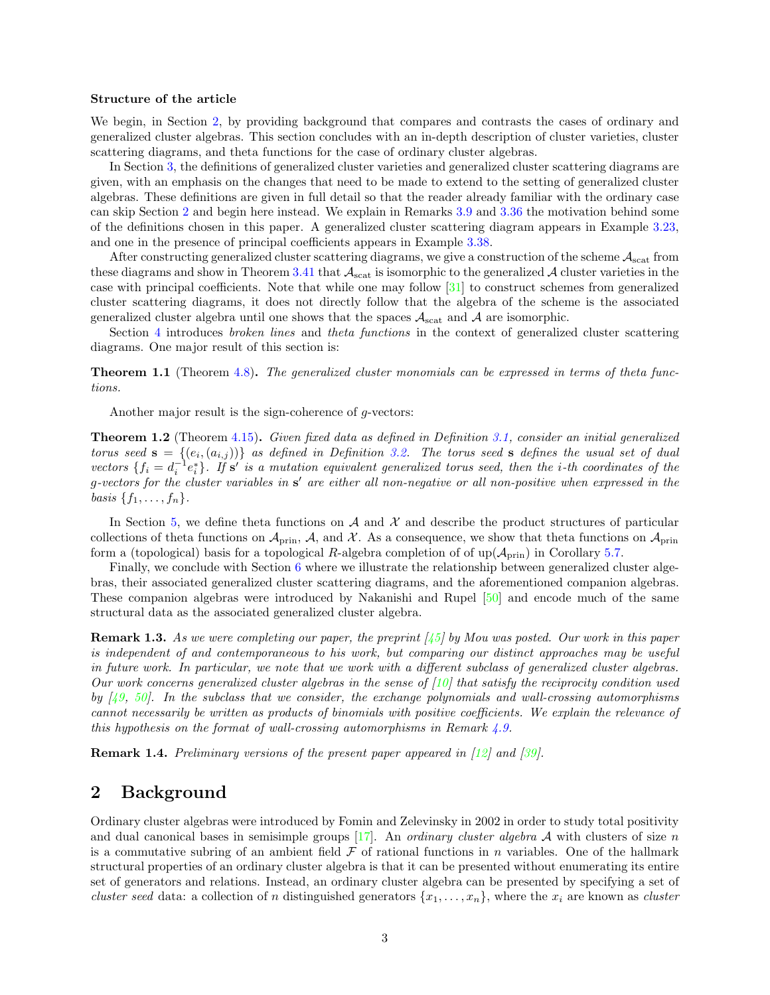#### Structure of the article

We begin, in Section [2,](#page-2-0) by providing background that compares and contrasts the cases of ordinary and generalized cluster algebras. This section concludes with an in-depth description of cluster varieties, cluster scattering diagrams, and theta functions for the case of ordinary cluster algebras.

In Section [3,](#page-16-0) the definitions of generalized cluster varieties and generalized cluster scattering diagrams are given, with an emphasis on the changes that need to be made to extend to the setting of generalized cluster algebras. These definitions are given in full detail so that the reader already familiar with the ordinary case can skip Section [2](#page-2-0) and begin here instead. We explain in Remarks [3.9](#page-19-0) and [3.36](#page-33-1) the motivation behind some of the definitions chosen in this paper. A generalized cluster scattering diagram appears in Example [3.23,](#page-25-1) and one in the presence of principal coefficients appears in Example [3.38.](#page-34-0)

After constructing generalized cluster scattering diagrams, we give a construction of the scheme  $A_{\text{scat}}$  from these diagrams and show in Theorem [3.41](#page-38-1) that  $\mathcal{A}_{scat}$  is isomorphic to the generalized  $\mathcal{A}$  cluster varieties in the case with principal coefficients. Note that while one may follow [\[31](#page-57-17)] to construct schemes from generalized cluster scattering diagrams, it does not directly follow that the algebra of the scheme is the associated generalized cluster algebra until one shows that the spaces  $A_{\text{scat}}$  and A are isomorphic.

Section [4](#page-38-0) introduces *broken lines* and *theta functions* in the context of generalized cluster scattering diagrams. One major result of this section is:

Theorem 1.1 (Theorem [4.8\)](#page-42-1). The generalized cluster monomials can be expressed in terms of theta functions.

Another major result is the sign-coherence of g-vectors:

Theorem 1.2 (Theorem [4.15\)](#page-43-1). Given fixed data as defined in Definition [3.1,](#page-16-2) consider an initial generalized torus seed  $\mathbf{s} = \{(e_i, (a_{i,j}))\}$  as defined in Definition [3.2.](#page-17-0) The torus seed  $\mathbf{s}$  defines the usual set of dual vectors  $\{f_i = d_i^{-1}e_i^*\}\$ . If  $\mathbf{s}'$  is a mutation equivalent generalized torus seed, then the *i*-th coordinates of the g-vectors for the cluster variables in s' are either all non-negative or all non-positive when expressed in the basis  $\{f_1, \ldots, f_n\}.$ 

In Section [5,](#page-43-0) we define theta functions on  $\mathcal A$  and  $\mathcal X$  and describe the product structures of particular collections of theta functions on  $\mathcal{A}_{\text{prin}}$ ,  $\mathcal{A}$ , and X. As a consequence, we show that theta functions on  $\mathcal{A}_{\text{prin}}$ form a (topological) basis for a topological R-algebra completion of of  $\text{up}(\mathcal{A}_{\text{prin}})$  in Corollary [5.7.](#page-46-0)

Finally, we conclude with Section [6](#page-50-0) where we illustrate the relationship between generalized cluster algebras, their associated generalized cluster scattering diagrams, and the aforementioned companion algebras. These companion algebras were introduced by Nakanishi and Rupel [\[50\]](#page-58-5) and encode much of the same structural data as the associated generalized cluster algebra.

**Remark 1.3.** As we were completing our paper, the preprint  $\begin{bmatrix} 45 \\ 9 \end{bmatrix}$  by Mou was posted. Our work in this paper is independent of and contemporaneous to his work, but comparing our distinct approaches may be useful in future work. In particular, we note that we work with a different subclass of generalized cluster algebras. Our work concerns generalized cluster algebras in the sense of  $[10]$  that satisfy the reciprocity condition used by  $[49, 50]$  $[49, 50]$ . In the subclass that we consider, the exchange polynomials and wall-crossing automorphisms cannot necessarily be written as products of binomials with positive coefficients. We explain the relevance of this hypothesis on the format of wall-crossing automorphisms in Remark  $\lambda.9$ .

Remark 1.4. Preliminary versions of the present paper appeared in [\[12](#page-56-12)] and [\[39](#page-57-19)].

# <span id="page-2-0"></span>2 Background

Ordinary cluster algebras were introduced by Fomin and Zelevinsky in 2002 in order to study total positivity and dual canonical bases in semisimple groups  $[17]$ . An *ordinary cluster algebra* A with clusters of size n is a commutative subring of an ambient field  $\mathcal F$  of rational functions in n variables. One of the hallmark structural properties of an ordinary cluster algebra is that it can be presented without enumerating its entire set of generators and relations. Instead, an ordinary cluster algebra can be presented by specifying a set of cluster seed data: a collection of n distinguished generators  $\{x_1, \ldots, x_n\}$ , where the  $x_i$  are known as cluster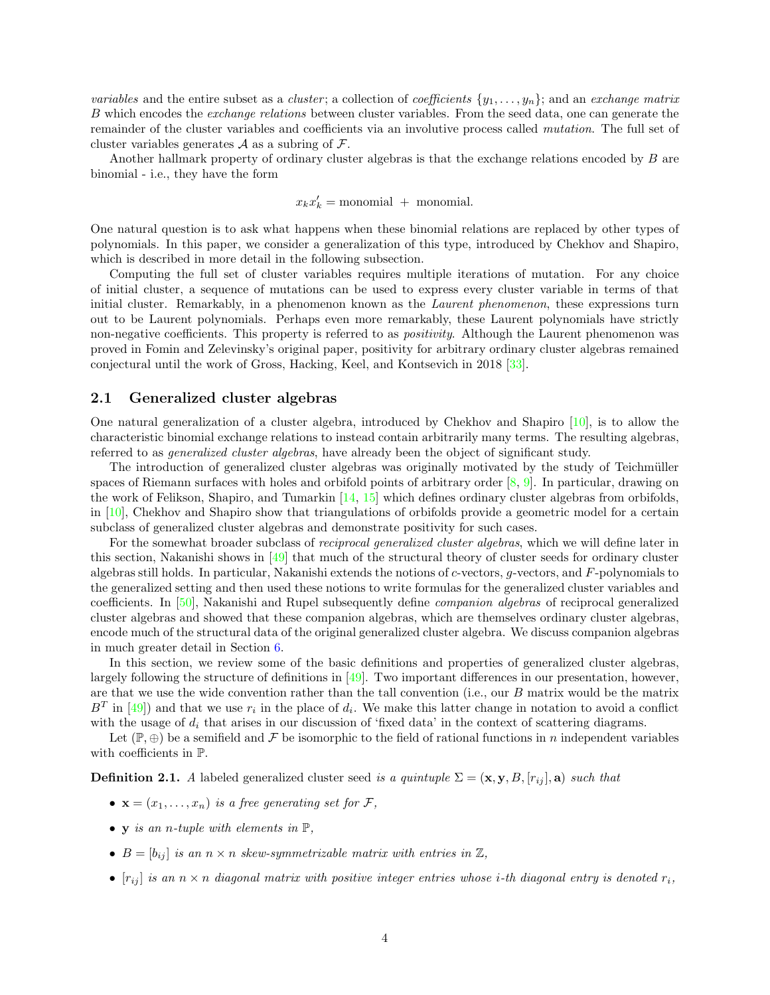variables and the entire subset as a *cluster*; a collection of *coefficients*  $\{y_1, \ldots, y_n\}$ ; and an *exchange matrix* B which encodes the exchange relations between cluster variables. From the seed data, one can generate the remainder of the cluster variables and coefficients via an involutive process called mutation. The full set of cluster variables generates  $A$  as a subring of  $\mathcal{F}$ .

Another hallmark property of ordinary cluster algebras is that the exchange relations encoded by B are binomial - i.e., they have the form

$$
x_k x'_k = \text{monomial} + \text{monomial}.
$$

One natural question is to ask what happens when these binomial relations are replaced by other types of polynomials. In this paper, we consider a generalization of this type, introduced by Chekhov and Shapiro, which is described in more detail in the following subsection.

Computing the full set of cluster variables requires multiple iterations of mutation. For any choice of initial cluster, a sequence of mutations can be used to express every cluster variable in terms of that initial cluster. Remarkably, in a phenomenon known as the *Laurent phenomenon*, these expressions turn out to be Laurent polynomials. Perhaps even more remarkably, these Laurent polynomials have strictly non-negative coefficients. This property is referred to as *positivity*. Although the Laurent phenomenon was proved in Fomin and Zelevinsky's original paper, positivity for arbitrary ordinary cluster algebras remained conjectural until the work of Gross, Hacking, Keel, and Kontsevich in 2018 [\[33](#page-57-6)].

### <span id="page-3-0"></span>2.1 Generalized cluster algebras

One natural generalization of a cluster algebra, introduced by Chekhov and Shapiro [\[10\]](#page-56-4), is to allow the characteristic binomial exchange relations to instead contain arbitrarily many terms. The resulting algebras, referred to as generalized cluster algebras, have already been the object of significant study.

The introduction of generalized cluster algebras was originally motivated by the study of Teichmüller spaces of Riemann surfaces with holes and orbifold points of arbitrary order [\[8,](#page-56-13) [9\]](#page-56-5). In particular, drawing on the work of Felikson, Shapiro, and Tumarkin [\[14,](#page-56-14) [15\]](#page-56-15) which defines ordinary cluster algebras from orbifolds, in [\[10\]](#page-56-4), Chekhov and Shapiro show that triangulations of orbifolds provide a geometric model for a certain subclass of generalized cluster algebras and demonstrate positivity for such cases.

For the somewhat broader subclass of *reciprocal generalized cluster algebras*, which we will define later in this section, Nakanishi shows in [\[49\]](#page-58-4) that much of the structural theory of cluster seeds for ordinary cluster algebras still holds. In particular, Nakanishi extends the notions of c-vectors, g-vectors, and F-polynomials to the generalized setting and then used these notions to write formulas for the generalized cluster variables and coefficients. In [\[50\]](#page-58-5), Nakanishi and Rupel subsequently define companion algebras of reciprocal generalized cluster algebras and showed that these companion algebras, which are themselves ordinary cluster algebras, encode much of the structural data of the original generalized cluster algebra. We discuss companion algebras in much greater detail in Section [6.](#page-50-0)

In this section, we review some of the basic definitions and properties of generalized cluster algebras, largely following the structure of definitions in [\[49\]](#page-58-4). Two important differences in our presentation, however, are that we use the wide convention rather than the tall convention (i.e., our B matrix would be the matrix  $B<sup>T</sup>$  in [\[49\]](#page-58-4)) and that we use  $r<sub>i</sub>$  in the place of  $d<sub>i</sub>$ . We make this latter change in notation to avoid a conflict with the usage of  $d_i$  that arises in our discussion of 'fixed data' in the context of scattering diagrams.

Let  $(\mathbb{P}, \oplus)$  be a semifield and F be isomorphic to the field of rational functions in n independent variables with coefficients in P.

**Definition 2.1.** A labeled generalized cluster seed is a quintuple  $\Sigma = (\mathbf{x}, \mathbf{y}, B, [r_{ij}], \mathbf{a})$  such that

- $\mathbf{x} = (x_1, \ldots, x_n)$  is a free generating set for F,
- y is an n-tuple with elements in  $\mathbb{P}$ ,
- $B = [b_{ij}]$  is an  $n \times n$  skew-symmetrizable matrix with entries in  $\mathbb{Z}$ ,
- $[r_{ij}]$  is an  $n \times n$  diagonal matrix with positive integer entries whose i-th diagonal entry is denoted  $r_i$ ,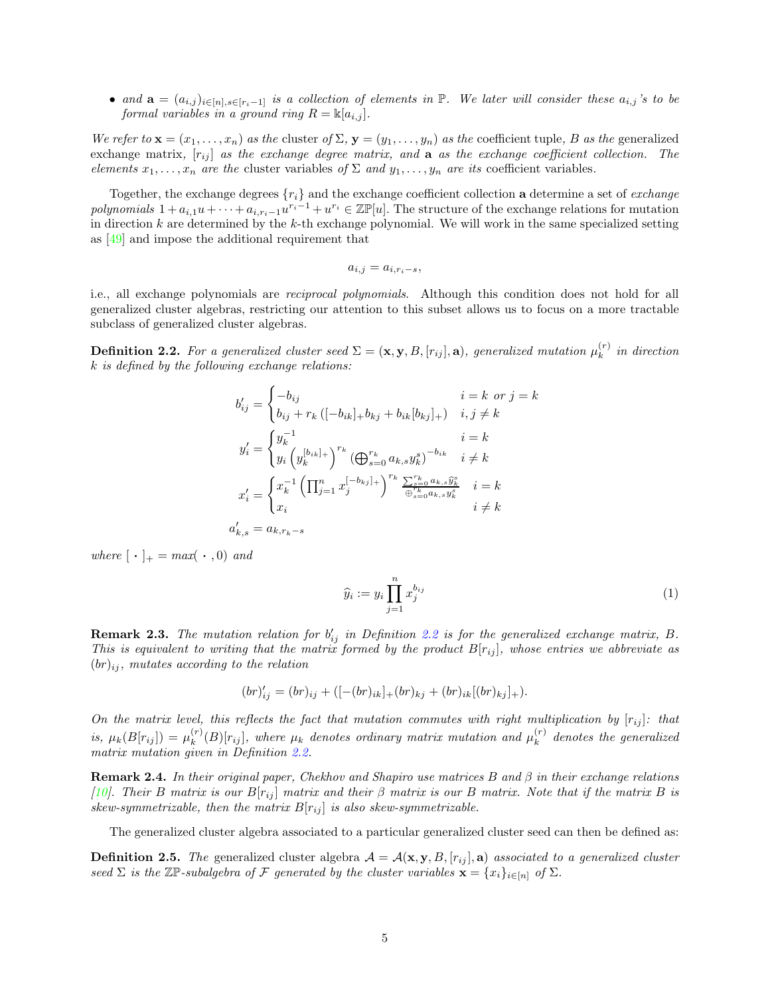• and  $\mathbf{a} = (a_{i,j})_{i \in [n], s \in [r_i-1]}$  is a collection of elements in  $\mathbb{P}$ . We later will consider these  $a_{i,j}$ 's to be formal variables in a ground ring  $R = \mathbb{K}[a_{i,j}]$ .

We refer to  $\mathbf{x} = (x_1, \ldots, x_n)$  as the cluster of  $\Sigma$ ,  $\mathbf{y} = (y_1, \ldots, y_n)$  as the coefficient tuple, B as the generalized exchange matrix,  $[r_{ij}]$  as the exchange degree matrix, and  $a$  as the exchange coefficient collection. The elements  $x_1, \ldots, x_n$  are the cluster variables of  $\Sigma$  and  $y_1, \ldots, y_n$  are its coefficient variables.

Together, the exchange degrees  $\{r_i\}$  and the exchange coefficient collection **a** determine a set of *exchange* polynomials  $1 + a_{i,1}u + \cdots + a_{i,r_i-1}u^{r_i-1} + u^{r_i} \in \mathbb{Z}\mathbb{P}[u]$ . The structure of the exchange relations for mutation in direction  $k$  are determined by the  $k$ -th exchange polynomial. We will work in the same specialized setting as [\[49\]](#page-58-4) and impose the additional requirement that

$$
a_{i,j} = a_{i,r_i-s},
$$

i.e., all exchange polynomials are reciprocal polynomials. Although this condition does not hold for all generalized cluster algebras, restricting our attention to this subset allows us to focus on a more tractable subclass of generalized cluster algebras.

<span id="page-4-0"></span>**Definition 2.2.** For a generalized cluster seed  $\Sigma = (\mathbf{x}, \mathbf{y}, B, [r_{ij}], \mathbf{a})$ , generalized mutation  $\mu_k^{(r)}$  $\binom{r}{k}$  in direction k is defined by the following exchange relations:

$$
b'_{ij} = \begin{cases} -b_{ij} & i=k \text{ or } j=k\\ b_{ij} + r_k \left( [-b_{ik}]_+ b_{kj} + b_{ik} [b_{kj}]_+ \right) & i, j \neq k \end{cases}
$$
  

$$
y'_i = \begin{cases} y_k^{-1} & i=k\\ y_i \left( y_k^{[b_{ik}]_+} \right)^{r_k} \left( \bigoplus_{s=0}^{r_k} a_{k,s} y_k^s \right)^{-b_{ik}} & i \neq k \end{cases}
$$
  

$$
x'_i = \begin{cases} x_k^{-1} \left( \prod_{j=1}^n x_j^{[-b_{kj}]_+} \right)^{r_k} \frac{\sum_{s=0}^{r_k} a_{k,s} y_k^s}{\bigoplus_{s=0}^{r_k} a_{k,s} y_k^s} & i=k\\ x_i & i \neq k \end{cases}
$$
  

$$
a'_{k,s} = a_{k,r_k-s}
$$

where  $[\cdot]_+ = max(\cdot, 0)$  and

<span id="page-4-1"></span>
$$
\widehat{y}_i := y_i \prod_{j=1}^n x_j^{b_{ij}} \tag{1}
$$

**Remark 2.3.** The mutation relation for  $b'_{ij}$  in Definition [2.2](#page-4-0) is for the generalized exchange matrix, B. This is equivalent to writing that the matrix formed by the product  $B[r_{ij}]$ , whose entries we abbreviate as  $(br)_{ii}$ , mutates according to the relation

$$
(br)'_{ij} = (br)_{ij} + ([-(br)_{ik}]_+(br)_{kj} + (br)_{ik}[(br)_{kj}]_+).
$$

On the matrix level, this reflects the fact that mutation commutes with right multiplication by  $[r_{ij}]$ : that is,  $\mu_k(B[r_{ij}]) = \mu_k^{(r)}$  $\mathcal{L}_{k}^{(r)}(B)[r_{ij}]$ , where  $\mu_k$  denotes ordinary matrix mutation and  $\mu_k^{(r)}$  $k^{(r)}$  denotes the generalized matrix mutation given in Definition [2.2.](#page-4-0)

**Remark 2.4.** In their original paper, Chekhov and Shapiro use matrices B and  $\beta$  in their exchange relations [\[10](#page-56-4)]. Their B matrix is our  $B[r_{ij}]$  matrix and their  $\beta$  matrix is our B matrix. Note that if the matrix B is skew-symmetrizable, then the matrix  $B[r_{ij}]$  is also skew-symmetrizable.

The generalized cluster algebra associated to a particular generalized cluster seed can then be defined as:

**Definition 2.5.** The generalized cluster algebra  $A = A(x, y, B, [r_{ii}], a)$  associated to a generalized cluster seed  $\Sigma$  is the  $\mathbb{Z}\mathbb{P}$ -subalgebra of F generated by the cluster variables  $\mathbf{x} = \{x_i\}_{i \in [n]}$  of  $\Sigma$ .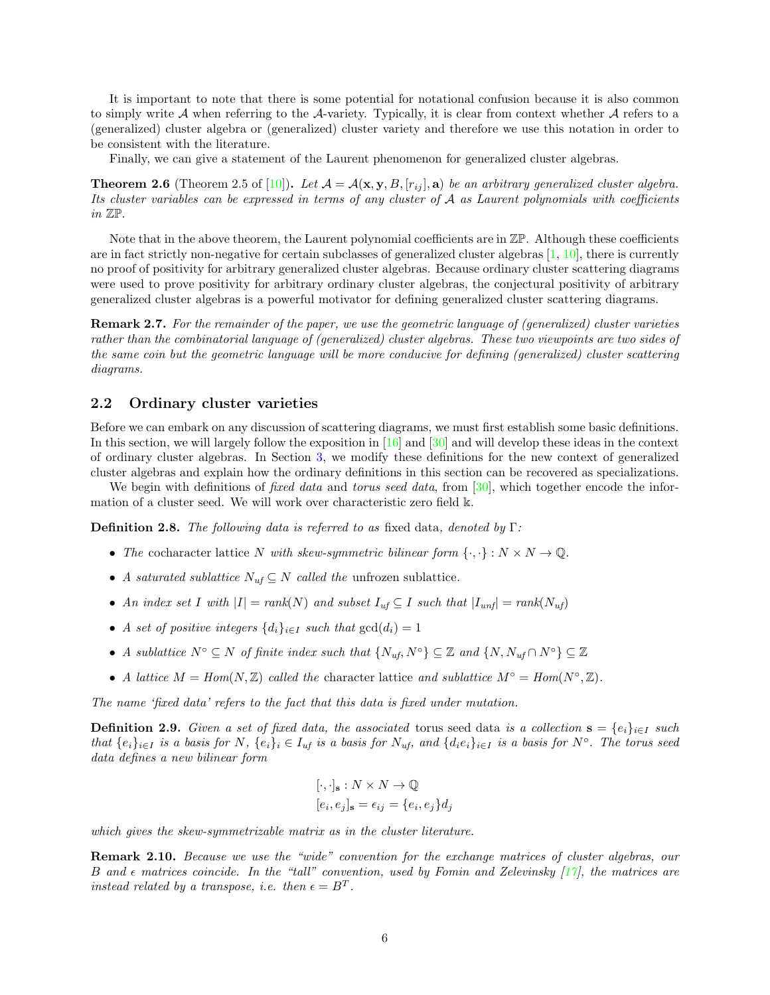It is important to note that there is some potential for notational confusion because it is also common to simply write  $A$  when referring to the  $A$ -variety. Typically, it is clear from context whether  $A$  refers to a (generalized) cluster algebra or (generalized) cluster variety and therefore we use this notation in order to be consistent with the literature.

Finally, we can give a statement of the Laurent phenomenon for generalized cluster algebras.

<span id="page-5-1"></span>**Theorem 2.6** (Theorem 2.5 of [\[10](#page-56-4)]). Let  $\mathcal{A} = \mathcal{A}(\mathbf{x}, \mathbf{y}, B, [r_{ij}], \mathbf{a})$  be an arbitrary generalized cluster algebra. Its cluster variables can be expressed in terms of any cluster of A as Laurent polynomials with coefficients in  $\mathbb{Z}\mathbb{P}$ .

Note that in the above theorem, the Laurent polynomial coefficients are in  $\mathbb{Z} \mathbb{P}$ . Although these coefficients are in fact strictly non-negative for certain subclasses of generalized cluster algebras  $[1, 10]$  $[1, 10]$  $[1, 10]$ , there is currently no proof of positivity for arbitrary generalized cluster algebras. Because ordinary cluster scattering diagrams were used to prove positivity for arbitrary ordinary cluster algebras, the conjectural positivity of arbitrary generalized cluster algebras is a powerful motivator for defining generalized cluster scattering diagrams.

Remark 2.7. For the remainder of the paper, we use the geometric language of (generalized) cluster varieties rather than the combinatorial language of (generalized) cluster algebras. These two viewpoints are two sides of the same coin but the geometric language will be more conducive for defining (generalized) cluster scattering diagrams.

### <span id="page-5-0"></span>2.2 Ordinary cluster varieties

Before we can embark on any discussion of scattering diagrams, we must first establish some basic definitions. In this section, we will largely follow the exposition in [\[16](#page-56-8)] and [\[30\]](#page-57-20) and will develop these ideas in the context of ordinary cluster algebras. In Section [3,](#page-16-0) we modify these definitions for the new context of generalized cluster algebras and explain how the ordinary definitions in this section can be recovered as specializations.

We begin with definitions of *fixed data* and *torus seed data*, from  $|30|$ , which together encode the information of a cluster seed. We will work over characteristic zero field k.

**Definition 2.8.** The following data is referred to as fixed data, denoted by  $\Gamma$ :

- The cocharacter lattice N with skew-symmetric bilinear form  $\{\cdot,\cdot\}: N \times N \to \mathbb{Q}$ .
- A saturated sublattice  $N_{uf} \subseteq N$  called the unfrozen sublattice.
- An index set I with  $|I| = rank(N)$  and subset  $I_{uf} \subseteq I$  such that  $|I_{unf}| = rank(N_{uf})$
- A set of positive integers  $\{d_i\}_{i\in I}$  such that  $gcd(d_i) = 1$
- A sublattice  $N^{\circ} \subseteq N$  of finite index such that  $\{N_{uf}, N^{\circ}\} \subseteq \mathbb{Z}$  and  $\{N, N_{uf} \cap N^{\circ}\} \subseteq \mathbb{Z}$
- A lattice  $M = Hom(N, \mathbb{Z})$  called the character lattice and sublattice  $M^{\circ} = Hom(N^{\circ}, \mathbb{Z})$ .

The name 'fixed data' refers to the fact that this data is fixed under mutation.

<span id="page-5-2"></span>**Definition 2.9.** Given a set of fixed data, the associated torus seed data is a collection  $\mathbf{s} = \{e_i\}_{i\in I}$  such that  $\{e_i\}_{i\in I}$  is a basis for N,  $\{e_i\}_i \in I_{uf}$  is a basis for  $N_{uf}$ , and  $\{d_ie_i\}_{i\in I}$  is a basis for  $N^\circ$ . The torus seed data defines a new bilinear form

$$
[\cdot, \cdot]_{\mathbf{s}} : N \times N \to \mathbb{Q}
$$

$$
[e_i, e_j]_{\mathbf{s}} = \epsilon_{ij} = \{e_i, e_j\} d_j
$$

which gives the skew-symmetrizable matrix as in the cluster literature.

Remark 2.10. Because we use the "wide" convention for the exchange matrices of cluster algebras, our B and  $\epsilon$  matrices coincide. In the "tall" convention, used by Fomin and Zelevinsky [\[17\]](#page-56-0), the matrices are instead related by a transpose, i.e. then  $\epsilon = B^T$ .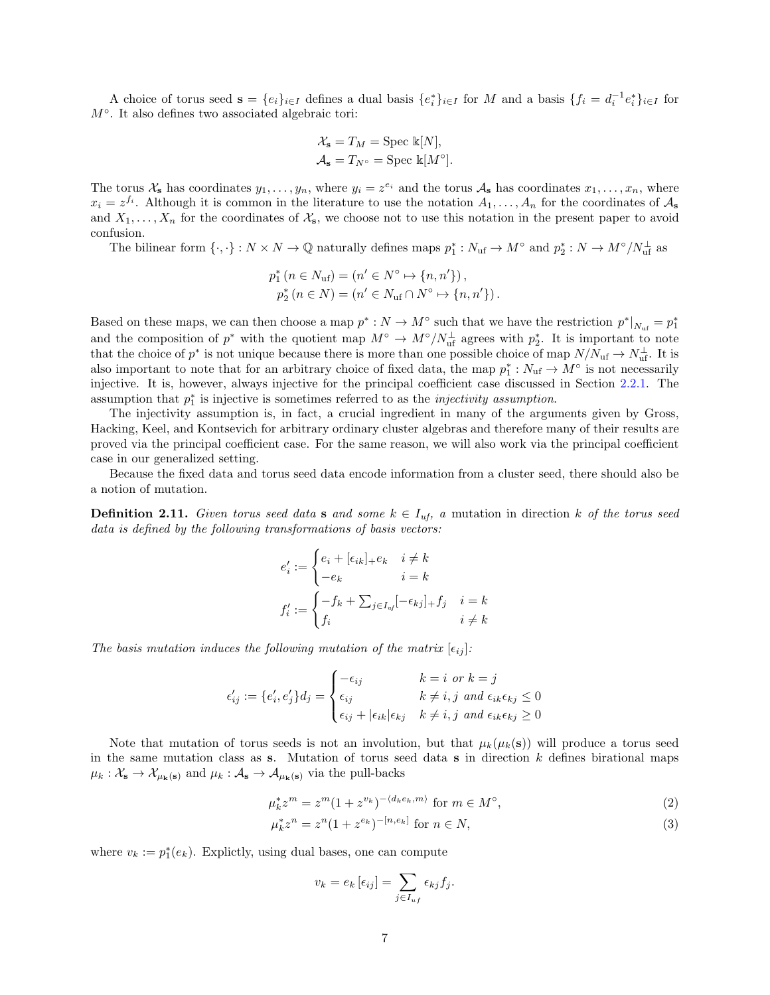A choice of torus seed  $\mathbf{s} = \{e_i\}_{i \in I}$  defines a dual basis  $\{e_i^*\}_{i \in I}$  for M and a basis  $\{f_i = d_i^{-1}e_i^*\}_{i \in I}$  for  $M^\circ$ . It also defines two associated algebraic tori:

$$
\mathcal{X}_{s} = T_{M} = \text{Spec } \mathbb{k}[N],
$$
  

$$
\mathcal{A}_{s} = T_{N^{\circ}} = \text{Spec } \mathbb{k}[M^{\circ}].
$$

The torus  $\mathcal{X}_s$  has coordinates  $y_1, \ldots, y_n$ , where  $y_i = z^{e_i}$  and the torus  $\mathcal{A}_s$  has coordinates  $x_1, \ldots, x_n$ , where  $x_i = z^{f_i}$ . Although it is common in the literature to use the notation  $A_1, \ldots, A_n$  for the coordinates of  $A_s$ and  $X_1, \ldots, X_n$  for the coordinates of  $\mathcal{X}_s$ , we choose not to use this notation in the present paper to avoid confusion.

The bilinear form  $\{\cdot,\cdot\}: N \times N \to \mathbb{Q}$  naturally defines maps  $p_1^*: N_{\text{uf}} \to M^{\circ}$  and  $p_2^*: N \to M^{\circ}/N_{\text{uf}}^{\perp}$  as

$$
p_1^* (n \in N_{\text{uf}}) = (n' \in N^{\circ} \mapsto \{n, n'\}),
$$
  

$$
p_2^* (n \in N) = (n' \in N_{\text{uf}} \cap N^{\circ} \mapsto \{n, n'\}).
$$

Based on these maps, we can then choose a map  $p^*: N \to M^{\circ}$  such that we have the restriction  $p^*|_{N_{\text{uf}}} = p_1^*$ and the composition of  $p^*$  with the quotient map  $M^{\circ} \to M^{\circ}/N_{\text{uf}}^{\perp}$  agrees with  $p_2^*$ . It is important to note that the choice of  $p^*$  is not unique because there is more than one possible choice of map  $N/N_{\text{uf}} \to N_{\text{uf}}^{\perp}$ . It is also important to note that for an arbitrary choice of fixed data, the map  $p_1^*: N_{\text{uf}} \to M^{\circ}$  is not necessarily injective. It is, however, always injective for the principal coefficient case discussed in Section [2.2.1.](#page-8-0) The assumption that  $p_1^*$  is injective is sometimes referred to as the *injectivity assumption*.

The injectivity assumption is, in fact, a crucial ingredient in many of the arguments given by Gross, Hacking, Keel, and Kontsevich for arbitrary ordinary cluster algebras and therefore many of their results are proved via the principal coefficient case. For the same reason, we will also work via the principal coefficient case in our generalized setting.

Because the fixed data and torus seed data encode information from a cluster seed, there should also be a notion of mutation.

<span id="page-6-2"></span>**Definition 2.11.** Given torus seed data s and some  $k \in I_{uf}$ , a mutation in direction k of the torus seed data is defined by the following transformations of basis vectors:

$$
e'_i := \begin{cases} e_i + [\epsilon_{ik}]_+ e_k & i \neq k \\ -e_k & i = k \end{cases}
$$

$$
f'_i := \begin{cases} -f_k + \sum_{j \in I_{uf}} [-\epsilon_{kj}]_+ f_j & i = k \\ f_i & i \neq k \end{cases}
$$

The basis mutation induces the following mutation of the matrix  $[\epsilon_{ij}]$ :

$$
\epsilon'_{ij} := \{e'_i, e'_j\} d_j = \begin{cases}\n-\epsilon_{ij} & k = i \text{ or } k = j \\
\epsilon_{ij} & k \neq i, j \text{ and } \epsilon_{ik}\epsilon_{kj} \leq 0 \\
\epsilon_{ij} + |\epsilon_{ik}| \epsilon_{kj} & k \neq i, j \text{ and } \epsilon_{ik}\epsilon_{kj} \geq 0\n\end{cases}
$$

Note that mutation of torus seeds is not an involution, but that  $\mu_k(\mu_k(s))$  will produce a torus seed in the same mutation class as s. Mutation of torus seed data s in direction  $k$  defines birational maps  $\mu_k : \mathcal{X}_s \to \mathcal{X}_{\mu_k(s)}$  and  $\mu_k : \mathcal{A}_s \to \mathcal{A}_{\mu_k(s)}$  via the pull-backs

$$
\mu_k^* z^m = z^m (1 + z^{v_k})^{-\langle d_k e_k, m \rangle} \text{ for } m \in M^\circ,
$$
\n(2)

$$
\mu_k^* z^n = z^n (1 + z^{e_k})^{-[n, e_k]} \text{ for } n \in N,
$$
\n(3)

where  $v_k := p_1^*(e_k)$ . Explictly, using dual bases, one can compute

<span id="page-6-1"></span><span id="page-6-0"></span>
$$
v_k = e_k \left[ \epsilon_{ij} \right] = \sum_{j \in I_{uf}} \epsilon_{kj} f_j.
$$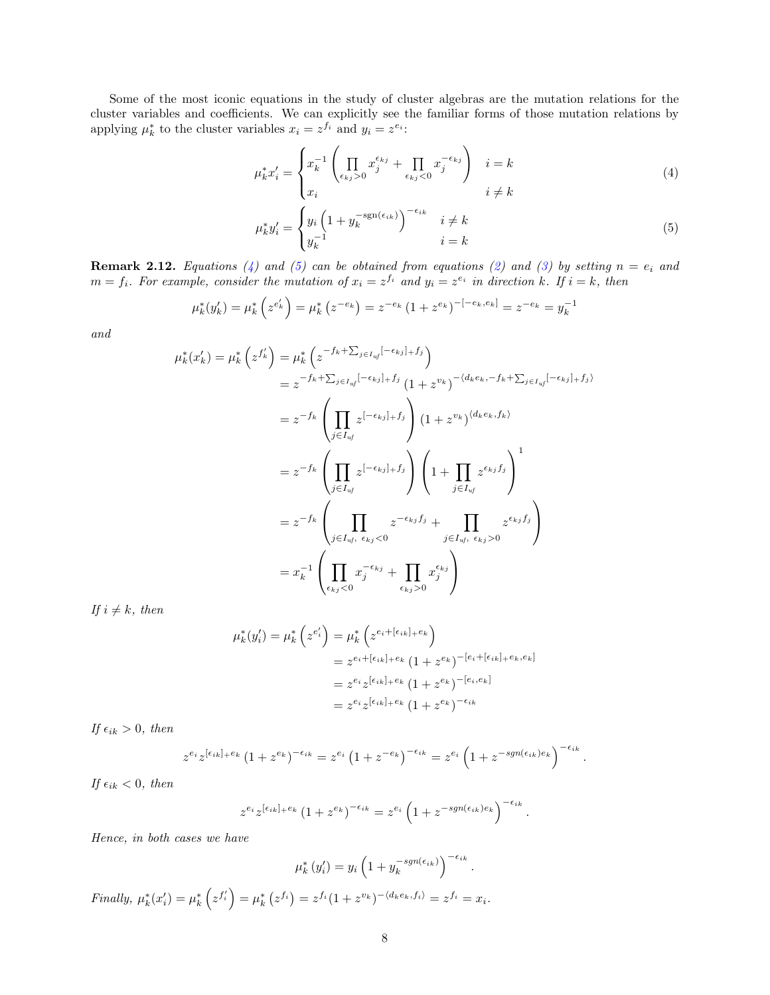Some of the most iconic equations in the study of cluster algebras are the mutation relations for the cluster variables and coefficients. We can explicitly see the familiar forms of those mutation relations by applying  $\mu_k^*$  to the cluster variables  $x_i = z^{f_i}$  and  $y_i = z^{e_i}$ :

<span id="page-7-0"></span>
$$
\mu_k^* x_i' = \begin{cases} x_k^{-1} \left( \prod_{\epsilon_{kj} > 0} x_j^{\epsilon_{kj}} + \prod_{\epsilon_{kj} < 0} x_j^{-\epsilon_{kj}} \right) & i = k \\ x_i & i \neq k \end{cases}
$$
 (4)

<span id="page-7-1"></span>
$$
\mu_k^* y_i' = \begin{cases} y_i \left( 1 + y_k^{-\text{sgn}(\epsilon_{ik})} \right)^{-\epsilon_{ik}} & i \neq k \\ y_k^{-1} & i = k \end{cases} \tag{5}
$$

**Remark 2.12.** Equations [\(4\)](#page-7-0) and [\(5\)](#page-7-1) can be obtained from equations [\(2\)](#page-6-0) and [\(3\)](#page-6-1) by setting  $n = e_i$  and  $m = f_i$ . For example, consider the mutation of  $x_i = z^{f_i}$  and  $y_i = z^{e_i}$  in direction k. If  $i = k$ , then

$$
\mu_k^*(y_k') = \mu_k^* \left( z^{e_k'} \right) = \mu_k^* \left( z^{-e_k} \right) = z^{-e_k} \left( 1 + z^{e_k} \right)^{-\left[ -e_k, e_k \right]} = z^{-e_k} = y_k^{-1}
$$

and

$$
\mu_k^*(x'_k) = \mu_k^* \left( z^{f'_k} \right) = \mu_k^* \left( z^{-f_k + \sum_{j \in I_{uf}} [-\epsilon_{kj}]_+ f_j} \right)
$$
  
\n
$$
= z^{-f_k + \sum_{j \in I_{uf}} [-\epsilon_{kj}]_+ f_j} \left( 1 + z^{v_k} \right)^{-\langle d_k e_k, -f_k + \sum_{j \in I_{uf}} [-\epsilon_{kj}]_+ f_j}
$$
  
\n
$$
= z^{-f_k} \left( \prod_{j \in I_{uf}} z^{[-\epsilon_{kj}]_+ f_j} \right) \left( 1 + z^{v_k} \right)^{\langle d_k e_k, f_k \rangle}
$$
  
\n
$$
= z^{-f_k} \left( \prod_{j \in I_{uf}} z^{[-\epsilon_{kj}]_+ f_j} \right) \left( 1 + \prod_{j \in I_{uf}} z^{\epsilon_{kj} f_j} \right)^1
$$
  
\n
$$
= z^{-f_k} \left( \prod_{j \in I_{uf}, \epsilon_{kj} < 0} z^{-\epsilon_{kj} f_j} + \prod_{j \in I_{uf}, \epsilon_{kj} > 0} z^{\epsilon_{kj} f_j} \right)
$$
  
\n
$$
= x_k^{-1} \left( \prod_{\epsilon_{kj} < 0} x_j^{-\epsilon_{kj}} + \prod_{\epsilon_{kj} > 0} x_j^{\epsilon_{kj}} \right)
$$

If  $i \neq k$ , then

$$
\mu_k^*(y_i') = \mu_k^* \left( z^{e_i'} \right) = \mu_k^* \left( z^{e_i + [ \epsilon_{ik} ]_+ e_k} \right)
$$
  
=  $z^{e_i + [ \epsilon_{ik} ]_+ e_k} (1 + z^{e_k})^{-[e_i + [ \epsilon_{ik} ]_+ e_k, e_k]}$   
=  $z^{e_i} z^{[ \epsilon_{ik} ]_+ e_k} (1 + z^{e_k})^{-[e_i, e_k]}$   
=  $z^{e_i} z^{[ \epsilon_{ik} ]_+ e_k} (1 + z^{e_k})^{-\epsilon_{ik}}$ 

If  $\epsilon_{ik} > 0$ , then

$$
z^{e_i}z^{[\epsilon_{ik}]+e_k}\left(1+z^{e_k}\right)^{-\epsilon_{ik}}=z^{e_i}\left(1+z^{-e_k}\right)^{-\epsilon_{ik}}=z^{e_i}\left(1+z^{-sgn(\epsilon_{ik})e_k}\right)^{-\epsilon_{ik}}.
$$

If  $\epsilon_{ik} < 0$ , then

$$
z^{e_i}z^{[\epsilon_{ik}]+\epsilon_k}(1+z^{e_k})^{-\epsilon_{ik}}=z^{e_i}\left(1+z^{-sgn(\epsilon_{ik})e_k}\right)^{-\epsilon_{ik}}.
$$

Hence, in both cases we have

 $\mu_k^*(y_i') = y_i \left( 1 + y_k^{-sgn(\epsilon_{ik})} \right)^{-\epsilon_{ik}}.$ Finally,  $\mu_k^*(x_i') = \mu_k^* (z^{f_i'}) = \mu_k^* (z^{f_i}) = z^{f_i} (1 + z^{v_k})^{-\langle d_k e_k, f_i \rangle} = z^{f_i} = x_i.$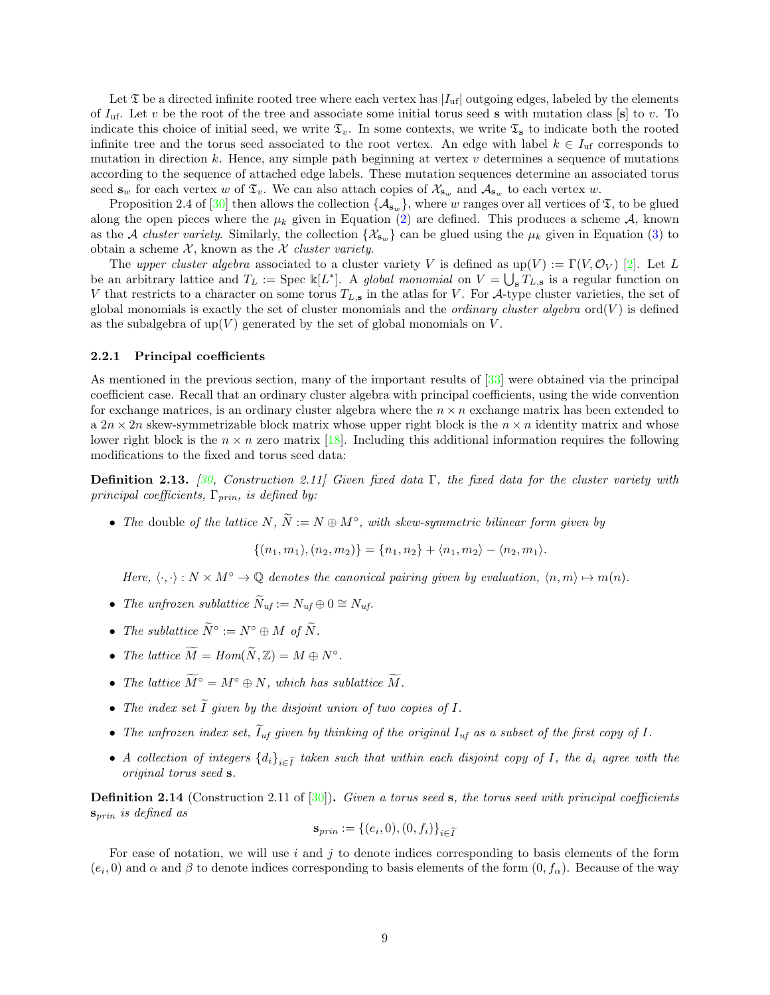Let  $\mathfrak T$  be a directed infinite rooted tree where each vertex has  $|I_{\text{uf}}|$  outgoing edges, labeled by the elements of  $I_{\text{uf}}$ . Let v be the root of the tree and associate some initial torus seed s with mutation class [s] to v. To indicate this choice of initial seed, we write  $\mathfrak{T}_v$ . In some contexts, we write  $\mathfrak{T}_s$  to indicate both the rooted infinite tree and the torus seed associated to the root vertex. An edge with label  $k \in I_{\text{uf}}$  corresponds to mutation in direction k. Hence, any simple path beginning at vertex  $v$  determines a sequence of mutations according to the sequence of attached edge labels. These mutation sequences determine an associated torus seed  $\mathbf{s}_w$  for each vertex w of  $\mathfrak{T}_v$ . We can also attach copies of  $\mathcal{X}_{\mathbf{s}_w}$  and  $\mathcal{A}_{\mathbf{s}_w}$  to each vertex w.

Proposition 2.4 of [\[30](#page-57-20)] then allows the collection  $\{\mathcal{A}_{s_w}\}$ , where w ranges over all vertices of  $\mathfrak{T}$ , to be glued along the open pieces where the  $\mu_k$  given in Equation [\(2\)](#page-6-0) are defined. This produces a scheme A, known as the A cluster variety. Similarly, the collection  $\{\mathcal{X}_{s_w}\}$  can be glued using the  $\mu_k$  given in Equation [\(3\)](#page-6-1) to obtain a scheme  $X$ , known as the X cluster variety.

The upper cluster algebra associated to a cluster variety V is defined as  $\text{up}(V) := \Gamma(V, \mathcal{O}_V)$  [\[2\]](#page-56-17). Let L be an arbitrary lattice and  $T_L := \text{Spec } \mathbb{k}[L^*]$ . A global monomial on  $V = \bigcup_{s} T_{L,s}$  is a regular function on V that restricts to a character on some torus  $T_{L,s}$  in the atlas for V. For A-type cluster varieties, the set of global monomials is exactly the set of cluster monomials and the *ordinary cluster algebra* ord $(V)$  is defined as the subalgebra of  $up(V)$  generated by the set of global monomials on V.

#### <span id="page-8-0"></span>2.2.1 Principal coefficients

As mentioned in the previous section, many of the important results of [\[33](#page-57-6)] were obtained via the principal coefficient case. Recall that an ordinary cluster algebra with principal coefficients, using the wide convention for exchange matrices, is an ordinary cluster algebra where the  $n \times n$  exchange matrix has been extended to a  $2n \times 2n$  skew-symmetrizable block matrix whose upper right block is the  $n \times n$  identity matrix and whose lower right block is the  $n \times n$  zero matrix [\[18\]](#page-56-18). Including this additional information requires the following modifications to the fixed and torus seed data:

**Definition 2.13.** [\[30](#page-57-20), Construction 2.11] Given fixed data  $\Gamma$ , the fixed data for the cluster variety with principal coefficients,  $\Gamma_{prin}$ , is defined by:

• The double of the lattice  $N, \widetilde{N} := N \oplus M^{\circ}$ , with skew-symmetric bilinear form given by

$$
\{(n_1,m_1),(n_2,m_2)\}=\{n_1,n_2\}+\langle n_1,m_2\rangle-\langle n_2,m_1\rangle.
$$

Here,  $\langle \cdot, \cdot \rangle : N \times M^{\circ} \to \mathbb{Q}$  denotes the canonical pairing given by evaluation,  $\langle n,m \rangle \mapsto m(n)$ .

- The unfrozen sublattice  $\widetilde{N}_{uf} := N_{uf} \oplus 0 \cong N_{uf}.$
- The sublattice  $\widetilde{N}^{\circ} := N^{\circ} \oplus M$  of  $\widetilde{N}$ .
- The lattice  $\widetilde{M} = Hom(\widetilde{N}, \mathbb{Z}) = M \oplus N^{\circ}$ .
- The lattice  $\widetilde{M}^{\circ} = M^{\circ} \oplus N$ , which has sublattice  $\widetilde{M}$ .
- The index set  $\widetilde{I}$  given by the disjoint union of two copies of  $I$ .
- The unfrozen index set,  $\tilde{I}_{uf}$  given by thinking of the original  $I_{uf}$  as a subset of the first copy of I.
- A collection of integers  ${d_i}_{i\in \tilde{I}}$  taken such that within each disjoint copy of I, the  $d_i$  agree with the original torus seed s.

**Definition 2.14** (Construction 2.11 of  $[30]$ ). Given a torus seed s, the torus seed with principal coefficients  $s_{prin}$  is defined as

$$
\mathbf{s}_{prin} := \{(e_i, 0), (0, f_i)\}_{i \in \widetilde{I}}
$$

For ease of notation, we will use  $i$  and  $j$  to denote indices corresponding to basis elements of the form  $(e_i, 0)$  and  $\alpha$  and  $\beta$  to denote indices corresponding to basis elements of the form  $(0, f_\alpha)$ . Because of the way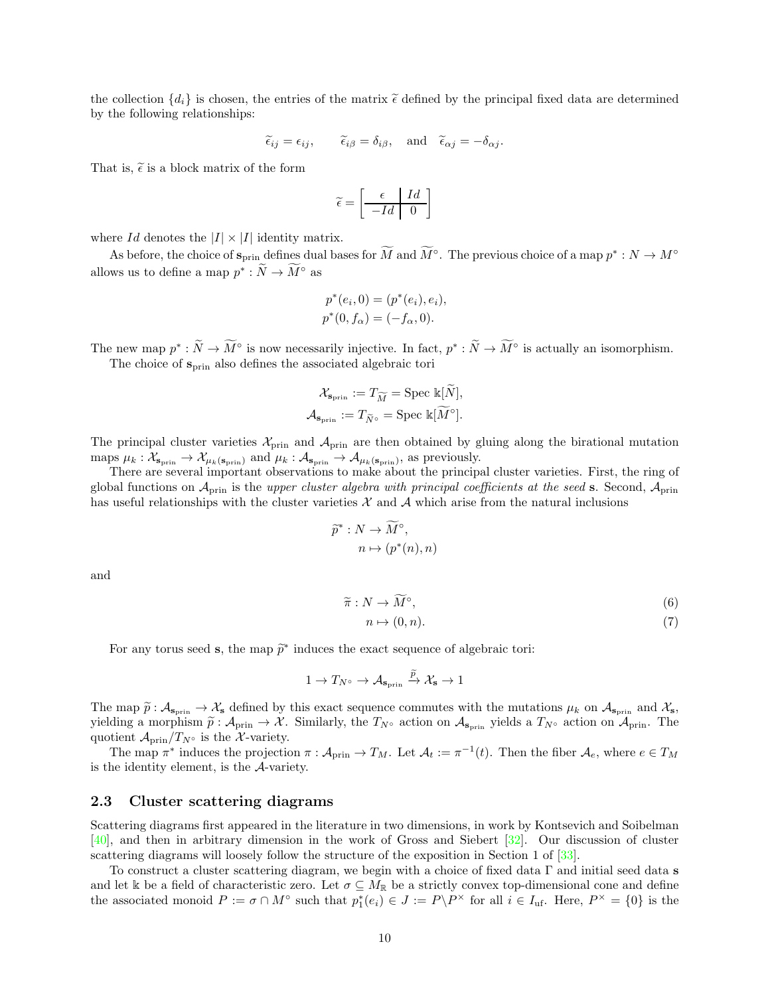the collection  $\{d_i\}$  is chosen, the entries of the matrix  $\tilde{\epsilon}$  defined by the principal fixed data are determined by the following relationships:

$$
\tilde{\epsilon}_{ij} = \epsilon_{ij}, \qquad \tilde{\epsilon}_{i\beta} = \delta_{i\beta}, \text{ and } \tilde{\epsilon}_{\alpha j} = -\delta_{\alpha j}.
$$

That is,  $\tilde{\epsilon}$  is a block matrix of the form

$$
\widetilde{\epsilon} = \left[ \begin{array}{c|c} \epsilon & Id \\ \hline -Id & 0 \end{array} \right]
$$

where Id denotes the  $|I| \times |I|$  identity matrix.

As before, the choice of  $s_{\text{prin}}$  defines dual bases for M and  $M^{\circ}$ . The previous choice of a map  $p^*: N \to M^{\circ}$ allows us to define a map  $p^* : N \to M^{\circ}$  as

$$
p^*(e_i, 0) = (p^*(e_i), e_i),
$$
  

$$
p^*(0, f_\alpha) = (-f_\alpha, 0).
$$

The new map  $p^*: \tilde{N} \to \tilde{M}^\circ$  is now necessarily injective. In fact,  $p^*: \tilde{N} \to \tilde{M}^\circ$  is actually an isomorphism.

The choice of  $s_{\text{prin}}$  also defines the associated algebraic tori

$$
\mathcal{X}_{\mathbf{s}_{\text{prin}}} := T_{\widetilde{M}} = \text{Spec } \mathbb{k}[\widetilde{N}],
$$
  

$$
\mathcal{A}_{\mathbf{s}_{\text{prin}}} := T_{\widetilde{N}^{\circ}} = \text{Spec } \mathbb{k}[\widetilde{M}^{\circ}].
$$

The principal cluster varieties  $\mathcal{X}_{\text{prin}}$  and  $\mathcal{A}_{\text{prin}}$  are then obtained by gluing along the birational mutation maps  $\mu_k : \mathcal{X}_{\mathbf{s}_{\text{prin}}} \to \mathcal{X}_{\mu_k(\mathbf{s}_{\text{prin}})}$  and  $\mu_k : \mathcal{A}_{\mathbf{s}_{\text{prin}}} \to \mathcal{A}_{\mu_k(\mathbf{s}_{\text{prin}})}$ , as previously.

There are several important observations to make about the principal cluster varieties. First, the ring of global functions on  $\mathcal{A}_{\text{prin}}$  is the upper cluster algebra with principal coefficients at the seed s. Second,  $\mathcal{A}_{\text{prin}}$ has useful relationships with the cluster varieties  $\mathcal X$  and  $\mathcal A$  which arise from the natural inclusions

$$
\widetilde{p}^* : N \to \widetilde{M}^\circ,
$$

$$
n \mapsto (p^*(n), n)
$$

and

$$
\widetilde{\pi}: N \to \widetilde{M}^{\circ},\tag{6}
$$

$$
n \mapsto (0, n). \tag{7}
$$

For any torus seed **s**, the map  $\tilde{p}^*$  induces the exact sequence of algebraic tori:

$$
1 \to T_{N^{\circ}} \to \mathcal{A}_{\mathbf{s}_{\text{prin}}} \xrightarrow{\widetilde{p}} \mathcal{X}_{\mathbf{s}} \to 1
$$

The map  $\tilde{p}: A_{\mathbf{s}_{\text{prin}}} \to \mathcal{X}_{\mathbf{s}}$  defined by this exact sequence commutes with the mutations  $\mu_k$  on  $A_{\mathbf{s}_{\text{prin}}}$  and  $\mathcal{X}_{\mathbf{s}}$ , yielding a morphism  $\tilde{p}: A_{\text{prin}} \to \mathcal{X}$ . Similarly, the  $T_{N} \circ$  action on  $A_{\text{prin}}$  yields a  $T_{N} \circ$  action on  $A_{\text{prin}}$ . The quotient  $\mathcal{A}_{\text{prin}}/T_{N^{\circ}}$  is the X-variety.

The map  $\pi^*$  induces the projection  $\pi: \mathcal{A}_{\text{prin}} \to T_M$ . Let  $\mathcal{A}_t := \pi^{-1}(t)$ . Then the fiber  $\mathcal{A}_e$ , where  $e \in T_M$ is the identity element, is the A-variety.

### <span id="page-9-0"></span>2.3 Cluster scattering diagrams

Scattering diagrams first appeared in the literature in two dimensions, in work by Kontsevich and Soibelman [\[40\]](#page-57-15), and then in arbitrary dimension in the work of Gross and Siebert [\[32](#page-57-16)]. Our discussion of cluster scattering diagrams will loosely follow the structure of the exposition in Section 1 of [\[33](#page-57-6)].

To construct a cluster scattering diagram, we begin with a choice of fixed data Γ and initial seed data s and let k be a field of characteristic zero. Let  $\sigma \subseteq M_{\mathbb{R}}$  be a strictly convex top-dimensional cone and define the associated monoid  $P := \sigma \cap M^{\circ}$  such that  $p_1^*(e_i) \in J := P\backslash P^{\times}$  for all  $i \in I_{\text{uf}}$ . Here,  $P^{\times} = \{0\}$  is the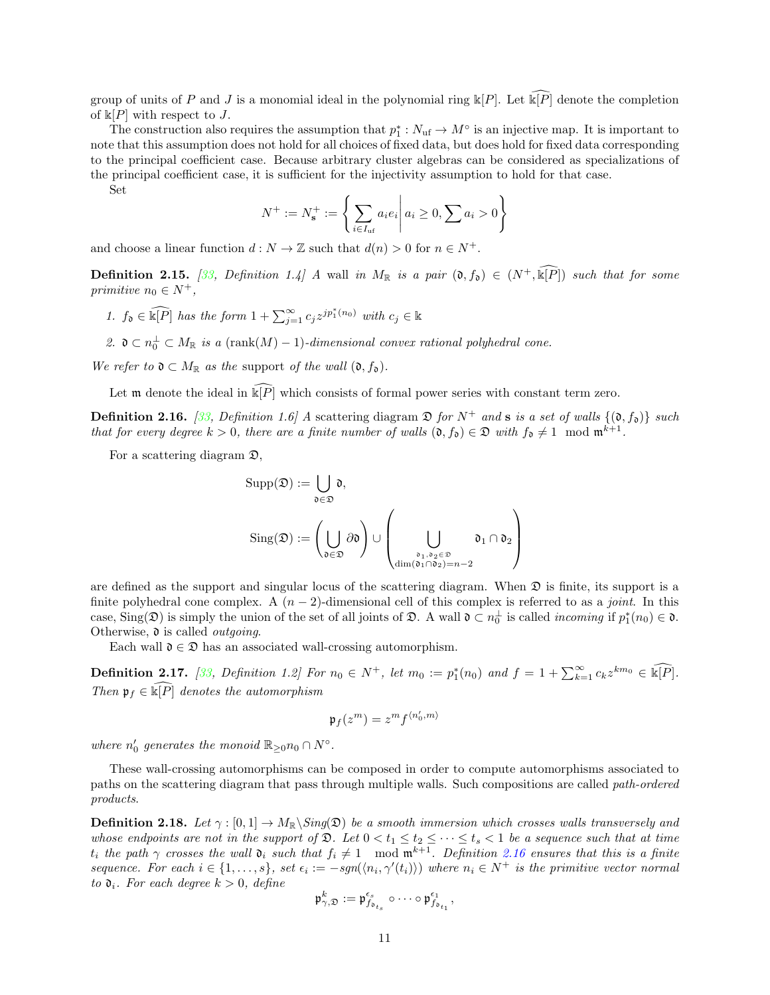group of units of P and J is a monomial ideal in the polynomial ring  $\Bbbk[P]$ . Let  $\widehat{\Bbbk[P]}$  denote the completion of  $\Bbbk[P]$  with respect to J.

The construction also requires the assumption that  $p_1^*: N_{\text{uf}} \to M^{\circ}$  is an injective map. It is important to note that this assumption does not hold for all choices of fixed data, but does hold for fixed data corresponding to the principal coefficient case. Because arbitrary cluster algebras can be considered as specializations of the principal coefficient case, it is sufficient for the injectivity assumption to hold for that case.

Set

$$
N^{+} := N_{\mathbf{s}}^{+} := \left\{ \sum_{i \in I_{\text{uf}}} a_{i} e_{i} \middle| a_{i} \geq 0, \sum a_{i} > 0 \right\}
$$

and choose a linear function  $d : N \to \mathbb{Z}$  such that  $d(n) > 0$  for  $n \in N^+$ .

**Definition 2.15.** [\[33,](#page-57-6) Definition 1.4] A wall in  $M_{\mathbb{R}}$  is a pair  $(0, f_0) \in (N^+, \widehat{\mathbb{R}[P]})$  such that for some primitive  $n_0 \in N^+$ ,

1. 
$$
f_0 \in \widehat{\mathbb{R}[P]}
$$
 has the form  $1 + \sum_{j=1}^{\infty} c_j z^{j p_1^*(n_0)}$  with  $c_j \in \mathbb{R}$ 

2.  $\mathfrak{d} \subset n_0^{\perp} \subset M_{\mathbb{R}}$  is a (rank $(M) - 1$ )-dimensional convex rational polyhedral cone.

We refer to  $\mathfrak{d} \subset M_{\mathbb{R}}$  as the support of the wall  $(\mathfrak{d}, f_{\mathfrak{d}})$ .

Let m denote the ideal in  $\widehat{\mathbb{K}[P]}$  which consists of formal power series with constant term zero.

<span id="page-10-0"></span>**Definition 2.16.** [\[33](#page-57-6), Definition 1.6] A scattering diagram  $\mathfrak{D}$  for  $N^+$  and **s** is a set of walls  $\{(\mathfrak{d}, f_{\mathfrak{d}})\}\$  such that for every degree  $k > 0$ , there are a finite number of walls  $(0, f_0) \in \mathfrak{D}$  with  $f_0 \neq 1 \mod m^{k+1}$ .

For a scattering diagram  $\mathfrak{D}$ ,

$$
\begin{aligned} \mathrm{Supp}(\mathfrak{D}) &:= \bigcup_{\mathfrak{d} \in \mathfrak{D}} \mathfrak{d}, \\ \mathrm{Sing}(\mathfrak{D}) &:= \left( \bigcup_{\mathfrak{d} \in \mathfrak{D}} \partial \mathfrak{d} \right) \cup \left( \bigcup_{\substack{\mathfrak{d}_1, \mathfrak{d}_2 \in \mathfrak{D} \\ \dim(\mathfrak{d}_1 \cap \mathfrak{d}_2) = n-2}} \mathfrak{d}_1 \cap \mathfrak{d}_2 \right) \end{aligned}
$$

are defined as the support and singular locus of the scattering diagram. When  $\mathfrak D$  is finite, its support is a finite polyhedral cone complex. A  $(n-2)$ -dimensional cell of this complex is referred to as a joint. In this case, Sing( $\mathfrak{D}$ ) is simply the union of the set of all joints of  $\mathfrak{D}$ . A wall  $\mathfrak{d} \subset n_0^{\perp}$  is called *incoming* if  $p_1^*(n_0) \in \mathfrak{d}$ . Otherwise,  $\mathfrak d$  is called *outgoing*.

Each wall  $\mathfrak{d} \in \mathfrak{D}$  has an associated wall-crossing automorphism.

<span id="page-10-1"></span>**Definition 2.17.** [\[33](#page-57-6), Definition 1.2] For  $n_0 \in N^+$ , let  $m_0 := p_1^*(n_0)$  and  $f = 1 + \sum_{k=1}^{\infty} c_k z^{km_0} \in \widehat{\mathbb{R}[P]}$ . Then  $\mathfrak{p}_f \in \widehat{\mathbb{R}[P]}$  denotes the automorphism

$$
\mathfrak{p}_f(z^m)=z^mf^{\langle n_0',m\rangle}
$$

where  $n'_0$  generates the monoid  $\mathbb{R}_{\geq 0} n_0 \cap N^{\circ}$ .

These wall-crossing automorphisms can be composed in order to compute automorphisms associated to paths on the scattering diagram that pass through multiple walls. Such compositions are called path-ordered products.

**Definition 2.18.** Let  $\gamma : [0,1] \to M_{\mathbb{R}}\backslash Sing(\mathfrak{D})$  be a smooth immersion which crosses walls transversely and whose endpoints are not in the support of  $\mathfrak{D}$ . Let  $0 < t_1 \leq t_2 \leq \cdots \leq t_s < 1$  be a sequence such that at time t<sub>i</sub> the path  $\gamma$  crosses the wall  $\mathfrak{d}_i$  such that  $f_i \neq 1 \mod \mathfrak{m}^{k+1}$ . Definition [2.16](#page-10-0) ensures that this is a finite sequence. For each  $i \in \{1,\ldots,s\}$ , set  $\epsilon_i := -sgn(\langle n_i, \gamma'(t_i) \rangle)$  where  $n_i \in N^+$  is the primitive vector normal to  $\mathfrak{d}_i$ . For each degree  $k > 0$ , define

$$
\mathfrak{p}^k_{\gamma, \mathfrak{D}} := \mathfrak{p}^{\epsilon_s}_{f_{\mathfrak{d}_{t_s}}} \circ \cdots \circ \mathfrak{p}^{\epsilon_1}_{f_{\mathfrak{d}_{t_1}}},
$$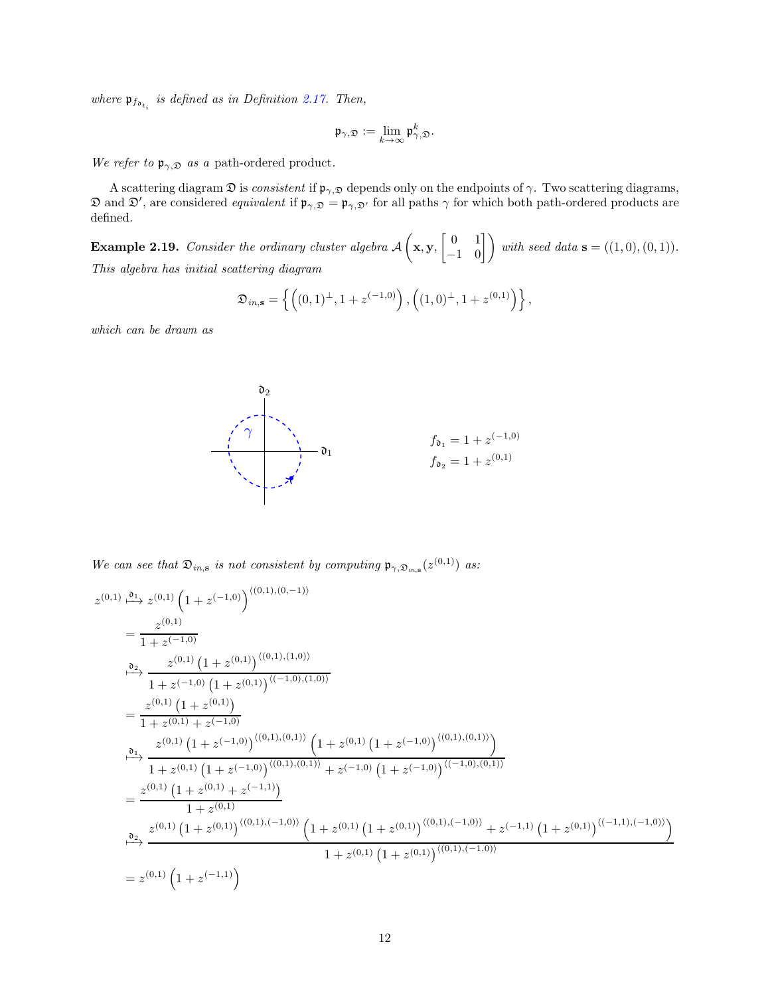where  $\mathfrak{p}_{f_{\mathfrak{d}_{t_i}}}$  is defined as in Definition [2.17.](#page-10-1) Then,

$$
\mathfrak{p}_{\gamma, \mathfrak{D}} := \lim_{k \to \infty} \mathfrak{p}^k_{\gamma, \mathfrak{D}}.
$$

We refer to  $\mathfrak{p}_{\gamma,\mathfrak{D}}$  as a path-ordered product.

A scattering diagram  $\mathfrak D$  is *consistent* if  $\mathfrak p_{\gamma,\mathfrak D}$  depends only on the endpoints of  $\gamma$ . Two scattering diagrams,  $\mathfrak D$  and  $\mathfrak D'$ , are considered *equivalent* if  $\mathfrak p_{\gamma,\mathfrak D}=\mathfrak p_{\gamma,\mathfrak D'}$  for all paths  $\gamma$  for which both path-ordered products are defined.

Example 2.19. Consider the ordinary cluster algebra A  $\sqrt{ }$ x, y,  $\begin{bmatrix} 0 & 1 \\ -1 & 0 \end{bmatrix}$  with seed data **s** = ((1,0), (0, 1)). This algebra has initial scattering diagram

$$
\mathfrak{D}_{in,\mathbf{s}} = \left\{ \left( (0,1)^{\perp}, 1 + z^{(-1,0)} \right), \left( (1,0)^{\perp}, 1 + z^{(0,1)} \right) \right\},\
$$

which can be drawn as



We can see that  $\mathfrak{D}_{in,s}$  is not consistent by computing  $\mathfrak{p}_{\gamma,\mathfrak{D}_{in,s}}(z^{(0,1)})$  as:

$$
z^{(0,1)} \xrightarrow{\mathfrak{d}_1} z^{(0,1)} \left(1 + z^{(-1,0)}\right)^{\langle (0,1),(0,-1)\rangle}
$$
\n
$$
= \frac{z^{(0,1)}}{1 + z^{(-1,0)}} \frac{z^{(0,1)} \left(1 + z^{(0,1)}\right)^{\langle (0,1),(1,0)\rangle}}{1 + z^{(-1,0)} \left(1 + z^{(0,1)}\right)^{\langle (-1,0),(1,0)\rangle}}
$$
\n
$$
= \frac{z^{(0,1)} \left(1 + z^{(0,1)}\right)}{1 + z^{(0,1)} + z^{(-1,0)}}
$$
\n
$$
\xrightarrow{\mathfrak{d}_1} \frac{z^{(0,1)} \left(1 + z^{(-1,0)}\right)^{\langle (0,1),(0,1)\rangle} \left(1 + z^{(0,1)} \left(1 + z^{(-1,0)}\right)^{\langle (0,1),(0,1)\rangle}\right)}{1 + z^{(0,1)} \left(1 + z^{(-1,0)}\right)^{\langle (0,1),(0,1)\rangle} + z^{(-1,0)} \left(1 + z^{(-1,0)}\right)^{\langle (-1,0),(0,1)\rangle}}
$$
\n
$$
= \frac{z^{(0,1)} \left(1 + z^{(0,1)} + z^{(-1,1)}\right)}{1 + z^{(0,1)}}
$$
\n
$$
\xrightarrow{\mathfrak{d}_2} \frac{z^{(0,1)} \left(1 + z^{(0,1)}\right)^{\langle (0,1), (-1,0)\rangle} \left(1 + z^{(0,1)} \left(1 + z^{(0,1)}\right)^{\langle (0,1), (-1,0)\rangle} + z^{(-1,1)} \left(1 + z^{(0,1)}\right)^{\langle (-1,1), (-1,0)\rangle}\right)}{1 + z^{(0,1)} \left(1 + z^{(0,1)}\right)^{\langle (0,1), (-1,0)\rangle}}
$$
\n
$$
= z^{(0,1)} \left(1 + z^{(-1,1)}\right)
$$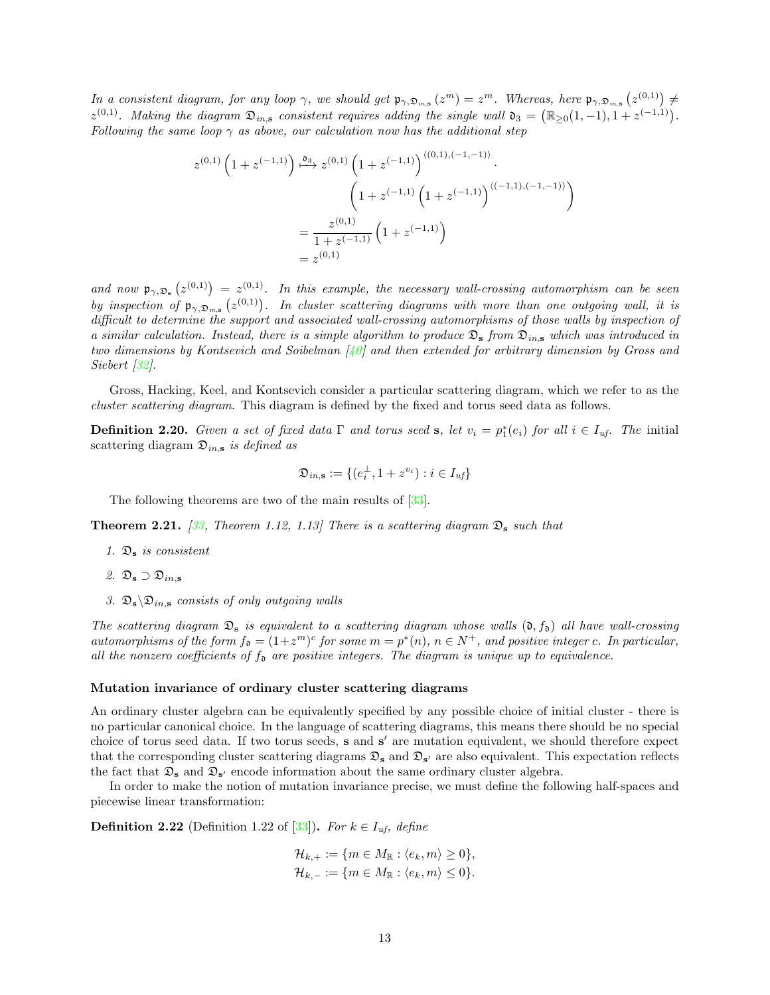In a consistent diagram, for any loop  $\gamma$ , we should get  $\mathfrak{p}_{\gamma,\mathfrak{D}_{in,\mathbf{S}}}(z^m) = z^m$ . Whereas, here  $\mathfrak{p}_{\gamma,\mathfrak{D}_{in,\mathbf{S}}}(z^{(0,1)}) \neq$  $z^{(0,1)}$ . Making the diagram  $\mathfrak{D}_{in,\mathbf{s}}$  consistent requires adding the single wall  $\mathfrak{d}_3 = (\mathbb{R}_{\geq 0}(1,-1), 1 + z^{(-1,1)})$ . Following the same loop  $\gamma$  as above, our calculation now has the additional step

$$
z^{(0,1)}\left(1+z^{(-1,1)}\right) \stackrel{\mathfrak{d}_3}{\longmapsto} z^{(0,1)}\left(1+z^{(-1,1)}\right)^{\langle (0,1),(-1,-1)\rangle}.
$$

$$
\left(1+z^{(-1,1)}\left(1+z^{(-1,1)}\right)^{\langle (-1,1),(-1,-1)\rangle}\right)
$$

$$
=\frac{z^{(0,1)}}{1+z^{(-1,1)}}\left(1+z^{(-1,1)}\right)
$$

$$
=z^{(0,1)}
$$

and now  $\mathfrak{p}_{\gamma,\mathfrak{D}_s}(z^{(0,1)}) = z^{(0,1)}$ . In this example, the necessary wall-crossing automorphism can be seen by inspection of  $\mathfrak{p}_{\gamma,\mathfrak{D}_{in,s}}(z^{(0,1)})$ . In cluster scattering diagrams with more than one outgoing wall, it is difficult to determine the support and associated wall-crossing automorphisms of those walls by inspection of a similar calculation. Instead, there is a simple algorithm to produce  $\mathfrak{D}_s$  from  $\mathfrak{D}_{in,s}$  which was introduced in two dimensions by Kontsevich and Soibelman  $\left[\frac{1}{4}\right]$  and then extended for arbitrary dimension by Gross and Siebert [\[32](#page-57-16)].

Gross, Hacking, Keel, and Kontsevich consider a particular scattering diagram, which we refer to as the cluster scattering diagram. This diagram is defined by the fixed and torus seed data as follows.

**Definition 2.20.** Given a set of fixed data  $\Gamma$  and torus seed **s**, let  $v_i = p_1^*(e_i)$  for all  $i \in I_{uf}$ . The initial scattering diagram  $\mathfrak{D}_{in,s}$  is defined as

$$
\mathfrak{D}_{in,\mathbf{s}} := \{(e_i^{\perp}, 1 + z^{v_i}) : i \in I_{uf}\}
$$

The following theorems are two of the main results of [\[33\]](#page-57-6).

**Theorem 2.21.** [\[33](#page-57-6), Theorem 1.12, 1.13] There is a scattering diagram  $\mathfrak{D}_s$  such that

- 1.  $\mathfrak{D}_s$  is consistent
- 2.  $\mathfrak{D}_s \supset \mathfrak{D}_{in,s}$
- 3.  $\mathfrak{D}_s \backslash \mathfrak{D}_{in,s}$  consists of only outgoing walls

The scattering diagram  $\mathfrak{D}_s$  is equivalent to a scattering diagram whose walls  $(0, f_0)$  all have wall-crossing automorphisms of the form  $f_{\mathfrak{d}} = (1 + z^m)^c$  for some  $m = p^*(n)$ ,  $n \in N^+$ , and positive integer c. In particular, all the nonzero coefficients of  $f_{\mathfrak{d}}$  are positive integers. The diagram is unique up to equivalence.

#### <span id="page-12-1"></span>Mutation invariance of ordinary cluster scattering diagrams

An ordinary cluster algebra can be equivalently specified by any possible choice of initial cluster - there is no particular canonical choice. In the language of scattering diagrams, this means there should be no special choice of torus seed data. If two torus seeds, s and s' are mutation equivalent, we should therefore expect that the corresponding cluster scattering diagrams  $\mathfrak{D}_s$  and  $\mathfrak{D}_{s'}$  are also equivalent. This expectation reflects the fact that  $\mathfrak{D}_s$  and  $\mathfrak{D}_{s'}$  encode information about the same ordinary cluster algebra.

In order to make the notion of mutation invariance precise, we must define the following half-spaces and piecewise linear transformation:

<span id="page-12-0"></span>**Definition 2.22** (Definition 1.22 of [\[33](#page-57-6)]). For  $k \in I_{uf}$ , define

$$
\mathcal{H}_{k,+}:=\{m\in M_\mathbb{R}:\langle e_k,m\rangle\geq 0\},\\ \mathcal{H}_{k,-}:=\{m\in M_\mathbb{R}:\langle e_k,m\rangle\leq 0\}.
$$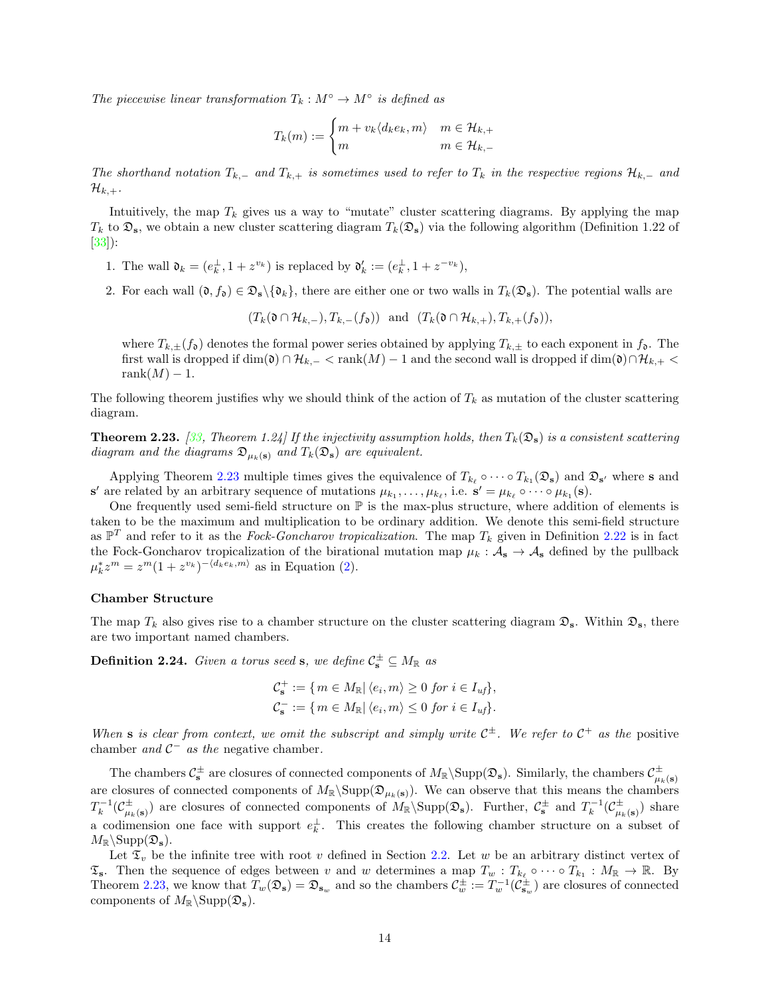The piecewise linear transformation  $T_k : M^{\circ} \to M^{\circ}$  is defined as

$$
T_k(m) := \begin{cases} m + v_k \langle d_k e_k, m \rangle & m \in \mathcal{H}_{k,+} \\ m & m \in \mathcal{H}_{k,-} \end{cases}
$$

The shorthand notation  $T_{k,-}$  and  $T_{k,+}$  is sometimes used to refer to  $T_k$  in the respective regions  $\mathcal{H}_{k,-}$  and  $\mathcal{H}_{k,+}.$ 

Intuitively, the map  $T_k$  gives us a way to "mutate" cluster scattering diagrams. By applying the map  $T_k$  to  $\mathfrak{D}_s$ , we obtain a new cluster scattering diagram  $T_k(\mathfrak{D}_s)$  via the following algorithm (Definition 1.22 of [\[33\]](#page-57-6)):

- 1. The wall  $\mathfrak{d}_k = (e_k^{\perp}, 1 + z^{v_k})$  is replaced by  $\mathfrak{d}'_k := (e_k^{\perp}, 1 + z^{-v_k}),$
- 2. For each wall  $(\mathfrak{d}, f_{\mathfrak{d}}) \in \mathfrak{D}_s \setminus {\mathfrak{d}_k}$ , there are either one or two walls in  $T_k(\mathfrak{D}_s)$ . The potential walls are

 $(T_k(\mathfrak{d} \cap \mathcal{H}_{k,-}), T_{k,-}(f_{\mathfrak{d}}))$  and  $(T_k(\mathfrak{d} \cap \mathcal{H}_{k,+}), T_{k,+}(f_{\mathfrak{d}})),$ 

where  $T_{k,\pm}(f_{\mathfrak{d}})$  denotes the formal power series obtained by applying  $T_{k,\pm}$  to each exponent in  $f_{\mathfrak{d}}$ . The first wall is dropped if  $\dim(\mathfrak{d}) \cap \mathcal{H}_{k,-} < \text{rank}(M) - 1$  and the second wall is dropped if  $\dim(\mathfrak{d}) \cap \mathcal{H}_{k,+} <$ rank $(M) - 1$ .

The following theorem justifies why we should think of the action of  $T_k$  as mutation of the cluster scattering diagram.

<span id="page-13-0"></span>**Theorem 2.23.** [\[33](#page-57-6), Theorem 1.24] If the injectivity assumption holds, then  $T_k(\mathfrak{D}_s)$  is a consistent scattering diagram and the diagrams  $\mathfrak{D}_{\mu_k(\mathbf{s})}$  and  $T_k(\mathfrak{D}_{\mathbf{s}})$  are equivalent.

Applying Theorem [2.23](#page-13-0) multiple times gives the equivalence of  $T_{k_\ell} \circ \cdots \circ T_{k_1}(\mathfrak{D}_s)$  and  $\mathfrak{D}_{s'}$  where s and  $\mathbf{s}'$  are related by an arbitrary sequence of mutations  $\mu_{k_1}, \ldots, \mu_{k_\ell}$ , i.e.  $\mathbf{s}' = \mu_{k_\ell} \circ \cdots \circ \mu_{k_1}(\mathbf{s})$ .

One frequently used semi-field structure on  $\mathbb P$  is the max-plus structure, where addition of elements is taken to be the maximum and multiplication to be ordinary addition. We denote this semi-field structure as  $\mathbb{P}^T$  and refer to it as the Fock-Goncharov tropicalization. The map  $T_k$  given in Definition [2.22](#page-12-0) is in fact the Fock-Goncharov tropicalization of the birational mutation map  $\mu_k : A_s \to A_s$  defined by the pullback  $\mu_k^* z^m = z^m (1 + z^{v_k})^{-\langle d_k e_k, m \rangle}$  as in Equation [\(2\)](#page-6-0).

#### Chamber Structure

The map  $T_k$  also gives rise to a chamber structure on the cluster scattering diagram  $\mathfrak{D}_s$ . Within  $\mathfrak{D}_s$ , there are two important named chambers.

**Definition 2.24.** Given a torus seed s, we define  $\mathcal{C}_{\mathbf{s}}^{\pm} \subseteq M_{\mathbb{R}}$  as

$$
\mathcal{C}_{\mathbf{s}}^+ := \{ m \in M_{\mathbb{R}} \vert \langle e_i, m \rangle \ge 0 \text{ for } i \in I_{uf} \},
$$
  

$$
\mathcal{C}_{\mathbf{s}}^- := \{ m \in M_{\mathbb{R}} \vert \langle e_i, m \rangle \le 0 \text{ for } i \in I_{uf} \}.
$$

When s is clear from context, we omit the subscript and simply write  $C^{\pm}$ . We refer to  $C^+$  as the positive chamber and  $C^-$  as the negative chamber.

The chambers  $C_s^{\pm}$  are closures of connected components of  $M_{\mathbb{R}}\backslash \text{Supp}(\mathfrak{D}_s)$ . Similarly, the chambers  $C_{\mu_k(s)}^{\pm}$ are closures of connected components of  $M_{\mathbb{R}}\backslash \text{Supp}(\mathfrak{D}_{\mu_k(s)})$ . We can observe that this means the chambers  $T_k^{-1}(\mathcal{C}_{\mu_k(\mathbf{s})}^{\pm})$  are closures of connected components of  $M_{\mathbb{R}}\backslash \text{Supp}(\mathfrak{D}_{\mathbf{s}})$ . Further,  $\mathcal{C}_{\mathbf{s}}^{\pm}$  and  $T_k^{-1}(\mathcal{C}_{\mu_k(\mathbf{s})}^{\pm})$  share a codimension one face with support  $e_k^{\perp}$ . This creates the following chamber structure on a subset of  $M_{\mathbb{R}}\backslash \mathrm{Supp}(\mathfrak{D}_s).$ 

Let  $\mathfrak{T}_v$  be the infinite tree with root v defined in Section [2.2.](#page-5-0) Let w be an arbitrary distinct vertex of  $\mathfrak{T}_s$ . Then the sequence of edges between v and w determines a map  $T_w : T_{k_\ell} \circ \cdots \circ T_{k_1} : M_{\mathbb{R}} \to \mathbb{R}$ . By Theorem [2.23,](#page-13-0) we know that  $T_w(\mathfrak{D}_s) = \mathfrak{D}_{s_w}$  and so the chambers  $\mathcal{C}_w^{\pm} := T_w^{-1}(\mathcal{C}_{s_w}^{\pm})$  are closures of connected components of  $M_{\mathbb{R}}\operatorname{Supp}(\mathfrak{D}_s)$ .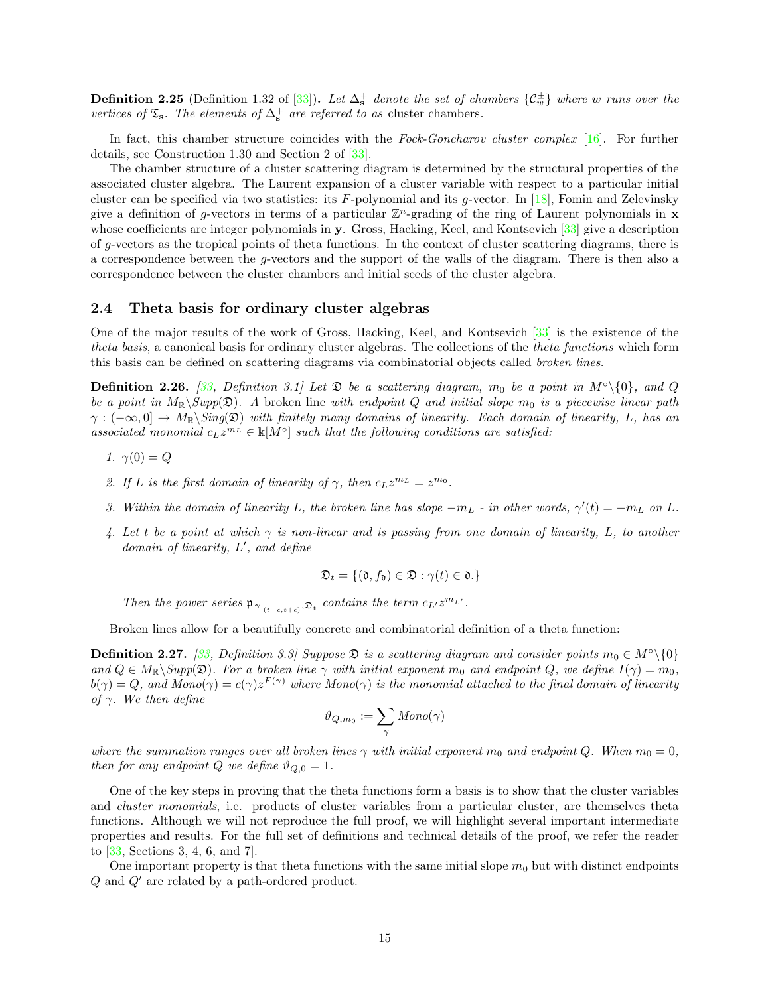**Definition 2.25** (Definition 1.32 of  $[33]$ ). Let  $\Delta_s^+$  denote the set of chambers  $\{\mathcal{C}_w^{\pm}\}$  where w runs over the vertices of  $\mathfrak{T}_s$ . The elements of  $\Delta_s^+$  are referred to as cluster chambers.

In fact, this chamber structure coincides with the Fock-Goncharov cluster complex  $[16]$ . For further details, see Construction 1.30 and Section 2 of [\[33](#page-57-6)].

The chamber structure of a cluster scattering diagram is determined by the structural properties of the associated cluster algebra. The Laurent expansion of a cluster variable with respect to a particular initial cluster can be specified via two statistics: its F-polynomial and its g-vector. In [\[18](#page-56-18)], Fomin and Zelevinsky give a definition of g-vectors in terms of a particular  $\mathbb{Z}^n$ -grading of the ring of Laurent polynomials in **x** whose coefficients are integer polynomials in y. Gross, Hacking, Keel, and Kontsevich [\[33\]](#page-57-6) give a description of g-vectors as the tropical points of theta functions. In the context of cluster scattering diagrams, there is a correspondence between the g-vectors and the support of the walls of the diagram. There is then also a correspondence between the cluster chambers and initial seeds of the cluster algebra.

#### <span id="page-14-0"></span>2.4 Theta basis for ordinary cluster algebras

One of the major results of the work of Gross, Hacking, Keel, and Kontsevich [\[33](#page-57-6)] is the existence of the theta basis, a canonical basis for ordinary cluster algebras. The collections of the theta functions which form this basis can be defined on scattering diagrams via combinatorial objects called broken lines.

**Definition 2.26.** [\[33](#page-57-6), Definition 3.1] Let  $\mathfrak{D}$  be a scattering diagram,  $m_0$  be a point in M<sup>∘</sup>\{0}, and Q be a point in  $M_{\mathbb{R}}\backslash Supp(\mathfrak{D})$ . A broken line with endpoint Q and initial slope  $m_0$  is a piecewise linear path  $\gamma: (-\infty, 0] \to M_{\mathbb{R}}\backslash Sing(\mathfrak{D})$  with finitely many domains of linearity. Each domain of linearity, L, has an associated monomial  $c_L z^{m_L} \in \mathbb{K}[M^\circ]$  such that the following conditions are satisfied:

- 1.  $\gamma(0) = Q$
- 2. If L is the first domain of linearity of  $\gamma$ , then  $c_L z^{m_L} = z^{m_0}$ .
- 3. Within the domain of linearity L, the broken line has slope  $-m_L$  in other words,  $\gamma'(t) = -m_L$  on L.
- 4. Let t be a point at which  $\gamma$  is non-linear and is passing from one domain of linearity, L, to another domain of linearity, L', and define

$$
\mathfrak{D}_t = \{(\mathfrak{d}, f_{\mathfrak{d}}) \in \mathfrak{D} : \gamma(t) \in \mathfrak{d}.\}
$$

Then the power series  $\mathfrak{p}_{\gamma|_{(t-\epsilon,t+\epsilon)},\mathfrak{D}_t}$  contains the term  $c_{L'}z^{m_{L'}}$ .

Broken lines allow for a beautifully concrete and combinatorial definition of a theta function:

**Definition 2.27.** [\[33,](#page-57-6) Definition 3.3] Suppose  $\mathfrak{D}$  is a scattering diagram and consider points  $m_0 \in M^\circ \setminus \{0\}$ and  $Q \in M_{\mathbb{R}} \backslash \text{Supp}(\mathfrak{D})$ . For a broken line  $\gamma$  with initial exponent  $m_0$  and endpoint  $Q$ , we define  $I(\gamma) = m_0$ ,  $b(\gamma)=Q,$  and  $Mono(\gamma)=c(\gamma)z^{F(\gamma)}$  where  $Mono(\gamma)$  is the monomial attached to the final domain of linearity of  $\gamma$ . We then define

$$
\vartheta_{Q,m_0}:=\sum_{\gamma} \mathit{Mono}(\gamma)
$$

where the summation ranges over all broken lines  $\gamma$  with initial exponent m<sub>0</sub> and endpoint Q. When m<sub>0</sub> = 0, then for any endpoint Q we define  $\vartheta_{Q,0} = 1$ .

One of the key steps in proving that the theta functions form a basis is to show that the cluster variables and *cluster monomials*, i.e. products of cluster variables from a particular cluster, are themselves theta functions. Although we will not reproduce the full proof, we will highlight several important intermediate properties and results. For the full set of definitions and technical details of the proof, we refer the reader to [\[33,](#page-57-6) Sections 3, 4, 6, and 7].

One important property is that theta functions with the same initial slope  $m_0$  but with distinct endpoints Q and Q′ are related by a path-ordered product.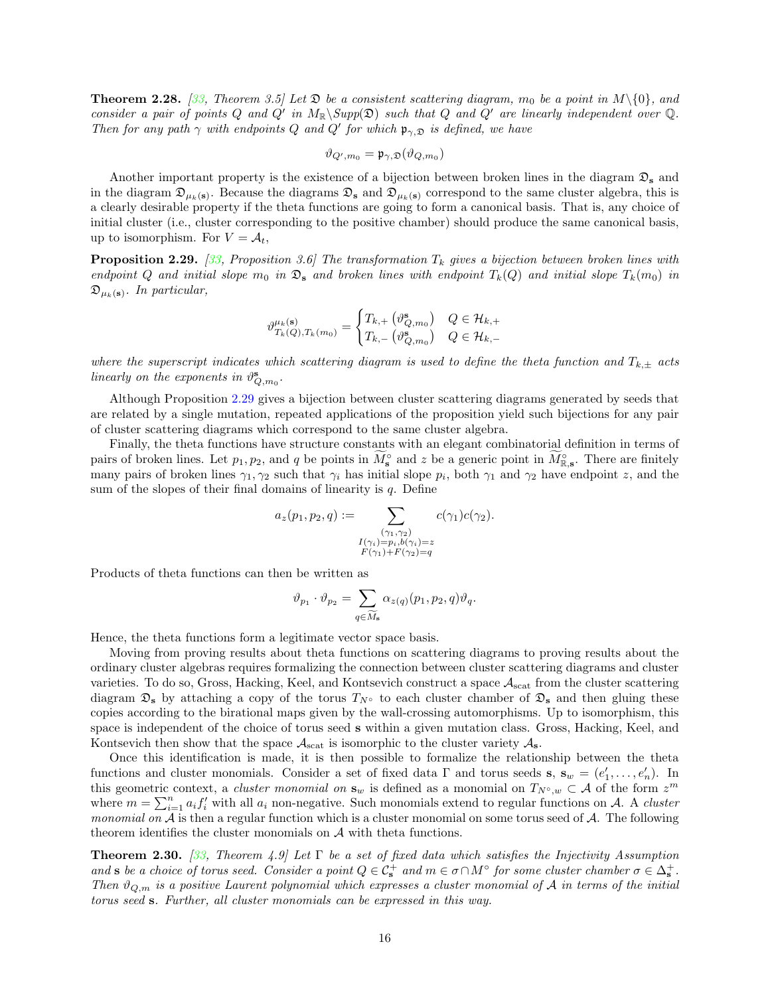**Theorem 2.28.** [\[33](#page-57-6), Theorem 3.5] Let  $\mathfrak{D}$  be a consistent scattering diagram,  $m_0$  be a point in  $M\setminus\{0\}$ , and consider a pair of points Q and Q' in  $M_{\mathbb{R}}\backslash Supp(\mathfrak{D})$  such that Q and Q' are linearly independent over Q. Then for any path  $\gamma$  with endpoints Q and Q' for which  $\mathfrak{p}_{\gamma, \mathfrak{D}}$  is defined, we have

$$
\vartheta_{Q',m_0} = \mathfrak{p}_{\gamma,\mathfrak{D}}(\vartheta_{Q,m_0})
$$

Another important property is the existence of a bijection between broken lines in the diagram  $\mathfrak{D}_s$  and in the diagram  $\mathfrak{D}_{\mu_k(s)}$ . Because the diagrams  $\mathfrak{D}_s$  and  $\mathfrak{D}_{\mu_k(s)}$  correspond to the same cluster algebra, this is a clearly desirable property if the theta functions are going to form a canonical basis. That is, any choice of initial cluster (i.e., cluster corresponding to the positive chamber) should produce the same canonical basis, up to isomorphism. For  $V = A_t$ ,

<span id="page-15-0"></span>**Proposition 2.29.** [\[33](#page-57-6), Proposition 3.6] The transformation  $T_k$  gives a bijection between broken lines with endpoint Q and initial slope  $m_0$  in  $\mathfrak{D}_s$  and broken lines with endpoint  $T_k(Q)$  and initial slope  $T_k(m_0)$  in  $\mathfrak{D}_{\mu_k(\mathbf{s})}.$  In particular,

$$
\vartheta_{T_k(Q),T_k(m_0)}^{\mu_k(\mathbf{s})} = \begin{cases} T_{k,+}\left(\vartheta_{Q,m_0}^{\mathbf{s}}\right) & Q \in \mathcal{H}_{k,+} \\ T_{k,-}\left(\vartheta_{Q,m_0}^{\mathbf{s}}\right) & Q \in \mathcal{H}_{k,-} \end{cases}
$$

where the superscript indicates which scattering diagram is used to define the theta function and  $T_{k,\pm}$  acts linearly on the exponents in  $\vartheta_{Q,m_0}^{\mathbf{s}}$ .

Although Proposition [2.29](#page-15-0) gives a bijection between cluster scattering diagrams generated by seeds that are related by a single mutation, repeated applications of the proposition yield such bijections for any pair of cluster scattering diagrams which correspond to the same cluster algebra.

Finally, the theta functions have structure constants with an elegant combinatorial definition in terms of pairs of broken lines. Let  $p_1, p_2$ , and q be points in  $\tilde{M}_s^\circ$  and z be a generic point in  $\tilde{M}_{\mathbb{R},s}^\circ$ . There are finitely many pairs of broken lines  $\gamma_1, \gamma_2$  such that  $\gamma_i$  has initial slope  $p_i$ , both  $\gamma_1$  and  $\gamma_2$  have endpoint z, and the sum of the slopes of their final domains of linearity is  $q$ . Define

$$
a_z(p_1, p_2, q) := \sum_{\substack{(\gamma_1, \gamma_2) \\ I(\gamma_i) = p_i, b(\gamma_i) = z \\ F(\gamma_1) + F(\gamma_2) = q}} c(\gamma_1) c(\gamma_2).
$$

Products of theta functions can then be written as

$$
\vartheta_{p_1} \cdot \vartheta_{p_2} = \sum_{q \in \widetilde{M}_{\mathbf{s}}} \alpha_{z(q)}(p_1, p_2, q) \vartheta_q.
$$

Hence, the theta functions form a legitimate vector space basis.

Moving from proving results about theta functions on scattering diagrams to proving results about the ordinary cluster algebras requires formalizing the connection between cluster scattering diagrams and cluster varieties. To do so, Gross, Hacking, Keel, and Kontsevich construct a space  $A_{scat}$  from the cluster scattering diagram  $\mathfrak{D}_s$  by attaching a copy of the torus  $T_N\circ$  to each cluster chamber of  $\mathfrak{D}_s$  and then gluing these copies according to the birational maps given by the wall-crossing automorphisms. Up to isomorphism, this space is independent of the choice of torus seed s within a given mutation class. Gross, Hacking, Keel, and Kontsevich then show that the space  $\mathcal{A}_{\text{scat}}$  is isomorphic to the cluster variety  $\mathcal{A}_{\text{s}}$ .

Once this identification is made, it is then possible to formalize the relationship between the theta functions and cluster monomials. Consider a set of fixed data  $\Gamma$  and torus seeds  $\mathbf{s}, \mathbf{s}_w = (e'_1, \dots, e'_n)$ . In this geometric context, a *cluster monomial on*  $\mathbf{s}_w$  is defined as a monomial on  $T_{N°, w} \subset A$  of the form  $z^m$ where  $m = \sum_{i=1}^{n} a_i f'_i$  with all  $a_i$  non-negative. Such monomials extend to regular functions on A. A cluster *monomial on*  $A$  is then a regular function which is a cluster monomial on some torus seed of  $A$ . The following theorem identifies the cluster monomials on A with theta functions.

**Theorem 2.30.** [\[33](#page-57-6), Theorem 4.9] Let  $\Gamma$  be a set of fixed data which satisfies the Injectivity Assumption and s be a choice of torus seed. Consider a point  $Q \in \mathcal{C}_s^+$  and  $m \in \sigma \cap M^{\circ}$  for some cluster chamber  $\sigma \in \Delta_s^+$ . Then  $\vartheta_{Q,m}$  is a positive Laurent polynomial which expresses a cluster monomial of A in terms of the initial torus seed s. Further, all cluster monomials can be expressed in this way.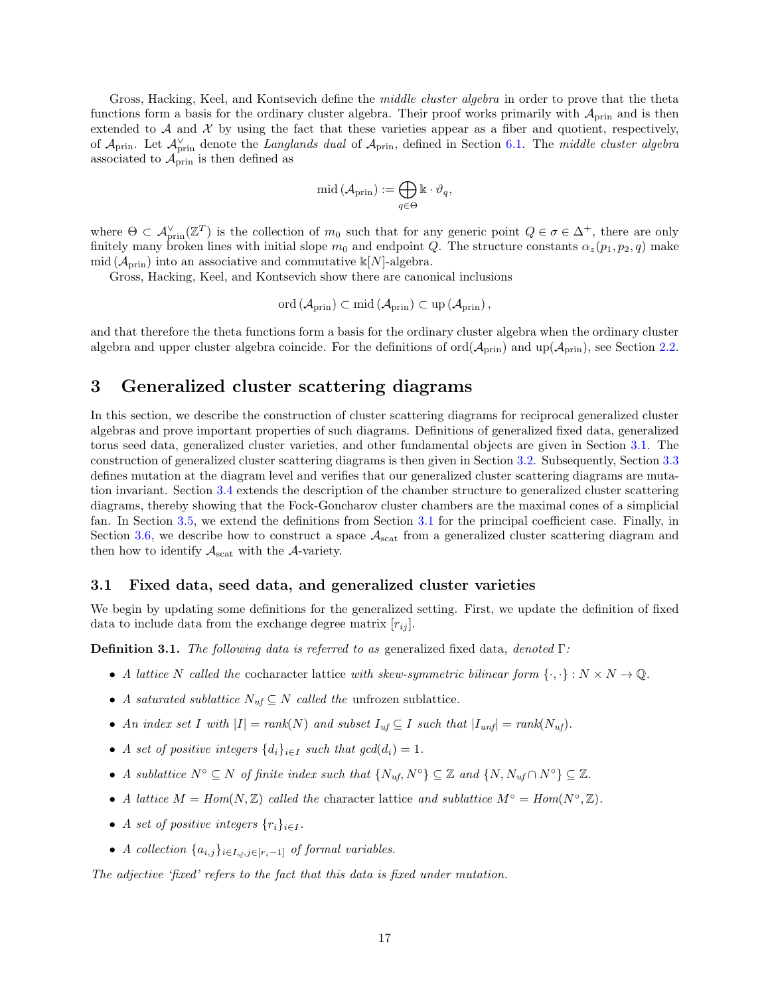Gross, Hacking, Keel, and Kontsevich define the *middle cluster algebra* in order to prove that the theta functions form a basis for the ordinary cluster algebra. Their proof works primarily with  $A_{\text{prin}}$  and is then extended to  $\mathcal A$  and  $\mathcal X$  by using the fact that these varieties appear as a fiber and quotient, respectively, of  $\mathcal{A}_{\text{prin}}$ . Let  $\mathcal{A}_{\text{prin}}^{\vee}$  denote the Langlands dual of  $\mathcal{A}_{\text{prin}}$ , defined in Section [6.1.](#page-51-0) The middle cluster algebra associated to  $\mathcal{A}_{\text{prin}}$  is then defined as

$$
\mathrm{mid} \left( \mathcal{A}_{\mathrm{prin}} \right) := \bigoplus_{q \in \Theta} \Bbbk \cdot \vartheta_q,
$$

where  $\Theta \subset \mathcal{A}_{\text{prin}}^{\vee}(\mathbb{Z}^T)$  is the collection of  $m_0$  such that for any generic point  $Q \in \sigma \in \Delta^+$ , there are only finitely many broken lines with initial slope  $m_0$  and endpoint Q. The structure constants  $\alpha_z(p_1, p_2, q)$  make mid  $(\mathcal{A}_{prin})$  into an associative and commutative k[N]-algebra.

Gross, Hacking, Keel, and Kontsevich show there are canonical inclusions

$$
\mathrm{ord}\left(\mathcal{A}_{\mathrm{prin}}\right)\subset\mathrm{mid}\left(\mathcal{A}_{\mathrm{prin}}\right)\subset\mathrm{up}\left(\mathcal{A}_{\mathrm{prin}}\right),
$$

and that therefore the theta functions form a basis for the ordinary cluster algebra when the ordinary cluster algebra and upper cluster algebra coincide. For the definitions of  $\text{ord}(\mathcal{A}_{\text{prin}})$  and  $\text{up}(\mathcal{A}_{\text{prin}})$ , see Section [2.2.](#page-5-0)

# <span id="page-16-0"></span>3 Generalized cluster scattering diagrams

In this section, we describe the construction of cluster scattering diagrams for reciprocal generalized cluster algebras and prove important properties of such diagrams. Definitions of generalized fixed data, generalized torus seed data, generalized cluster varieties, and other fundamental objects are given in Section [3.1.](#page-16-1) The construction of generalized cluster scattering diagrams is then given in Section [3.2.](#page-20-0) Subsequently, Section [3.3](#page-25-0) defines mutation at the diagram level and verifies that our generalized cluster scattering diagrams are mutation invariant. Section [3.4](#page-32-0) extends the description of the chamber structure to generalized cluster scattering diagrams, thereby showing that the Fock-Goncharov cluster chambers are the maximal cones of a simplicial fan. In Section [3.5,](#page-33-0) we extend the definitions from Section [3.1](#page-16-1) for the principal coefficient case. Finally, in Section [3.6,](#page-36-0) we describe how to construct a space  $A_{\text{scat}}$  from a generalized cluster scattering diagram and then how to identify  $A_{\text{scat}}$  with the A-variety.

#### <span id="page-16-1"></span>3.1 Fixed data, seed data, and generalized cluster varieties

We begin by updating some definitions for the generalized setting. First, we update the definition of fixed data to include data from the exchange degree matrix  $[r_{ij}]$ .

<span id="page-16-2"></span>**Definition 3.1.** The following data is referred to as generalized fixed data, denoted  $\Gamma$ :

- A lattice N called the cocharacter lattice with skew-symmetric bilinear form  $\{\cdot,\cdot\}: N \times N \to \mathbb{Q}$ .
- A saturated sublattice  $N_{uf} \subseteq N$  called the unfrozen sublattice.
- An index set I with  $|I| = rank(N)$  and subset  $I_{uf} \subseteq I$  such that  $|I_{unf}| = rank(N_{uf})$ .
- A set of positive integers  $\{d_i\}_{i\in I}$  such that  $gcd(d_i) = 1$ .
- A sublattice  $N^{\circ} \subseteq N$  of finite index such that  $\{N_{uf}, N^{\circ}\} \subseteq \mathbb{Z}$  and  $\{N, N_{uf} \cap N^{\circ}\} \subseteq \mathbb{Z}$ .
- A lattice  $M = Hom(N, \mathbb{Z})$  called the character lattice and sublattice  $M^{\circ} = Hom(N^{\circ}, \mathbb{Z})$ .
- A set of positive integers  $\{r_i\}_{i\in I}$ .
- A collection  $\{a_{i,j}\}_{i\in I_{uf},j\in[r_i-1]}$  of formal variables.

The adjective 'fixed' refers to the fact that this data is fixed under mutation.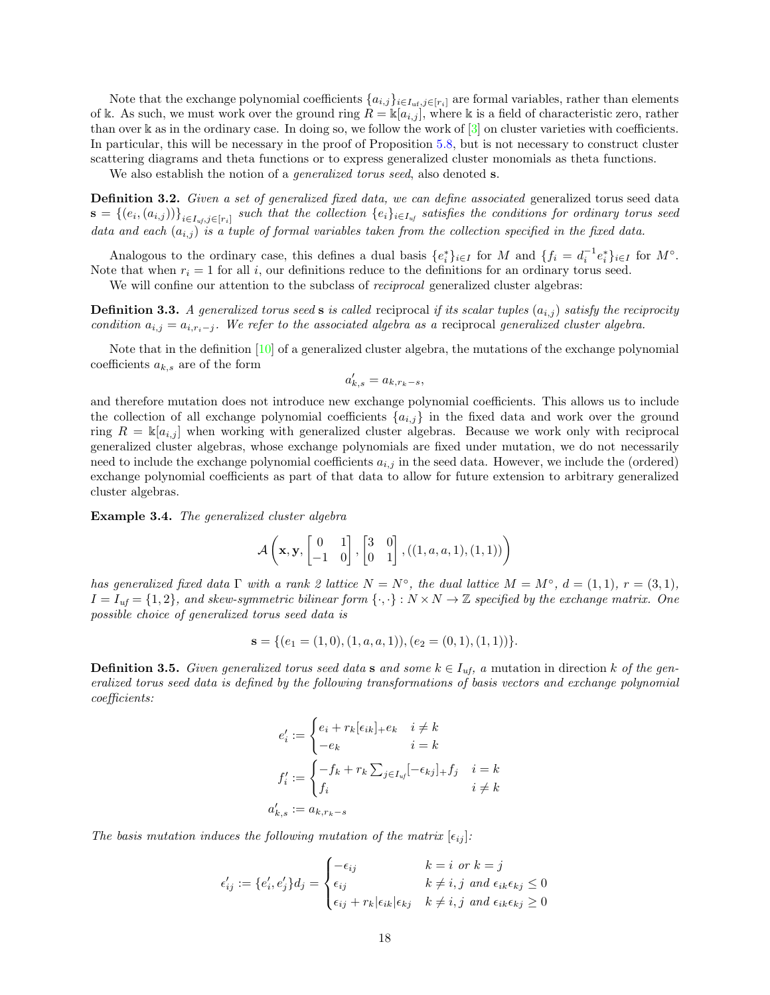Note that the exchange polynomial coefficients  $\{a_{i,j}\}_{i\in I_{\text{uf}},j\in[r_i]}$  are formal variables, rather than elements of k. As such, we must work over the ground ring  $R = \mathbb{k}[a_{i,j}]$ , where k is a field of characteristic zero, rather than over k as in the ordinary case. In doing so, we follow the work of  $\lceil 3 \rceil$  on cluster varieties with coefficients. In particular, this will be necessary in the proof of Proposition [5.8,](#page-46-1) but is not necessary to construct cluster scattering diagrams and theta functions or to express generalized cluster monomials as theta functions.

We also establish the notion of a *generalized torus seed*, also denoted **s**.

<span id="page-17-0"></span>Definition 3.2. Given a set of generalized fixed data, we can define associated generalized torus seed data  $\mathbf{s}=\{(e_i,(a_{i,j}))\}_{i\in I_{uf},j\in [r_i]}$  such that the collection  $\{e_i\}_{i\in I_{uf}}$  satisfies the conditions for ordinary torus seed data and each  $(a_{i,j})$  is a tuple of formal variables taken from the collection specified in the fixed data.

Analogous to the ordinary case, this defines a dual basis  $\{e_i^*\}_{i\in I}$  for M and  $\{f_i = d_i^{-1}e_i^*\}_{i\in I}$  for  $M^{\circ}$ . Note that when  $r_i = 1$  for all i, our definitions reduce to the definitions for an ordinary torus seed.

We will confine our attention to the subclass of *reciprocal* generalized cluster algebras:

**Definition 3.3.** A generalized torus seed s is called reciprocal if its scalar tuples  $(a_{i,j})$  satisfy the reciprocity condition  $a_{i,j} = a_{i,r_i-j}$ . We refer to the associated algebra as a reciprocal generalized cluster algebra.

Note that in the definition [\[10\]](#page-56-4) of a generalized cluster algebra, the mutations of the exchange polynomial coefficients  $a_{k,s}$  are of the form

$$
a'_{k,s} = a_{k,r_k-s},
$$

and therefore mutation does not introduce new exchange polynomial coefficients. This allows us to include the collection of all exchange polynomial coefficients  ${a_{i,j}}$  in the fixed data and work over the ground ring  $R = \mathbb{K}[a_{i,j}]$  when working with generalized cluster algebras. Because we work only with reciprocal generalized cluster algebras, whose exchange polynomials are fixed under mutation, we do not necessarily need to include the exchange polynomial coefficients  $a_{i,j}$  in the seed data. However, we include the (ordered) exchange polynomial coefficients as part of that data to allow for future extension to arbitrary generalized cluster algebras.

<span id="page-17-2"></span>Example 3.4. The generalized cluster algebra

$$
\mathcal{A}\left(\mathbf{x},\mathbf{y},\begin{bmatrix}0&1\\-1&0\end{bmatrix},\begin{bmatrix}3&0\\0&1\end{bmatrix},((1,a,a,1),(1,1))\right)
$$

has generalized fixed data  $\Gamma$  with a rank 2 lattice  $N = N^{\circ}$ , the dual lattice  $M = M^{\circ}$ ,  $d = (1, 1)$ ,  $r = (3, 1)$ ,  $I = I_{uf} = \{1, 2\}$ , and skew-symmetric bilinear form  $\{\cdot, \cdot\}: N \times N \to \mathbb{Z}$  specified by the exchange matrix. One possible choice of generalized torus seed data is

$$
\mathbf{s} = \{ (e_1 = (1,0), (1,a,a,1)), (e_2 = (0,1), (1,1)) \}.
$$

<span id="page-17-1"></span>**Definition 3.5.** Given generalized torus seed data s and some  $k \in I_{uf}$ , a mutation in direction k of the generalized torus seed data is defined by the following transformations of basis vectors and exchange polynomial coefficients:

$$
e'_i := \begin{cases} e_i + r_k[\epsilon_{ik}]_+ e_k & i \neq k \\ -e_k & i = k \end{cases}
$$
  

$$
f'_i := \begin{cases} -f_k + r_k \sum_{j \in I_{uf}} [-\epsilon_{kj}]_+ f_j & i = k \\ f_i & i \neq k \end{cases}
$$
  

$$
a'_{k,s} := a_{k,r_k-s}
$$

The basis mutation induces the following mutation of the matrix  $[\epsilon_{ij}]$ :

$$
\epsilon'_{ij} := \{e'_i, e'_j\} d_j = \begin{cases}\n-\epsilon_{ij} & k = i \text{ or } k = j \\
\epsilon_{ij} & k \neq i, j \text{ and } \epsilon_{ik}\epsilon_{kj} \leq 0 \\
\epsilon_{ij} + r_k|\epsilon_{ik}|\epsilon_{kj} & k \neq i, j \text{ and } \epsilon_{ik}\epsilon_{kj} \geq 0\n\end{cases}
$$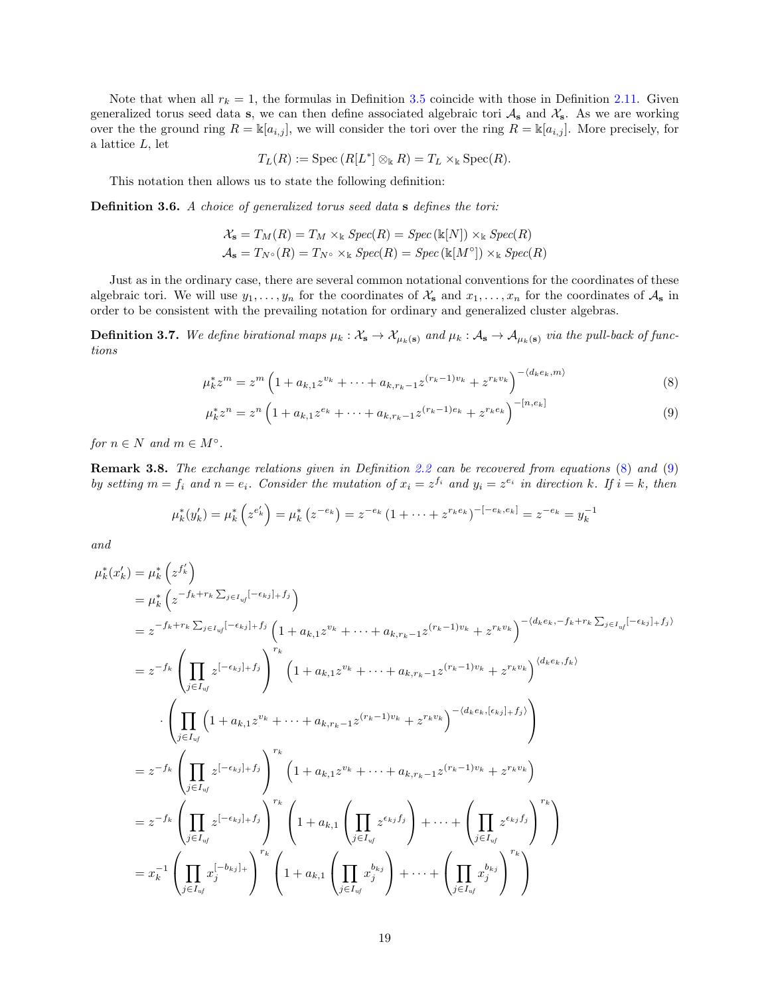Note that when all  $r_k = 1$ , the formulas in Definition [3.5](#page-17-1) coincide with those in Definition [2.11.](#page-6-2) Given generalized torus seed data s, we can then define associated algebraic tori  $A_s$  and  $X_s$ . As we are working over the the ground ring  $R = \mathbb{k}[a_{i,j}]$ , we will consider the tori over the ring  $R = \mathbb{k}[a_{i,j}]$ . More precisely, for a lattice L, let

$$
T_L(R) := \operatorname{Spec} (R[L^*] \otimes_{\Bbbk} R) = T_L \times_{\Bbbk} \operatorname{Spec} (R).
$$

This notation then allows us to state the following definition:

<span id="page-18-3"></span>Definition 3.6. A choice of generalized torus seed data s defines the tori:

$$
\mathcal{X}_{s} = T_{M}(R) = T_{M} \times_{\mathbb{k}} Spec(R) = Spec(\mathbb{k}[N]) \times_{\mathbb{k}} Spec(R)
$$
  

$$
\mathcal{A}_{s} = T_{N^{\circ}}(R) = T_{N^{\circ}} \times_{\mathbb{k}} Spec(R) = Spec(\mathbb{k}[M^{\circ}]) \times_{\mathbb{k}} Spec(R)
$$

Just as in the ordinary case, there are several common notational conventions for the coordinates of these algebraic tori. We will use  $y_1, \ldots, y_n$  for the coordinates of  $\mathcal{X}_s$  and  $x_1, \ldots, x_n$  for the coordinates of  $\mathcal{A}_s$  in order to be consistent with the prevailing notation for ordinary and generalized cluster algebras.

<span id="page-18-2"></span>**Definition 3.7.** We define birational maps  $\mu_k : \mathcal{X}_s \to \mathcal{X}_{\mu_k(s)}$  and  $\mu_k : \mathcal{A}_s \to \mathcal{A}_{\mu_k(s)}$  via the pull-back of functions

$$
\mu_k^* z^m = z^m \left( 1 + a_{k,1} z^{v_k} + \dots + a_{k,r_k - 1} z^{(r_k - 1)v_k} + z^{r_k v_k} \right)^{-\langle d_k e_k, m \rangle} \tag{8}
$$

<span id="page-18-1"></span><span id="page-18-0"></span>
$$
\mu_k^* z^n = z^n \left( 1 + a_{k,1} z^{e_k} + \dots + a_{k,r_k - 1} z^{(r_k - 1)e_k} + z^{r_k e_k} \right)^{-[n,e_k]}
$$
(9)

for  $n \in N$  and  $m \in M^{\circ}$ .

Remark 3.8. The exchange relations given in Definition [2.2](#page-4-0) can be recovered from equations [\(8\)](#page-18-0) and [\(9\)](#page-18-1) by setting  $m = f_i$  and  $n = e_i$ . Consider the mutation of  $x_i = z^{f_i}$  and  $y_i = z^{e_i}$  in direction k. If  $i = k$ , then

$$
\mu_k^*(y'_k) = \mu_k^*\left(z^{e'_k}\right) = \mu_k^*\left(z^{-e_k}\right) = z^{-e_k}\left(1 + \dots + z^{r_k e_k}\right)^{-\left[-e_k, e_k\right]} = z^{-e_k} = y_k^{-1}
$$

and

$$
\mu_{k}^{*}(x_{k}') = \mu_{k}^{*}\left(z^{f_{k}'}\right)
$$
\n
$$
= \mu_{k}^{*}\left(z^{-f_{k}+r_{k}\sum_{j\in I_{uf}}[-\epsilon_{kj}]_{+}f_{j}}\right)
$$
\n
$$
= z^{-f_{k}+r_{k}\sum_{j\in I_{uf}}[-\epsilon_{kj}]_{+}f_{j}}\left(1+a_{k,1}z^{v_{k}}+\cdots+a_{k,r_{k-1}}z^{(r_{k}-1)v_{k}}+z^{r_{k}v_{k}}\right)^{-(d_{k}e_{k},-f_{k}+r_{k}\sum_{j\in I_{uf}}[-\epsilon_{kj}]_{+}f_{j})}
$$
\n
$$
= z^{-f_{k}}\left(\prod_{j\in I_{uf}}z^{[-\epsilon_{kj}]_{+}f_{j}}\right)^{r_{k}}\left(1+a_{k,1}z^{v_{k}}+\cdots+a_{k,r_{k-1}}z^{(r_{k}-1)v_{k}}+z^{r_{k}v_{k}}\right)^{-(d_{k}e_{k},f_{k})}
$$
\n
$$
\cdot\left(\prod_{j\in I_{uf}}\left(1+a_{k,1}z^{v_{k}}+\cdots+a_{k,r_{k-1}}z^{(r_{k}-1)v_{k}}+z^{r_{k}v_{k}}\right)^{-(d_{k}e_{k},[e_{kj}]_{+}f_{j})}\right)
$$
\n
$$
= z^{-f_{k}}\left(\prod_{j\in I_{uf}}z^{[-\epsilon_{kj}]_{+}f_{j}}\right)^{r_{k}}\left(1+a_{k,1}z^{v_{k}}+\cdots+a_{k,r_{k-1}}z^{(r_{k}-1)v_{k}}+z^{r_{k}v_{k}}\right)
$$
\n
$$
= z^{-f_{k}}\left(\prod_{j\in I_{uf}}z^{[-\epsilon_{kj}]_{+}f_{j}}\right)^{r_{k}}\left(1+a_{k,1}\left(\prod_{j\in I_{uf}}z^{\epsilon_{kj}f_{j}}\right)+\cdots+\left(\prod_{j\in I_{uf}}z^{\epsilon_{kj}f_{j}}\right)^{r_{k}}\right)
$$
\n
$$
= x_{k}^{-1}\left(\prod_{j\in I_{uf}}x_{j}^{[-\delta_{kj}]_{+}}\right)^{r_{k}}\left(1+a_{k,1}\left(\prod_{j\in I_{uf}}x_{j}^{b_{kj}}\right)+\
$$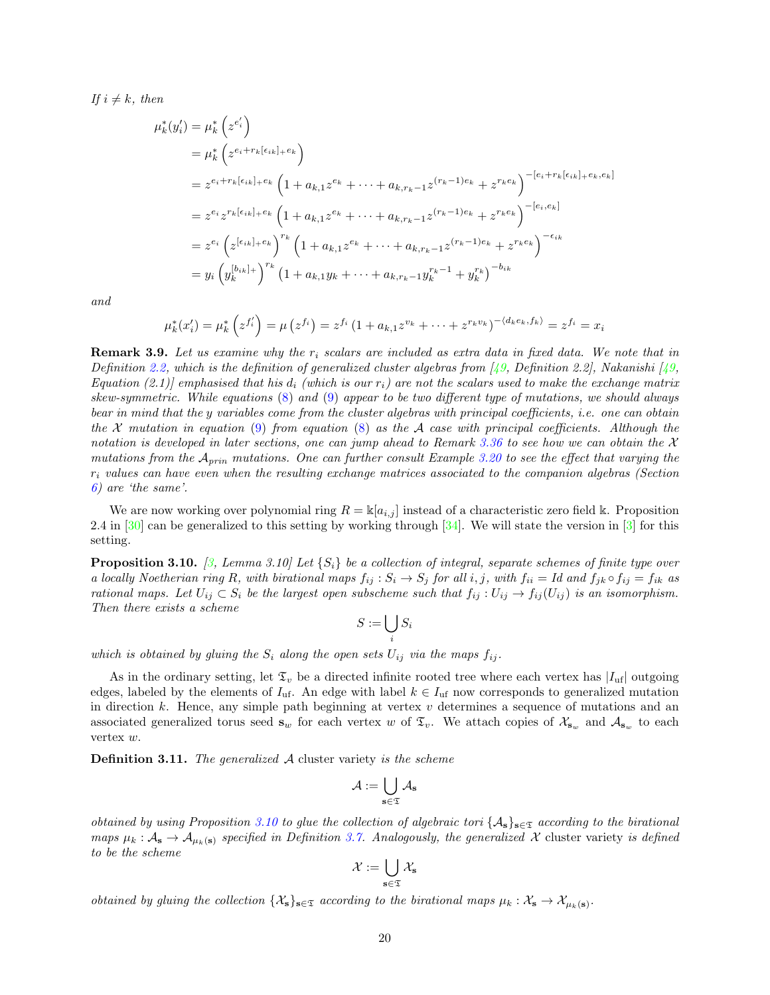If  $i \neq k$ , then

$$
\mu_k^*(y_i') = \mu_k^* \left( z^{e_i'} \right)
$$
  
\n
$$
= \mu_k^* \left( z^{e_i + r_k \left[ \epsilon_{ik} \right] + e_k} \right)
$$
  
\n
$$
= z^{e_i + r_k \left[ \epsilon_{ik} \right] + e_k} \left( 1 + a_{k,1} z^{e_k} + \dots + a_{k,r_k - 1} z^{(r_k - 1)e_k} + z^{r_k e_k} \right)^{-\left[ e_i + r_k \left[ \epsilon_{ik} \right] + e_k, e_k \right]}
$$
  
\n
$$
= z^{e_i} z^{r_k \left[ \epsilon_{ik} \right] + e_k} \left( 1 + a_{k,1} z^{e_k} + \dots + a_{k,r_k - 1} z^{(r_k - 1)e_k} + z^{r_k e_k} \right)^{-\left[ e_i, e_k \right]}
$$
  
\n
$$
= z^{e_i} \left( z^{\left[ \epsilon_{ik} \right] + e_k} \right)^{r_k} \left( 1 + a_{k,1} z^{e_k} + \dots + a_{k,r_k - 1} z^{(r_k - 1)e_k} + z^{r_k e_k} \right)^{-\epsilon_{ik}}
$$
  
\n
$$
= y_i \left( y_k^{\left[ b_{ik} \right] +} \right)^{r_k} \left( 1 + a_{k,1} y_k + \dots + a_{k,r_k - 1} y_k^{r_k - 1} + y_k^{r_k} \right)^{-b_{ik}}
$$

and

$$
\mu_k^*(x_i') = \mu_k^* \left( z^{f_i'} \right) = \mu \left( z^{f_i} \right) = z^{f_i} \left( 1 + a_{k,1} z^{v_k} + \dots + z^{r_k v_k} \right)^{-\langle d_k e_k, f_k \rangle} = z^{f_i} = x_i
$$

<span id="page-19-0"></span>**Remark 3.9.** Let us examine why the  $r_i$  scalars are included as extra data in fixed data. We note that in Definition [2.2,](#page-4-0) which is the definition of generalized cluster algebras from [\[49](#page-58-4), Definition 2.2], Nakanishi [49, Equation (2.1)] emphasised that his  $d_i$  (which is our  $r_i$ ) are not the scalars used to make the exchange matrix skew-symmetric. While equations [\(8\)](#page-18-0) and [\(9\)](#page-18-1) appear to be two different type of mutations, we should always bear in mind that the y variables come from the cluster algebras with principal coefficients, i.e. one can obtain the X mutation in equation [\(9\)](#page-18-1) from equation [\(8\)](#page-18-0) as the A case with principal coefficients. Although the notation is developed in later sections, one can jump ahead to Remark [3.36](#page-33-1) to see how we can obtain the  $\mathcal X$ mutations from the  $A_{prin}$  mutations. One can further consult Example [3.20](#page-23-0) to see the effect that varying the  $r_i$  values can have even when the resulting exchange matrices associated to the companion algebras (Section [6\)](#page-50-0) are 'the same'.

We are now working over polynomial ring  $R = \mathbb{K}[a_{i,j}]$  instead of a characteristic zero field k. Proposition 2.4 in  $[30]$  can be generalized to this setting by working through  $[34]$ . We will state the version in  $[3]$  for this setting.

<span id="page-19-1"></span>**Proposition 3.10.** [\[3,](#page-56-19) Lemma 3.10] Let  $\{S_i\}$  be a collection of integral, separate schemes of finite type over a locally Noetherian ring R, with birational maps  $f_{ij}: S_i \to S_j$  for all  $i, j$ , with  $f_{ii} = Id$  and  $f_{jk} \circ f_{ij} = f_{ik}$  as rational maps. Let  $U_{ij} \subset S_i$  be the largest open subscheme such that  $f_{ij} : U_{ij} \to f_{ij}(U_{ij})$  is an isomorphism. Then there exists a scheme

$$
S:=\bigcup_i S_i
$$

which is obtained by gluing the  $S_i$  along the open sets  $U_{ij}$  via the maps  $f_{ij}$ .

As in the ordinary setting, let  $\mathfrak{T}_v$  be a directed infinite rooted tree where each vertex has  $|I_{uf}|$  outgoing edges, labeled by the elements of  $I_{\text{uf}}$ . An edge with label  $k \in I_{\text{uf}}$  now corresponds to generalized mutation in direction  $k$ . Hence, any simple path beginning at vertex  $v$  determines a sequence of mutations and an associated generalized torus seed  $\mathbf{s}_w$  for each vertex w of  $\mathfrak{T}_v$ . We attach copies of  $\mathcal{X}_{\mathbf{s}_w}$  and  $\mathcal{A}_{\mathbf{s}_w}$  to each vertex w.

Definition 3.11. The generalized A cluster variety is the scheme

$$
\mathcal{A}:=\bigcup_{\mathbf{s}\in\mathfrak{T}}\mathcal{A}_{\mathbf{s}}
$$

obtained by using Proposition [3.10](#page-19-1) to glue the collection of algebraic tori  $\{A_s\}_{s\in\mathfrak{T}}$  according to the birational maps  $\mu_k : A_s \to A_{\mu_k(s)}$  specified in Definition [3.7.](#page-18-2) Analogously, the generalized X cluster variety is defined to be the scheme

$$
\mathcal{X}:=\bigcup_{\mathbf{s}\in\mathfrak{T}}\mathcal{X}_\mathbf{s}
$$

obtained by gluing the collection  $\{\mathcal{X}_s\}_{s\in\mathfrak{T}}$  according to the birational maps  $\mu_k : \mathcal{X}_s \to \mathcal{X}_{\mu_k(s)}$ .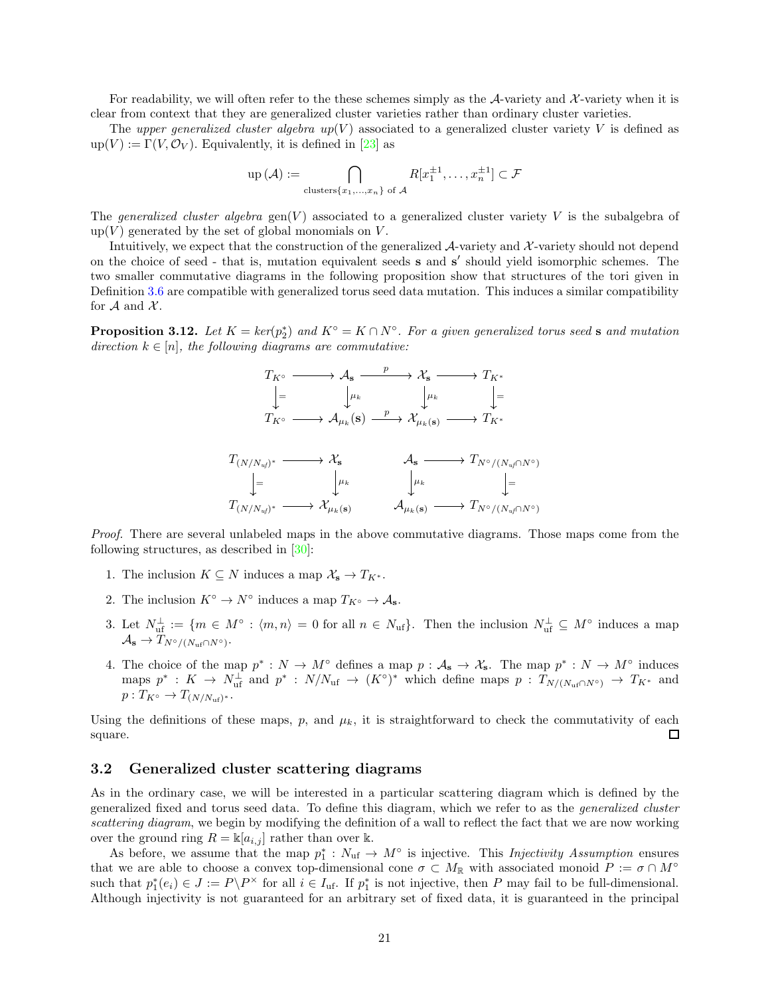For readability, we will often refer to the these schemes simply as the A-variety and X-variety when it is clear from context that they are generalized cluster varieties rather than ordinary cluster varieties.

The upper generalized cluster algebra  $up(V)$  associated to a generalized cluster variety V is defined as  $\text{up}(V) := \Gamma(V, \mathcal{O}_V)$ . Equivalently, it is defined in [\[23\]](#page-56-7) as

$$
\operatorname{up}(\mathcal{A}) := \bigcap_{\text{clusters}\{x_1,\dots,x_n\} \text{ of } \mathcal{A}} R[x_1^{\pm 1},\dots,x_n^{\pm 1}] \subset \mathcal{F}
$$

The generalized cluster algebra  $\text{gen}(V)$  associated to a generalized cluster variety V is the subalgebra of  $up(V)$  generated by the set of global monomials on V.

Intuitively, we expect that the construction of the generalized  $\mathcal{A}$ -variety and  $\mathcal{X}$ -variety should not depend on the choice of seed - that is, mutation equivalent seeds s and s' should yield isomorphic schemes. The two smaller commutative diagrams in the following proposition show that structures of the tori given in Definition [3.6](#page-18-3) are compatible with generalized torus seed data mutation. This induces a similar compatibility for  $A$  and  $X$ .

**Proposition 3.12.** Let  $K = \text{ker}(p_2^*)$  and  $K^{\circ} = K \cap N^{\circ}$ . For a given generalized torus seed s and mutation direction  $k \in [n]$ , the following diagrams are commutative:

$$
T_{K^{\circ}} \longrightarrow \mathcal{A}_{\mathbf{s}} \xrightarrow{p} \mathcal{X}_{\mathbf{s}} \longrightarrow T_{K^*}
$$
\n
$$
\downarrow = \qquad \qquad \downarrow \mu_k \qquad \qquad \downarrow \mu_k \qquad \qquad \downarrow =
$$
\n
$$
T_{K^{\circ}} \longrightarrow \mathcal{A}_{\mu_k}(\mathbf{s}) \xrightarrow{p} \mathcal{X}_{\mu_k(\mathbf{s})} \longrightarrow T_{K^*}
$$
\n
$$
T_{(N/N_{uf})^*} \longrightarrow \mathcal{X}_{\mathbf{s}} \qquad \qquad \mathcal{A}_{\mathbf{s}} \longrightarrow T_{N^{\circ}/(N_{uf} \cap N^{\circ})}
$$
\n
$$
\downarrow = \qquad \qquad \downarrow \mu_k \qquad \qquad \downarrow \mu_k \qquad \qquad \downarrow =
$$
\n
$$
T_{(N/N_{uf})^*} \longrightarrow \mathcal{X}_{\mu_k(\mathbf{s})} \qquad \qquad \mathcal{A}_{\mu_k(\mathbf{s})} \longrightarrow T_{N^{\circ}/(N_{uf} \cap N^{\circ})}
$$

Proof. There are several unlabeled maps in the above commutative diagrams. Those maps come from the following structures, as described in [\[30](#page-57-20)]:

- 1. The inclusion  $K \subseteq N$  induces a map  $\mathcal{X}_s \to T_{K^*}.$
- 2. The inclusion  $K^{\circ} \to N^{\circ}$  induces a map  $T_{K^{\circ}} \to A_{s}$ .
- 3. Let  $N_{\text{uf}}^{\perp} := \{m \in M^{\circ} : \langle m, n \rangle = 0 \text{ for all } n \in N_{\text{uf}}\}.$  Then the inclusion  $N_{\text{uf}}^{\perp} \subseteq M^{\circ}$  induces a map  $\mathcal{A}_{\mathbf{s}} \to T_{N^{\circ}/(N_{\rm uf} \cap N^{\circ})}.$
- 4. The choice of the map  $p^*: N \to M^{\circ}$  defines a map  $p: A_s \to X_s$ . The map  $p^*: N \to M^{\circ}$  induces maps  $p^* : K \to N^{\perp}_{\text{uf}}$  and  $p^* : N/N_{\text{uf}} \to (K^{\circ})^*$  which define maps  $p : T_{N/(N_{\text{uf}} \cap N^{\circ})} \to T_{K^*}$  and  $p: T_{K^{\circ}} \to T_{(N/N_{\text{uf}})^*}.$

Using the definitions of these maps, p, and  $\mu_k$ , it is straightforward to check the commutativity of each square.  $\Box$ 

#### <span id="page-20-0"></span>3.2 Generalized cluster scattering diagrams

As in the ordinary case, we will be interested in a particular scattering diagram which is defined by the generalized fixed and torus seed data. To define this diagram, which we refer to as the generalized cluster scattering diagram, we begin by modifying the definition of a wall to reflect the fact that we are now working over the ground ring  $R = \mathbb{k}[a_{i,j}]$  rather than over k.

As before, we assume that the map  $p_1^*: N_{\text{uf}} \to M^{\circ}$  is injective. This *Injectivity Assumption* ensures that we are able to choose a convex top-dimensional cone  $\sigma \subset M_{\mathbb{R}}$  with associated monoid  $P := \sigma \cap M^{\circ}$ such that  $p_1^*(e_i) \in J := P\backslash P^\times$  for all  $i \in I_{\text{uf}}$ . If  $p_1^*$  is not injective, then P may fail to be full-dimensional. Although injectivity is not guaranteed for an arbitrary set of fixed data, it is guaranteed in the principal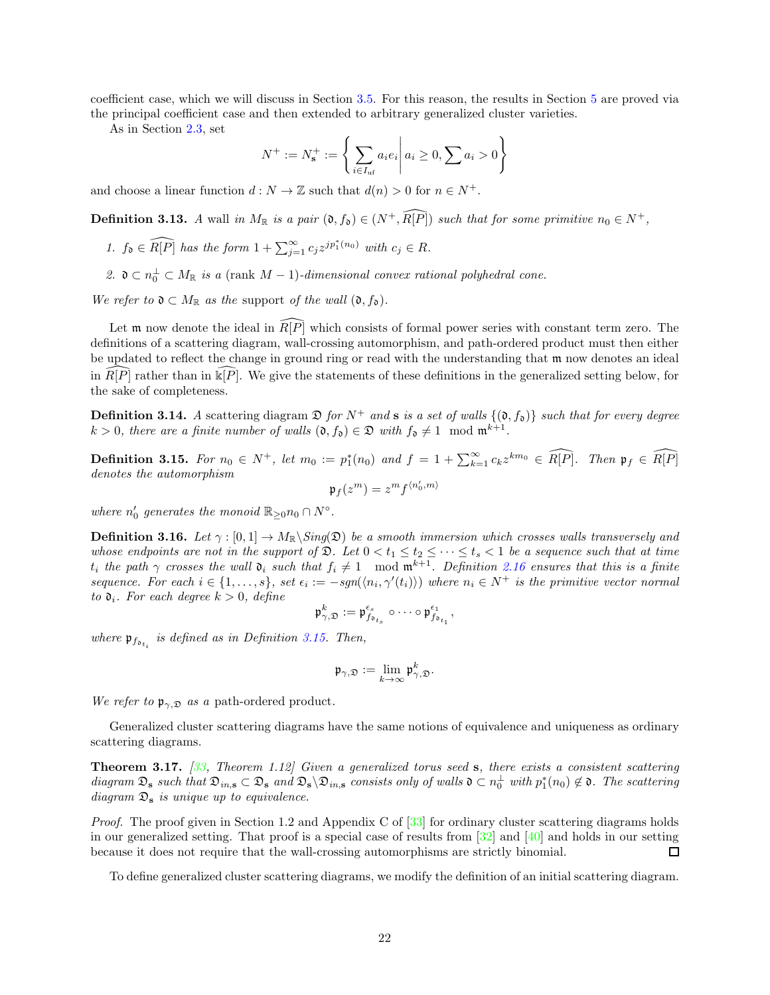coefficient case, which we will discuss in Section [3.5.](#page-33-0) For this reason, the results in Section [5](#page-43-0) are proved via the principal coefficient case and then extended to arbitrary generalized cluster varieties.

As in Section [2.3,](#page-9-0) set

$$
N^+ := N_{\mathbf{s}}^+ := \left\{ \sum_{i \in I_{\text{uf}}} a_i e_i \, \middle| \, a_i \ge 0, \sum a_i > 0 \right\}
$$

and choose a linear function  $d : N \to \mathbb{Z}$  such that  $d(n) > 0$  for  $n \in N^+$ .

**Definition 3.13.** A wall in  $M_{\mathbb{R}}$  is a pair  $(0, f_0) \in (N^+, \widehat{R[P]})$  such that for some primitive  $n_0 \in N^+$ ,

- 1.  $f_0 \in \widehat{R[P]}$  has the form  $1 + \sum_{j=1}^{\infty} c_j z^{jp_1^*(n_0)}$  with  $c_j \in R$ .
- 2.  $\mathfrak{d} \subset n_0^{\perp} \subset M_{\mathbb{R}}$  is a (rank  $M-1$ )-dimensional convex rational polyhedral cone.

We refer to  $\mathfrak{d} \subset M_{\mathbb{R}}$  as the support of the wall  $(\mathfrak{d}, f_{\mathfrak{d}})$ .

Let m now denote the ideal in  $\widehat{R}[P]$  which consists of formal power series with constant term zero. The definitions of a scattering diagram, wall-crossing automorphism, and path-ordered product must then either be updated to reflect the change in ground ring or read with the understanding that m now denotes an ideal in  $\widehat{R[P]}$  rather than in  $\widehat{\Bbbk[P]}$ . We give the statements of these definitions in the generalized setting below, for the sake of completeness.

**Definition 3.14.** A scattering diagram  $\mathfrak{D}$  for  $N^+$  and **s** is a set of walls  $\{(\mathfrak{d}, f_{\mathfrak{d}})\}\)$  such that for every degree  $k > 0$ , there are a finite number of walls  $(0, f_0) \in \mathfrak{D}$  with  $f_0 \neq 1 \mod m^{k+1}$ .

<span id="page-21-0"></span>**Definition 3.15.** For  $n_0 \in N^+$ , let  $m_0 := p_1^*(n_0)$  and  $f = 1 + \sum_{k=1}^{\infty} c_k z^{km_0} \in \widehat{R[P]}$ . Then  $\mathfrak{p}_f \in \widehat{R[P]}$ denotes the automorphism  $\mathfrak{p}_f(z^m)=z^mf^{\langle n_0',m\rangle}$ 

where  $n'_0$  generates the monoid  $\mathbb{R}_{\geq 0} n_0 \cap N^{\circ}$ .

**Definition 3.16.** Let  $\gamma : [0,1] \to M_{\mathbb{R}}\backslash Sing(\mathfrak{D})$  be a smooth immersion which crosses walls transversely and whose endpoints are not in the support of  $\mathfrak{D}$ . Let  $0 < t_1 \leq t_2 \leq \cdots \leq t_s < 1$  be a sequence such that at time  $t_i$  the path  $\gamma$  crosses the wall  $\mathfrak{d}_i$  such that  $f_i \neq 1 \mod \mathfrak{m}^{k+1}$ . Definition [2.16](#page-10-0) ensures that this is a finite sequence. For each  $i \in \{1,\ldots,s\}$ , set  $\epsilon_i := -sgn(\langle n_i, \gamma'(t_i) \rangle)$  where  $n_i \in N^+$  is the primitive vector normal to  $\mathfrak{d}_i$ . For each degree  $k > 0$ , define

$$
\mathfrak{p}^k_{\gamma, \mathfrak{D}} := \mathfrak{p}^{\epsilon_s}_{f_{\mathfrak{d}_{t_s}}} \circ \cdots \circ \mathfrak{p}^{\epsilon_1}_{f_{\mathfrak{d}_{t_1}}},
$$

where  $\mathfrak{p}_{f_{\mathfrak{d}_{t_i}}}$  is defined as in Definition [3.15.](#page-21-0) Then,

$$
\mathfrak{p}_{\gamma, \mathfrak{D}} := \lim_{k \to \infty} \mathfrak{p}^k_{\gamma, \mathfrak{D}}.
$$

We refer to  $\mathfrak{p}_{\gamma,\mathfrak{D}}$  as a path-ordered product.

Generalized cluster scattering diagrams have the same notions of equivalence and uniqueness as ordinary scattering diagrams.

**Theorem 3.17.** [\[33](#page-57-6), Theorem 1.12] Given a generalized torus seed s, there exists a consistent scattering diagram  $\mathfrak{D}_s$  such that  $\mathfrak{D}_{in,s} \subset \mathfrak{D}_s$  and  $\mathfrak{D}_s \backslash \mathfrak{D}_{in,s}$  consists only of walls  $\mathfrak{d} \subset n_0^{\perp}$  with  $p_1^*(n_0) \notin \mathfrak{d}$ . The scattering diagram  $\mathfrak{D}_s$  is unique up to equivalence.

Proof. The proof given in Section 1.2 and Appendix C of [\[33](#page-57-6)] for ordinary cluster scattering diagrams holds in our generalized setting. That proof is a special case of results from [\[32\]](#page-57-16) and [\[40\]](#page-57-15) and holds in our setting because it does not require that the wall-crossing automorphisms are strictly binomial.  $\Box$ 

To define generalized cluster scattering diagrams, we modify the definition of an initial scattering diagram.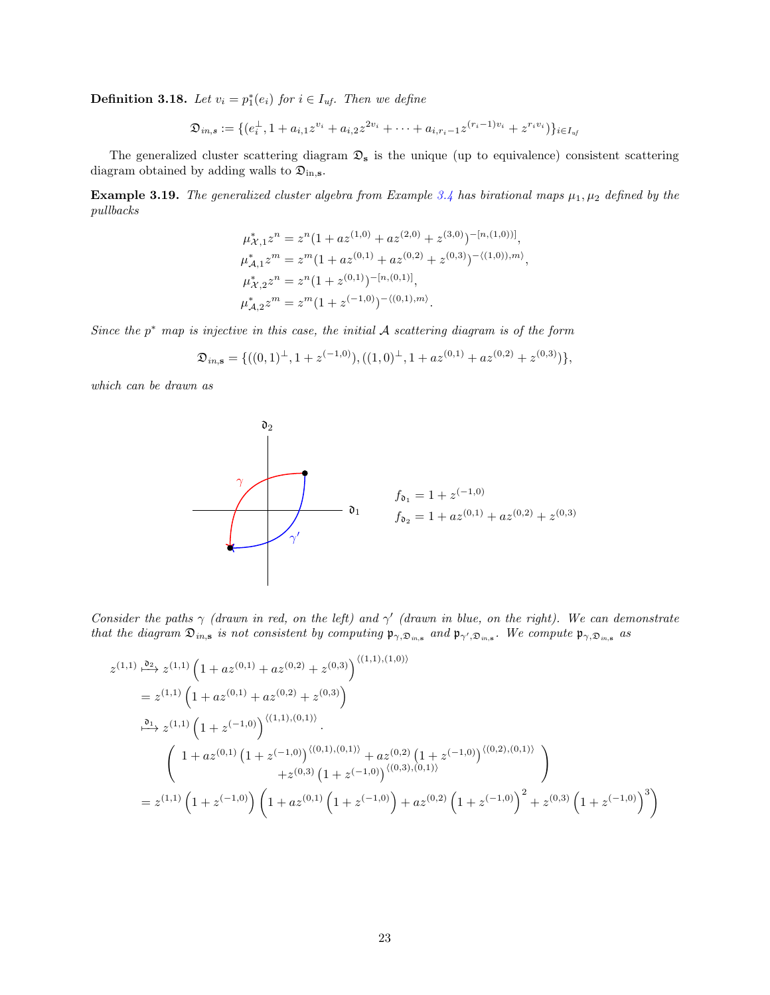<span id="page-22-0"></span>**Definition 3.18.** Let  $v_i = p_1^*(e_i)$  for  $i \in I_{uf}$ . Then we define

$$
\mathfrak{D}_{in,s}:=\{(e_i^\perp,1+a_{i,1}z^{v_i}+a_{i,2}z^{2v_i}+\cdots+a_{i,r_i-1}z^{(r_i-1)v_i}+z^{r_iv_i})\}_{i\in I_{uf}}
$$

The generalized cluster scattering diagram  $\mathfrak{D}_s$  is the unique (up to equivalence) consistent scattering diagram obtained by adding walls to  $\mathfrak{D}_{\text{in},s}$ .

**Example 3.19.** The generalized cluster algebra from Example [3.4](#page-17-2) has birational maps  $\mu_1, \mu_2$  defined by the pullbacks

$$
\mu_{\mathcal{X},1}^* z^n = z^n (1 + az^{(1,0)} + az^{(2,0)} + z^{(3,0)})^{-[n,(1,0))]},
$$
  
\n
$$
\mu_{\mathcal{A},1}^* z^m = z^m (1 + az^{(0,1)} + az^{(0,2)} + z^{(0,3)})^{-\langle (1,0),m \rangle},
$$
  
\n
$$
\mu_{\mathcal{X},2}^* z^n = z^n (1 + z^{(0,1)})^{-[n,(0,1)]},
$$
  
\n
$$
\mu_{\mathcal{A},2}^* z^m = z^m (1 + z^{(-1,0)})^{-\langle (0,1),m \rangle}.
$$

Since the  $p^*$  map is injective in this case, the initial  $A$  scattering diagram is of the form

$$
\mathfrak{D}_{in,\mathbf{s}} = \{((0,1)^{\perp}, 1+z^{(-1,0)}), ((1,0)^{\perp}, 1+az^{(0,1)}+az^{(0,2)}+z^{(0,3)})\},\
$$

which can be drawn as



Consider the paths  $\gamma$  (drawn in red, on the left) and  $\gamma'$  (drawn in blue, on the right). We can demonstrate that the diagram  $\mathfrak{D}_{in,s}$  is not consistent by computing  $\mathfrak{p}_{\gamma,\mathfrak{D}_{in,s}}$  and  $\mathfrak{p}_{\gamma',\mathfrak{D}_{in,s}}$ . We compute  $\mathfrak{p}_{\gamma,\mathfrak{D}_{in,s}}$  as

$$
z^{(1,1)} \xrightarrow{\mathfrak{d}_2} z^{(1,1)} \left( 1 + az^{(0,1)} + az^{(0,2)} + z^{(0,3)} \right)^{\langle (1,1),(1,0) \rangle}
$$
  
\n
$$
= z^{(1,1)} \left( 1 + az^{(0,1)} + az^{(0,2)} + z^{(0,3)} \right)
$$
  
\n
$$
\xrightarrow{\mathfrak{d}_1} z^{(1,1)} \left( 1 + z^{(-1,0)} \right)^{\langle (1,1),(0,1) \rangle}.
$$
  
\n
$$
\left( 1 + az^{(0,1)} \left( 1 + z^{(-1,0)} \right)^{\langle (0,1),(0,1) \rangle} + az^{(0,2)} \left( 1 + z^{(-1,0)} \right)^{\langle (0,2),(0,1) \rangle} \right)
$$
  
\n
$$
+ z^{(0,3)} \left( 1 + z^{(-1,0)} \right)^{\langle (0,3),(0,1) \rangle} \right)
$$
  
\n
$$
= z^{(1,1)} \left( 1 + z^{(-1,0)} \right) \left( 1 + az^{(0,1)} \left( 1 + z^{(-1,0)} \right) + az^{(0,2)} \left( 1 + z^{(-1,0)} \right)^2 + z^{(0,3)} \left( 1 + z^{(-1,0)} \right)^3 \right)
$$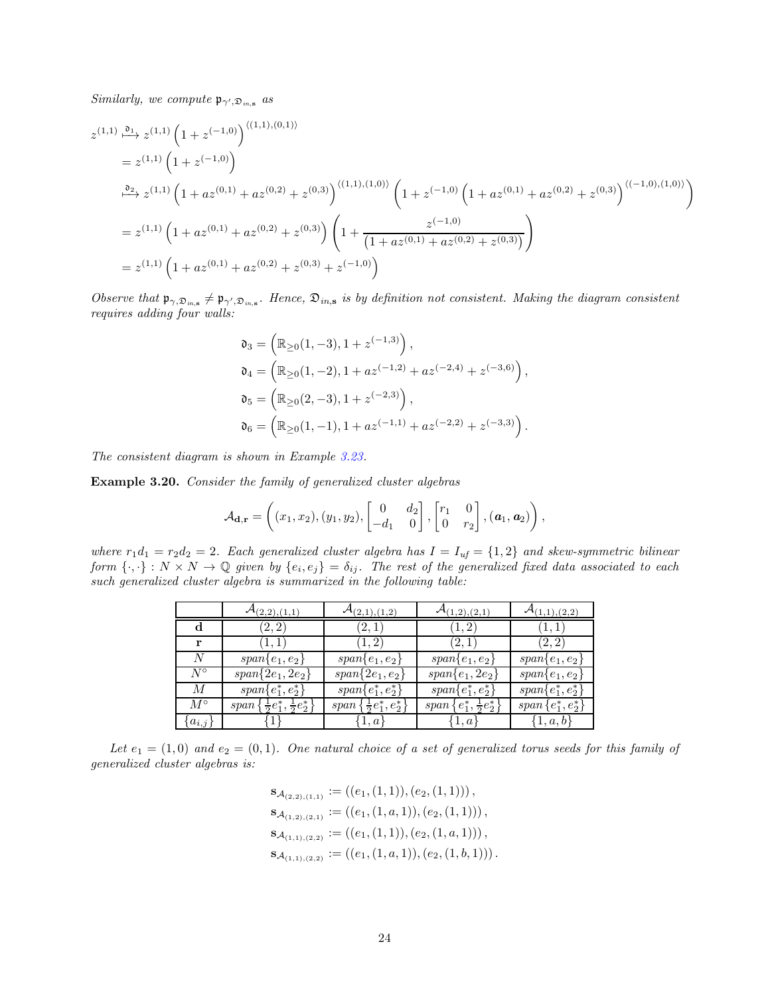Similarly, we compute  $\mathfrak{p}_{\gamma',\mathfrak{D}_{in,\mathbf{s}}}$  as

$$
z^{(1,1)} \xrightarrow{\mathfrak{d}_1} z^{(1,1)} \left(1 + z^{(-1,0)}\right)^{\langle (1,1),(0,1) \rangle}
$$
  
\n
$$
= z^{(1,1)} \left(1 + z^{(-1,0)}\right)
$$
  
\n
$$
\xrightarrow{\mathfrak{d}_2} z^{(1,1)} \left(1 + az^{(0,1)} + az^{(0,2)} + z^{(0,3)}\right)^{\langle (1,1),(1,0) \rangle} \left(1 + z^{(-1,0)} \left(1 + az^{(0,1)} + az^{(0,2)} + z^{(0,3)}\right)^{\langle (-1,0),(1,0) \rangle}\right)
$$
  
\n
$$
= z^{(1,1)} \left(1 + az^{(0,1)} + az^{(0,2)} + z^{(0,3)}\right) \left(1 + \frac{z^{(-1,0)}}{(1 + az^{(0,1)} + az^{(0,2)} + z^{(0,3)})}\right)
$$
  
\n
$$
= z^{(1,1)} \left(1 + az^{(0,1)} + az^{(0,2)} + z^{(0,3)} + z^{(-1,0)}\right)
$$

Observe that  $\mathfrak{p}_{\gamma, \mathfrak{D}_{in, s}} \neq \mathfrak{p}_{\gamma', \mathfrak{D}_{in, s}}$ . Hence,  $\mathfrak{D}_{in, s}$  is by definition not consistent. Making the diagram consistent requires adding four walls:

$$
\begin{aligned} \mathfrak{d}_3 &= \left( \mathbb{R}_{\geq 0}(1,-3), 1 + z^{(-1,3)} \right), \\ \mathfrak{d}_4 &= \left( \mathbb{R}_{\geq 0}(1,-2), 1 + az^{(-1,2)} + az^{(-2,4)} + z^{(-3,6)} \right), \\ \mathfrak{d}_5 &= \left( \mathbb{R}_{\geq 0}(2,-3), 1 + z^{(-2,3)} \right), \\ \mathfrak{d}_6 &= \left( \mathbb{R}_{\geq 0}(1,-1), 1 + az^{(-1,1)} + az^{(-2,2)} + z^{(-3,3)} \right). \end{aligned}
$$

The consistent diagram is shown in Example [3.23.](#page-25-1)

<span id="page-23-0"></span>Example 3.20. Consider the family of generalized cluster algebras

$$
\mathcal{A}_{\mathbf{d},\mathbf{r}} = \left( (x_1,x_2), (y_1,y_2), \begin{bmatrix} 0 & d_2 \\ -d_1 & 0 \end{bmatrix}, \begin{bmatrix} r_1 & 0 \\ 0 & r_2 \end{bmatrix}, (\mathbf{a}_1, \mathbf{a}_2) \right),
$$

where  $r_1d_1 = r_2d_2 = 2$ . Each generalized cluster algebra has  $I = I_{uf} = \{1, 2\}$  and skew-symmetric bilinear form  $\{\cdot,\cdot\}: N \times N \to \mathbb{Q}$  given by  $\{e_i,e_j\}=\delta_{ij}$ . The rest of the generalized fixed data associated to each such generalized cluster algebra is summarized in the following table:

|             | $\mathcal{A}_{(2,2), (\underline{1},1)}$    | $\mathcal{A}_{(2,1),(1,2)}$      | $\mathcal{A}_{(1,2), (2,1)}$      | $\mathcal{A}_{(1,1),(2,2)}$ |
|-------------|---------------------------------------------|----------------------------------|-----------------------------------|-----------------------------|
| d           | (2, 2)                                      | (2,1)                            | (1, 2)                            | (1,1)                       |
|             | (1, 1)                                      | (1, 2)                           | (2,1)                             | (2, 2)                      |
| N           | $span\{e_1,e_2\}$                           | $span\{e_1,e_2\}$                | $span\{e_1,e_2\}$                 | $span\{e_1,e_2\}$           |
| $N^{\circ}$ | $span\{2e_1, 2e_2\}$                        | $span\{2e_1,e_2\}$               | $span\{e_1, 2e_2\}$               | $span\{e_1,e_2\}$           |
| М           | $span\{e_1^*, e_2^*\}$                      | $span\{e_1^*, e_2^*\}$           | $span\{e_1^*, e_2^*\}$            | $span\{e_1^*, e_2^*\}$      |
| $M^{\circ}$ | $span\{\frac{1}{2}e_1^*,\frac{1}{2}e_2^*\}$ | $span\{\frac{1}{2}e_1^*,e_2^*\}$ | $span\{e_1^*, \frac{1}{2}e_2^*\}$ | $span\{e_1^*,e_2^*\}$       |
| $a_{i,j}$   |                                             | 1, a                             | $\{1,a\}$                         | $\{1,a,b\}$                 |

Let  $e_1 = (1,0)$  and  $e_2 = (0,1)$ . One natural choice of a set of generalized torus seeds for this family of generalized cluster algebras is:

$$
\mathbf{S}_{\mathcal{A}_{(2,2),(1,1)}} := ((e_1, (1,1)), (e_2, (1,1))),
$$
  
\n
$$
\mathbf{S}_{\mathcal{A}_{(1,2),(2,1)}} := ((e_1, (1,a,1)), (e_2, (1,1))),
$$
  
\n
$$
\mathbf{S}_{\mathcal{A}_{(1,1),(2,2)}} := ((e_1, (1,1)), (e_2, (1,a,1))),
$$
  
\n
$$
\mathbf{S}_{\mathcal{A}_{(1,1),(2,2)}} := ((e_1, (1,a,1)), (e_2, (1,b,1))).
$$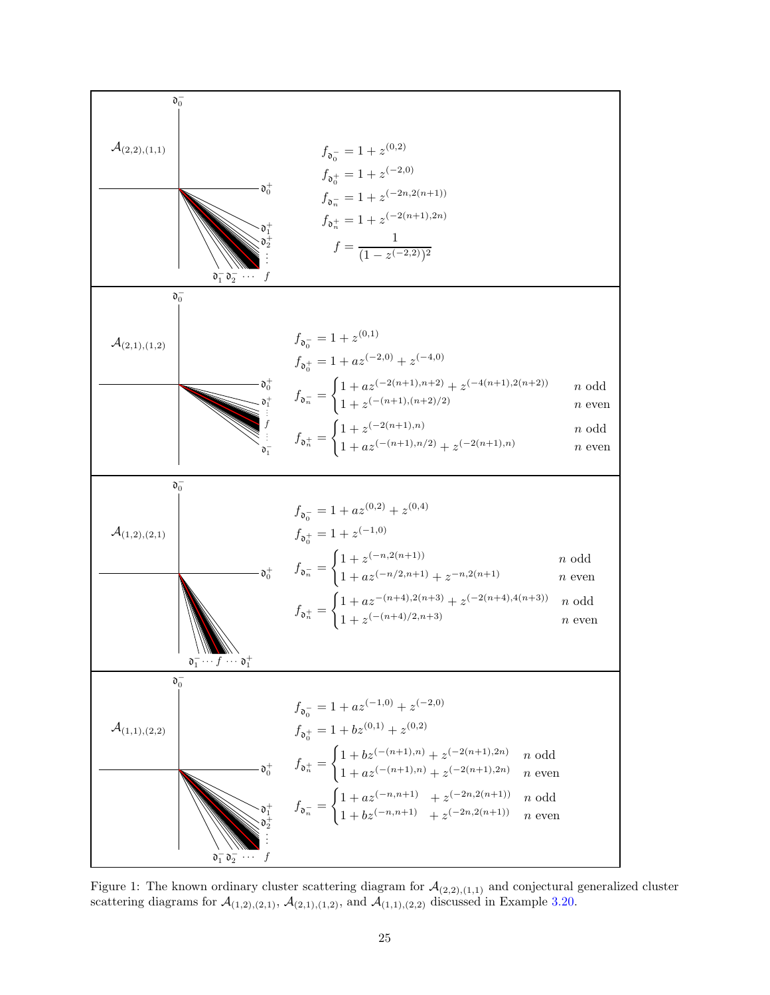<span id="page-24-0"></span>

Figure 1: The known ordinary cluster scattering diagram for  $\mathcal{A}_{(2,2),(1,1)}$  and conjectural generalized cluster scattering diagrams for  $\mathcal{A}_{(1,2),(2,1)}$ ,  $\mathcal{A}_{(2,1),(1,2)}$ , and  $\mathcal{A}_{(1,1),(2,2)}$  discussed in Example [3.20.](#page-23-0)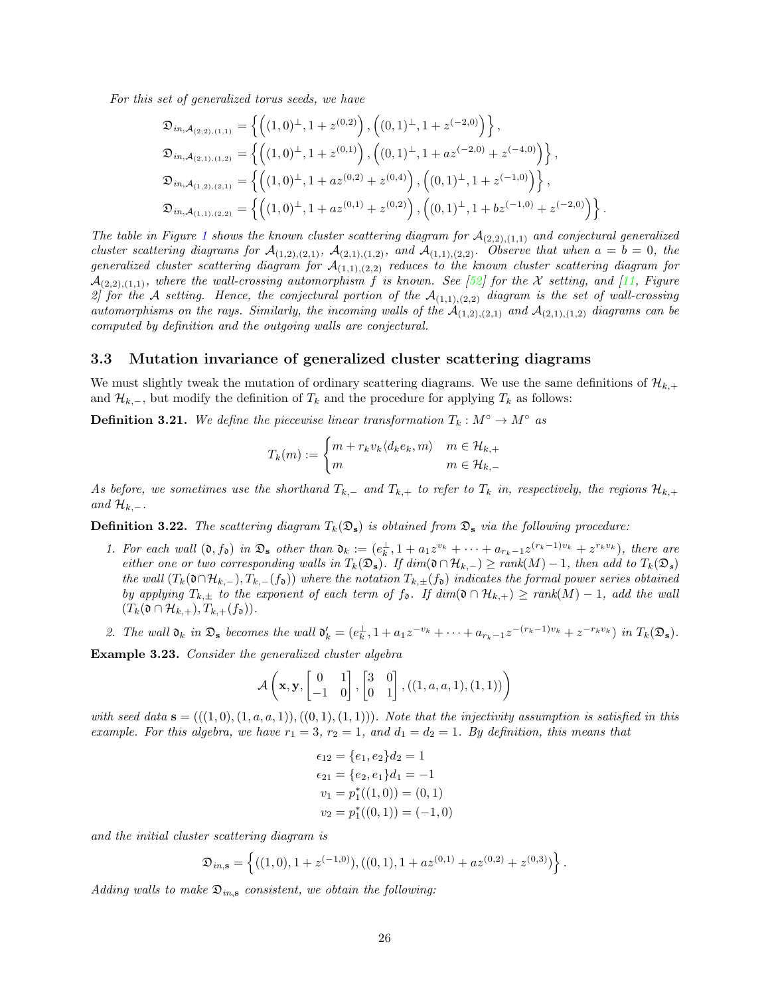For this set of generalized torus seeds, we have

$$
\mathfrak{D}_{in,\mathcal{A}_{(2,2),(1,1)}} = \left\{ \left( (1,0)^{\perp}, 1+z^{(0,2)} \right), \left( (0,1)^{\perp}, 1+z^{(-2,0)} \right) \right\},\
$$
\n
$$
\mathfrak{D}_{in,\mathcal{A}_{(2,1),(1,2)}} = \left\{ \left( (1,0)^{\perp}, 1+z^{(0,1)} \right), \left( (0,1)^{\perp}, 1+az^{(-2,0)}+z^{(-4,0)} \right) \right\},\
$$
\n
$$
\mathfrak{D}_{in,\mathcal{A}_{(1,2),(2,1)}} = \left\{ \left( (1,0)^{\perp}, 1+az^{(0,2)}+z^{(0,4)} \right), \left( (0,1)^{\perp}, 1+z^{(-1,0)} \right) \right\},\
$$
\n
$$
\mathfrak{D}_{in,\mathcal{A}_{(1,1),(2,2)}} = \left\{ \left( (1,0)^{\perp}, 1+az^{(0,1)}+z^{(0,2)} \right), \left( (0,1)^{\perp}, 1+bz^{(-1,0)}+z^{(-2,0)} \right) \right\}.
$$

The table in Figure [1](#page-24-0) shows the known cluster scattering diagram for  $\mathcal{A}_{(2,2),(1,1)}$  and conjectural generalized cluster scattering diagrams for  $\mathcal{A}_{(1,2),(2,1)}$ ,  $\mathcal{A}_{(2,1),(1,2)}$ , and  $\mathcal{A}_{(1,1),(2,2)}$ . Observe that when  $a=b=0$ , the generalized cluster scattering diagram for  $\mathcal{A}_{(1,1),(2,2)}$  reduces to the known cluster scattering diagram for  $\mathcal{A}_{(2,2),(1,1)}$ , where the wall-crossing automorphism f is known. See [\[52](#page-58-7)] for the X setting, and [\[11](#page-56-20), Figure 2] for the A setting. Hence, the conjectural portion of the  $\mathcal{A}_{(1,1),(2,2)}$  diagram is the set of wall-crossing automorphisms on the rays. Similarly, the incoming walls of the  $\mathcal{A}_{(1,2),(2,1)}$  and  $\mathcal{A}_{(2,1),(1,2)}$  diagrams can be computed by definition and the outgoing walls are conjectural.

### <span id="page-25-0"></span>3.3 Mutation invariance of generalized cluster scattering diagrams

We must slightly tweak the mutation of ordinary scattering diagrams. We use the same definitions of  $\mathcal{H}_{k,+}$ and  $\mathcal{H}_{k,-}$ , but modify the definition of  $T_k$  and the procedure for applying  $T_k$  as follows:

<span id="page-25-3"></span>**Definition 3.21.** We define the piecewise linear transformation  $T_k : M^\circ \to M^\circ$  as

$$
T_k(m) := \begin{cases} m + r_k v_k \langle d_k e_k, m \rangle & m \in \mathcal{H}_{k,+} \\ m & m \in \mathcal{H}_{k,-} \end{cases}
$$

As before, we sometimes use the shorthand  $T_{k,-}$  and  $T_{k,+}$  to refer to  $T_k$  in, respectively, the regions  $\mathcal{H}_{k,+}$ and  $\mathcal{H}_{k,-}.$ 

<span id="page-25-2"></span>**Definition 3.22.** The scattering diagram  $T_k(\mathfrak{D}_s)$  is obtained from  $\mathfrak{D}_s$  via the following procedure:

- 1. For each wall  $(0, f_0)$  in  $\mathfrak{D}_s$  other than  $\mathfrak{d}_k := (e_k^{\perp}, 1 + a_1 z^{v_k} + \cdots + a_{r_k-1} z^{(r_k-1)v_k} + z^{r_k v_k})$ , there are either one or two corresponding walls in  $T_k(\mathfrak{D}_s)$ . If  $dim(\mathfrak{d} \cap \mathcal{H}_{k,-}) \geq rank(M) - 1$ , then add to  $T_k(\mathfrak{D}_s)$ the wall  $(T_k(\mathfrak{d}\cap\mathcal{H}_{k,-}), T_{k,-}(\mathfrak{f}_{\mathfrak{d}}))$  where the notation  $T_{k,\pm}(\mathfrak{f}_{\mathfrak{d}})$  indicates the formal power series obtained by applying  $T_{k,\pm}$  to the exponent of each term of  $f_{\mathfrak{d}}$ . If  $dim(\mathfrak{d} \cap \mathcal{H}_{k,+}) \geq rank(M) - 1$ , add the wall  $(T_k(\mathfrak{d} \cap \mathcal{H}_{k,+}), T_{k,+}(f_{\mathfrak{d}})).$
- 2. The wall  $\mathfrak{d}_k$  in  $\mathfrak{D}_s$  becomes the wall  $\mathfrak{d}'_k = (e_k^{\perp}, 1 + a_1 z^{-v_k} + \cdots + a_{r_k-1} z^{-(r_k-1)v_k} + z^{-r_k v_k})$  in  $T_k(\mathfrak{D}_s)$ .

<span id="page-25-1"></span>Example 3.23. Consider the generalized cluster algebra

$$
\mathcal{A}\left(\mathbf{x},\mathbf{y},\begin{bmatrix}0&1\\-1&0\end{bmatrix},\begin{bmatrix}3&0\\0&1\end{bmatrix},((1,a,a,1),(1,1))\right)
$$

with seed data  $\mathbf{s} = (((1,0),(1,a,a,1)),((0,1),(1,1)))$ . Note that the injectivity assumption is satisfied in this example. For this algebra, we have  $r_1 = 3$ ,  $r_2 = 1$ , and  $d_1 = d_2 = 1$ . By definition, this means that

$$
\epsilon_{12} = \{e_1, e_2\}d_2 = 1
$$
  
\n
$$
\epsilon_{21} = \{e_2, e_1\}d_1 = -1
$$
  
\n
$$
v_1 = p_1^*(1, 0) = (0, 1)
$$
  
\n
$$
v_2 = p_1^*(0, 1) = (-1, 0)
$$

and the initial cluster scattering diagram is

$$
\mathfrak{D}_{in,\mathbf{s}} = \left\{ ((1,0), 1 + z^{(-1,0)}), ((0,1), 1 + az^{(0,1)} + az^{(0,2)} + z^{(0,3)}) \right\}.
$$

Adding walls to make  $\mathfrak{D}_{in,s}$  consistent, we obtain the following: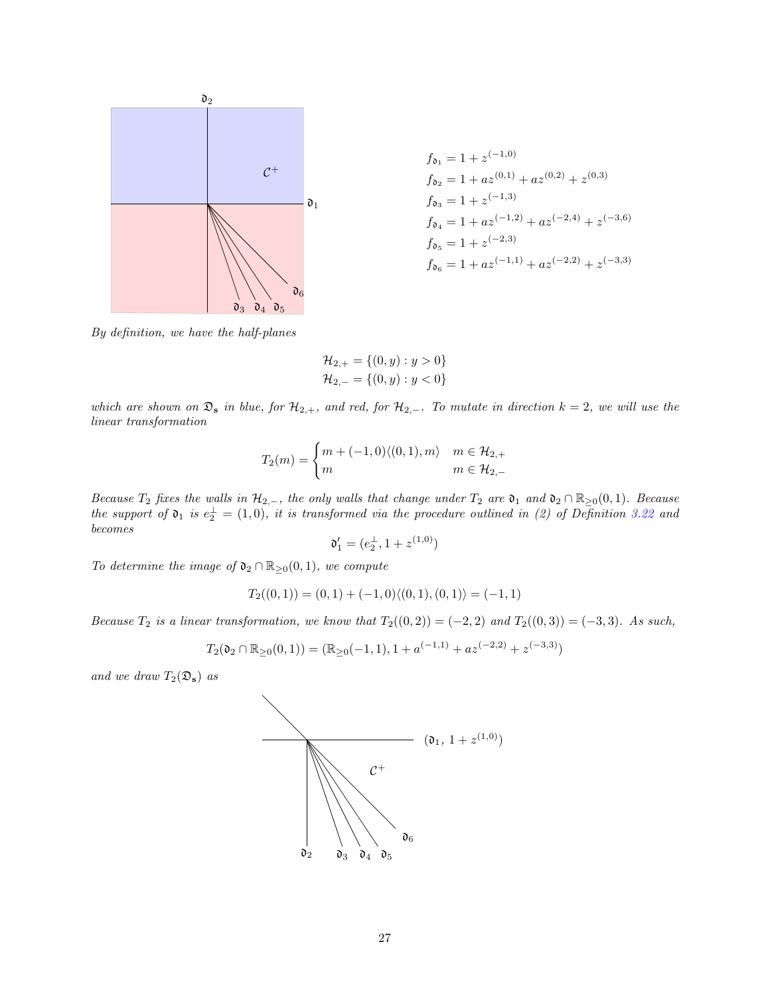

$$
f_{\mathfrak{d}_1} = 1 + z^{(-1,0)}
$$
  
\n
$$
f_{\mathfrak{d}_2} = 1 + az^{(0,1)} + az^{(0,2)} + z^{(0,3)}
$$
  
\n
$$
f_{\mathfrak{d}_3} = 1 + z^{(-1,3)}
$$
  
\n
$$
f_{\mathfrak{d}_4} = 1 + az^{(-1,2)} + az^{(-2,4)} + z^{(-3,6)}
$$
  
\n
$$
f_{\mathfrak{d}_5} = 1 + z^{(-2,3)}
$$
  
\n
$$
f_{\mathfrak{d}_6} = 1 + az^{(-1,1)} + az^{(-2,2)} + z^{(-3,3)}
$$

By definition, we have the half-planes

$$
\mathcal{H}_{2,+} = \{(0, y) : y > 0\}
$$
  

$$
\mathcal{H}_{2,-} = \{(0, y) : y < 0\}
$$

which are shown on  $\mathfrak{D}_s$  in blue, for  $\mathcal{H}_{2,+}$ , and red, for  $\mathcal{H}_{2,-}$ . To mutate in direction  $k=2$ , we will use the linear transformation

$$
T_2(m) = \begin{cases} m + (-1,0) \langle (0,1), m \rangle & m \in \mathcal{H}_{2,+} \\ m & m \in \mathcal{H}_{2,-} \end{cases}
$$

Because  $T_2$  fixes the walls in  $\mathcal{H}_{2,-}$ , the only walls that change under  $T_2$  are  $\mathfrak{d}_1$  and  $\mathfrak{d}_2 \cap \mathbb{R}_{\geq 0}(0,1)$ . Because the support of  $\mathfrak{d}_1$  is  $e_2^{\perp} = (1,0)$ , it is transformed via the procedure outlined in (2) of Definition [3.22](#page-25-2) and becomes

$$
\mathfrak{d}'_1 = (e_2^{\perp}, 1 + z^{(1,0)})
$$

To determine the image of  $\mathfrak{d}_2 \cap \mathbb{R}_{\geq 0}(0,1)$ , we compute

$$
T_2((0,1)) = (0,1) + (-1,0)\langle (0,1), (0,1) \rangle = (-1,1)
$$

Because  $T_2$  is a linear transformation, we know that  $T_2((0, 2)) = (-2, 2)$  and  $T_2((0, 3)) = (-3, 3)$ . As such,

$$
T_2(\mathfrak{d}_2 \cap \mathbb{R}_{\geq 0}(0,1)) = (\mathbb{R}_{\geq 0}(-1,1), 1 + a^{(-1,1)} + az^{(-2,2)} + z^{(-3,3)})
$$

and we draw  $T_2(\mathfrak{D}_s)$  as

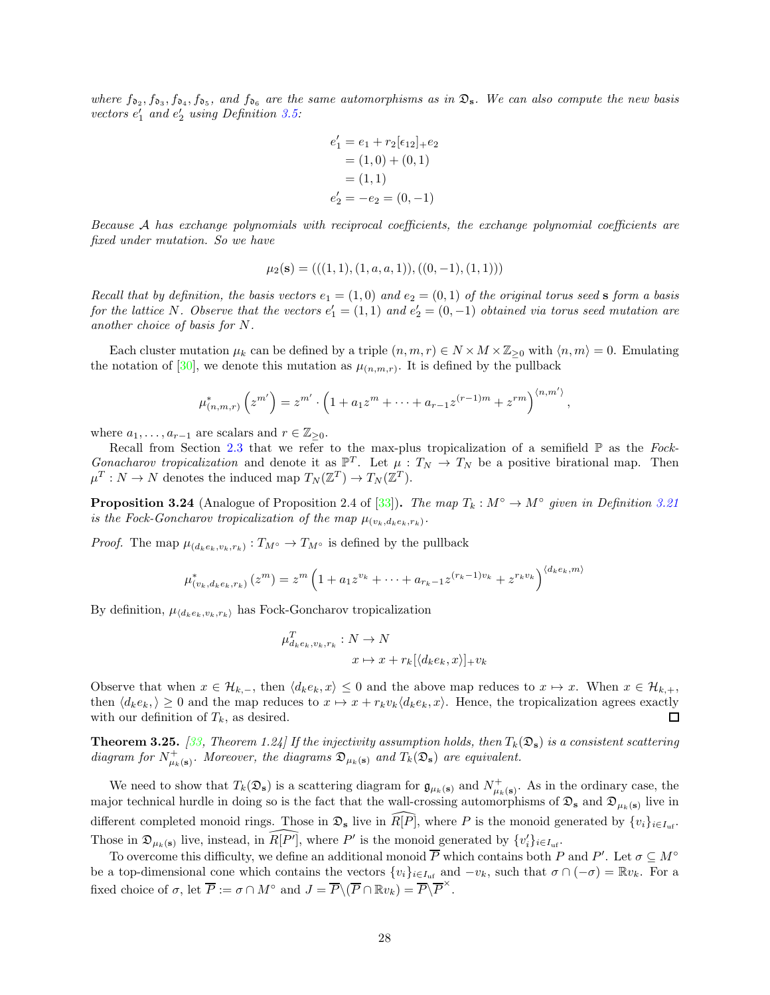where  $f_{\mathfrak{d}_2}, f_{\mathfrak{d}_3}, f_{\mathfrak{d}_4}, f_{\mathfrak{d}_5}$ , and  $f_{\mathfrak{d}_6}$  are the same automorphisms as in  $\mathfrak{D}_s$ . We can also compute the new basis vectors  $e'_1$  and  $e'_2$  using Definition [3.5:](#page-17-1)

$$
e'_1 = e_1 + r_2[e_{12}]_+e_2
$$
  
= (1,0) + (0,1)  
= (1,1)  

$$
e'_2 = -e_2 = (0,-1)
$$

Because A has exchange polynomials with reciprocal coefficients, the exchange polynomial coefficients are fixed under mutation. So we have

$$
\mu_2(s) = (((1,1), (1,a,a,1)), ((0,-1), (1,1)))
$$

Recall that by definition, the basis vectors  $e_1 = (1,0)$  and  $e_2 = (0,1)$  of the original torus seed s form a basis for the lattice N. Observe that the vectors  $e'_1 = (1,1)$  and  $e'_2 = (0,-1)$  obtained via torus seed mutation are another choice of basis for N.

Each cluster mutation  $\mu_k$  can be defined by a triple  $(n, m, r) \in N \times M \times \mathbb{Z}_{\geq 0}$  with  $\langle n, m \rangle = 0$ . Emulating the notation of [\[30](#page-57-20)], we denote this mutation as  $\mu_{(n,m,r)}$ . It is defined by the pullback

$$
\mu_{(n,m,r)}^* (z^{m'}) = z^{m'} \cdot \left(1 + a_1 z^m + \dots + a_{r-1} z^{(r-1)m} + z^{r m}\right)^{\langle n,m' \rangle},
$$

where  $a_1, \ldots, a_{r-1}$  are scalars and  $r \in \mathbb{Z}_{\geq 0}$ .

Recall from Section [2.3](#page-9-0) that we refer to the max-plus tropicalization of a semifield  $\mathbb P$  as the Fock-Gonacharov tropicalization and denote it as  $\mathbb{P}^T$ . Let  $\mu : T_N \to T_N$  be a positive birational map. Then  $\mu^T : N \to N$  denotes the induced map  $T_N(\mathbb{Z}^T) \to T_N(\mathbb{Z}^T)$ .

<span id="page-27-1"></span>**Proposition 3.24** (Analogue of Proposition 2.4 of [\[33\]](#page-57-6)). The map  $T_k : M^\circ \to M^\circ$  given in Definition [3.21](#page-25-3) is the Fock-Goncharov tropicalization of the map  $\mu_{(v_k,d_k e_k,r_k)}$ .

*Proof.* The map  $\mu_{(d_k e_k, v_k, r_k)} : T_{M^{\circ}} \to T_{M^{\circ}}$  is defined by the pullback

$$
\mu_{(v_k, d_k e_k, r_k)}^*(z^m) = z^m \left(1 + a_1 z^{v_k} + \dots + a_{r_k - 1} z^{(r_k - 1)v_k} + z^{r_k v_k}\right)^{\langle d_k e_k, m \rangle}
$$

By definition,  $\mu_{\langle d_k e_k, v_k, r_k \rangle}$  has Fock-Goncharov tropicalization

$$
\mu_{d_k e_k, v_k, r_k}^T : N \to N
$$
  

$$
x \mapsto x + r_k[\langle d_k e_k, x \rangle]_+ v_k
$$

Observe that when  $x \in \mathcal{H}_{k,-}$ , then  $\langle d_k e_k, x \rangle \leq 0$  and the above map reduces to  $x \mapsto x$ . When  $x \in \mathcal{H}_{k,+}$ , then  $\langle d_k e_k, \rangle \geq 0$  and the map reduces to  $x \mapsto x + r_k v_k \langle d_k e_k, x \rangle$ . Hence, the tropicalization agrees exactly with our definition of  $T_k$ , as desired.  $\Box$ 

<span id="page-27-0"></span>**Theorem 3.25.** [\[33](#page-57-6), Theorem 1.24] If the injectivity assumption holds, then  $T_k(\mathfrak{D}_s)$  is a consistent scattering diagram for  $N^+_{\mu_k({\bf s})}$ . Moreover, the diagrams  $\mathfrak{D}_{\mu_k({\bf s})}$  and  $T_k(\mathfrak{D}_{{\bf s}})$  are equivalent.

We need to show that  $T_k(\mathfrak{D}_s)$  is a scattering diagram for  $\mathfrak{g}_{\mu_k(s)}$  and  $N^+_{\mu_k(s)}$ . As in the ordinary case, the major technical hurdle in doing so is the fact that the wall-crossing automorphisms of  $\mathfrak{D}_s$  and  $\mathfrak{D}_{\mu_k(s)}$  live in different completed monoid rings. Those in  $\mathfrak{D}_s$  live in  $R[P]$ , where P is the monoid generated by  $\{v_i\}_{i\in I_{\text{inf}}}$ . Those in  $\mathfrak{D}_{\mu_k(\mathbf{s})}$  live, instead, in  $\widehat{R[P']}$ , where P' is the monoid generated by  $\{v_i'\}_{i\in I_{\text{uf}}}$ .

To overcome this difficulty, we define an additional monoid  $\overline{P}$  which contains both P and P'. Let  $\sigma \subseteq M^{\circ}$ be a top-dimensional cone which contains the vectors  $\{v_i\}_{i\in I_{\text{uf}}}$  and  $-v_k$ , such that  $\sigma \cap (-\sigma) = \mathbb{R}v_k$ . For a fixed choice of  $\sigma$ , let  $\overline{P} := \sigma \cap M^{\circ}$  and  $J = \overline{P} \setminus (\overline{P} \cap \mathbb{R} v_k) = \overline{P} \setminus \overline{P}^{\times}$ .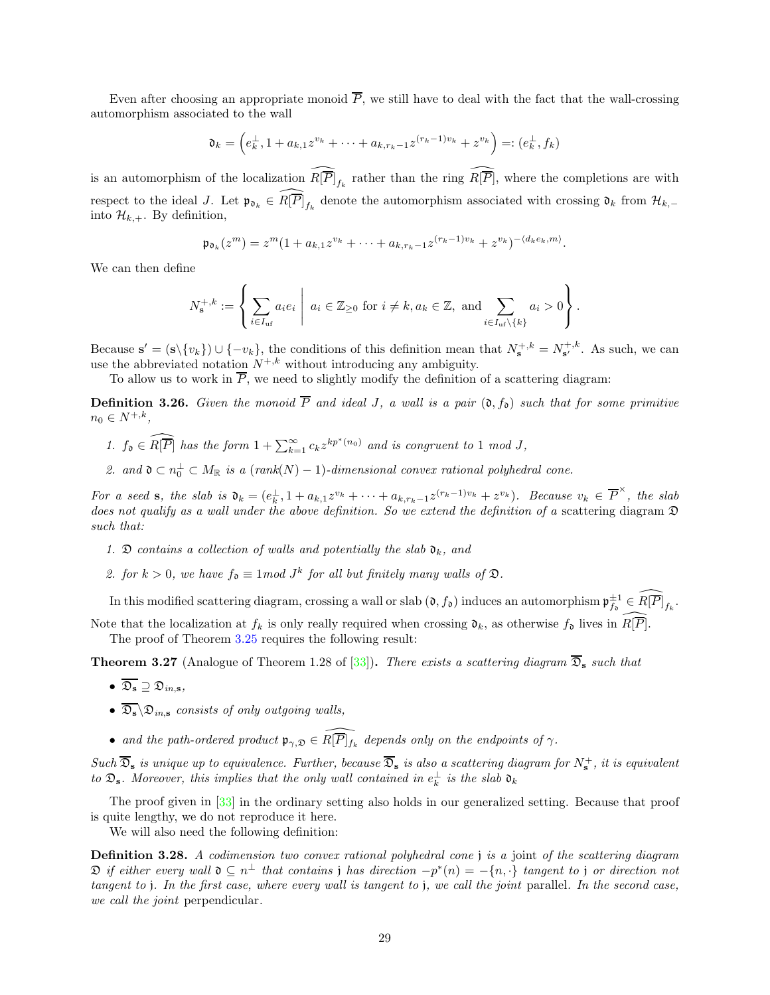Even after choosing an appropriate monoid  $\overline{P}$ , we still have to deal with the fact that the wall-crossing automorphism associated to the wall

$$
\mathfrak{d}_k = \left( e_k^{\perp}, 1 + a_{k,1} z^{v_k} + \dots + a_{k,r_k-1} z^{(r_k-1)v_k} + z^{v_k} \right) =: \left( e_k^{\perp}, f_k \right)
$$

is an automorphism of the localization  $\widehat{R[\overline{P}]}_{f_k}$  rather than the ring  $\widehat{R[\overline{P}]}$ , where the completions are with respect to the ideal J. Let  $\mathfrak{p}_{\mathfrak{d}_k} \in \widehat{R[\overline{P}]}_{f_k}$  denote the automorphism associated with crossing  $\mathfrak{d}_k$  from  $\mathcal{H}_{k,-}$ into  $\mathcal{H}_{k,+}$ . By definition,

$$
\mathfrak{p}_{\mathfrak{d}_k}(z^m) = z^m (1 + a_{k,1} z^{v_k} + \cdots + a_{k,r_k-1} z^{(r_k-1)v_k} + z^{v_k})^{-\langle d_k e_k, m \rangle}.
$$

We can then define

$$
N_{\mathbf{s}}^{+,k} := \left\{ \sum_{i \in I_{\mathrm{uf}}} a_i e_i \mid a_i \in \mathbb{Z}_{\geq 0} \text{ for } i \neq k, a_k \in \mathbb{Z}, \text{ and } \sum_{i \in I_{\mathrm{uf}} \setminus \{k\}} a_i > 0 \right\}.
$$

Because  $\mathbf{s}' = (\mathbf{s} \setminus \{v_k\}) \cup \{-v_k\},\$ the conditions of this definition mean that  $N_{\mathbf{s}}^{+,k} = N_{\mathbf{s}'}^{+,k}$ . As such, we can use the abbreviated notation  $N^{+,k}$  without introducing any ambiguity.

To allow us to work in  $\overline{P}$ , we need to slightly modify the definition of a scattering diagram:

<span id="page-28-1"></span>**Definition 3.26.** Given the monoid  $\overline{P}$  and ideal J, a wall is a pair  $(0, f_0)$  such that for some primitive  $n_0 \in N^{+,k},$ 

- 1.  $f_0 \in \widehat{R[\overline{P}]}$  has the form  $1 + \sum_{k=1}^{\infty} c_k z^{kp^*(n_0)}$  and is congruent to 1 mod J,
- 2. and  $\mathfrak{d} \subset n_0^{\perp} \subset M_{\mathbb{R}}$  is a  $(\text{rank}(N)-1)$ -dimensional convex rational polyhedral cone.

For a seed s, the slab is  $\mathfrak{d}_k = (e_k^{\perp}, 1 + a_{k,1}z^{v_k} + \cdots + a_{k,r_k-1}z^{(r_k-1)v_k} + z^{v_k})$ . Because  $v_k \in \overline{P}^{\times}$ , the slab does not qualify as a wall under the above definition. So we extend the definition of a scattering diagram  $\mathfrak D$ such that:

- 1.  $\mathfrak D$  contains a collection of walls and potentially the slab  $\mathfrak d_k$ , and
- 2. for  $k > 0$ , we have  $f_{\mathfrak{d}} \equiv 1 \mod J^k$  for all but finitely many walls of  $\mathfrak{D}$ .

In this modified scattering diagram, crossing a wall or slab  $(\mathfrak{d}, f_{\mathfrak{d}})$  induces an automorphism  $\mathfrak{p}_{f_{\mathfrak{d}}}^{\pm 1} \in \widehat{R[P]}_{f_k}$ .

Note that the localization at  $f_k$  is only really required when crossing  $\mathfrak{d}_k$ , as otherwise  $f_{\mathfrak{d}}$  lives in  $R[\overline{P}]$ . The proof of Theorem [3.25](#page-27-0) requires the following result:

<span id="page-28-0"></span>**Theorem 3.27** (Analogue of Theorem 1.28 of [\[33](#page-57-6)]). There exists a scattering diagram  $\overline{D}_s$  such that

- $\overline{\mathfrak{D}_{\mathbf{s}}} \supset \mathfrak{D}_{ins}$
- $\overline{\mathfrak{D}_s} \backslash \mathfrak{D}_{in,s}$  consists of only outgoing walls,
- and the path-ordered product  $\mathfrak{p}_{\gamma,\mathfrak{D}} \in \widehat{R[\overline{P}]}_{f_k}$  depends only on the endpoints of  $\gamma$ .

 $Such\ \overline{\mathfrak{D}}_{\mathbf{s}}\ is\ unique\ up\ to\ equivalence.\ Further,\ because\ \overline{\mathfrak{D}}_{\mathbf{s}}\ is\ also\ a\ scattering\ diagram\ for\ N^+_{\mathbf{s}},\ it\ is\ equivalent$ to  $\mathfrak{D}_s$ . Moreover, this implies that the only wall contained in  $e_k^{\perp}$  is the slab  $\mathfrak{d}_k$ 

The proof given in [\[33](#page-57-6)] in the ordinary setting also holds in our generalized setting. Because that proof is quite lengthy, we do not reproduce it here.

We will also need the following definition:

**Definition 3.28.** A codimension two convex rational polyhedral cone j is a joint of the scattering diagram  $\mathfrak D$  if either every wall  $\mathfrak d\subseteq n^\perp$  that contains j has direction  $-p^*(n)=-\{n,\cdot\}$  tangent to j or direction not tangent to j. In the first case, where every wall is tangent to j, we call the joint parallel. In the second case, we call the *joint* perpendicular.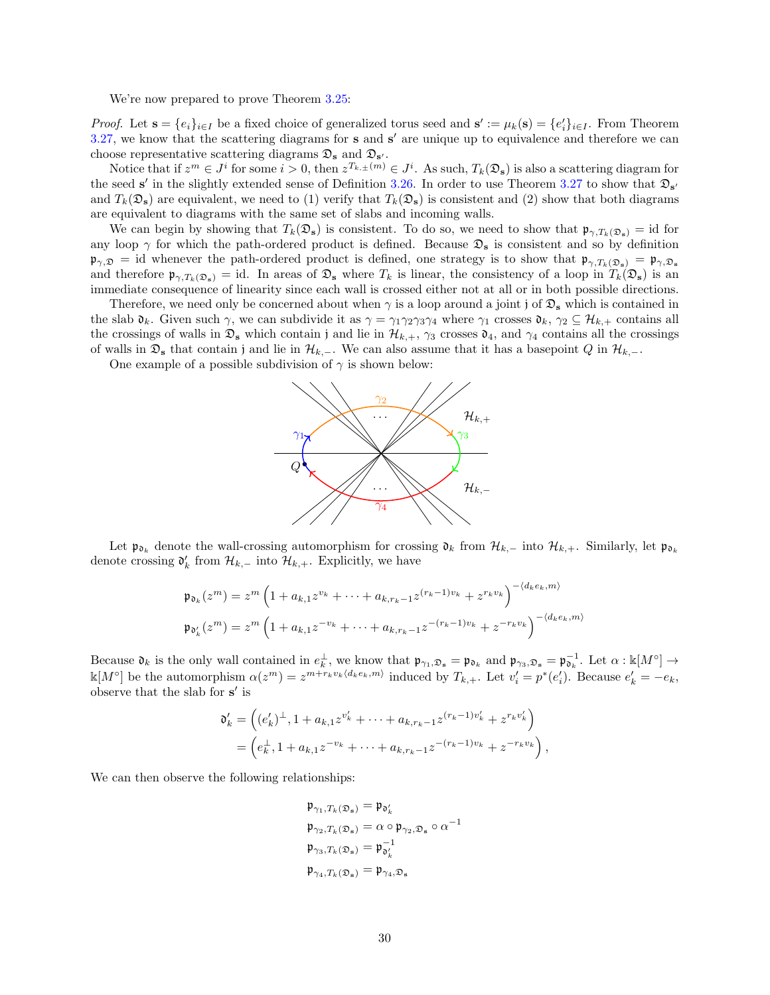We're now prepared to prove Theorem [3.25:](#page-27-0)

*Proof.* Let  $\mathbf{s} = \{e_i\}_{i \in I}$  be a fixed choice of generalized torus seed and  $\mathbf{s}' := \mu_k(\mathbf{s}) = \{e'_i\}_{i \in I}$ . From Theorem  $3.27$ , we know that the scattering diagrams for s and s' are unique up to equivalence and therefore we can choose representative scattering diagrams  $\mathfrak{D}_s$  and  $\mathfrak{D}_{s'}$ .

Notice that if  $z^m \in J^i$  for some  $i > 0$ , then  $z^{T_{k,\pm}(m)} \in J^i$ . As such,  $T_k(\mathfrak{D}_s)$  is also a scattering diagram for the seed s' in the slightly extended sense of Definition [3.26.](#page-28-1) In order to use Theorem [3.27](#page-28-0) to show that  $\mathfrak{D}_{s'}$ and  $T_k(\mathfrak{D}_s)$  are equivalent, we need to (1) verify that  $T_k(\mathfrak{D}_s)$  is consistent and (2) show that both diagrams are equivalent to diagrams with the same set of slabs and incoming walls.

We can begin by showing that  $T_k(\mathfrak{D}_s)$  is consistent. To do so, we need to show that  $\mathfrak{p}_{\gamma,T_k(\mathfrak{D}_s)} = id$  for any loop  $\gamma$  for which the path-ordered product is defined. Because  $\mathfrak{D}_s$  is consistent and so by definition  $\mathfrak{p}_{\gamma,\mathfrak{D}} =$  id whenever the path-ordered product is defined, one strategy is to show that  $\mathfrak{p}_{\gamma,T_k(\mathfrak{D}_s)} = \mathfrak{p}_{\gamma,\mathfrak{D}_s}$ and therefore  $\mathfrak{p}_{\gamma,T_k(\mathfrak{D}_s)} = id$ . In areas of  $\mathfrak{D}_s$  where  $T_k$  is linear, the consistency of a loop in  $T_k(\mathfrak{D}_s)$  is an immediate consequence of linearity since each wall is crossed either not at all or in both possible directions.

Therefore, we need only be concerned about when  $\gamma$  is a loop around a joint j of  $\mathfrak{D}_s$  which is contained in the slab  $\mathfrak{d}_k$ . Given such  $\gamma$ , we can subdivide it as  $\gamma = \gamma_1 \gamma_2 \gamma_3 \gamma_4$  where  $\gamma_1$  crosses  $\mathfrak{d}_k$ ,  $\gamma_2 \subseteq \mathcal{H}_{k,+}$  contains all the crossings of walls in  $\mathfrak{D}_s$  which contain j and lie in  $\mathcal{H}_{k,+}$ ,  $\gamma_3$  crosses  $\mathfrak{d}_4$ , and  $\gamma_4$  contains all the crossings of walls in  $\mathfrak{D}_s$  that contain j and lie in  $\mathcal{H}_{k,-}$ . We can also assume that it has a basepoint Q in  $\mathcal{H}_{k,-}$ .

One example of a possible subdivision of  $\gamma$  is shown below:



Let  $\mathfrak{p}_{\mathfrak{d}_k}$  denote the wall-crossing automorphism for crossing  $\mathfrak{d}_k$  from  $\mathcal{H}_{k,-}$  into  $\mathcal{H}_{k,+}$ . Similarly, let  $\mathfrak{p}_{\mathfrak{d}_k}$ denote crossing  $\mathfrak{d}'_k$  from  $\mathcal{H}_{k,-}$  into  $\mathcal{H}_{k,+}$ . Explicitly, we have

$$
\mathfrak{p}_{\mathfrak{d}_k}(z^m) = z^m \left( 1 + a_{k,1} z^{v_k} + \dots + a_{k,r_k - 1} z^{(r_k - 1)v_k} + z^{r_k v_k} \right)^{-\langle d_k e_k, m \rangle}
$$
  
\n
$$
\mathfrak{p}_{\mathfrak{d}'_k}(z^m) = z^m \left( 1 + a_{k,1} z^{-v_k} + \dots + a_{k,r_k - 1} z^{-(r_k - 1)v_k} + z^{-r_k v_k} \right)^{-\langle d_k e_k, m \rangle}
$$

Because  $\mathfrak{d}_k$  is the only wall contained in  $e_k^{\perp}$ , we know that  $\mathfrak{p}_{\gamma_1,\mathfrak{D}_s} = \mathfrak{p}_{\mathfrak{d}_k}$  and  $\mathfrak{p}_{\gamma_3,\mathfrak{D}_s} = \mathfrak{p}_{\mathfrak{d}_k}^{-1}$ . Let  $\alpha : \mathbb{k}[M^\circ] \to$  $\mathbb{K}[M^{\circ}]$  be the automorphism  $\alpha(z^m) = z^{m+r_kv_k\langle d_ke_k, m \rangle}$  induced by  $T_{k,+}$ . Let  $v'_i = p^*(e'_i)$ . Because  $e'_k = -e_k$ , observe that the slab for  $\mathbf{s}'$  is

$$
\mathfrak{d}'_k = \left( (e'_k)^{\perp}, 1 + a_{k,1} z^{v'_k} + \dots + a_{k,r_k-1} z^{(r_k-1)v'_k} + z^{r_k v'_k} \right)
$$
  
= 
$$
\left( e_k^{\perp}, 1 + a_{k,1} z^{-v_k} + \dots + a_{k,r_k-1} z^{-(r_k-1)v_k} + z^{-r_k v_k} \right),
$$

We can then observe the following relationships:

$$
\begin{aligned}\n\mathfrak{p}_{\gamma_1, T_k(\mathfrak{D}_s)} &= \mathfrak{p}_{\mathfrak{d}'_k} \\
\mathfrak{p}_{\gamma_2, T_k(\mathfrak{D}_s)} &= \alpha \circ \mathfrak{p}_{\gamma_2, \mathfrak{D}_s} \circ \alpha^{-1} \\
\mathfrak{p}_{\gamma_3, T_k(\mathfrak{D}_s)} &= \mathfrak{p}_{\mathfrak{d}'_k}^{-1} \\
\mathfrak{p}_{\gamma_4, T_k(\mathfrak{D}_s)} &= \mathfrak{p}_{\gamma_4, \mathfrak{D}_s}\n\end{aligned}
$$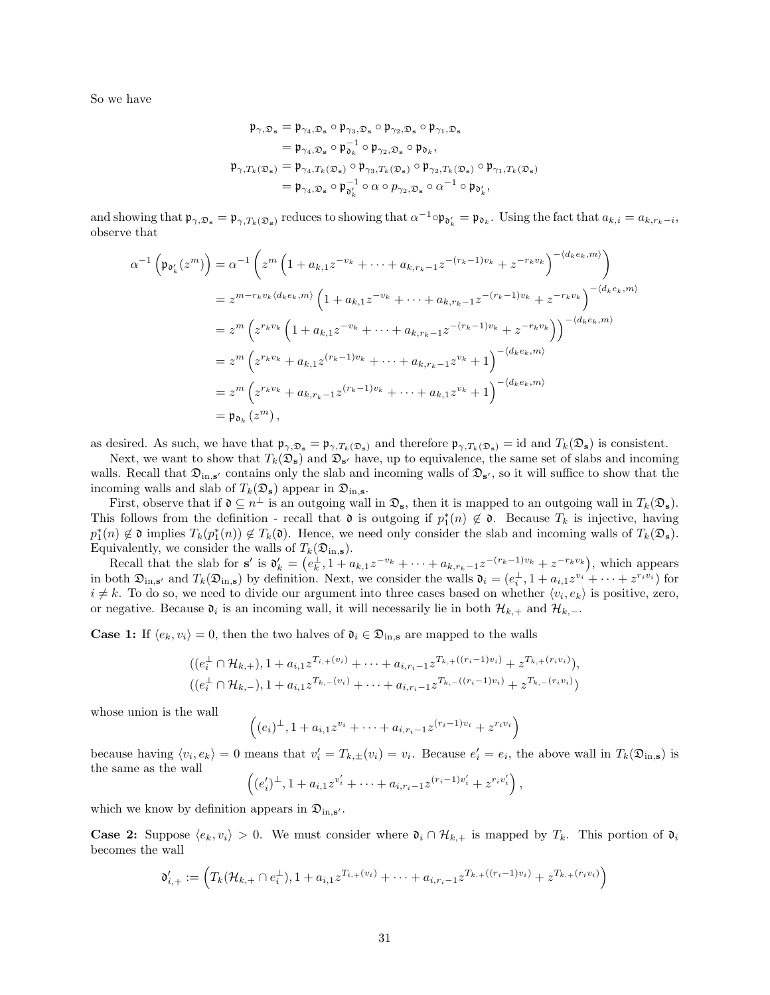So we have

$$
\begin{aligned} \mathfrak{p}_{\gamma,\mathfrak{D}_\mathbf{s}}&=\mathfrak{p}_{\gamma_4,\mathfrak{D}_\mathbf{s}}\circ\mathfrak{p}_{\gamma_3,\mathfrak{D}_\mathbf{s}}\circ\mathfrak{p}_{\gamma_2,\mathfrak{D}_\mathbf{s}}\circ\mathfrak{p}_{\gamma_1,\mathfrak{D}_\mathbf{s}}\\&=\mathfrak{p}_{\gamma_4,\mathfrak{D}_\mathbf{s}}\circ\mathfrak{p}_{\mathfrak{d}_k}^{-1}\circ\mathfrak{p}_{\gamma_2,\mathfrak{D}_\mathbf{s}}\circ\mathfrak{p}_{\mathfrak{d}_k},\\ \mathfrak{p}_{\gamma,T_k(\mathfrak{D}_\mathbf{s})}&=\mathfrak{p}_{\gamma_4,T_k(\mathfrak{D}_\mathbf{s})}\circ\mathfrak{p}_{\gamma_3,T_k(\mathfrak{D}_\mathbf{s})}\circ\mathfrak{p}_{\gamma_2,T_k(\mathfrak{D}_\mathbf{s})}\circ\mathfrak{p}_{\gamma_1,T_k(\mathfrak{D}_\mathbf{s})}\\&=\mathfrak{p}_{\gamma_4,\mathfrak{D}_\mathbf{s}}\circ\mathfrak{p}_{\mathfrak{d}_k'}^{-1}\circ\alpha\circ p_{\gamma_2,\mathfrak{D}_\mathbf{s}}\circ\alpha^{-1}\circ\mathfrak{p}_{\mathfrak{d}_k'}, \end{aligned}
$$

and showing that  $\mathfrak{p}_{\gamma,\mathfrak{D}_s} = \mathfrak{p}_{\gamma,T_k(\mathfrak{D}_s)}$  reduces to showing that  $\alpha^{-1} \circ \mathfrak{p}_{\mathfrak{d}'_k} = \mathfrak{p}_{\mathfrak{d}_k}$ . Using the fact that  $a_{k,i} = a_{k,r_k-i}$ , observe that

$$
\alpha^{-1}\left(\mathfrak{p}_{\mathfrak{d}'_k}(z^m)\right) = \alpha^{-1}\left(z^m\left(1 + a_{k,1}z^{-v_k} + \dots + a_{k,r_k-1}z^{-(r_k-1)v_k} + z^{-r_kv_k}\right)^{-\langle d_k e_k, m \rangle}\right)
$$
  
\n
$$
= z^{m-r_kv_k\langle d_k e_k, m \rangle}\left(1 + a_{k,1}z^{-v_k} + \dots + a_{k,r_k-1}z^{-(r_k-1)v_k} + z^{-r_kv_k}\right)^{-\langle d_k e_k, m \rangle}
$$
  
\n
$$
= z^m\left(z^{r_kv_k}\left(1 + a_{k,1}z^{-v_k} + \dots + a_{k,r_k-1}z^{-(r_k-1)v_k} + z^{-r_kv_k}\right)\right)^{-\langle d_k e_k, m \rangle}
$$
  
\n
$$
= z^m\left(z^{r_kv_k} + a_{k,1}z^{(r_k-1)v_k} + \dots + a_{k,r_k-1}z^{v_k} + 1\right)^{-\langle d_k e_k, m \rangle}
$$
  
\n
$$
= z^m\left(z^{r_kv_k} + a_{k,r_k-1}z^{(r_k-1)v_k} + \dots + a_{k,1}z^{v_k} + 1\right)^{-\langle d_k e_k, m \rangle}
$$
  
\n
$$
= \mathfrak{p}_{\mathfrak{d}_k}(z^m),
$$

as desired. As such, we have that  $\mathfrak{p}_{\gamma,\mathfrak{D}_s} = \mathfrak{p}_{\gamma,T_k(\mathfrak{D}_s)}$  and therefore  $\mathfrak{p}_{\gamma,T_k(\mathfrak{D}_s)} = id$  and  $T_k(\mathfrak{D}_s)$  is consistent.

Next, we want to show that  $T_k(\mathcal{D}_s)$  and  $\mathcal{D}_{s'}$  have, up to equivalence, the same set of slabs and incoming walls. Recall that  $\mathfrak{D}_{\mathbf{in},\mathbf{s}'}$  contains only the slab and incoming walls of  $\mathfrak{D}_{\mathbf{s}'},$  so it will suffice to show that the incoming walls and slab of  $T_k(\mathfrak{D}_s)$  appear in  $\mathfrak{D}_{\text{in},s}$ .

First, observe that if  $\mathfrak{d} \subseteq n^{\perp}$  is an outgoing wall in  $\mathfrak{D}_s$ , then it is mapped to an outgoing wall in  $T_k(\mathfrak{D}_s)$ . This follows from the definition - recall that  $\mathfrak d$  is outgoing if  $p_1^*(n) \notin \mathfrak d$ . Because  $T_k$  is injective, having  $p_1^*(n) \notin \mathfrak{d}$  implies  $T_k(p_1^*(n)) \notin T_k(\mathfrak{d})$ . Hence, we need only consider the slab and incoming walls of  $T_k(\mathfrak{D}_s)$ . Equivalently, we consider the walls of  $T_k(\mathfrak{D}_{\text{in},\textbf{s}})$ .

Recall that the slab for  $s'$  is  $\mathfrak{d}'_k = (e_k^{\perp}, 1 + a_{k,1}z^{-v_k} + \cdots + a_{k,r_k-1}z^{-(r_k-1)v_k} + z^{-r_kv_k}),$  which appears in both  $\mathfrak{D}_{\text{in},s'}$  and  $T_k(\mathfrak{D}_{\text{in},s})$  by definition. Next, we consider the walls  $\mathfrak{d}_i = (e_i^{\perp}, 1 + a_{i,1}z^{v_i} + \cdots + z^{r_i v_i})$  for  $i \neq k$ . To do so, we need to divide our argument into three cases based on whether  $\langle v_i, e_k \rangle$  is positive, zero, or negative. Because  $\mathfrak{d}_i$  is an incoming wall, it will necessarily lie in both  $\mathcal{H}_{k,+}$  and  $\mathcal{H}_{k,-}$ .

**Case 1:** If  $\langle e_k, v_i \rangle = 0$ , then the two halves of  $\mathfrak{d}_i \in \mathfrak{D}_{\text{in},s}$  are mapped to the walls

$$
((e_i^{\perp} \cap \mathcal{H}_{k,+}), 1 + a_{i,1} z^{T_{i,+}(v_i)} + \cdots + a_{i,r_i-1} z^{T_{k,+}((r_i-1)v_i)} + z^{T_{k,+}(r_iv_i)}),
$$
  

$$
((e_i^{\perp} \cap \mathcal{H}_{k,-}), 1 + a_{i,1} z^{T_{k,-}(v_i)} + \cdots + a_{i,r_i-1} z^{T_{k,-}((r_i-1)v_i)} + z^{T_{k,-}(r_iv_i)})
$$

whose union is the wall

$$
((e_i)^{\perp}, 1 + a_{i,1}z^{v_i} + \cdots + a_{i,r_i-1}z^{(r_i-1)v_i} + z^{r_iv_i})
$$

because having  $\langle v_i, e_k \rangle = 0$  means that  $v'_i = T_{k,\pm}(v_i) = v_i$ . Because  $e'_i = e_i$ , the above wall in  $T_k(\mathfrak{D}_{\text{in},\mathbf{s}})$  is the same as the wall  $\sqrt{2}$ ′ ′ ′  $\overline{\phantom{0}}$ 

$$
((e'_i)^{\perp}, 1 + a_{i,1}z^{v'_i} + \cdots + a_{i,r_i-1}z^{(r_i-1)v'_i} + z^{r_iv'_i}),
$$

which we know by definition appears in  $\mathfrak{D}_{\text{in},s'}$ .

**Case 2:** Suppose  $\langle e_k, v_i \rangle > 0$ . We must consider where  $\mathfrak{d}_i \cap \mathcal{H}_{k,+}$  is mapped by  $T_k$ . This portion of  $\mathfrak{d}_i$ becomes the wall

$$
\mathfrak{d}'_{i,+} := \left( T_k(\mathcal{H}_{k,+} \cap e_i^{\perp}), 1 + a_{i,1} z^{T_{i,+}(v_i)} + \cdots + a_{i,r_i-1} z^{T_{k,+}((r_i-1)v_i)} + z^{T_{k,+}(r_i v_i)} \right)
$$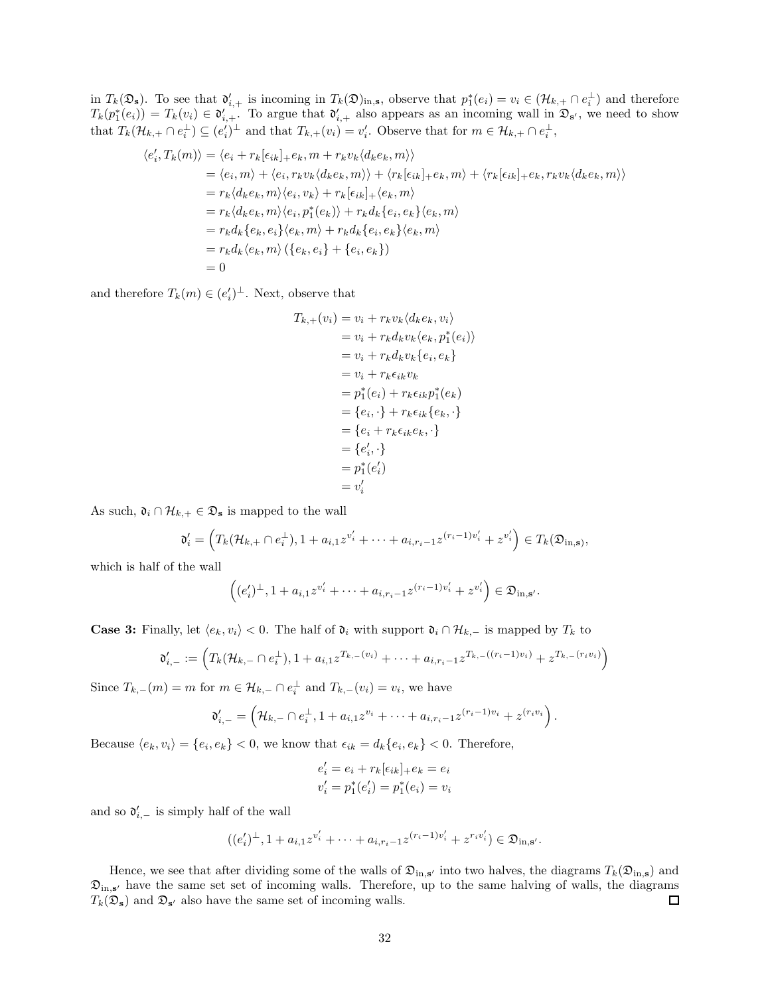in  $T_k(\mathfrak{D}_s)$ . To see that  $\mathfrak{d}'_{i,+}$  is incoming in  $T_k(\mathfrak{D})_{{\rm in},s}$ , observe that  $p_1^*(e_i) = v_i \in (\mathcal{H}_{k,+} \cap e_i^{\perp})$  and therefore  $T_k(p_1^*(e_i)) = T_k(v_i) \in \mathfrak{d}'_{i,+}$ . To argue that  $\mathfrak{d}'_{i,+}$  also appears as an incoming wall in  $\mathfrak{D}_{s'}$ , we need to show that  $T_k(\mathcal{H}_{k,+} \cap e_i^{\perp}) \subseteq (e_i')^{\perp}$  and that  $T_{k,+}(v_i) = v_i'$ . Observe that for  $m \in \mathcal{H}_{k,+} \cap e_i^{\perp}$ ,

$$
\langle e'_i, T_k(m) \rangle = \langle e_i + r_k[\epsilon_{ik}]_+ e_k, m + r_k v_k \langle d_k e_k, m \rangle \rangle
$$
  
\n
$$
= \langle e_i, m \rangle + \langle e_i, r_k v_k \langle d_k e_k, m \rangle \rangle + \langle r_k[\epsilon_{ik}]_+ e_k, m \rangle + \langle r_k[\epsilon_{ik}]_+ e_k, r_k v_k \langle d_k e_k, m \rangle \rangle
$$
  
\n
$$
= r_k \langle d_k e_k, m \rangle \langle e_i, v_k \rangle + r_k[\epsilon_{ik}]_+ \langle e_k, m \rangle
$$
  
\n
$$
= r_k \langle d_k e_k, m \rangle \langle e_i, p_1^*(e_k) \rangle + r_k d_k \{ e_i, e_k \} \langle e_k, m \rangle
$$
  
\n
$$
= r_k d_k \{ e_k, e_i \} \langle e_k, m \rangle + r_k d_k \{ e_i, e_k \} \langle e_k, m \rangle
$$
  
\n
$$
= r_k d_k \langle e_k, m \rangle \left( \{ e_k, e_i \} + \{ e_i, e_k \} \right)
$$
  
\n
$$
= 0
$$

and therefore  $T_k(m) \in (e_i')^{\perp}$ . Next, observe that

$$
T_{k,+}(v_i) = v_i + r_k v_k \langle d_k e_k, v_i \rangle
$$
  
=  $v_i + r_k d_k v_k \langle e_k, p_1^*(e_i) \rangle$   
=  $v_i + r_k d_k v_k \{e_i, e_k\}$   
=  $v_i + r_k \epsilon_{ik} v_k$   
=  $p_1^*(e_i) + r_k \epsilon_{ik} p_1^*(e_k)$   
=  $\{e_i, \cdot\} + r_k \epsilon_{ik} \{e_k, \cdot\}$   
=  $\{e_i + r_k \epsilon_{ik} e_k, \cdot\}$   
=  $\{e'_i, \cdot\}$   
=  $p_1^*(e'_i)$   
=  $v'_i$ 

As such,  $\mathfrak{d}_i \cap \mathcal{H}_{k,+} \in \mathfrak{D}_s$  is mapped to the wall

$$
\mathfrak{d}'_i = \left( T_k(\mathcal{H}_{k,+} \cap e_i^{\perp}), 1 + a_{i,1} z^{v_i'} + \cdots + a_{i,r_i-1} z^{(r_i-1)v_i'} + z^{v_i'} \right) \in T_k(\mathfrak{D}_{\text{in},\mathbf{s}}),
$$

which is half of the wall

$$
((e'_i)^{\perp}, 1 + a_{i,1}z^{v'_i} + \cdots + a_{i,r_i-1}z^{(r_i-1)v'_i} + z^{v'_i}) \in \mathfrak{D}_{\mathrm{in},\mathbf{s}'}.
$$

**Case 3:** Finally, let  $\langle e_k, v_i \rangle < 0$ . The half of  $\mathfrak{d}_i$  with support  $\mathfrak{d}_i \cap \mathcal{H}_{k-1}$  is mapped by  $T_k$  to

$$
\mathfrak{d}'_{i,-} := \left( T_k(\mathcal{H}_{k,-} \cap e_i^{\perp}), 1 + a_{i,1} z^{T_{k,-}(v_i)} + \cdots + a_{i,r_i-1} z^{T_{k,-}((r_i-1)v_i)} + z^{T_{k,-}(r_i v_i)} \right)
$$

Since  $T_{k,-}(m) = m$  for  $m \in \mathcal{H}_{k,-} \cap e_i^{\perp}$  and  $T_{k,-}(v_i) = v_i$ , we have

$$
\mathfrak{d}'_{i,-} = \left(\mathcal{H}_{k,-} \cap e_i^{\perp}, 1 + a_{i,1} z^{v_i} + \cdots + a_{i,r_i-1} z^{(r_i-1)v_i} + z^{(r_i v_i}\right).
$$

Because  $\langle e_k, v_i \rangle = \{e_i, e_k\} < 0$ , we know that  $\epsilon_{ik} = d_k \{e_i, e_k\} < 0$ . Therefore,

$$
e'_{i} = e_{i} + r_{k}[e_{ik}]_{+}e_{k} = e_{i}
$$
  

$$
v'_{i} = p_{1}^{*}(e'_{i}) = p_{1}^{*}(e_{i}) = v_{i}
$$

and so  $\mathfrak{d}'_{i,-}$  is simply half of the wall

$$
((e_i')^{\perp}, 1 + a_{i,1}z^{v_i'} + \cdots + a_{i,r_i-1}z^{(r_i-1)v_i'} + z^{r_iv_i'}) \in \mathfrak{D}_{\text{in},\mathbf{s}'}.
$$

Hence, we see that after dividing some of the walls of  $\mathfrak{D}_{\text{in},s'}$  into two halves, the diagrams  $T_k(\mathfrak{D}_{\text{in},s})$  and  $\mathfrak{D}_{\text{in},s'}$  have the same set set of incoming walls. Therefore, up to the same halving of walls, the diagrams  $\Box$  $T_k(\mathfrak{D}_s)$  and  $\mathfrak{D}_{s'}$  also have the same set of incoming walls.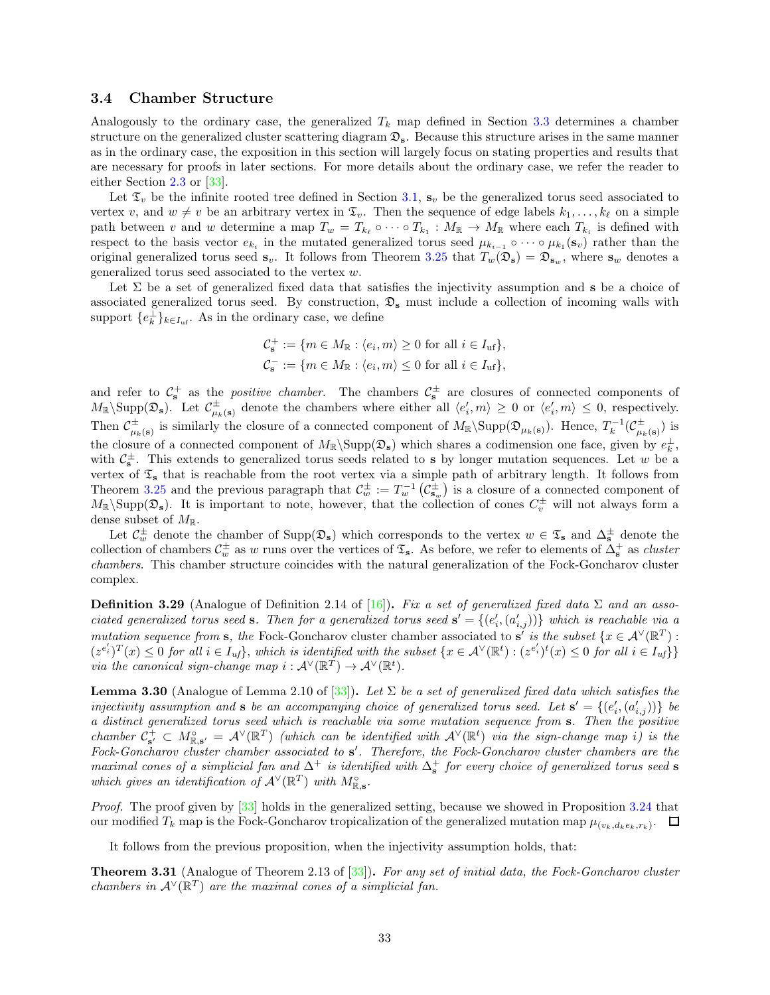### <span id="page-32-0"></span>3.4 Chamber Structure

Analogously to the ordinary case, the generalized  $T_k$  map defined in Section [3.3](#page-25-0) determines a chamber structure on the generalized cluster scattering diagram  $\mathfrak{D}_s$ . Because this structure arises in the same manner as in the ordinary case, the exposition in this section will largely focus on stating properties and results that are necessary for proofs in later sections. For more details about the ordinary case, we refer the reader to either Section [2.3](#page-12-1) or [\[33](#page-57-6)].

Let  $\mathfrak{T}_v$  be the infinite rooted tree defined in Section [3.1,](#page-16-1)  $\mathbf{s}_v$  be the generalized torus seed associated to vertex v, and  $w \neq v$  be an arbitrary vertex in  $\mathfrak{T}_v$ . Then the sequence of edge labels  $k_1, \ldots, k_\ell$  on a simple path between v and w determine a map  $T_w = T_{k_\ell} \circ \cdots \circ T_{k_1} : M_{\mathbb{R}} \to M_{\mathbb{R}}$  where each  $T_{k_i}$  is defined with respect to the basis vector  $e_{k_i}$  in the mutated generalized torus seed  $\mu_{k_{i-1}} \circ \cdots \circ \mu_{k_1}(\mathbf{s}_v)$  rather than the original generalized torus seed  $\mathbf{s}_v$ . It follows from Theorem [3.25](#page-27-0) that  $T_w(\mathfrak{D}_s) = \mathfrak{D}_{\mathbf{s}_w}$ , where  $\mathbf{s}_w$  denotes a generalized torus seed associated to the vertex w.

Let  $\Sigma$  be a set of generalized fixed data that satisfies the injectivity assumption and s be a choice of associated generalized torus seed. By construction,  $\mathfrak{D}_s$  must include a collection of incoming walls with support  $\{e_k^{\perp}\}_{k\in I_{\text{uf}}}$ . As in the ordinary case, we define

$$
\mathcal{C}_{\mathbf{s}}^+ := \{ m \in M_{\mathbb{R}} : \langle e_i, m \rangle \ge 0 \text{ for all } i \in I_{\text{uf}} \},
$$
  

$$
\mathcal{C}_{\mathbf{s}}^- := \{ m \in M_{\mathbb{R}} : \langle e_i, m \rangle \le 0 \text{ for all } i \in I_{\text{uf}} \},
$$

and refer to  $\mathcal{C}_s^+$  as the *positive chamber*. The chambers  $\mathcal{C}_s^{\pm}$  are closures of connected components of  $M_{\mathbb{R}}\backslash \text{Supp}(\mathfrak{D}_s)$ . Let  $\mathcal{C}_{\mu_k(s)}^{\pm}$  denote the chambers where either all  $\langle e'_i, m \rangle \geq 0$  or  $\langle e'_i, m \rangle \leq 0$ , respectively. Then  $\mathcal{C}_{\mu_k(\mathbf{s})}^{\pm}$  is similarly the closure of a connected component of  $M_{\mathbb{R}}\backslash \text{Supp}(\mathfrak{D}_{\mu_k(\mathbf{s})})$ . Hence,  $T_k^{-1}(\mathcal{C}_{\mu_k(\mathbf{s})}^{\pm})$  is the closure of a connected component of  $M_{\mathbb{R}}\backslash \text{Supp}(\mathfrak{D}_s)$  which shares a codimension one face, given by  $e_k^{\perp}$ , with  $\mathcal{C}_s^{\pm}$ . This extends to generalized torus seeds related to s by longer mutation sequences. Let w be a vertex of  $\mathfrak{T}_s$  that is reachable from the root vertex via a simple path of arbitrary length. It follows from Theorem [3.25](#page-27-0) and the previous paragraph that  $\mathcal{C}_w^{\pm} := T_w^{-1} \left( \mathcal{C}_{s_w}^{\pm} \right)$  is a closure of a connected component of  $M_{\mathbb{R}}\backslash \text{Supp}(\mathcal{D}_s)$ . It is important to note, however, that the collection of cones  $C_v^{\pm}$  will not always form a dense subset of  $M_{\mathbb{R}}$ .

Let  $\mathcal{C}_w^{\pm}$  denote the chamber of  $\text{Supp}(\mathfrak{D}_s)$  which corresponds to the vertex  $w \in \mathfrak{T}_s$  and  $\Delta_s^{\pm}$  denote the collection of chambers  $\mathcal{C}_w^{\pm}$  as w runs over the vertices of  $\mathfrak{T}_s$ . As before, we refer to elements of  $\Delta_s^+$  as *cluster* chambers. This chamber structure coincides with the natural generalization of the Fock-Goncharov cluster complex.

**Definition 3.29** (Analogue of Definition 2.14 of [\[16](#page-56-8)]). Fix a set of generalized fixed data  $\Sigma$  and an associated generalized torus seed s. Then for a generalized torus seed  $s' = \{(e'_i, (a'_{i,j}))\}$  which is reachable via a mutation sequence from s, the Fock-Goncharov cluster chamber associated to s' is the subset  $\{x \in A^{\vee}(\mathbb{R}^T) :$  $(z^{e'_i})^T(x) \leq 0$  for all  $i \in I_{uf}$ , which is identified with the subset  $\{x \in A^{\vee}(\mathbb{R}^t) : (z^{e'_i})^t(x) \leq 0$  for all  $i \in I_{uf}$ via the canonical sign-change map  $i : \mathcal{A}^{\vee}(\mathbb{R}^T) \to \mathcal{A}^{\vee}(\mathbb{R}^t)$ .

<span id="page-32-1"></span>**Lemma 3.30** (Analogue of Lemma 2.10 of [\[33](#page-57-6)]). Let  $\Sigma$  be a set of generalized fixed data which satisfies the injectivity assumption and s be an accompanying choice of generalized torus seed. Let  $s' = \{(e'_i, (a'_{i,j}))\}$  be a distinct generalized torus seed which is reachable via some mutation sequence from s. Then the positive chamber  $C_{s'}^+ \subset M_{\mathbb{R},s'}^{\circ} = A^{\vee}(\mathbb{R}^T)$  (which can be identified with  $A^{\vee}(\mathbb{R}^t)$  via the sign-change map i) is the Fock-Goncharov cluster chamber associated to s'. Therefore, the Fock-Goncharov cluster chambers are the maximal cones of a simplicial fan and  $\Delta^+$  is identified with  $\Delta^+_{\bf s}$  for every choice of generalized torus seed  ${\bf s}$ which gives an identification of  $\mathcal{A}^{\vee}(\mathbb{R}^T)$  with  $M^{\circ}_{\mathbb{R},\mathbf{s}}$ .

Proof. The proof given by [\[33](#page-57-6)] holds in the generalized setting, because we showed in Proposition [3.24](#page-27-1) that our modified  $T_k$  map is the Fock-Goncharov tropicalization of the generalized mutation map  $\mu_{(v_k,d_ke_k,r_k)}$ .  $\Box$ 

It follows from the previous proposition, when the injectivity assumption holds, that:

<span id="page-32-2"></span>**Theorem 3.31** (Analogue of Theorem 2.13 of  $[33]$ ). For any set of initial data, the Fock-Goncharov cluster chambers in  $\mathcal{A}^{\vee}(\mathbb{R}^T)$  are the maximal cones of a simplicial fan.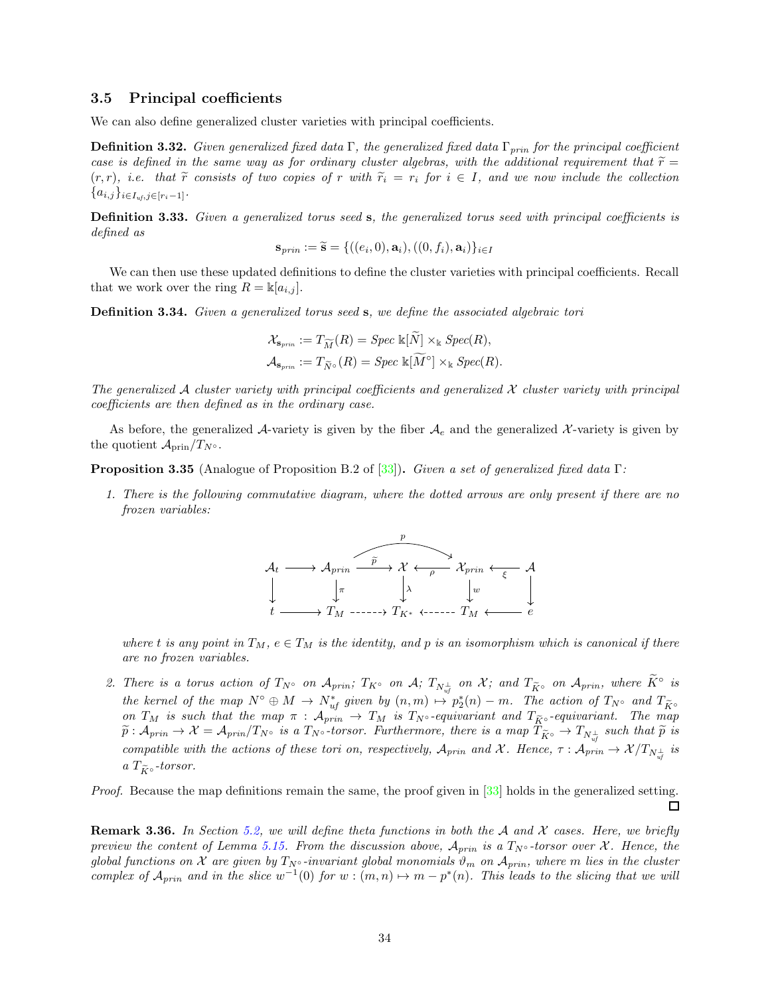### <span id="page-33-0"></span>3.5 Principal coefficients

We can also define generalized cluster varieties with principal coefficients.

**Definition 3.32.** Given generalized fixed data Γ, the generalized fixed data  $\Gamma_{prin}$  for the principal coefficient case is defined in the same way as for ordinary cluster algebras, with the additional requirement that  $\tilde{r} =$  $(r, r)$ , i.e. that  $\tilde{r}$  consists of two copies of r with  $\tilde{r}_i = r_i$  for  $i \in I$ , and we now include the collection  ${a_{i,j}}_{i\in I_{uf},j\in[r_i-1]}$ .

Definition 3.33. Given a generalized torus seed s, the generalized torus seed with principal coefficients is defined as

$$
\mathbf{s}_{prin} := \widetilde{\mathbf{s}} = \{((e_i, 0), \mathbf{a}_i), ((0, f_i), \mathbf{a}_i)\}_{i \in I}
$$

We can then use these updated definitions to define the cluster varieties with principal coefficients. Recall that we work over the ring  $R = \mathbb{k}[a_{i,j}]$ .

Definition 3.34. Given a generalized torus seed s, we define the associated algebraic tori

$$
\mathcal{X}_{\mathbf{s}_{prin}} := T_{\widetilde{M}}(R) = \operatorname{Spec} \, \Bbbk[N] \times_{\Bbbk} \operatorname{Spec}(R),
$$
  

$$
\mathcal{A}_{\mathbf{s}_{prin}} := T_{\widetilde{N}^{\circ}}(R) = \operatorname{Spec} \, \Bbbk[\widetilde{M}^{\circ}] \times_{\Bbbk} \operatorname{Spec}(R).
$$

The generalized  $A$  cluster variety with principal coefficients and generalized  $X$  cluster variety with principal coefficients are then defined as in the ordinary case.

As before, the generalized A-variety is given by the fiber  $A_e$  and the generalized X-variety is given by the quotient  $\mathcal{A}_{\text{prin}}/T_{N^{\circ}}$ .

Proposition 3.35 (Analogue of Proposition B.2 of [\[33](#page-57-6)]). Given a set of generalized fixed data Γ:

1. There is the following commutative diagram, where the dotted arrows are only present if there are no frozen variables:



where t is any point in  $T_M$ ,  $e \in T_M$  is the identity, and p is an isomorphism which is canonical if there are no frozen variables.

2. There is a torus action of  $T_{N}$ ° on  $\mathcal{A}_{prin}$ ;  $T_{K}$ ° on  $\mathcal{A}$ ;  $T_{N\frac{1}{uf}}$  on  $\mathcal{X}$ ; and  $T_{\widetilde{K}}$ ° on  $\mathcal{A}_{prin}$ , where  $\widetilde{K}$ ° is the kernel of the map  $N^{\circ} \oplus M \to N^*_{uf}$  given by  $(n,m) \mapsto p_2^*(n) - m$ . The action of  $T_{N^{\circ}}$  and  $T_{\widetilde{K}^{\circ}}$ on  $T_M$  is such that the map  $\pi$  :  $\mathcal{A}_{prin} \to T_M$  is  $T_{N} \circ$ -equivariant and  $T_{\widetilde{K}} \circ$ -equivariant. The map  $\widetilde{p} : \mathcal{A}_{prin} \to \mathcal{X} = \mathcal{A}_{prin}/T_{N} \circ \text{ is a } T_{N} \circ \text{-torsor.}$  Furthermore, there is a map  $T_{\widetilde{K}} \circ \to T_{N_{uf}^{\perp}}$  such that  $\widetilde{p}$  is compatible with the actions of these tori on, respectively,  $A_{prin}$  and X. Hence,  $\tau : A_{prin} \to \mathcal{X}/T_{N_{uf}^{\perp}}$  is a  $T_{\widetilde{K}^\circ}$ -torsor.

Proof. Because the map definitions remain the same, the proof given in [\[33](#page-57-6)] holds in the generalized setting.  $\Box$ 

<span id="page-33-1"></span>**Remark 3.36.** In Section [5.2,](#page-48-0) we will define theta functions in both the A and X cases. Here, we briefly preview the content of Lemma [5.15.](#page-48-1) From the discussion above,  $A_{prin}$  is a  $T_{N} \circ$ -torsor over X. Hence, the global functions on X are given by  $T_{N} \circ$ -invariant global monomials  $\vartheta_m$  on  $\mathcal{A}_{prin}$ , where m lies in the cluster complex of  $\mathcal{A}_{prin}$  and in the slice  $w^{-1}(0)$  for  $w:(m,n) \mapsto m-p^*(n)$ . This leads to the slicing that we will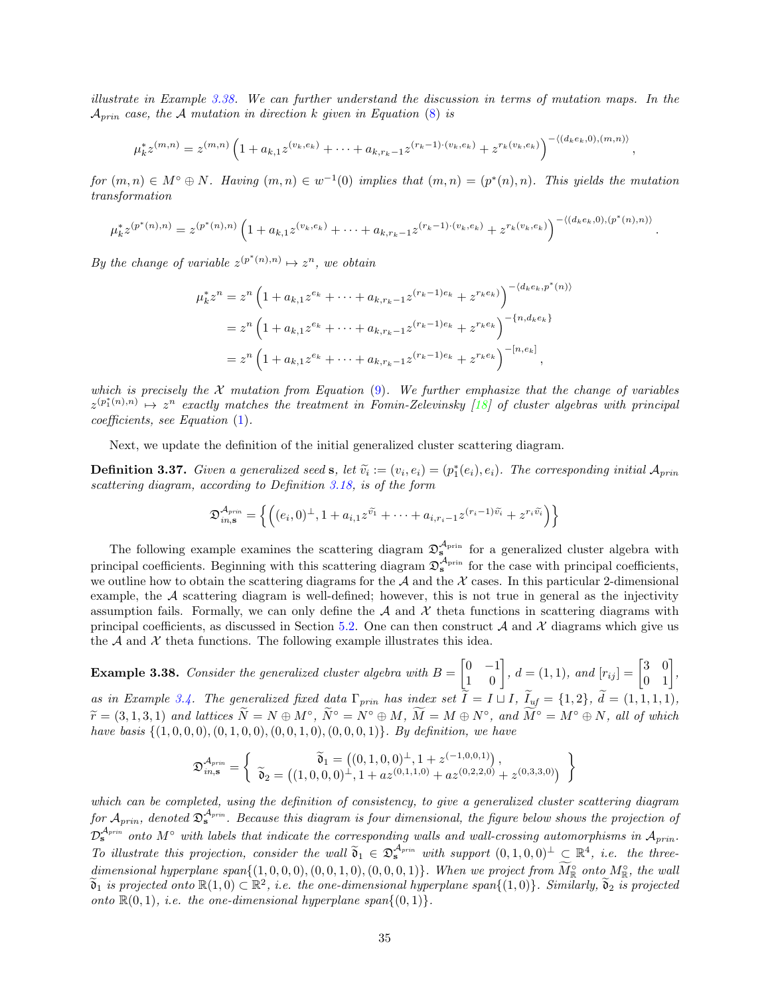illustrate in Example [3.38.](#page-34-0) We can further understand the discussion in terms of mutation maps. In the  $A_{prin}$  case, the A mutation in direction k given in Equation [\(8\)](#page-18-0) is

$$
\mu_k^* z^{(m,n)} = z^{(m,n)} \left( 1 + a_{k,1} z^{(v_k, e_k)} + \dots + a_{k,r_k-1} z^{(r_k-1)\cdot(v_k, e_k)} + z^{r_k(v_k, e_k)} \right)^{-\langle (d_k e_k, 0), (m,n) \rangle}
$$

,

.

for  $(m, n) \in M^{\circ} \oplus N$ . Having  $(m, n) \in w^{-1}(0)$  implies that  $(m, n) = (p^{*}(n), n)$ . This yields the mutation transformation

$$
\mu_k^* z^{(p^*(n),n)} = z^{(p^*(n),n)} \left( 1 + a_{k,1} z^{(v_k,e_k)} + \dots + a_{k,r_k-1} z^{(r_k-1)\cdot(v_k,e_k)} + z^{r_k(v_k,e_k)} \right)^{-\langle (d_ke_k,0),(p^*(n),n) \rangle}
$$

By the change of variable  $z^{(p^*(n),n)} \mapsto z^n$ , we obtain

$$
\mu_k^* z^n = z^n \left( 1 + a_{k,1} z^{e_k} + \dots + a_{k,r_k - 1} z^{(r_k - 1)e_k} + z^{r_k e_k} \right)^{-\langle d_k e_k, p^*(n) \rangle}
$$
  
= 
$$
z^n \left( 1 + a_{k,1} z^{e_k} + \dots + a_{k,r_k - 1} z^{(r_k - 1)e_k} + z^{r_k e_k} \right)^{-\{n, d_k e_k\}}
$$
  
= 
$$
z^n \left( 1 + a_{k,1} z^{e_k} + \dots + a_{k,r_k - 1} z^{(r_k - 1)e_k} + z^{r_k e_k} \right)^{-[n,e_k]},
$$

which is precisely the X mutation from Equation [\(9\)](#page-18-1). We further emphasize that the change of variables  $z^{(p_1^*(n),n)} \mapsto z^n$  exactly matches the treatment in Fomin-Zelevinsky [\[18](#page-56-18)] of cluster algebras with principal coefficients, see Equation [\(1\)](#page-4-1).

Next, we update the definition of the initial generalized cluster scattering diagram.

**Definition 3.37.** Given a generalized seed **s**, let  $\tilde{v}_i := (v_i, e_i) = (p_1^*(e_i), e_i)$ . The corresponding initial  $A_{prin}$ scattering diagram, according to Definition [3.18,](#page-22-0) is of the form

$$
\mathfrak{D}_{in,\mathbf{s}}^{\mathcal{A}_{prin}} = \left\{ \left( (e_i,0)^\perp, 1 + a_{i,1} z^{\widetilde{v}_1} + \cdots + a_{i,r_i-1} z^{(r_i-1)\widetilde{v}_i} + z^{r_i \widetilde{v}_i} \right) \right\}
$$

The following example examines the scattering diagram  $\mathfrak{D}_{s}^{\mathcal{A}_{\text{prin}}}$  for a generalized cluster algebra with principal coefficients. Beginning with this scattering diagram  $\mathfrak{D}_s^{\mathcal{A}_{prin}}$  for the case with principal coefficients, we outline how to obtain the scattering diagrams for the  $A$  and the  $X$  cases. In this particular 2-dimensional example, the  $A$  scattering diagram is well-defined; however, this is not true in general as the injectivity assumption fails. Formally, we can only define the  $A$  and  $X$  theta functions in scattering diagrams with principal coefficients, as discussed in Section [5.2.](#page-48-0) One can then construct A and X diagrams which give us the  $A$  and  $X$  theta functions. The following example illustrates this idea.

<span id="page-34-0"></span>**Example 3.38.** Consider the generalized cluster algebra with  $B =$  $\begin{bmatrix} 0 & -1 \\ 1 & 0 \end{bmatrix}$ ,  $d = (1, 1)$ , and  $[r_{ij}] = \begin{bmatrix} 3 & 0 \\ 0 & 1 \end{bmatrix}$ , as in Example [3.4.](#page-17-2) The generalized fixed data  $\Gamma_{prin}$  has index set  $\widetilde{I} = I \sqcup I$ ,  $\widetilde{I}_{uf} = \{1,2\}$ ,  $\widetilde{d} = (1,1,1,1)$ ,  $\widetilde{r} = (3, 1, 3, 1)$  and lattices  $\widetilde{N} = N \oplus M^{\circ}$ ,  $\widetilde{N}^{\circ} = N^{\circ} \oplus M$ ,  $\widetilde{M} = M \oplus N^{\circ}$ , and  $\widetilde{M}^{\circ} = M^{\circ} \oplus N$ , all of which have basis  $\{(1, 0, 0, 0), (0, 1, 0, 0), (0, 0, 1, 0), (0, 0, 0, 1)\}$ . By definition, we have

$$
\mathfrak{D}^{\mathcal{A}_{prin}}_{\mathit{in},\mathbf{s}} = \left\{\begin{array}{c} \widetilde{\mathfrak{d}}_1 = \left((0,1,0,0)^{\perp}, 1 + z^{(-1,0,0,1)}\right), \\ \widetilde{\mathfrak{d}}_2 = \left((1,0,0,0)^{\perp}, 1 + az^{(0,1,1,0)} + az^{(0,2,2,0)} + z^{(0,3,3,0)}\right) \end{array}\right\}
$$

which can be completed, using the definition of consistency, to give a generalized cluster scattering diagram for  $A_{prin}$ , denoted  $\mathfrak{D}_\mathbf{s}^{A_{prin}}$ . Because this diagram is four dimensional, the figure below shows the projection of  $\mathcal{D}_s^{\mathcal{A}_{prin}}$  onto  $M^{\circ}$  with labels that indicate the corresponding walls and wall-crossing automorphisms in  $\mathcal{A}_{prin}$ . To illustrate this projection, consider the wall  $\widetilde{\mathfrak{d}}_1 \in \mathfrak{D}_s^{\mathcal{A}_{prin}}$  with support  $(0,1,0,0)^\perp \subset \mathbb{R}^4$ , i.e. the threedimensional hyperplane span $\{ (1,0,0,0), (0,0,1,0), (0,0,0,1) \}$ . When we project from  $\tilde{M}_{\mathbb{R}}^{\circ}$  onto  $M_{\mathbb{R}}^{\circ}$ , the wall  $\widetilde{\mathfrak{d}}_1$  is projected onto  $\mathbb{R}(1,0) \subset \mathbb{R}^2$ , i.e. the one-dimensional hyperplane span $\{(1,0)\}$ . Similarly,  $\widetilde{\mathfrak{d}}_2$  is projected onto  $\mathbb{R}(0,1)$ , *i.e.* the one-dimensional hyperplane span $\{(0,1)\}.$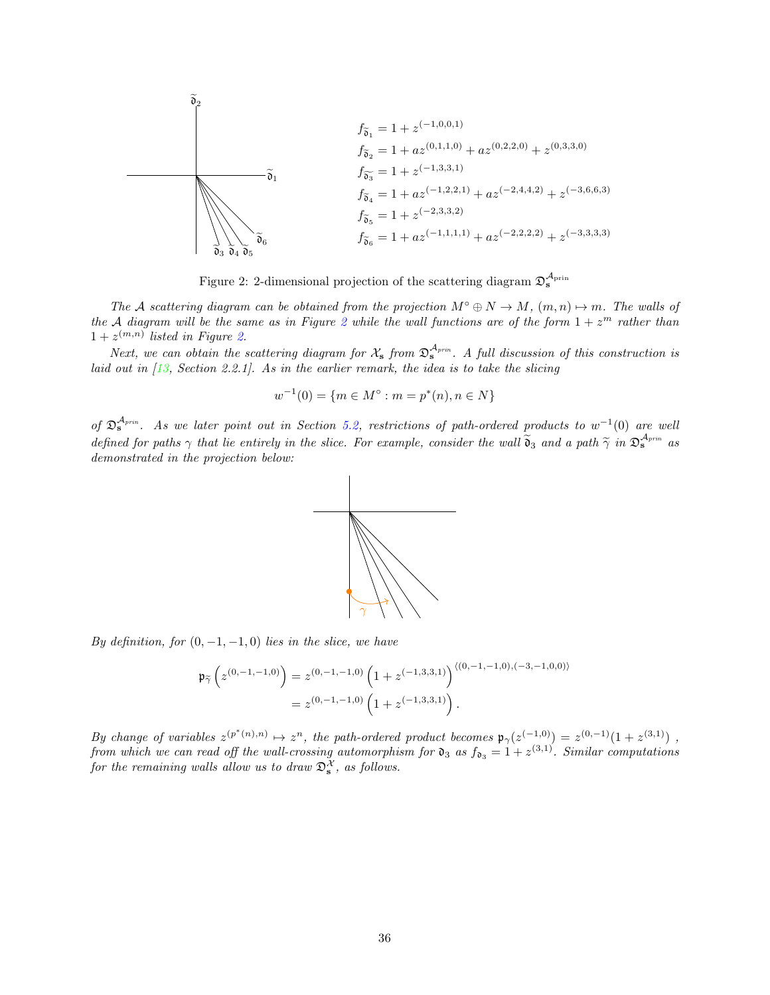$$
\begin{array}{c}\n\delta_2 \\
f_{\widetilde{\mathfrak{d}}_1} = 1 + z^{(-1,0,0,1)} \\
f_{\widetilde{\mathfrak{d}}_2} = 1 + az^{(0,1,1,0)} + az^{(0,2,2,0)} + z^{(0,3,3,0)} \\
\delta_1 \\
f_{\widetilde{\mathfrak{d}}_3} = 1 + z^{(-1,3,3,1)} \\
f_{\widetilde{\mathfrak{d}}_4} = 1 + az^{(-1,2,2,1)} + az^{(-2,4,4,2)} + z^{(-3,6,6,3)} \\
f_{\widetilde{\mathfrak{d}}_5} = 1 + z^{(-2,3,3,2)} \\
f_{\widetilde{\mathfrak{d}}_6} = 1 + az^{(-1,1,1,1)} + az^{(-2,2,2,2)} + z^{(-3,3,3,3)}\n\end{array}
$$

<span id="page-35-0"></span>Figure 2: 2-dimensional projection of the scattering diagram  $\mathfrak{D}^{\mathcal{A}_{\text{prin}}}_{s}$ 

The A scattering diagram can be obtained from the projection  $M^{\circ} \oplus N \to M$ ,  $(m, n) \mapsto m$ . The walls of the A diagram will be the same as in Figure [2](#page-35-0) while the wall functions are of the form  $1 + z<sup>m</sup>$  rather than  $1+z^{(m,n)}$  listed in Figure [2.](#page-35-0)

Next, we can obtain the scattering diagram for  $\mathcal{X}_s$  from  $\mathfrak{D}_s^{\mathcal{A}_{prin}}$ . A full discussion of this construction is laid out in  $\langle 13, \text{ Section } 2.2.1 \rangle$ . As in the earlier remark, the idea is to take the slicing

$$
w^{-1}(0) = \{ m \in M^{\circ} : m = p^*(n), n \in N \}
$$

of  $\mathfrak{D}_{\mathbf{s}}^{\mathcal{A}_{prin}}$ . As we later point out in Section [5.2,](#page-48-0) restrictions of path-ordered products to  $w^{-1}(0)$  are well defined for paths  $\gamma$  that lie entirely in the slice. For example, consider the wall  $\widetilde{\mathfrak{d}}_3$  and a path  $\widetilde{\gamma}$  in  $\mathfrak{D}_s^{\mathcal{A}_{prin}}$  as demonstrated in the projection below:



By definition, for  $(0, -1, -1, 0)$  lies in the slice, we have

$$
\mathfrak{p}_{\widetilde{\gamma}}\left(z^{(0,-1,-1,0)}\right) = z^{(0,-1,-1,0)}\left(1+z^{(-1,3,3,1)}\right)^{\langle(0,-1,-1,0),(-3,-1,0,0)\rangle}
$$

$$
= z^{(0,-1,-1,0)}\left(1+z^{(-1,3,3,1)}\right).
$$

By change of variables  $z^{(p^*(n),n)} \mapsto z^n$ , the path-ordered product becomes  $\mathfrak{p}_{\gamma}(z^{(-1,0)}) = z^{(0,-1)}(1+z^{(3,1)})$ , from which we can read off the wall-crossing automorphism for  $\mathfrak{d}_3$  as  $f_{\mathfrak{d}_3} = 1 + z^{(3,1)}$ . Similar computations for the remaining walls allow us to draw  $\mathfrak{D}_s^{\mathcal{X}},$  as follows.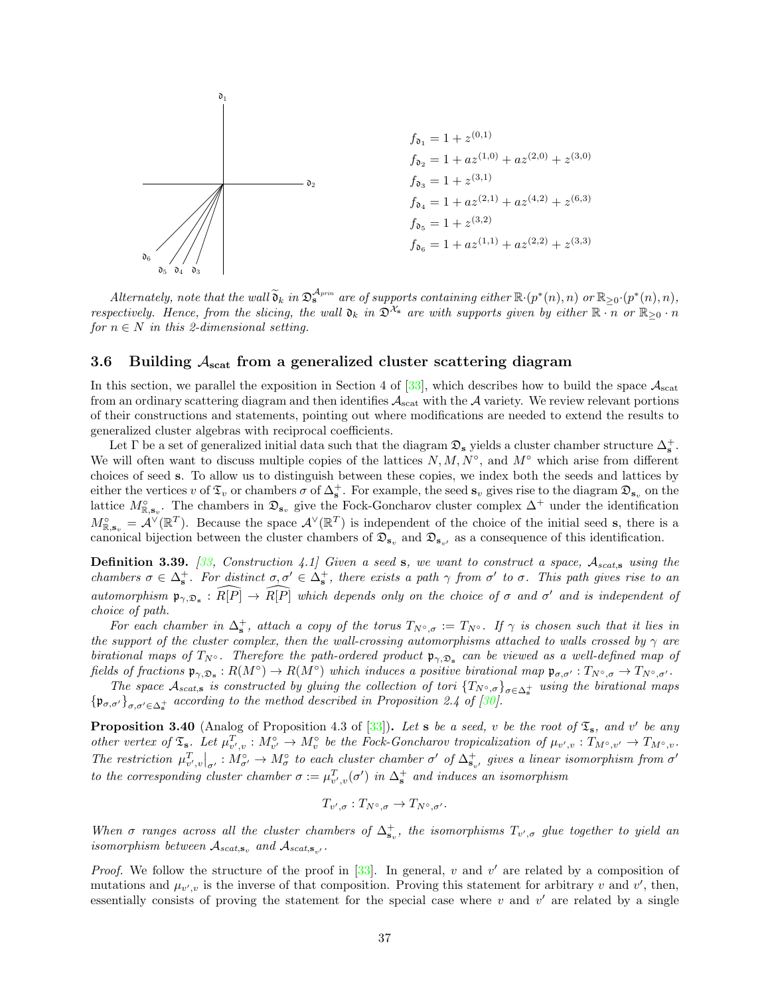

 $Alternatively, note that the wall  $\tilde{\mathfrak{d}}_k$  in  $\mathfrak{D}_s^{\mathcal{A}_{prin}}$  are of supports containing either  $\mathbb{R} \cdot (p^*(n), n)$  or  $\mathbb{R}_{\geq 0} \cdot (p^*(n), n)$ ,$ respectively. Hence, from the slicing, the wall  $\mathfrak{d}_k$  in  $\mathfrak{D}^{\mathcal{X}_s}$  are with supports given by either  $\mathbb{R} \cdot \mathbb{n}$  or  $\mathbb{R}_{\geq 0} \cdot \mathbb{n}$ for  $n \in N$  in this 2-dimensional setting.

### <span id="page-36-0"></span>3.6 Building  $A_{\text{scat}}$  from a generalized cluster scattering diagram

In this section, we parallel the exposition in Section 4 of  $[33]$ , which describes how to build the space  $A_{\text{scat}}$ from an ordinary scattering diagram and then identifies  $A_{scat}$  with the A variety. We review relevant portions of their constructions and statements, pointing out where modifications are needed to extend the results to generalized cluster algebras with reciprocal coefficients.

Let  $\Gamma$  be a set of generalized initial data such that the diagram  $\mathfrak{D}_s$  yields a cluster chamber structure  $\Delta_s^+$ . We will often want to discuss multiple copies of the lattices  $N, M, N^{\circ}$ , and  $M^{\circ}$  which arise from different choices of seed s. To allow us to distinguish between these copies, we index both the seeds and lattices by either the vertices v of  $\mathfrak{T}_v$  or chambers  $\sigma$  of  $\Delta_s^+$ . For example, the seed  $\mathbf{s}_v$  gives rise to the diagram  $\mathfrak{D}_{\mathbf{s}_v}$  on the lattice  $M_{\mathbb{R},\mathbf{s}_v}^{\circ}$ . The chambers in  $\mathfrak{D}_{\mathbf{s}_v}$  give the Fock-Goncharov cluster complex  $\Delta^+$  under the identification  $M_{\mathbb{R},\mathbf{s}_v}^{\circ} = \mathcal{A}^{\vee}(\mathbb{R}^T)$ . Because the space  $\mathcal{A}^{\vee}(\mathbb{R}^T)$  is independent of the choice of the initial seed **s**, there is a canonical bijection between the cluster chambers of  $\mathfrak{D}_{s_v}$  and  $\mathfrak{D}_{s_v'}$  as a consequence of this identification.

**Definition 3.39.** [\[33,](#page-57-6) Construction 4.1] Given a seed s, we want to construct a space,  $A_{scats}$  using the chambers  $\sigma \in \Delta_s^+$ . For distinct  $\sigma, \sigma' \in \Delta_s^+$ , there exists a path  $\gamma$  from  $\sigma'$  to  $\sigma$ . This path gives rise to an automorphism  $\mathfrak{p}_{\gamma, \mathfrak{D}_s} : \widehat{R[P]} \to \widehat{R[P]}$  which depends only on the choice of  $\sigma$  and  $\sigma'$  and is independent of choice of path.

For each chamber in  $\Delta_s^+$ , attach a copy of the torus  $T_{N^{\circ},\sigma} := T_{N^{\circ}}$ . If  $\gamma$  is chosen such that it lies in the support of the cluster complex, then the wall-crossing automorphisms attached to walls crossed by  $\gamma$  are birational maps of  $T_{N} \circ$ . Therefore the path-ordered product  $\mathfrak{p}_{\gamma, \mathfrak{D}_{s}}$  can be viewed as a well-defined map of fields of fractions  $\mathfrak{p}_{\gamma, \mathfrak{D}_s}: R(M^{\circ}) \to R(M^{\circ})$  which induces a positive birational map  $\mathfrak{p}_{\sigma, \sigma'}: T_{N^{\circ}, \sigma} \to T_{N^{\circ}, \sigma'}$ .

The space  $\mathcal{A}_{scat,s}$  is constructed by gluing the collection of tori  $\{T_{N^{\circ},\sigma}\}_{\sigma\in\Delta_{\mathbf{s}}^+}$  using the birational maps  $\{\mathfrak{p}_{\sigma,\sigma'}\}_{\sigma,\sigma'\in\Delta_{\mathfrak{s}}}$  according to the method described in Proposition 2.4 of [\[30\]](#page-57-20).

<span id="page-36-1"></span>**Proposition 3.40** (Analog of Proposition 4.3 of  $[33]$ ). Let s be a seed, v be the root of  $\mathfrak{T}_s$ , and v' be any other vertex of  $\mathfrak{T}_s$ . Let  $\mu^T_{v',v}: M^{\circ}_{v'} \to M^{\circ}_v$  be the Fock-Goncharov tropicalization of  $\mu_{v',v}: T_{M^{\circ},v'} \to T_{M^{\circ},v}$ . The restriction  $\mu_{v',v}^T|_{\sigma'} : M_{\sigma'}^{\circ} \to M_{\sigma}^{\circ}$  to each cluster chamber  $\sigma'$  of  $\Delta_{\mathbf{s}_{v'}}^+$  gives a linear isomorphism from  $\sigma'$ to the corresponding cluster chamber  $\sigma := \mu_{v',v}^T(\sigma')$  in  $\Delta_s^+$  and induces an isomorphism

$$
T_{v',\sigma}:T_{N^{\circ},\sigma}\to T_{N^{\circ},\sigma'}.
$$

When  $\sigma$  ranges across all the cluster chambers of  $\Delta_{s_v}^+$ , the isomorphisms  $T_{v',\sigma}$  glue together to yield an isomorphism between  $A_{scat, \mathbf{s}_v}$  and  $A_{scat, \mathbf{s}_v}$ .

*Proof.* We follow the structure of the proof in  $[33]$ . In general, v and v' are related by a composition of mutations and  $\mu_{v',v}$  is the inverse of that composition. Proving this statement for arbitrary v and v', then, essentially consists of proving the statement for the special case where  $v$  and  $v'$  are related by a single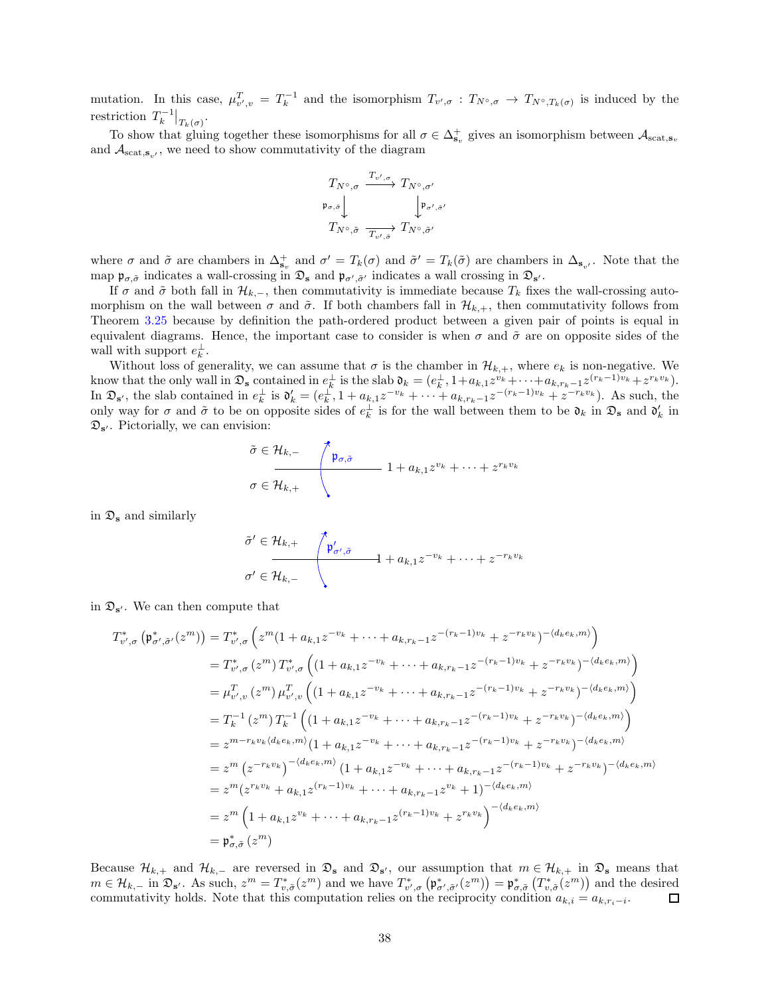mutation. In this case,  $\mu_{v',v}^T = T_k^{-1}$  and the isomorphism  $T_{v',\sigma}: T_{N^{\circ},\sigma} \to T_{N^{\circ},T_k(\sigma)}$  is induced by the restriction  $T_k^{-1}|_{T_k(\sigma)}$ .

To show that gluing together these isomorphisms for all  $\sigma \in \Delta_{\mathbf{s}_v}^+$  gives an isomorphism between  $\mathcal{A}_{\text{scat},\mathbf{s}_v}$ and  $A_{\text{scat},\mathbf{s}_{v'}}$ , we need to show commutativity of the diagram

$$
\begin{array}{ccc}\nT_{N^{\circ},\sigma} & \xrightarrow{T_{v',\sigma}}& T_{N^{\circ},\sigma'}\\
\mathfrak{p}_{\sigma,\bar{\sigma}} & & \downarrow \mathfrak{p}_{\sigma',\bar{\sigma}'}\\
T_{N^{\circ},\tilde{\sigma}} & \xrightarrow{T_{v',\bar{\sigma}}} & T_{N^{\circ},\tilde{\sigma}'}\n\end{array}
$$

where  $\sigma$  and  $\tilde{\sigma}$  are chambers in  $\Delta_{\mathbf{s}_v}^+$  and  $\sigma' = T_k(\sigma)$  and  $\tilde{\sigma}' = T_k(\tilde{\sigma})$  are chambers in  $\Delta_{\mathbf{s}_v}$ . Note that the map  $\mathfrak{p}_{\sigma,\tilde{\sigma}}$  indicates a wall-crossing in  $\mathfrak{D}_s$  and  $\mathfrak{p}_{\sigma',\tilde{\sigma}'}$  indicates a wall crossing in  $\mathfrak{D}_{s'}$ .

If  $\sigma$  and  $\tilde{\sigma}$  both fall in  $\mathcal{H}_{k,-}$ , then commutativity is immediate because  $T_k$  fixes the wall-crossing automorphism on the wall between  $\sigma$  and  $\tilde{\sigma}$ . If both chambers fall in  $\mathcal{H}_{k,+}$ , then commutativity follows from Theorem [3.25](#page-27-0) because by definition the path-ordered product between a given pair of points is equal in equivalent diagrams. Hence, the important case to consider is when  $\sigma$  and  $\tilde{\sigma}$  are on opposite sides of the wall with support  $e_k^{\perp}$ .

Without loss of generality, we can assume that  $\sigma$  is the chamber in  $\mathcal{H}_{k,+}$ , where  $e_k$  is non-negative. We know that the only wall in  $\mathfrak{D}_s$  contained in  $e_k^{\perp}$  is the slab  $\mathfrak{d}_k = (e_k^{\perp}, 1 + a_{k,1}z^{v_k} + \cdots + a_{k,r_k-1}z^{(r_k-1)v_k} + z^{r_kv_k}).$ In  $\mathfrak{D}_{s'}$ , the slab contained in  $e_k^{\perp}$  is  $\mathfrak{d}'_k = (e_k^{\perp}, 1 + a_{k,1}z^{-v_k} + \cdots + a_{k,r_k-1}z^{-(r_k-1)v_k} + z^{-r_kv_k}).$  As such, the only way for  $\sigma$  and  $\tilde{\sigma}$  to be on opposite sides of  $e_k^{\perp}$  is for the wall between them to be  $\mathfrak{d}_k$  in  $\mathfrak{D}_s$  and  $\mathfrak{d}'_k$  in  $\mathfrak{D}_{s'}$ . Pictorially, we can envision:

$$
\tilde{\sigma} \in \mathcal{H}_{k,-}
$$
\n
$$
\sigma \in \mathcal{H}_{k,+}
$$
\n
$$
1 + a_{k,1} z^{v_k} + \dots + z^{r_k v_k}
$$

in  $\mathfrak{D}_s$  and similarly

$$
\tilde{\sigma}' \in \mathcal{H}_{k,+} \qquad \qquad \boxed{\mathfrak{p}'_{\sigma',\tilde{\sigma}} \qquad \qquad }_{\sigma' \in \mathcal{H}_{k,-}} \qquad \qquad 1 + a_{k,1} z^{-v_k} + \cdots + z^{-r_k v_k}
$$

in  $\mathfrak{D}_{s'}$ . We can then compute that

$$
T_{v',\sigma}^{*}\left(\mathfrak{p}_{\sigma',\tilde{\sigma}'}^{*}(z^{m})\right) = T_{v',\sigma}^{*}\left(z^{m}(1+a_{k,1}z^{-v_{k}} + \cdots + a_{k,r_{k}-1}z^{-(r_{k}-1)v_{k}} + z^{-r_{k}v_{k}})^{-\langle d_{k}e_{k},m\rangle}\right)
$$
  
\n
$$
= T_{v',\sigma}^{*}\left(z^{m}\right)T_{v',\sigma}^{*}\left((1+a_{k,1}z^{-v_{k}} + \cdots + a_{k,r_{k}-1}z^{-(r_{k}-1)v_{k}} + z^{-r_{k}v_{k}})^{-\langle d_{k}e_{k},m\rangle}\right)
$$
  
\n
$$
= \mu_{v',v}^{T}\left(z^{m}\right)\mu_{v',v}^{T}\left((1+a_{k,1}z^{-v_{k}} + \cdots + a_{k,r_{k}-1}z^{-(r_{k}-1)v_{k}} + z^{-r_{k}v_{k}})^{-\langle d_{k}e_{k},m\rangle}\right)
$$
  
\n
$$
= T_{k}^{-1}\left(z^{m}\right)T_{k}^{-1}\left((1+a_{k,1}z^{-v_{k}} + \cdots + a_{k,r_{k}-1}z^{-(r_{k}-1)v_{k}} + z^{-r_{k}v_{k}})^{-\langle d_{k}e_{k},m\rangle}\right)
$$
  
\n
$$
= z^{m-r_{k}v_{k}\langle d_{k}e_{k},m\rangle}(1+a_{k,1}z^{-v_{k}} + \cdots + a_{k,r_{k}-1}z^{-(r_{k}-1)v_{k}} + z^{-r_{k}v_{k}})^{-\langle d_{k}e_{k},m\rangle}
$$
  
\n
$$
= z^{m}\left(z^{-r_{k}v_{k}}\right)^{-\langle d_{k}e_{k},m\rangle}\left(1+a_{k,1}z^{-v_{k}} + \cdots + a_{k,r_{k}-1}z^{-(r_{k}-1)v_{k}} + z^{-r_{k}v_{k}}\right)^{-\langle d_{k}e_{k},m\rangle}
$$
  
\n
$$
= z^{m}\left(1+a_{k,1}z^{v_{k}} + \cdots + a_{k,r_{k}-1}z^{(r_{k}-1)v_{k}} + z^{r_{k}v_{k}}\right)^{-\langle d_{k}e_{k},m\rangle}
$$
  
\n
$$
= \math
$$

Because  $\mathcal{H}_{k,+}$  and  $\mathcal{H}_{k,-}$  are reversed in  $\mathfrak{D}_s$  and  $\mathfrak{D}_{s'}$ , our assumption that  $m \in \mathcal{H}_{k,+}$  in  $\mathfrak{D}_s$  means that  $m \in \mathcal{H}_{k,-}$  in  $\mathfrak{D}_{\mathbf{s}'}$ . As such,  $z^m = T^*_{v,\tilde{\sigma}}(z^m)$  and we have  $T^*_{v',\sigma}(\mathfrak{p}^*_{\sigma',\tilde{\sigma}'}(z^m)) = \mathfrak{p}^*_{\sigma,\tilde{\sigma}}(T^*_{v,\tilde{\sigma}}(z^m))$  and the desired commutativity holds. Note that this computation relies on the reciprocity condition  $a_{k,i} = a_{k,r_i-i}$ . □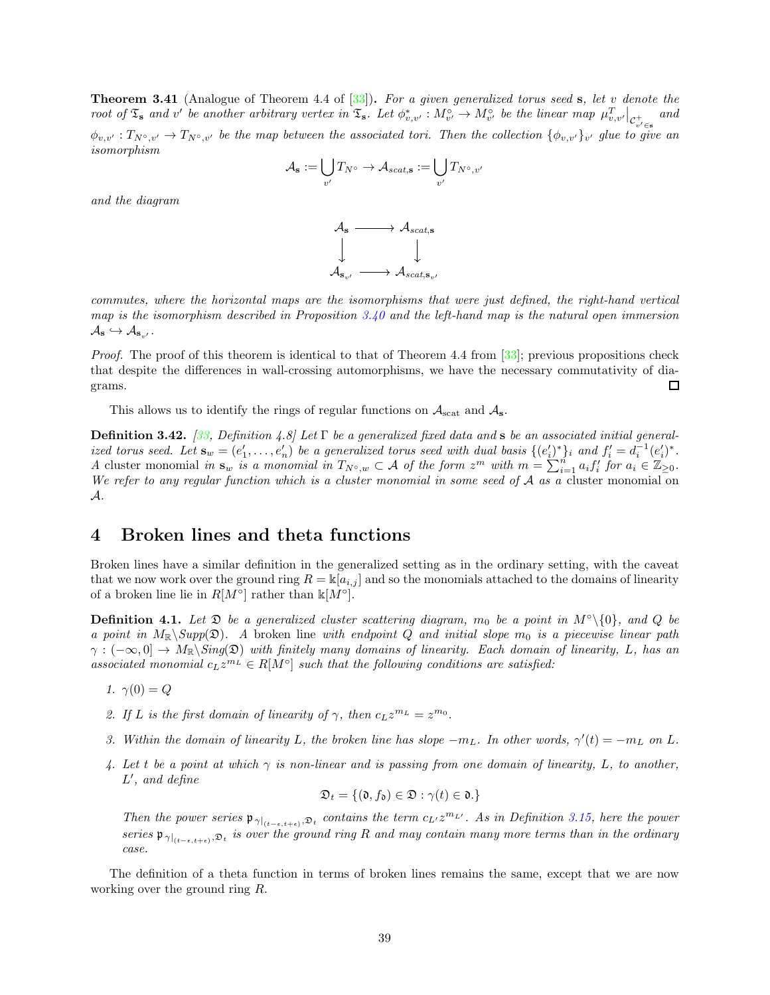<span id="page-38-1"></span>**Theorem 3.41** (Analogue of Theorem 4.4 of  $[33]$ ). For a given generalized torus seed s, let v denote the root of  $\mathfrak{T}_s$  and v' be another arbitrary vertex in  $\mathfrak{T}_s$ . Let  $\phi_{v,v'}^* : M_{v'}^\circ \to M_{v'}^\circ$  be the linear map  $\mu_{v,v'}^T|_{\mathcal{C}_{v'\in s}^+}$ and  $\phi_{v,v'}: T_{N^{\circ},v'} \to T_{N^{\circ},v'}$  be the map between the associated tori. Then the collection  $\{\phi_{v,v'}\}_{v'}$  glue to give an isomorphism

$$
\mathcal{A}_{\mathbf{s}} := \bigcup_{v'} T_{N^{\circ}} \to \mathcal{A}_{scat, \mathbf{s}} := \bigcup_{v'} T_{N^{\circ}, v'}
$$

and the diagram



commutes, where the horizontal maps are the isomorphisms that were just defined, the right-hand vertical map is the isomorphism described in Proposition  $3.40$  and the left-hand map is the natural open immersion  $\mathcal{A}_{\mathbf{s}} \hookrightarrow \mathcal{A}_{\mathbf{s}_{v'}}.$ 

*Proof.* The proof of this theorem is identical to that of Theorem 4.4 from [\[33](#page-57-6)]; previous propositions check that despite the differences in wall-crossing automorphisms, we have the necessary commutativity of diagrams.  $\Box$ 

This allows us to identify the rings of regular functions on  $A_{\text{scat}}$  and  $A_{\text{s}}$ .

**Definition 3.42.** [\[33](#page-57-6), Definition 4.8] Let  $\Gamma$  be a generalized fixed data and s be an associated initial generalized torus seed. Let  $\mathbf{s}_w = (e'_1, \ldots, e'_n)$  be a generalized torus seed with dual basis  $\{(e'_i)^*\}_i$  and  $f'_i = d_i^{-1}(e'_i)^*$ . A cluster monomial in  $\mathbf{s}_w$  is a monomial in  $T_{N^{\circ},w} \subset \mathcal{A}$  of the form  $z^m$  with  $m = \sum_{i=1}^n a_i f'_i$  for  $a_i \in \mathbb{Z}_{\geq 0}$ . We refer to any regular function which is a cluster monomial in some seed of  $A$  as a cluster monomial on A.

# <span id="page-38-0"></span>4 Broken lines and theta functions

Broken lines have a similar definition in the generalized setting as in the ordinary setting, with the caveat that we now work over the ground ring  $R = \mathbb{K}[a_{i,j}]$  and so the monomials attached to the domains of linearity of a broken line lie in  $R[M^{\circ}]$  rather than  $\mathbb{k}[M^{\circ}].$ 

**Definition 4.1.** Let  $\mathfrak{D}$  be a generalized cluster scattering diagram, m<sub>0</sub> be a point in  $M^\circ\backslash\{0\}$ , and Q be a point in  $M_{\mathbb{R}}\backslash Supp(\mathfrak{D})$ . A broken line with endpoint Q and initial slope  $m_0$  is a piecewise linear path  $\gamma: (-\infty, 0] \to M_{\mathbb{R}}\backslash Sing(\mathfrak{D})$  with finitely many domains of linearity. Each domain of linearity, L, has an associated monomial  $c_L z^{m_L} \in R[M^\circ]$  such that the following conditions are satisfied:

- 1.  $\gamma(0) = Q$
- 2. If L is the first domain of linearity of  $\gamma$ , then  $c_L z^{m_L} = z^{m_0}$ .
- 3. Within the domain of linearity L, the broken line has slope  $-m<sub>L</sub>$ . In other words,  $\gamma'(t) = -m<sub>L</sub>$  on L.
- 4. Let t be a point at which  $\gamma$  is non-linear and is passing from one domain of linearity, L, to another, L ′ , and define

$$
\mathfrak{D}_t = \{(\mathfrak{d}, f_{\mathfrak{d}}) \in \mathfrak{D} : \gamma(t) \in \mathfrak{d}.\}
$$

Then the power series  $\mathfrak{p}_{\gamma|_{(t-\epsilon,t+\epsilon)},\mathfrak{D}_t}$  contains the term  $c_{L'}z^{m_{L'}}$ . As in Definition [3.15,](#page-21-0) here the power series  $\mathfrak{p}_{\gamma|_{(t-\epsilon,t+\epsilon)},\mathfrak{D}_t}$  is over the ground ring R and may contain many more terms than in the ordinary case.

The definition of a theta function in terms of broken lines remains the same, except that we are now working over the ground ring R.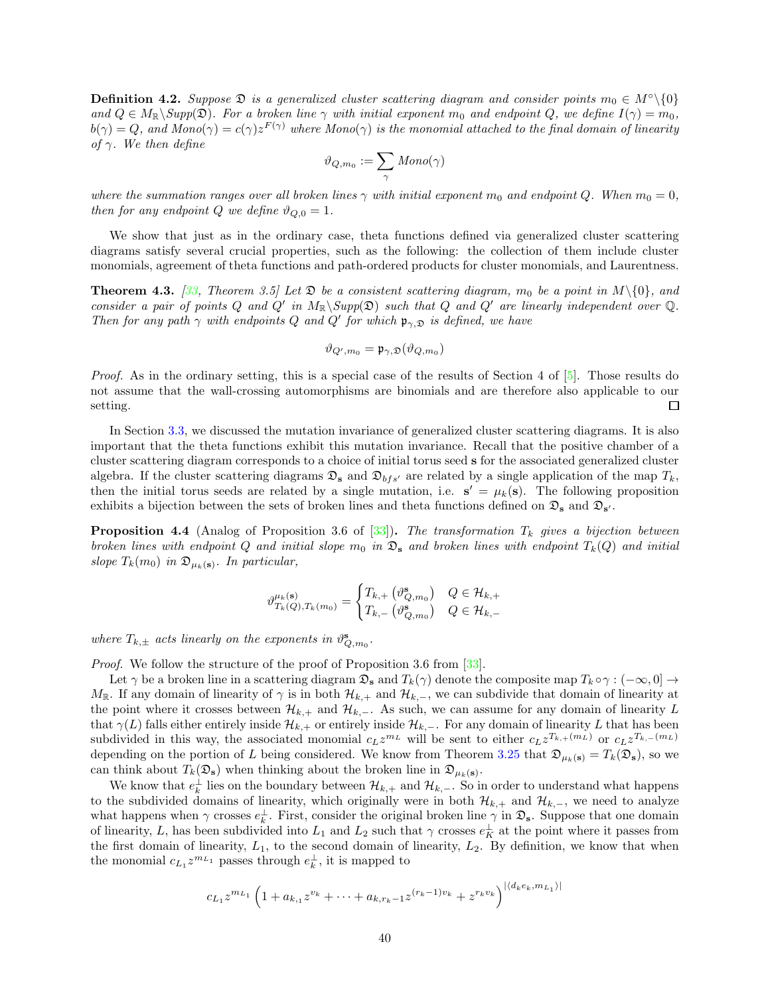**Definition 4.2.** Suppose  $\mathfrak{D}$  is a generalized cluster scattering diagram and consider points  $m_0 \in M^\circ \setminus \{0\}$ and  $Q \in M_{\mathbb{R}} \backslash \text{Supp}(\mathfrak{D})$ . For a broken line  $\gamma$  with initial exponent  $m_0$  and endpoint  $Q$ , we define  $I(\gamma) = m_0$ ,  $b(\gamma)=Q,$  and  $Mono(\gamma)=c(\gamma)z^{F(\gamma)}$  where  $Mono(\gamma)$  is the monomial attached to the final domain of linearity of  $\gamma$ . We then define

$$
\vartheta_{Q,m_0}:=\sum_{\gamma} \mathit{Mono}(\gamma)
$$

where the summation ranges over all broken lines  $\gamma$  with initial exponent  $m_0$  and endpoint Q. When  $m_0 = 0$ , then for any endpoint Q we define  $\vartheta_{Q,0} = 1$ .

We show that just as in the ordinary case, theta functions defined via generalized cluster scattering diagrams satisfy several crucial properties, such as the following: the collection of them include cluster monomials, agreement of theta functions and path-ordered products for cluster monomials, and Laurentness.

<span id="page-39-1"></span>**Theorem 4.3.** [\[33](#page-57-6), Theorem 3.5] Let  $\mathfrak{D}$  be a consistent scattering diagram,  $m_0$  be a point in  $M\setminus\{0\}$ , and consider a pair of points Q and Q' in  $M_{\mathbb{R}}\backslash Supp(\mathfrak{D})$  such that Q and Q' are linearly independent over Q. Then for any path  $\gamma$  with endpoints Q and Q' for which  $\mathfrak{p}_{\gamma, \mathfrak{D}}$  is defined, we have

$$
\vartheta_{Q',m_0} = \mathfrak{p}_{\gamma,\mathfrak{D}}(\vartheta_{Q,m_0})
$$

Proof. As in the ordinary setting, this is a special case of the results of Section 4 of [\[5](#page-56-22)]. Those results do not assume that the wall-crossing automorphisms are binomials and are therefore also applicable to our setting.  $\Box$ 

In Section [3.3,](#page-25-0) we discussed the mutation invariance of generalized cluster scattering diagrams. It is also important that the theta functions exhibit this mutation invariance. Recall that the positive chamber of a cluster scattering diagram corresponds to a choice of initial torus seed s for the associated generalized cluster algebra. If the cluster scattering diagrams  $\mathfrak{D}_s$  and  $\mathfrak{D}_{bfs'}$  are related by a single application of the map  $T_k$ , then the initial torus seeds are related by a single mutation, i.e.  $s' = \mu_k(s)$ . The following proposition exhibits a bijection between the sets of broken lines and theta functions defined on  $\mathfrak{D}_s$  and  $\mathfrak{D}_{s'}$ .

<span id="page-39-0"></span>**Proposition 4.4** (Analog of Proposition 3.6 of [\[33\]](#page-57-6)). The transformation  $T_k$  gives a bijection between broken lines with endpoint Q and initial slope  $m_0$  in  $\mathfrak{D}_s$  and broken lines with endpoint  $T_k(Q)$  and initial slope  $T_k(m_0)$  in  $\mathfrak{D}_{\mu_k(\mathbf{s})}$ . In particular,

$$
\vartheta_{T_k(Q), T_k(m_0)}^{\mu_k(\mathbf{s})} = \begin{cases} T_{k,+}\left(\vartheta_{Q,m_0}^{\mathbf{s}}\right) & Q \in \mathcal{H}_{k,+} \\ T_{k,-}\left(\vartheta_{Q,m_0}^{\mathbf{s}}\right) & Q \in \mathcal{H}_{k,-} \end{cases}
$$

where  $T_{k,\pm}$  acts linearly on the exponents in  $\vartheta_{Q,m_0}^s$ .

Proof. We follow the structure of the proof of Proposition 3.6 from [\[33\]](#page-57-6).

Let  $\gamma$  be a broken line in a scattering diagram  $\mathfrak{D}_s$  and  $T_k(\gamma)$  denote the composite map  $T_k \circ \gamma : (-\infty, 0] \to$  $M_{\mathbb{R}}$ . If any domain of linearity of  $\gamma$  is in both  $\mathcal{H}_{k,+}$  and  $\mathcal{H}_{k,-}$ , we can subdivide that domain of linearity at the point where it crosses between  $\mathcal{H}_{k,+}$  and  $\mathcal{H}_{k,-}$ . As such, we can assume for any domain of linearity L that  $\gamma(L)$  falls either entirely inside  $\mathcal{H}_{k,+}$  or entirely inside  $\mathcal{H}_{k,-}$ . For any domain of linearity L that has been subdivided in this way, the associated monomial  $c_L z^{m_L}$  will be sent to either  $c_L z^{T_{k,+}(m_L)}$  or  $c_L z^{T_{k,-}(m_L)}$ depending on the portion of L being considered. We know from Theorem [3.25](#page-27-0) that  $\mathfrak{D}_{\mu_k(s)} = T_k(\mathfrak{D}_s)$ , so we can think about  $T_k(\mathfrak{D}_s)$  when thinking about the broken line in  $\mathfrak{D}_{\mu_k(s)}$ .

We know that  $e_k^{\perp}$  lies on the boundary between  $\mathcal{H}_{k,+}$  and  $\mathcal{H}_{k,-}$ . So in order to understand what happens to the subdivided domains of linearity, which originally were in both  $\mathcal{H}_{k,+}$  and  $\mathcal{H}_{k,-}$ , we need to analyze what happens when  $\gamma$  crosses  $e_k^{\perp}$ . First, consider the original broken line  $\gamma$  in  $\mathfrak{D}_s$ . Suppose that one domain of linearity, L, has been subdivided into  $L_1$  and  $L_2$  such that  $\gamma$  crosses  $e_K^{\perp}$  at the point where it passes from the first domain of linearity,  $L_1$ , to the second domain of linearity,  $L_2$ . By definition, we know that when the monomial  $c_{L_1} z^{m_{L_1}}$  passes through  $e_k^{\perp}$ , it is mapped to

$$
c_{L_1} z^{m_{L_1}} \left( 1 + a_{k,1} z^{v_k} + \dots + a_{k,r_k-1} z^{(r_k-1)v_k} + z^{r_k v_k} \right)^{|\langle d_k e_k, m_{L_1} \rangle|}
$$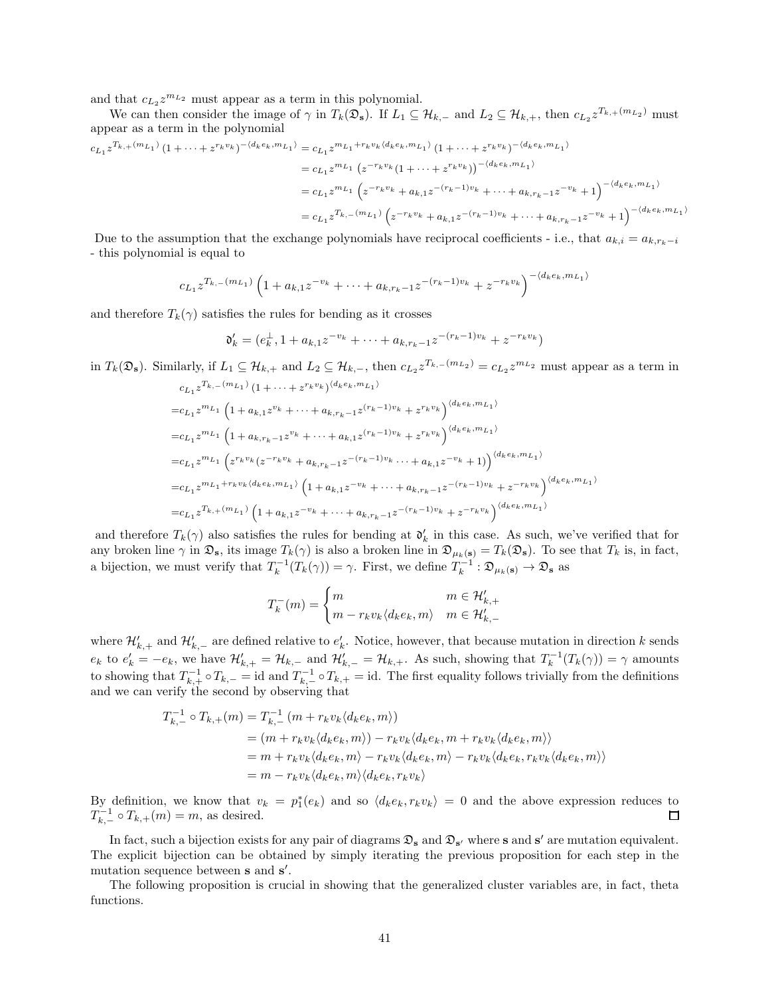and that  $c_{L_2}z^{m_{L_2}}$  must appear as a term in this polynomial.

We can then consider the image of  $\gamma$  in  $T_k(\mathfrak{D}_s)$ . If  $L_1 \subseteq \mathcal{H}_{k,-}$  and  $L_2 \subseteq \mathcal{H}_{k,+}$ , then  $c_{L_2} z^{T_{k,+}(m_{L_2})}$  must appear as a term in the polynomial

$$
c_{L_1} z^{T_{k,+}(m_{L_1})} (1 + \dots + z^{r_k v_k})^{-\langle d_k e_k, m_{L_1} \rangle} = c_{L_1} z^{m_{L_1} + r_k v_k \langle d_k e_k, m_{L_1} \rangle} (1 + \dots + z^{r_k v_k})^{-\langle d_k e_k, m_{L_1} \rangle}
$$
  
\n
$$
= c_{L_1} z^{m_{L_1}} (z^{-r_k v_k} (1 + \dots + z^{r_k v_k}))^{-\langle d_k e_k, m_{L_1} \rangle}
$$
  
\n
$$
= c_{L_1} z^{m_{L_1}} (z^{-r_k v_k} + a_{k,1} z^{-(r_k - 1)v_k} + \dots + a_{k,r_k - 1} z^{-v_k} + 1)^{-\langle d_k e_k, m_{L_1} \rangle}
$$
  
\n
$$
= c_{L_1} z^{T_{k,-}(m_{L_1})} (z^{-r_k v_k} + a_{k,1} z^{-(r_k - 1)v_k} + \dots + a_{k,r_k - 1} z^{-v_k} + 1)^{-\langle d_k e_k, m_{L_1} \rangle}
$$

Due to the assumption that the exchange polynomials have reciprocal coefficients - i.e., that  $a_{k,i} = a_{k,r_k-i}$ - this polynomial is equal to

$$
c_{L_1} z^{T_{k,-}(m_{L_1})} \left(1 + a_{k,1} z^{-v_k} + \cdots + a_{k,r_k-1} z^{-(r_k-1)v_k} + z^{-r_k v_k}\right)^{-\langle d_k e_k, m_{L_1} \rangle}
$$

and therefore  $T_k(\gamma)$  satisfies the rules for bending as it crosses

$$
\mathfrak{d}'_k = (e_k^{\perp}, 1 + a_{k,1}z^{-v_k} + \cdots + a_{k,r_k-1}z^{-(r_k-1)v_k} + z^{-r_kv_k})
$$

in  $T_k(\mathfrak{D}_s)$ . Similarly, if  $L_1 \subseteq \mathcal{H}_{k,+}$  and  $L_2 \subseteq \mathcal{H}_{k,-}$ , then  $c_{L_2} z^{T_{k,-}(m_{L_2})} = c_{L_2} z^{m_{L_2}}$  must appear as a term in

$$
c_{L_1} z^{T_{k,-}(m_{L_1})} (1 + \cdots + z^{r_k v_k})^{\langle d_k e_k, m_{L_1} \rangle}
$$
  
\n
$$
= c_{L_1} z^{m_{L_1}} \left( 1 + a_{k,1} z^{v_k} + \cdots + a_{k,r_k - 1} z^{(r_k - 1)v_k} + z^{r_k v_k} \right)^{\langle d_k e_k, m_{L_1} \rangle}
$$
  
\n
$$
= c_{L_1} z^{m_{L_1}} \left( 1 + a_{k,r_k - 1} z^{v_k} + \cdots + a_{k,1} z^{(r_k - 1)v_k} + z^{r_k v_k} \right)^{\langle d_k e_k, m_{L_1} \rangle}
$$
  
\n
$$
= c_{L_1} z^{m_{L_1}} \left( z^{r_k v_k} (z^{-r_k v_k} + a_{k,r_k - 1} z^{-(r_k - 1)v_k} \cdots + a_{k,1} z^{-v_k} + 1) \right)^{\langle d_k e_k, m_{L_1} \rangle}
$$
  
\n
$$
= c_{L_1} z^{m_{L_1} + r_k v_k \langle d_k e_k, m_{L_1} \rangle} \left( 1 + a_{k,1} z^{-v_k} + \cdots + a_{k,r_k - 1} z^{-(r_k - 1)v_k} + z^{-r_k v_k} \right)^{\langle d_k e_k, m_{L_1} \rangle}
$$
  
\n
$$
= c_{L_1} z^{T_{k,+}(m_{L_1})} \left( 1 + a_{k,1} z^{-v_k} + \cdots + a_{k,r_k - 1} z^{-(r_k - 1)v_k} + z^{-r_k v_k} \right)^{\langle d_k e_k, m_{L_1} \rangle}
$$

and therefore  $T_k(\gamma)$  also satisfies the rules for bending at  $\mathfrak{d}'_k$  in this case. As such, we've verified that for any broken line  $\gamma$  in  $\mathfrak{D}_s$ , its image  $T_k(\gamma)$  is also a broken line in  $\mathfrak{D}_{\mu_k(s)} = T_k(\mathfrak{D}_s)$ . To see that  $T_k$  is, in fact, a bijection, we must verify that  $T_k^{-1}(T_k(\gamma)) = \gamma$ . First, we define  $T_k^{-1} : \mathfrak{D}_{\mu_k(\mathbf{s})} \to \mathfrak{D}_{\mathbf{s}}$  as

$$
T_k^-(m) = \begin{cases} m & m \in \mathcal{H}'_{k,+} \\ m - r_k v_k \langle d_k e_k, m \rangle & m \in \mathcal{H}'_{k,-} \end{cases}
$$

where  $\mathcal{H}'_{k,+}$  and  $\mathcal{H}'_{k,-}$  are defined relative to  $e'_k$ . Notice, however, that because mutation in direction k sends  $e_k$  to  $e'_k = -e_k$ , we have  $\mathcal{H}'_{k,+} = \mathcal{H}_{k,-}$  and  $\mathcal{H}'_{k,-} = \mathcal{H}_{k,+}$ . As such, showing that  $T_k^{-1}(T_k(\gamma)) = \gamma$  amounts to showing that  $T_{k,+}^{-1} \circ T_{k,-} = id$  and  $T_{k,-}^{-1} \circ T_{k,+} = id$ . The first equality follows trivially from the definitions and we can verify the second by observing that

$$
T_{k,-}^{-1} \circ T_{k,+}(m) = T_{k,-}^{-1} (m + r_k v_k \langle d_k e_k, m \rangle)
$$
  
=  $(m + r_k v_k \langle d_k e_k, m \rangle) - r_k v_k \langle d_k e_k, m + r_k v_k \langle d_k e_k, m \rangle \rangle$   
=  $m + r_k v_k \langle d_k e_k, m \rangle - r_k v_k \langle d_k e_k, m \rangle - r_k v_k \langle d_k e_k, r_k v_k \langle d_k e_k, m \rangle \rangle$   
=  $m - r_k v_k \langle d_k e_k, m \rangle \langle d_k e_k, r_k v_k \rangle$ 

By definition, we know that  $v_k = p_1^*(e_k)$  and so  $\langle d_k e_k, r_k v_k \rangle = 0$  and the above expression reduces to  $T_{k,-}^{-1} \circ T_{k,+}(m) = m$ , as desired. 口

In fact, such a bijection exists for any pair of diagrams  $\mathfrak{D}_s$  and  $\mathfrak{D}_{s'}$  where s and s' are mutation equivalent. The explicit bijection can be obtained by simply iterating the previous proposition for each step in the mutation sequence between **s** and **s'**.

The following proposition is crucial in showing that the generalized cluster variables are, in fact, theta functions.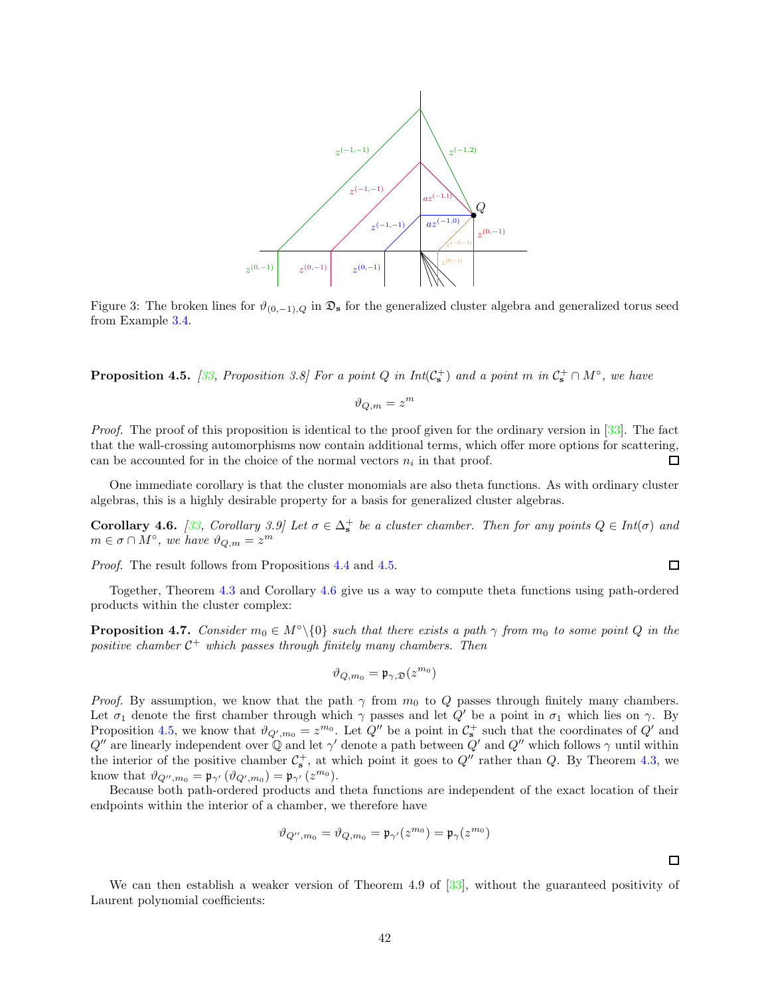

Figure 3: The broken lines for  $\vartheta_{(0,-1),Q}$  in  $\mathfrak{D}_s$  for the generalized cluster algebra and generalized torus seed from Example [3.4.](#page-17-2)

<span id="page-41-0"></span>**Proposition 4.5.** [\[33](#page-57-6), Proposition 3.8] For a point Q in  $Int(\mathcal{C}_s^+)$  and a point m in  $\mathcal{C}_s^+ \cap M^{\circ}$ , we have

$$
\vartheta_{Q,m} = z^m
$$

Proof. The proof of this proposition is identical to the proof given for the ordinary version in [\[33](#page-57-6)]. The fact that the wall-crossing automorphisms now contain additional terms, which offer more options for scattering, can be accounted for in the choice of the normal vectors  $n_i$  in that proof. 口

One immediate corollary is that the cluster monomials are also theta functions. As with ordinary cluster algebras, this is a highly desirable property for a basis for generalized cluster algebras.

<span id="page-41-1"></span>**Corollary 4.6.** [\[33](#page-57-6), Corollary 3.9] Let  $\sigma \in \Delta_{\mathbf{s}}^+$  be a cluster chamber. Then for any points  $Q \in Int(\sigma)$  and  $m \in \sigma \cap M^{\circ}$ , we have  $\vartheta_{Q,m} = z^m$ 

Proof. The result follows from Propositions [4.4](#page-39-0) and [4.5.](#page-41-0)

Together, Theorem [4.3](#page-39-1) and Corollary [4.6](#page-41-1) give us a way to compute theta functions using path-ordered products within the cluster complex:

<span id="page-41-2"></span>**Proposition 4.7.** Consider  $m_0 \in M^{\circ} \setminus \{0\}$  such that there exists a path  $\gamma$  from  $m_0$  to some point Q in the positive chamber  $C^+$  which passes through finitely many chambers. Then

$$
\vartheta_{Q,m_0} = \mathfrak{p}_{\gamma,\mathfrak{D}}(z^{m_0})
$$

*Proof.* By assumption, we know that the path  $\gamma$  from  $m_0$  to Q passes through finitely many chambers. Let  $\sigma_1$  denote the first chamber through which  $\gamma$  passes and let  $Q'$  be a point in  $\sigma_1$  which lies on  $\gamma$ . By Proposition [4.5,](#page-41-0) we know that  $\vartheta_{Q',m_0} = z^{m_0}$ . Let  $Q''$  be a point in  $\mathcal{C}_s^+$  such that the coordinates of  $Q'$  and  $Q''$  are linearly independent over Q and let  $\gamma'$  denote a path between  $Q'$  and  $Q''$  which follows  $\gamma$  until within the interior of the positive chamber  $\mathcal{C}_s^+$ , at which point it goes to  $Q''$  rather than  $Q$ . By Theorem [4.3,](#page-39-1) we know that  $\vartheta_{Q'',m_0} = \mathfrak{p}_{\gamma'}(\vartheta_{Q',m_0}) = \mathfrak{p}_{\gamma'}(z^{m_0}).$ 

Because both path-ordered products and theta functions are independent of the exact location of their endpoints within the interior of a chamber, we therefore have

$$
\vartheta_{Q'',m_0}=\vartheta_{Q,m_0}=\mathfrak{p}_{\gamma'}(z^{m_0})=\mathfrak{p}_{\gamma}(z^{m_0})
$$

 $\Box$ 

 $\Box$ 

We can then establish a weaker version of Theorem 4.9 of [\[33](#page-57-6)], without the guaranteed positivity of Laurent polynomial coefficients: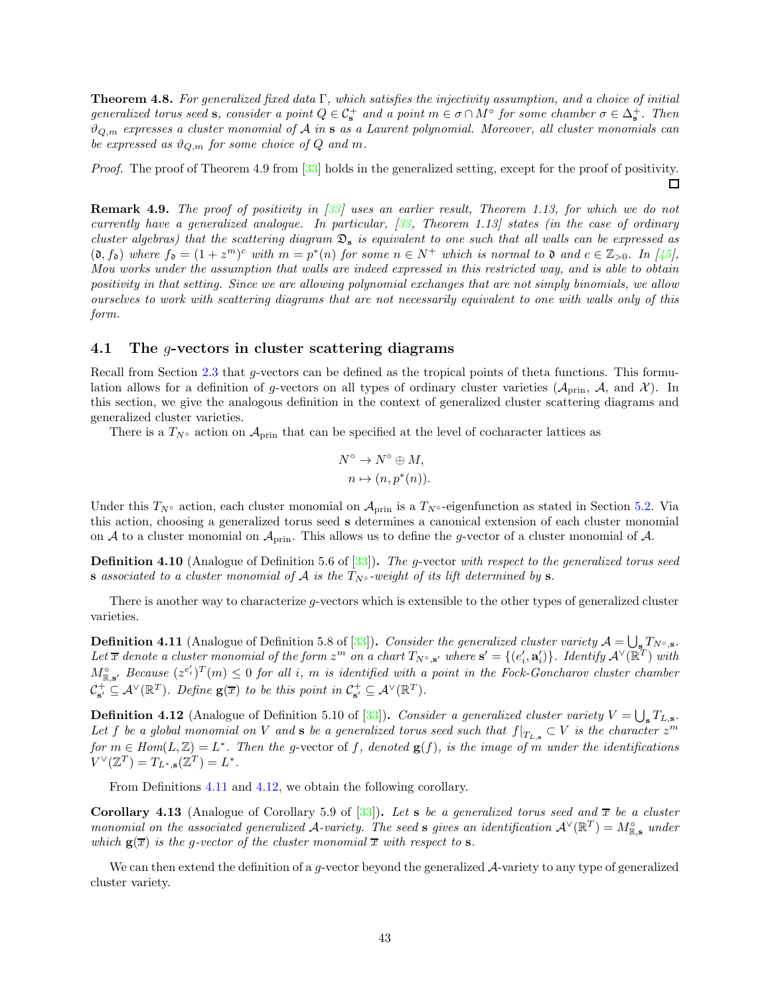<span id="page-42-1"></span>**Theorem 4.8.** For generalized fixed data  $\Gamma$ , which satisfies the injectivity assumption, and a choice of initial generalized torus seed s, consider a point  $Q \in \mathcal{C}_s^+$  and a point  $m \in \sigma \cap M^{\circ}$  for some chamber  $\sigma \in \Delta_s^+$ . Then  $\vartheta_{Q,m}$  expresses a cluster monomial of A in s as a Laurent polynomial. Moreover, all cluster monomials can be expressed as  $\vartheta_{Q,m}$  for some choice of Q and m.

Proof. The proof of Theorem 4.9 from [\[33\]](#page-57-6) holds in the generalized setting, except for the proof of positivity.  $\Box$ 

<span id="page-42-2"></span>Remark 4.9. The proof of positivity in [\[33\]](#page-57-6) uses an earlier result, Theorem 1.13, for which we do not currently have a generalized analogue. In particular,  $\beta$ 3, Theorem 1.13] states (in the case of ordinary cluster algebras) that the scattering diagram  $\mathfrak{D}_s$  is equivalent to one such that all walls can be expressed as  $(0, f_0)$  where  $f_0 = (1 + z^m)^c$  with  $m = p^*(n)$  for some  $n \in N^+$  which is normal to 0 and  $c \in \mathbb{Z}_{>0}$ . In [\[45\]](#page-57-18), Mou works under the assumption that walls are indeed expressed in this restricted way, and is able to obtain positivity in that setting. Since we are allowing polynomial exchanges that are not simply binomials, we allow ourselves to work with scattering diagrams that are not necessarily equivalent to one with walls only of this form.

# <span id="page-42-0"></span>4.1 The g-vectors in cluster scattering diagrams

Recall from Section [2.3](#page-9-0) that g-vectors can be defined as the tropical points of theta functions. This formulation allows for a definition of g-vectors on all types of ordinary cluster varieties  $(A_{\text{prin}}, A, \text{ and } \mathcal{X})$ . In this section, we give the analogous definition in the context of generalized cluster scattering diagrams and generalized cluster varieties.

There is a  $T_{N^{\circ}}$  action on  $\mathcal{A}_{\text{prin}}$  that can be specified at the level of cocharacter lattices as

$$
N^{\circ} \to N^{\circ} \oplus M,
$$
  

$$
n \mapsto (n, p^{*}(n)).
$$

Under this  $T_{N}$ ° action, each cluster monomial on  $A_{\text{prin}}$  is a  $T_{N}$ °-eigenfunction as stated in Section [5.2.](#page-48-0) Via this action, choosing a generalized torus seed s determines a canonical extension of each cluster monomial on A to a cluster monomial on  $\mathcal{A}_{\text{prin}}$ . This allows us to define the g-vector of a cluster monomial of A.

Definition 4.10 (Analogue of Definition 5.6 of [\[33\]](#page-57-6)). The g-vector with respect to the generalized torus seed s associated to a cluster monomial of A is the  $T_{N^{\circ}}$ -weight of its lift determined by s.

There is another way to characterize g-vectors which is extensible to the other types of generalized cluster varieties.

<span id="page-42-3"></span>**Definition 4.11** (Analogue of Definition 5.8 of [\[33\]](#page-57-6)). Consider the generalized cluster variety  $A = \bigcup_{s} T_{N^{\circ},s}$ . Let  $\overline{x}$  denote a cluster monomial of the form  $z^m$  on a chart  $T_{N^\circ, \mathbf{s}'}$  where  $\mathbf{s}' = \{(e'_i, \mathbf{a}'_i)\}$ . Identify  $\mathcal{A}^\vee(\mathbb{R}^T)$  with  $M_{\mathbb{R},\mathbf{s}'}^{\circ}$  Because  $(z^{e'_i})^T(m) \leq 0$  for all i, m is identified with a point in the Fock-Goncharov cluster chamber  $\mathcal{C}_{\mathbf{s}'}^+ \subseteq \mathcal{A}^{\vee}(\mathbb{R}^T)$ . Define  $\mathbf{g}(\overline{x})$  to be this point in  $\mathcal{C}_{\mathbf{s}'}^+ \subseteq \mathcal{A}^{\vee}(\mathbb{R}^T)$ .

<span id="page-42-4"></span>**Definition 4.12** (Analogue of Definition 5.10 of [\[33](#page-57-6)]). Consider a generalized cluster variety  $V = \bigcup_{s} T_{L,s}$ . Let f be a global monomial on V and s be a generalized torus seed such that  $f|_{T_{L,s}} \subset V$  is the character  $z^m$ for  $m \in Hom(L, \mathbb{Z}) = L^*$ . Then the g-vector of f, denoted  $g(f)$ , is the image of m under the identifications  $V^{\vee}(\mathbb{Z}^T) = T_{L^*,\mathbf{s}}(\mathbb{Z}^T) = L^*.$ 

From Definitions [4.11](#page-42-3) and [4.12,](#page-42-4) we obtain the following corollary.

<span id="page-42-5"></span>Corollary 4.13 (Analogue of Corollary 5.9 of [\[33](#page-57-6)]). Let s be a generalized torus seed and  $\bar{x}$  be a cluster monomial on the associated generalized A-variety. The seed s gives an identification  $\mathcal{A}^{\vee}(\mathbb{R}^T)=M^{\circ}_{\mathbb{R},\mathbf{s}}$  under which  $g(\overline{x})$  is the g-vector of the cluster monomial  $\overline{x}$  with respect to s.

We can then extend the definition of a g-vector beyond the generalized  $\mathcal{A}$ -variety to any type of generalized cluster variety.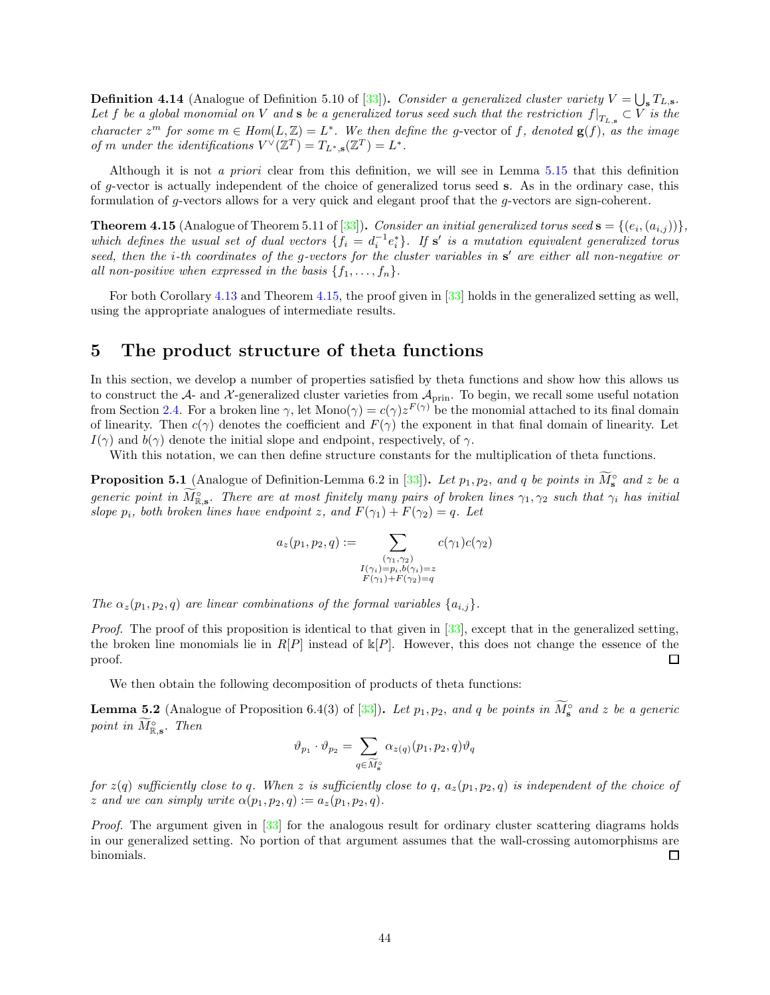**Definition 4.14** (Analogue of Definition 5.10 of [\[33](#page-57-6)]). Consider a generalized cluster variety  $V = \bigcup_{s} T_{L,s}$ . Let  $f$  be a global monomial on  $V$  and  ${\bf s}$  be a generalized torus seed such that the restriction  $f|_{T_{L,{\bf s}}}\subset V$  is the character  $z^m$  for some  $m \in Hom(L, \mathbb{Z}) = L^*$ . We then define the g-vector of f, denoted  $g(f)$ , as the image of m under the identifications  $V^{\vee}(\mathbb{Z}^T) = T_{L^*, \mathbf{s}}(\mathbb{Z}^T) = L^*.$ 

Although it is not a priori clear from this definition, we will see in Lemma [5.15](#page-48-1) that this definition of g-vector is actually independent of the choice of generalized torus seed s. As in the ordinary case, this formulation of g-vectors allows for a very quick and elegant proof that the g-vectors are sign-coherent.

<span id="page-43-1"></span>**Theorem 4.15** (Analogue of Theorem 5.11 of [\[33](#page-57-6)]). Consider an initial generalized torus seed  $\mathbf{s} = \{(e_i, (a_{i,j}))\},$ which defines the usual set of dual vectors  $\{f_i = d_i^{-1}e_i^*\}$ . If  $s'$  is a mutation equivalent generalized torus seed, then the *i*-th coordinates of the g-vectors for the cluster variables in s' are either all non-negative or all non-positive when expressed in the basis  $\{f_1, \ldots, f_n\}$ .

For both Corollary [4.13](#page-42-5) and Theorem [4.15,](#page-43-1) the proof given in [\[33\]](#page-57-6) holds in the generalized setting as well, using the appropriate analogues of intermediate results.

# <span id="page-43-0"></span>5 The product structure of theta functions

In this section, we develop a number of properties satisfied by theta functions and show how this allows us to construct the  $A$ - and  $X$ -generalized cluster varieties from  $A_{\text{prin}}$ . To begin, we recall some useful notation from Section [2.4.](#page-14-0) For a broken line  $\gamma$ , let  $Mono(\gamma) = c(\gamma)z^{F(\gamma)}$  be the monomial attached to its final domain of linearity. Then  $c(\gamma)$  denotes the coefficient and  $F(\gamma)$  the exponent in that final domain of linearity. Let  $I(\gamma)$  and  $b(\gamma)$  denote the initial slope and endpoint, respectively, of  $\gamma$ .

With this notation, we can then define structure constants for the multiplication of theta functions.

<span id="page-43-3"></span>**Proposition 5.1** (Analogue of Definition-Lemma 6.2 in [\[33](#page-57-6)]). Let  $p_1, p_2$ , and q be points in  $\widetilde{M}_s^{\circ}$  and z be a generic point in  $\widehat{M}_{\mathbb{R},\mathbf{s}}^{\circ}$ . There are at most finitely many pairs of broken lines  $\gamma_1, \gamma_2$  such that  $\gamma_i$  has initial slope  $p_i$ , both broken lines have endpoint z, and  $F(\gamma_1) + F(\gamma_2) = q$ . Let

$$
a_z(p_1, p_2, q) := \sum_{\substack{(\gamma_1, \gamma_2) \\ I(\gamma_i) = p_i, b(\gamma_i) = z \\ F(\gamma_1) + F(\gamma_2) = q}} c(\gamma_1) c(\gamma_2)
$$

The  $\alpha_z(p_1, p_2, q)$  are linear combinations of the formal variables  $\{a_{i,j}\}.$ 

Proof. The proof of this proposition is identical to that given in [\[33](#page-57-6)], except that in the generalized setting, the broken line monomials lie in  $R[P]$  instead of  $\mathbb{K}[P]$ . However, this does not change the essence of the proof.  $\Box$ 

We then obtain the following decomposition of products of theta functions:

<span id="page-43-2"></span>**Lemma 5.2** (Analogue of Proposition 6.4(3) of [\[33](#page-57-6)]). Let  $p_1, p_2$ , and q be points in  $\widetilde{M}_s^{\circ}$  and z be a generic point in  $M_{\mathbb{R},\mathbf{s}}^{\circ}$ . Then

$$
\vartheta_{p_1} \cdot \vartheta_{p_2} = \sum_{q \in \widetilde{M}_{\mathbf{s}}^{\circ}} \alpha_{z(q)}(p_1, p_2, q) \vartheta_q
$$

for  $z(q)$  sufficiently close to q. When z is sufficiently close to q,  $a_z(p_1, p_2, q)$  is independent of the choice of z and we can simply write  $\alpha(p_1, p_2, q) := a_z(p_1, p_2, q)$ .

Proof. The argument given in [\[33\]](#page-57-6) for the analogous result for ordinary cluster scattering diagrams holds in our generalized setting. No portion of that argument assumes that the wall-crossing automorphisms are binomials.  $\Box$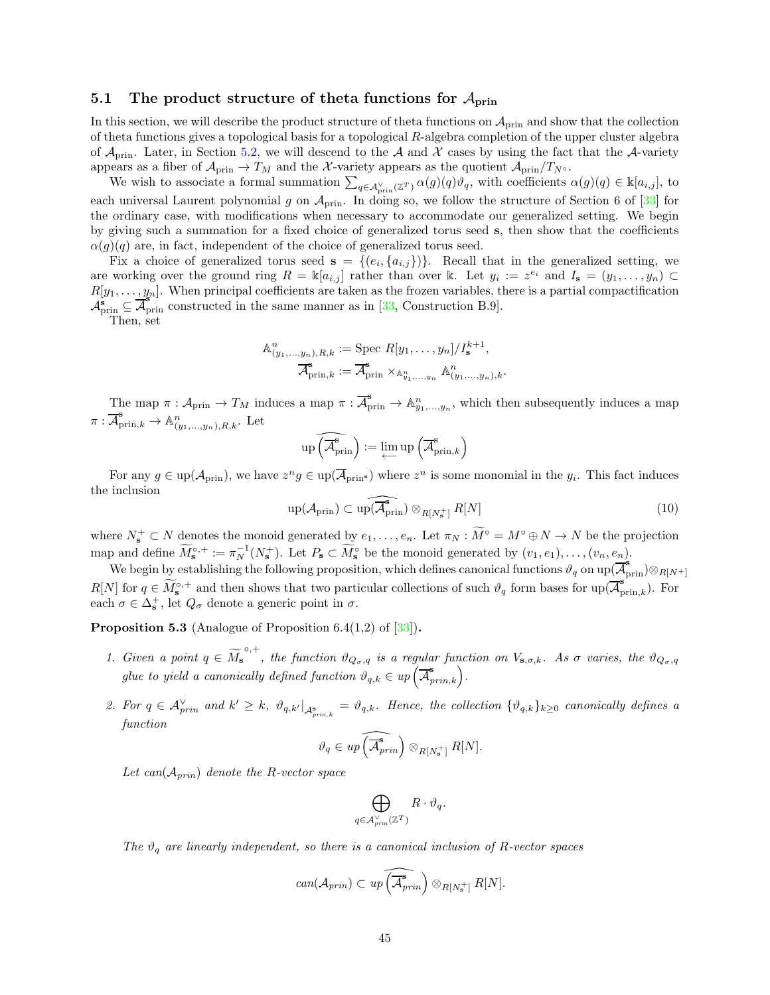# <span id="page-44-0"></span>5.1 The product structure of theta functions for  $A_{\text{prin}}$

In this section, we will describe the product structure of theta functions on  $A_{\text{prin}}$  and show that the collection of theta functions gives a topological basis for a topological R-algebra completion of the upper cluster algebra of  $\mathcal{A}_{\text{prin}}$ . Later, in Section [5.2,](#page-48-0) we will descend to the  $\mathcal{A}$  and  $\mathcal{X}$  cases by using the fact that the  $\mathcal{A}$ -variety appears as a fiber of  $\mathcal{A}_{\text{prin}} \to T_M$  and the X-variety appears as the quotient  $\mathcal{A}_{\text{prin}}/T_{N}$ °.

We wish to associate a formal summation  $\sum_{q \in A_{\text{prin}}^{\vee}(\mathbb{Z}^T)} \alpha(q)(q) \vartheta_q$ , with coefficients  $\alpha(q)(q) \in \mathbb{K}[a_{i,j}]$ , to each universal Laurent polynomial g on  $A_{\text{prin}}$ . In doing so, we follow the structure of Section 6 of [\[33\]](#page-57-6) for the ordinary case, with modifications when necessary to accommodate our generalized setting. We begin by giving such a summation for a fixed choice of generalized torus seed s, then show that the coefficients  $\alpha(g)(q)$  are, in fact, independent of the choice of generalized torus seed.

Fix a choice of generalized torus seed  $s = \{(e_i, \{a_{i,j}\})\}$ . Recall that in the generalized setting, we are working over the ground ring  $R = \mathbb{k}[a_{i,j}]$  rather than over k. Let  $y_i := z^{e_i}$  and  $I_s = (y_1, \ldots, y_n)$  $R[y_1, \ldots, y_n]$ . When principal coefficients are taken as the frozen variables, there is a partial compactification  $\mathcal{A}_{\text{prin}}^{s} \subseteq \overline{\mathcal{A}_{\text{prin}}^{s}}$  constructed in the same manner as in [\[33,](#page-57-6) Construction B.9].

Then, set

$$
\mathbb{A}^n_{(y_1,\ldots,y_n),R,k} := \text{Spec } R[y_1,\ldots,y_n]/I_{\mathbf{s}}^{k+1},
$$

$$
\overline{\mathcal{A}}^{\mathbf{s}}_{\text{prin},k} := \overline{\mathcal{A}}^{\mathbf{s}}_{\text{prin}} \times_{\mathbb{A}^n_{y_1,\ldots,y_n}} \mathbb{A}^n_{(y_1,\ldots,y_n),k}.
$$

The map  $\pi: \mathcal{A}_{\text{prin}} \to T_M$  induces a map  $\pi: \overline{\mathcal{A}}_{\text{prin}}^s \to \mathbb{A}_{y_1,\dots,y_n}^n$ , which then subsequently induces a map  $\pi: \overline{\mathcal{A}}_{\text{prin},k}^{\mathbf{s}} \to \mathbb{A}_{(y_1,...,y_n),R,k}^n$ . Let

$$
\mathrm{up}\left(\widehat{\mathcal{A}^{\mathbf{s}}_{\mathrm{prin}}}\right) := \varprojlim \mathrm{up}\left(\widehat{\mathcal{A}^{\mathbf{s}}_{\mathrm{prin},k}}\right)
$$

For any  $g \in \text{up}(\mathcal{A}_{\text{prin}})$ , we have  $z^n g \in \text{up}(\overline{\mathcal{A}}_{\text{prin}})$  where  $z^n$  is some monomial in the  $y_i$ . This fact induces the inclusion

<span id="page-44-2"></span>
$$
\operatorname{up}(\mathcal{A}_{\mathrm{prin}}) \subset \widehat{\operatorname{up}(\mathcal{A}_{\mathrm{prin}}^{\bullet})} \otimes_{R[N_{\mathbf{s}}^{+}]} R[N] \tag{10}
$$

where  $N_{\mathbf{s}}^+ \subset N$  denotes the monoid generated by  $e_1, \ldots, e_n$ . Let  $\pi_N : M^{\circ} = M^{\circ} \oplus N \to N$  be the projection map and define  $\widetilde{M}_{\mathbf{s}}^{\circ,+} := \pi_N^{-1}(N_{\mathbf{s}}^+)$ . Let  $P_{\mathbf{s}} \subset \widetilde{M}_{\mathbf{s}}^{\circ}$  be the monoid generated by  $(v_1, e_1), \ldots, (v_n, e_n)$ .

We begin by establishing the following proposition, which defines canonical functions  $\vartheta_q$  on up( $\overline{\mathcal{A}}_{\text{prin}}^s$ )⊗ $_{R[N^+]}$  $R[N]$  for  $q \in \widetilde{M}_{\mathbf{s}}^{\circ,+}$  and then shows that two particular collections of such  $\vartheta_q$  form bases for  $\text{up}(\overline{\mathcal{A}}_{\text{prin},k}^{\mathbf{s}})$ . For each  $\sigma \in \Delta_{\mathbf{s}}^{+}$ , let  $Q_{\sigma}$  denote a generic point in  $\sigma$ .

<span id="page-44-1"></span>**Proposition 5.3** (Analogue of Proposition 6.4(1,2) of  $[33]$ ).

- 1. Given a point  $q \in \widetilde{M}_{\mathbf{s}}^{\circ,+}$ , the function  $\vartheta_{Q_{\sigma},q}$  is a regular function on  $V_{\mathbf{s},\sigma,k}$ . As  $\sigma$  varies, the  $\vartheta_{Q_{\sigma},q}$ glue to yield a canonically defined function  $\vartheta_{q,k} \in up\left(\overline{\mathcal{A}}_{prin,k}^{\mathbf{s}}\right)$ .
- 2. For  $q \in \mathcal{A}_{prin}^{\vee}$  and  $k' \geq k$ ,  $\vartheta_{q,k'}|_{\mathcal{A}_{prin,k}^{s}} = \vartheta_{q,k}$ . Hence, the collection  $\{\vartheta_{q,k}\}_{k\geq 0}$  canonically defines a function

$$
\vartheta_q \in up\left(\widehat{\mathcal{A}}_{prin}^{\widehat{\bullet}}\right) \otimes_{R[N^+_{\mathbf{s}}]} R[N].
$$

Let can( $A_{prin}$ ) denote the R-vector space

$$
\bigoplus_{q\in{\cal A}_{prin}^{\vee}({\mathbb Z}^T)} R\cdot \vartheta_q.
$$

The  $\vartheta_q$  are linearly independent, so there is a canonical inclusion of R-vector spaces

$$
can(\mathcal{A}_{prin}) \subset up\left(\widehat{\mathcal{A}_{prin}}\right)\otimes_{R[N^+_s]}R[N].
$$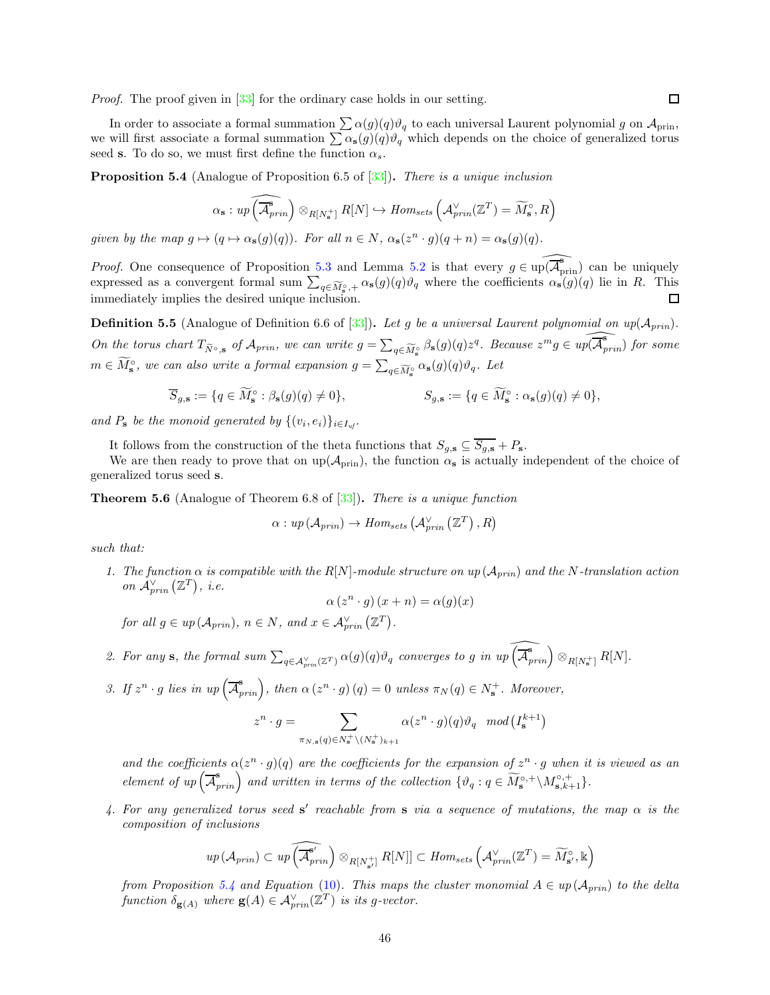Proof. The proof given in [\[33](#page-57-6)] for the ordinary case holds in our setting.

In order to associate a formal summation  $\sum \alpha(g)(q)\vartheta_q$  to each universal Laurent polynomial g on  $\mathcal{A}_{prin}$ , we will first associate a formal summation  $\sum \alpha_s(g)(q)\theta_q$  which depends on the choice of generalized torus seed s. To do so, we must first define the function  $\alpha_s$ .

<span id="page-45-0"></span>**Proposition 5.4** (Analogue of Proposition 6.5 of  $|33|$ ). There is a unique inclusion

$$
\alpha_{\mathbf{s}} : up\left(\widehat{\mathcal{A}}_{prin}^{\mathbf{s}}\right) \otimes_{R[N_{\mathbf{s}}^{+}]} R[N] \hookrightarrow Hom_{sets}\left(\mathcal{A}_{prin}^{\vee}(\mathbb{Z}^{T}) = \widetilde{M}_{\mathbf{s}}^{\circ}, R\right)
$$

given by the map  $g \mapsto (q \mapsto \alpha_s(g)(q))$ . For all  $n \in N$ ,  $\alpha_s(z^n \cdot g)(q + n) = \alpha_s(g)(q)$ .

*Proof.* One consequence of Proposition [5.3](#page-44-1) and Lemma [5.2](#page-43-2) is that every  $g \in \widehat{\mathfrak{un}(\mathcal{A}_{\text{prin}})}$  can be uniquely expressed as a convergent formal sum  $\sum_{q \in \widetilde{M}_{s}^{\circ},+} \alpha_{s}(q)(q)\vartheta_{q}$  where the coefficients  $\alpha_{s}(q)(q)$  lie in R. This immediately implies the desired unique inclusion.  $\Box$ 

**Definition 5.5** (Analogue of Definition 6.6 of [\[33\]](#page-57-6)). Let g be a universal Laurent polynomial on  $up(\mathcal{A}_{prin})$ . On the torus chart  $T_{\tilde{N}^{\circ},\mathbf{s}}$  of  $\mathcal{A}_{prin}$ , we can write  $g = \sum_{q\in \widetilde{M}_{\mathbf{s}}^{\circ}} \beta_{\mathbf{s}}(q)(q)z^q$ . Because  $z^m g \in \widehat{up(\mathcal{A}_{prin}^{\mathbf{s}})}$  for some  $m \in \widetilde{M}_s^{\circ}$ , we can also write a formal expansion  $g = \sum_{q \in \widetilde{M}_s^{\circ}} \alpha_s(g)(q)\vartheta_q$ . Let

$$
\overline{S}_{g,\mathbf{s}} := \{ q \in \widetilde{M}_{\mathbf{s}}^{\circ} : \beta_{\mathbf{s}}(g)(q) \neq 0 \}, \qquad S_{g,\mathbf{s}} := \{ q \in \widetilde{M}_{\mathbf{s}}^{\circ} : \alpha_{\mathbf{s}}(g)(q) \neq 0 \},
$$

and  $P_{\mathbf{s}}$  be the monoid generated by  $\{(v_i, e_i)\}_{i \in I_{uf}}$ .

It follows from the construction of the theta functions that  $S_{g,s} \subseteq \overline{S_{g,s}} + P_s$ .

We are then ready to prove that on  $up(\mathcal{A}_{prin})$ , the function  $\alpha_s$  is actually independent of the choice of generalized torus seed s.

<span id="page-45-1"></span>Theorem 5.6 (Analogue of Theorem 6.8 of [\[33\]](#page-57-6)). There is a unique function

$$
\alpha: up\left(\mathcal{A}_{prin}\right) \rightarrow Hom_{sets}\left(\mathcal{A}_{prin}^{\vee}\left(\mathbb{Z}^T\right), R\right)
$$

such that:

1. The function  $\alpha$  is compatible with the R[N]-module structure on up ( $A_{prin}$ ) and the N-translation action on  $\mathcal{A}_{prin}^{\vee}(\mathbb{Z}^T)$ , i.e.

$$
\alpha(z^n \cdot g)(x+n) = \alpha(g)(x)
$$

for all  $g \in up(\mathcal{A}_{prin}), n \in N$ , and  $x \in \mathcal{A}_{prin}^{\vee}(\mathbb{Z}^T)$ .

- 2. For any s, the formal sum  $\sum_{q \in A_{prin}^{\vee}(\mathbb{Z}^T)} \alpha(g)(q) \vartheta_q$  converges to g in  $up\left(\widehat{\overline{A}_{prin}^s}\right) \otimes_{R[N_{\mathbf{s}}^+]} R[N]$ .
- 3. If  $z^n \cdot g$  lies in up  $(\overline{\mathcal{A}}_{prin}^{\mathbf{s}})$ , then  $\alpha(z^n \cdot g)(q) = 0$  unless  $\pi_N(q) \in N_{\mathbf{s}}^+$ . Moreover, n  $\overline{\phantom{0}}$ n  $k+1$  $\overline{ }$

$$
z^{n} \cdot g = \sum_{\pi_{N,\mathbf{s}}(q) \in N_{\mathbf{s}}^{+} \setminus (N_{\mathbf{s}}^{+})_{k+1}} \alpha(z^{n} \cdot g)(q) \vartheta_{q} \mod (I_{\mathbf{s}}^{k+1})
$$

and the coefficients  $\alpha(z^n \cdot g)(q)$  are the coefficients for the expansion of  $z^n \cdot g$  when it is viewed as an element of up  $(\overline{\mathcal{A}}_{prin}^s)$  and written in terms of the collection  $\{\vartheta_q: q \in \widetilde{M}_s^{\circ, +} \setminus M_{s,k+1}^{\circ, +}\}.$ 

4. For any generalized torus seed s' reachable from s via a sequence of mutations, the map  $\alpha$  is the composition of inclusions

$$
up(\mathcal{A}_{prin}) \subset up\left(\widehat{\mathcal{A}_{prin}^{s'}}\right)\otimes_{R[N_{\mathbf{s}'}^{+}]}\overline{R[N]} \subset Hom_{sets}\left(\mathcal{A}_{prin}^{\vee}(\mathbb{Z}^{T})=\widetilde{M}_{\mathbf{s}'}^{\circ},\mathbb{k}\right)
$$

from Proposition [5.4](#page-45-0) and Equation [\(10\)](#page-44-2). This maps the cluster monomial  $A \in up(\mathcal{A}_{prin})$  to the delta function  $\delta_{\mathbf{g}(A)}$  where  $\mathbf{g}(A) \in \mathcal{A}_{prin}^{\vee}(\mathbb{Z}^T)$  is its g-vector.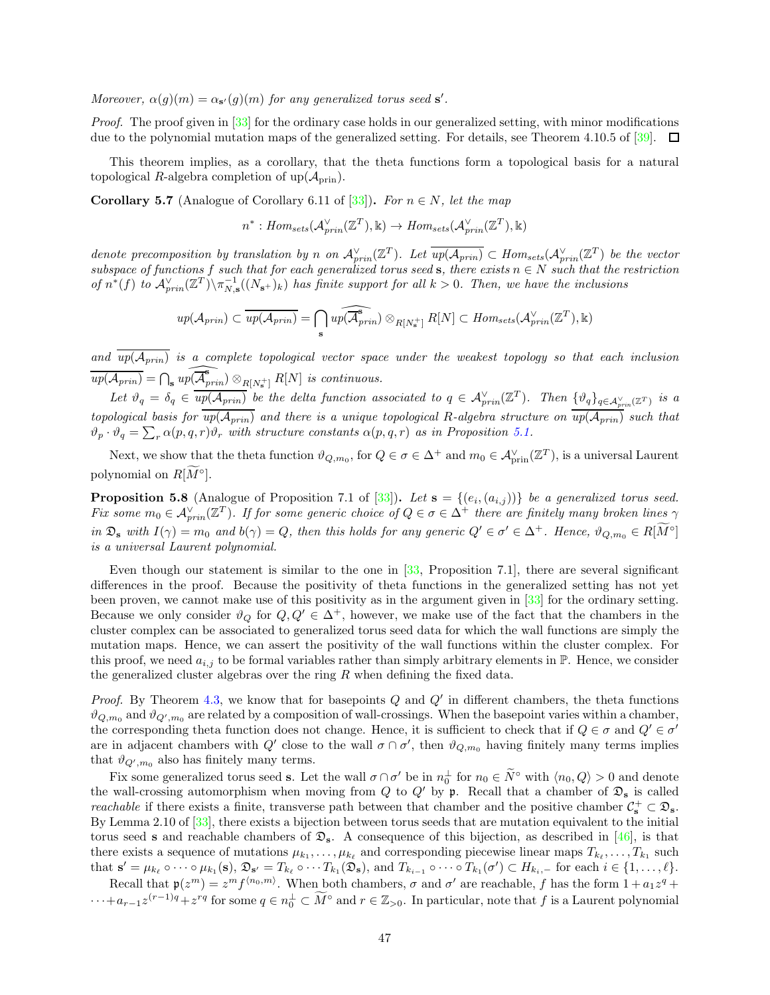Moreover,  $\alpha(g)(m) = \alpha_{s'}(g)(m)$  for any generalized torus seed s'.

Proof. The proof given in [\[33](#page-57-6)] for the ordinary case holds in our generalized setting, with minor modifications due to the polynomial mutation maps of the generalized setting. For details, see Theorem 4.10.5 of [\[39\]](#page-57-19).  $\Box$ 

This theorem implies, as a corollary, that the theta functions form a topological basis for a natural topological R-algebra completion of  $up(\mathcal{A}_{prin})$ .

<span id="page-46-0"></span>**Corollary 5.7** (Analogue of Corollary 6.11 of [\[33\]](#page-57-6)). For  $n \in N$ , let the map

$$
n^* : Hom_{sets}(\mathcal{A}_{prin}^{\vee}(\mathbb{Z}^T), \mathbb{k}) \to Hom_{sets}(\mathcal{A}_{prin}^{\vee}(\mathbb{Z}^T), \mathbb{k})
$$

denote precomposition by translation by n on  $\mathcal{A}_{prin}^{\vee}(\mathbb{Z}^T)$ . Let  $\overline{up(\mathcal{A}_{prin})} \subset Hom_{sets}(\mathcal{A}_{prin}^{\vee}(\mathbb{Z}^T))$  be the vector subspace of functions f such that for each generalized torus seed s, there exists  $n \in N$  such that the restriction of  $n^*(f)$  to  $\mathcal{A}_{prin}^{\vee}(\mathbb{Z}^T)\setminus\pi_{N,s}^{-1}((N_{s+})_k)$  has finite support for all  $k>0$ . Then, we have the inclusions

$$
up(\mathcal{A}_{prin}) \subset \overline{up(\mathcal{A}_{prin})} = \bigcap_{\mathbf{s}} \widehat{up(\mathcal{A}_{prin})} \otimes_{R[N^+_{\mathbf{s}}]} R[N] \subset Hom_{sets}(\mathcal{A}_{prin}^{\vee}(\mathbb{Z}^T), \mathbb{k})
$$

and  $\overline{up(A_{prin})}$  is a complete topological vector space under the weakest topology so that each inclusion  $\widehat{up(\mathcal{A}_{prin})} = \bigcap_{s} \widehat{up(\mathcal{A}_{prin}^s)} \otimes_{R[N_s^+]} R[N]$  is continuous.

Let  $\vartheta_q = \delta_q \in \overline{up(\mathcal{A}_{prin})}$  be the delta function associated to  $q \in \mathcal{A}_{prin}^{\vee}(\mathbb{Z}^T)$ . Then  $\{\vartheta_q\}_{q \in \mathcal{A}_{prin}^{\vee}(\mathbb{Z}^T)}$  is a topological basis for  $up(\mathcal{A}_{prin})$  and there is a unique topological R-algebra structure on  $up(\mathcal{A}_{prin})$  such that  $\vartheta_p \cdot \vartheta_q = \sum_r \alpha(p,q,r) \vartheta_r$  with structure constants  $\alpha(p,q,r)$  as in Proposition [5.1.](#page-43-3)

Next, we show that the theta function  $\vartheta_{Q,m_0}$ , for  $Q \in \sigma \in \Delta^+$  and  $m_0 \in \mathcal{A}_{\text{prin}}^{\vee}(\mathbb{Z}^T)$ , is a universal Laurent polynomial on  $R[M^{\circ}].$ 

<span id="page-46-1"></span>**Proposition 5.8** (Analogue of Proposition 7.1 of [\[33](#page-57-6)]). Let  $\mathbf{s} = \{(e_i, (a_{i,j}))\}$  be a generalized torus seed. Fix some  $m_0 \in \mathcal{A}_{prin}^{\vee}(\mathbb{Z}^T)$ . If for some generic choice of  $Q \in \sigma \in \Delta^+$  there are finitely many broken lines  $\gamma$ in  $\mathfrak{D}_{s}$  with  $I(\gamma) = m_0$  and  $b(\gamma) = Q$ , then this holds for any generic  $Q' \in \sigma' \in \Delta^+$ . Hence,  $\vartheta_{Q,m_0} \in R[M^{\circ}]$ is a universal Laurent polynomial.

Even though our statement is similar to the one in [\[33,](#page-57-6) Proposition 7.1], there are several significant differences in the proof. Because the positivity of theta functions in the generalized setting has not yet been proven, we cannot make use of this positivity as in the argument given in [\[33\]](#page-57-6) for the ordinary setting. Because we only consider  $\vartheta_Q$  for  $Q, Q' \in \Delta^+$ , however, we make use of the fact that the chambers in the cluster complex can be associated to generalized torus seed data for which the wall functions are simply the mutation maps. Hence, we can assert the positivity of the wall functions within the cluster complex. For this proof, we need  $a_{i,j}$  to be formal variables rather than simply arbitrary elements in  $\mathbb{P}$ . Hence, we consider the generalized cluster algebras over the ring  $R$  when defining the fixed data.

*Proof.* By Theorem [4.3,](#page-39-1) we know that for basepoints  $Q$  and  $Q'$  in different chambers, the theta functions  $\vartheta_{Q,m_0}$  and  $\vartheta_{Q',m_0}$  are related by a composition of wall-crossings. When the basepoint varies within a chamber, the corresponding theta function does not change. Hence, it is sufficient to check that if  $Q \in \sigma$  and  $Q' \in \sigma'$ are in adjacent chambers with Q' close to the wall  $\sigma \cap \sigma'$ , then  $\vartheta_{Q,m_0}$  having finitely many terms implies that  $\vartheta_{Q',m_0}$  also has finitely many terms.

Fix some generalized torus seed **s**. Let the wall  $\sigma \cap \sigma'$  be in  $n_0^{\perp}$  for  $n_0 \in N^{\circ}$  with  $\langle n_0, Q \rangle > 0$  and denote the wall-crossing automorphism when moving from  $Q$  to  $Q'$  by p. Recall that a chamber of  $\mathfrak{D}_s$  is called reachable if there exists a finite, transverse path between that chamber and the positive chamber  $C_s^+ \subset \mathfrak{D}_s$ . By Lemma 2.10 of [\[33\]](#page-57-6), there exists a bijection between torus seeds that are mutation equivalent to the initial torus seed s and reachable chambers of  $\mathfrak{D}_s$ . A consequence of this bijection, as described in [\[46](#page-57-22)], is that there exists a sequence of mutations  $\mu_{k_1}, \ldots, \mu_{k_\ell}$  and corresponding piecewise linear maps  $T_{k_\ell}, \ldots, T_{k_1}$  such that  $\mathbf{s}' = \mu_{k_\ell} \circ \cdots \circ \mu_{k_1}(\mathbf{s}), \mathfrak{D}_{\mathbf{s}'} = T_{k_\ell} \circ \cdots T_{k_1}(\mathfrak{D}_{\mathbf{s}}),$  and  $T_{k_{i-1}} \circ \cdots \circ T_{k_1}(\sigma') \subset H_{k_i-1}$  for each  $i \in \{1, \ldots, \ell\}.$ 

Recall that  $p(z^m) = z^m f^{(n_0, m)}$ . When both chambers,  $\sigma$  and  $\sigma'$  are reachable, f has the form  $1 + a_1 z^q +$  $\cdots + a_{r-1}z^{(r-1)q} + z^{rq}$  for some  $q \in n_0^{\perp} \subset M^{\circ}$  and  $r \in \mathbb{Z}_{>0}$ . In particular, note that f is a Laurent polynomial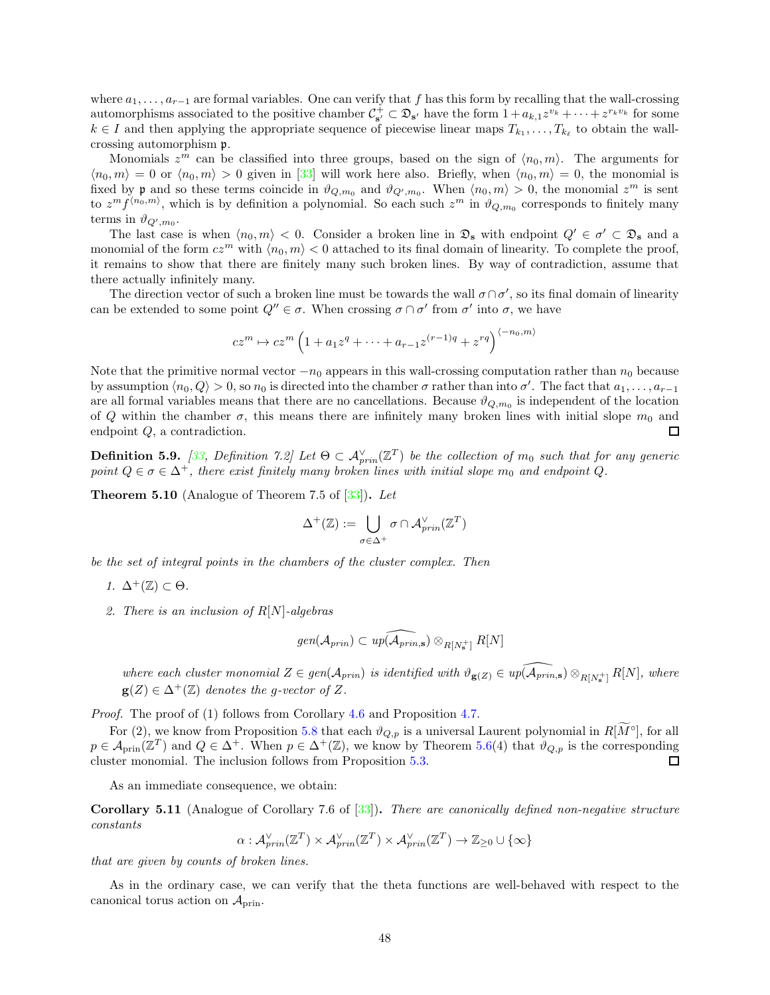where  $a_1, \ldots, a_{r-1}$  are formal variables. One can verify that f has this form by recalling that the wall-crossing automorphisms associated to the positive chamber  $\mathcal{C}_{\mathbf{s}'}^+ \subset \mathfrak{D}_{\mathbf{s}'}$  have the form  $1 + a_{k,1}z^{v_k} + \cdots + z^{r_kv_k}$  for some  $k \in I$  and then applying the appropriate sequence of piecewise linear maps  $T_{k_1}, \ldots, T_{k_\ell}$  to obtain the wallcrossing automorphism p.

Monomials  $z^m$  can be classified into three groups, based on the sign of  $\langle n_0, m \rangle$ . The arguments for  $\langle n_0, m \rangle = 0$  or  $\langle n_0, m \rangle > 0$  given in [\[33\]](#page-57-6) will work here also. Briefly, when  $\langle n_0, m \rangle = 0$ , the monomial is fixed by **p** and so these terms coincide in  $\vartheta_{Q,m_0}$  and  $\vartheta_{Q',m_0}$ . When  $\langle n_0, m \rangle > 0$ , the monomial  $z^m$  is sent to  $z^m f^{(n_0,m)}$ , which is by definition a polynomial. So each such  $z^m$  in  $\vartheta_{Q,m_0}$  corresponds to finitely many terms in  $\vartheta_{Q',m_0}$ .

The last case is when  $\langle n_0, m \rangle < 0$ . Consider a broken line in  $\mathfrak{D}_s$  with endpoint  $Q' \in \sigma' \subset \mathfrak{D}_s$  and a monomial of the form  $cz^m$  with  $\langle n_0, m \rangle < 0$  attached to its final domain of linearity. To complete the proof, it remains to show that there are finitely many such broken lines. By way of contradiction, assume that there actually infinitely many.

The direction vector of such a broken line must be towards the wall  $\sigma \cap \sigma'$ , so its final domain of linearity can be extended to some point  $Q'' \in \sigma$ . When crossing  $\sigma \cap \sigma'$  from  $\sigma'$  into  $\sigma$ , we have

$$
cz^m \mapsto cz^m \left( 1 + a_1 z^q + \dots + a_{r-1} z^{(r-1)q} + z^{rq} \right)^{\langle -n_0, m \rangle}
$$

Note that the primitive normal vector  $-n_0$  appears in this wall-crossing computation rather than  $n_0$  because by assumption  $\langle n_0, Q \rangle > 0$ , so  $n_0$  is directed into the chamber  $\sigma$  rather than into  $\sigma'$ . The fact that  $a_1, \ldots, a_{r-1}$ are all formal variables means that there are no cancellations. Because  $\vartheta_{Q,m_0}$  is independent of the location of Q within the chamber  $\sigma$ , this means there are infinitely many broken lines with initial slope  $m_0$  and endpoint Q, a contradiction.  $\Box$ 

**Definition 5.9.** [\[33](#page-57-6), Definition 7.2] Let  $\Theta \subset A_{prin}^{\vee}(\mathbb{Z}^T)$  be the collection of  $m_0$  such that for any generic point  $Q \in \sigma \in \Delta^+$ , there exist finitely many broken lines with initial slope  $m_0$  and endpoint Q.

**Theorem 5.10** (Analogue of Theorem 7.5 of  $\boxed{33}$ ). Let

$$
\Delta^+(\mathbb{Z}):=\bigcup_{\sigma\in\Delta^+}\sigma\cap\mathcal{A}_{prin}^\vee(\mathbb{Z}^T)
$$

be the set of integral points in the chambers of the cluster complex. Then

- 1.  $\Delta^+(\mathbb{Z}) \subset \Theta$ .
- 2. There is an inclusion of  $R[N]$ -algebras

$$
\text{gen}(\mathcal{A}_{prin}) \subset \text{up}(\widehat{\mathcal{A}_{prin, \mathbf{s}}}) \otimes_{R[N^+_{\mathbf{s}}]} R[N]
$$

where each cluster monomial  $Z \in gen(\mathcal{A}_{prin})$  is identified with  $\vartheta_{g(Z)} \in up(\widehat{\mathcal{A}_{prin,s}}) \otimes_{R[N^+_s]} R[N]$ , where  $g(Z) \in \Delta^+(\mathbb{Z})$  denotes the g-vector of Z.

Proof. The proof of (1) follows from Corollary [4.6](#page-41-1) and Proposition [4.7.](#page-41-2)

For (2), we know from Proposition [5.8](#page-46-1) that each  $\vartheta_{Q,p}$  is a universal Laurent polynomial in  $R[\tilde{M}^{\circ}]$ , for all  $p \in \mathcal{A}_{\text{prin}}(\mathbb{Z}^T)$  and  $Q \in \Delta^+$ . When  $p \in \Delta^+(\mathbb{Z})$ , we know by Theorem [5.6\(](#page-45-1)4) that  $\vartheta_{Q,p}$  is the corresponding cluster monomial. The inclusion follows from Proposition [5.3.](#page-44-1) 口

As an immediate consequence, we obtain:

Corollary 5.11 (Analogue of Corollary 7.6 of [\[33\]](#page-57-6)). There are canonically defined non-negative structure constants

 $\alpha: {\cal A}^\vee_{prin}(\mathbb{Z}^T) \times {\cal A}^\vee_{prin}(\mathbb{Z}^T) \times {\cal A}^\vee_{prin}(\mathbb{Z}^T) \rightarrow \mathbb{Z}_{\geq 0} \cup \{\infty\}$ 

that are given by counts of broken lines.

As in the ordinary case, we can verify that the theta functions are well-behaved with respect to the canonical torus action on  $\mathcal{A}_{\text{prin}}$ .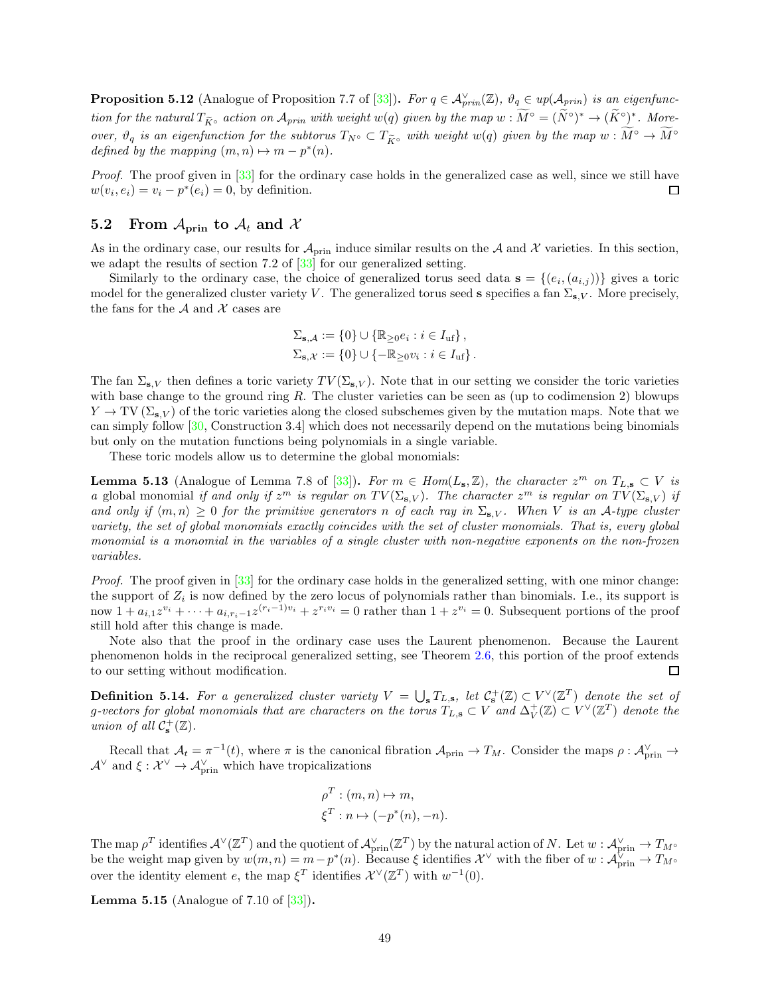<span id="page-48-3"></span>**Proposition 5.12** (Analogue of Proposition 7.7 of [\[33\]](#page-57-6)). For  $q \in A_{prin}^{\vee}(\mathbb{Z})$ ,  $\vartheta_q \in up(\mathcal{A}_{prin})$  is an eigenfunction for the natural  $T_{\widetilde{K}^{\circ}}$  action on  $\mathcal{A}_{prin}$  with weight  $w(q)$  given by the map  $w:\widetilde{M}^{\circ}=(\widetilde{N}^{\circ})^*\to (\widetilde{K}^{\circ})^*$ . Moreover,  $\vartheta_q$  is an eigenfunction for the subtorus  $T_{N} \circ \subset T_{\widetilde{K}^{\circ}}$  with weight  $w(q)$  given by the map  $w : \widetilde{M}^{\circ} \to \widetilde{M}^{\circ}$ defined by the mapping  $(m, n) \mapsto m - p^*(n)$ .

Proof. The proof given in [\[33\]](#page-57-6) for the ordinary case holds in the generalized case as well, since we still have  $w(v_i, e_i) = v_i - p^*(e_i) = 0$ , by definition.  $\Box$ 

# <span id="page-48-0"></span>5.2 From  $A_{\text{prin}}$  to  $A_t$  and X

As in the ordinary case, our results for  $\mathcal{A}_{\text{prin}}$  induce similar results on the A and X varieties. In this section, we adapt the results of section 7.2 of [\[33\]](#page-57-6) for our generalized setting.

Similarly to the ordinary case, the choice of generalized torus seed data  $\mathbf{s} = \{(e_i, (a_{i,j}))\}$  gives a toric model for the generalized cluster variety V. The generalized torus seed s specifies a fan  $\Sigma_{s,V}$ . More precisely, the fans for the  $A$  and  $X$  cases are

$$
\Sigma_{\mathbf{s},\mathcal{A}} := \{0\} \cup \{\mathbb{R}_{\geq 0}e_i : i \in I_{\text{uf}}\},
$$
  

$$
\Sigma_{\mathbf{s},\mathcal{X}} := \{0\} \cup \{-\mathbb{R}_{\geq 0}v_i : i \in I_{\text{uf}}\}.
$$

The fan  $\Sigma_{s,V}$  then defines a toric variety  $TV(\Sigma_{s,V})$ . Note that in our setting we consider the toric varieties with base change to the ground ring R. The cluster varieties can be seen as (up to codimension 2) blowups  $Y \to TV(\Sigma_{s,V})$  of the toric varieties along the closed subschemes given by the mutation maps. Note that we can simply follow [\[30](#page-57-20), Construction 3.4] which does not necessarily depend on the mutations being binomials but only on the mutation functions being polynomials in a single variable.

These toric models allow us to determine the global monomials:

<span id="page-48-2"></span>**Lemma 5.13** (Analogue of Lemma 7.8 of [\[33\]](#page-57-6)). For  $m \in Hom(L_{s}, \mathbb{Z})$ , the character  $z^{m}$  on  $T_{L, s} \subset V$  is a global monomial if and only if  $z^m$  is regular on  $TV(\Sigma_{\mathbf{s},V})$ . The character  $z^m$  is regular on  $TV(\Sigma_{\mathbf{s},V})$  if and only if  $\langle m, n \rangle \geq 0$  for the primitive generators n of each ray in  $\Sigma_{s,V}$ . When V is an A-type cluster variety, the set of global monomials exactly coincides with the set of cluster monomials. That is, every global monomial is a monomial in the variables of a single cluster with non-negative exponents on the non-frozen variables.

Proof. The proof given in [\[33](#page-57-6)] for the ordinary case holds in the generalized setting, with one minor change: the support of  $Z_i$  is now defined by the zero locus of polynomials rather than binomials. I.e., its support is now  $1 + a_{i,1}z^{v_i} + \cdots + a_{i,r_i-1}z^{(r_i-1)v_i} + z^{r_i v_i} = 0$  rather than  $1 + z^{v_i} = 0$ . Subsequent portions of the proof still hold after this change is made.

Note also that the proof in the ordinary case uses the Laurent phenomenon. Because the Laurent phenomenon holds in the reciprocal generalized setting, see Theorem [2.6,](#page-5-1) this portion of the proof extends to our setting without modification. □

**Definition 5.14.** For a generalized cluster variety  $V = \bigcup_{s} T_{L,s}$ , let  $C_s^+(\mathbb{Z}) \subset V^{\vee}(\mathbb{Z}^T)$  denote the set of g-vectors for global monomials that are characters on the torus  $T_{L,\mathbf{s}}\subset V$  and  $\Delta_V^+(\mathbb{Z})\subset V^\vee(\mathbb{Z}^T)$  denote the union of all  $C^+_{\mathbf{s}}(\mathbb{Z})$ .

Recall that  $\mathcal{A}_t = \pi^{-1}(t)$ , where  $\pi$  is the canonical fibration  $\mathcal{A}_{\text{prin}} \to T_M$ . Consider the maps  $\rho : \mathcal{A}_{\text{prin}}^{\vee} \to$  $\mathcal{A}^{\vee}$  and  $\xi : \mathcal{X}^{\vee} \to \mathcal{A}_{\text{prin}}^{\vee}$  which have tropicalizations

$$
\rho^T : (m, n) \mapsto m,
$$
  

$$
\xi^T : n \mapsto (-p^*(n), -n).
$$

The map  $\rho^T$  identifies  $\mathcal{A}^{\vee}(\mathbb{Z}^T)$  and the quotient of  $\mathcal{A}_{\text{prin}}^{\vee}(\mathbb{Z}^T)$  by the natural action of N. Let  $w: \mathcal{A}_{\text{prin}}^{\vee} \to T_{M^{\circ}}$ be the weight map given by  $w(m, n) = m - p^*(n)$ . Because  $\xi$  identifies  $\mathcal{X}^{\vee}$  with the fiber of  $w : \mathcal{A}_{\text{prin}}^{\vee} \to T_{M^{\circ}}$ over the identity element e, the map  $\xi^T$  identifies  $\mathcal{X}^{\vee}(\mathbb{Z}^T)$  with  $w^{-1}(0)$ .

<span id="page-48-1"></span>Lemma 5.15 (Analogue of 7.10 of [\[33](#page-57-6)]).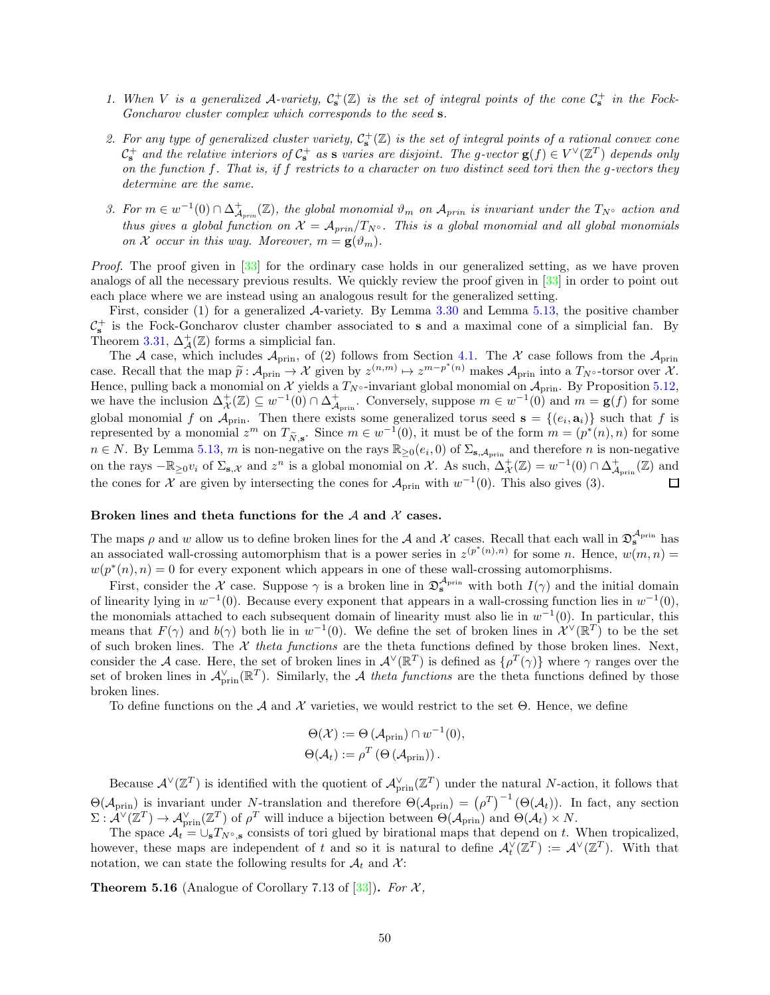- 1. When V is a generalized A-variety,  $C_s^+(\mathbb{Z})$  is the set of integral points of the cone  $C_s^+$  in the Fock-Goncharov cluster complex which corresponds to the seed s.
- 2. For any type of generalized cluster variety,  $C_s^+(\mathbb{Z})$  is the set of integral points of a rational convex cone  $\mathcal{C}_s^+$  and the relative interiors of  $\mathcal{C}_s^+$  as s varies are disjoint. The g-vector  $g(f) \in V^{\vee}(\mathbb{Z}^T)$  depends only on the function f. That is, if f restricts to a character on two distinct seed tori then the g-vectors they determine are the same.
- 3. For  $m \in w^{-1}(0) \cap \Delta^+_{\mathcal{A}_{prin}}(\mathbb{Z})$ , the global monomial  $\vartheta_m$  on  $\mathcal{A}_{prin}$  is invariant under the  $T_{N^{\circ}}$  action and thus gives a global function on  $\mathcal{X} = \mathcal{A}_{prin}/T_{N}$ <sup>o</sup>. This is a global monomial and all global monomials on X occur in this way. Moreover,  $m = g(\vartheta_m)$ .

Proof. The proof given in [\[33\]](#page-57-6) for the ordinary case holds in our generalized setting, as we have proven analogs of all the necessary previous results. We quickly review the proof given in [\[33](#page-57-6)] in order to point out each place where we are instead using an analogous result for the generalized setting.

First, consider  $(1)$  for a generalized  $\mathcal{A}$ -variety. By Lemma [3.30](#page-32-1) and Lemma [5.13,](#page-48-2) the positive chamber  $\mathcal{C}_s^+$  is the Fock-Goncharov cluster chamber associated to s and a maximal cone of a simplicial fan. By Theorem [3.31,](#page-32-2)  $\Delta_{\mathcal{A}}^{+}(\mathbb{Z})$  forms a simplicial fan.

The A case, which includes  $\mathcal{A}_{\text{prin}}$ , of (2) follows from Section [4.1.](#page-42-0) The X case follows from the  $\mathcal{A}_{\text{prin}}$ case. Recall that the map  $\widetilde{p}: \mathcal{A}_{\text{prim}} \to \mathcal{X}$  given by  $z^{(n,m)} \mapsto z^{m-p^*(n)}$  makes  $\mathcal{A}_{\text{prim}}$  into a  $T_{N^{\circ}}$ -torsor over  $\mathcal{X}$ . Hence, pulling back a monomial on X yields a  $T_{N} \circ$ -invariant global monomial on  $\mathcal{A}_{prin}$ . By Proposition [5.12,](#page-48-3) we have the inclusion  $\Delta^+_{\mathcal{X}}(\mathbb{Z}) \subseteq w^{-1}(0) \cap \Delta^+_{\mathcal{A}_{\text{prin}}}$ . Conversely, suppose  $m \in w^{-1}(0)$  and  $m = g(f)$  for some global monomial f on  $\mathcal{A}_{\text{prin}}$ . Then there exists some generalized torus seed  $\mathbf{s} = \{(e_i, \mathbf{a}_i)\}\$  such that f is represented by a monomial  $z^m$  on  $T_{\tilde{N},s}$ . Since  $m \in w^{-1}(0)$ , it must be of the form  $m = (p^*(n), n)$  for some  $n \in N$ . By Lemma [5.13,](#page-48-2) m is non-negative on the rays  $\mathbb{R}_{\geq 0}(e_i, 0)$  of  $\Sigma_{s, A_{\text{prin}}}$  and therefore n is non-negative on the rays  $-\mathbb{R}_{\geq 0}v_i$  of  $\Sigma_{\mathbf{s},\mathcal{X}}$  and  $z^n$  is a global monomial on X. As such,  $\Delta^+_{\mathcal{X}}(\mathbb{Z}) = w^{-1}(0) \cap \Delta^+_{\mathcal{A}_{\text{prin}}}(\mathbb{Z})$  and the cones for X are given by intersecting the cones for  $\mathcal{A}_{\text{prin}}$  with  $w^{-1}(0)$ . This also gives (3).  $\Box$ 

#### Broken lines and theta functions for the  $A$  and  $X$  cases.

The maps  $\rho$  and w allow us to define broken lines for the A and X cases. Recall that each wall in  $\mathfrak{D}_s^{\mathcal{A}_{prin}}$  has an associated wall-crossing automorphism that is a power series in  $z^{(p^*(n),n)}$  for some n. Hence,  $w(m,n)$  =  $w(p^*(n), n) = 0$  for every exponent which appears in one of these wall-crossing automorphisms.

First, consider the X case. Suppose  $\gamma$  is a broken line in  $\mathfrak{D}^{\mathcal{A}_{\text{prin}}}_{s}$  with both  $I(\gamma)$  and the initial domain of linearity lying in  $w^{-1}(0)$ . Because every exponent that appears in a wall-crossing function lies in  $w^{-1}(0)$ , the monomials attached to each subsequent domain of linearity must also lie in  $w^{-1}(0)$ . In particular, this means that  $F(\gamma)$  and  $b(\gamma)$  both lie in  $w^{-1}(0)$ . We define the set of broken lines in  $\mathcal{X}^{\vee}(\mathbb{R}^{T})$  to be the set of such broken lines. The  $\mathcal X$  theta functions are the theta functions defined by those broken lines. Next, consider the A case. Here, the set of broken lines in  $\mathcal{A}^{\vee}(\mathbb{R}^T)$  is defined as  $\{\rho^T(\gamma)\}\$  where  $\gamma$  ranges over the set of broken lines in  $\mathcal{A}_{\text{prin}}^{\vee}(\mathbb{R}^T)$ . Similarly, the A theta functions are the theta functions defined by those broken lines.

To define functions on the A and X varieties, we would restrict to the set  $\Theta$ . Hence, we define

$$
\Theta(\mathcal{X}) := \Theta(\mathcal{A}_{\text{prin}}) \cap w^{-1}(0),
$$
  

$$
\Theta(\mathcal{A}_t) := \rho^T \left(\Theta(\mathcal{A}_{\text{prin}})\right).
$$

Because  $\mathcal{A}^{\vee}(\mathbb{Z}^T)$  is identified with the quotient of  $\mathcal{A}_{\text{prin}}^{\vee}(\mathbb{Z}^T)$  under the natural N-action, it follows that  $\Theta(\mathcal{A}_{\text{prin}})$  is invariant under N-translation and therefore  $\Theta(\mathcal{A}_{\text{prin}}) = (\rho^T)^{-1}(\Theta(\mathcal{A}_t))$ . In fact, any section  $\Sigma: \mathcal{A}^{\vee}(\mathbb{Z}^T) \to \mathcal{A}_{\text{prin}}^{\vee}(\mathbb{Z}^T)$  of  $\rho^T$  will induce a bijection between  $\Theta(\mathcal{A}_{\text{prin}})$  and  $\Theta(\mathcal{A}_t) \times N$ .

The space  $\mathcal{A}_t = \bigcup_{s} T_{N^{\circ},s}$  consists of tori glued by birational maps that depend on t. When tropicalized, however, these maps are independent of t and so it is natural to define  $\mathcal{A}_t^{\vee}(\mathbb{Z}^T) := \mathcal{A}^{\vee}(\mathbb{Z}^T)$ . With that notation, we can state the following results for  $A_t$  and X:

**Theorem 5.16** (Analogue of Corollary 7.13 of  $[33]$ ). For X,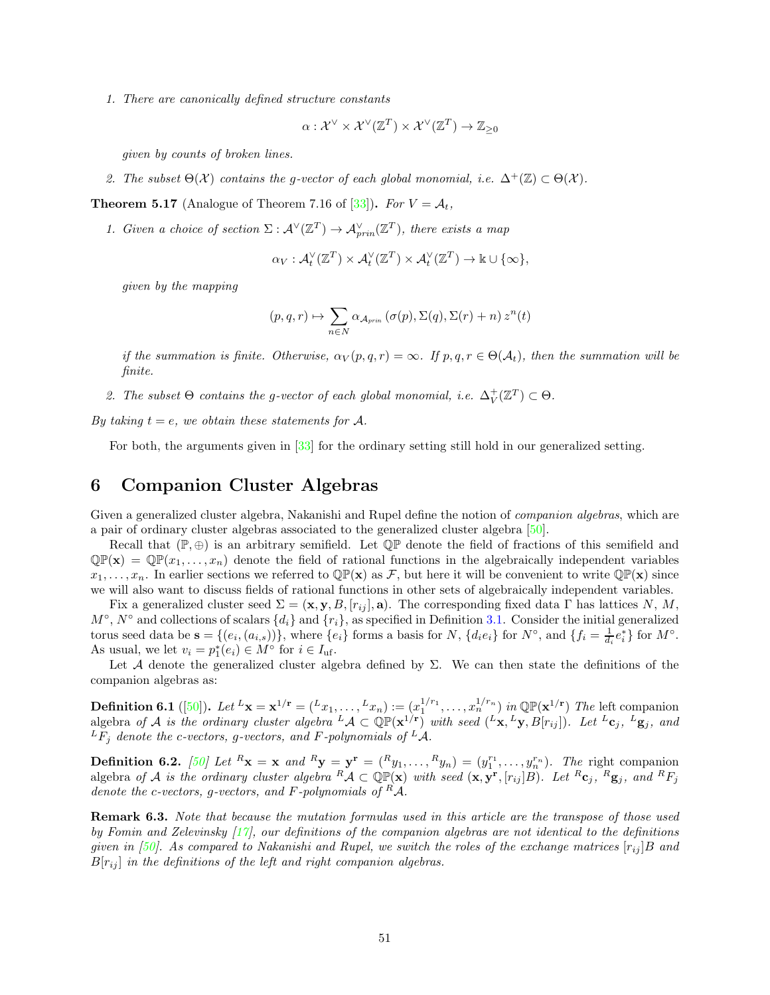1. There are canonically defined structure constants

$$
\alpha: \mathcal{X}^{\vee} \times \mathcal{X}^{\vee}(\mathbb{Z}^T) \times \mathcal{X}^{\vee}(\mathbb{Z}^T) \to \mathbb{Z}_{\geq 0}
$$

given by counts of broken lines.

2. The subset  $\Theta(\mathcal{X})$  contains the g-vector of each global monomial, i.e.  $\Delta^+(\mathbb{Z}) \subset \Theta(\mathcal{X})$ .

**Theorem 5.17** (Analogue of Theorem 7.16 of [\[33](#page-57-6)]). For  $V = A_t$ ,

1. Given a choice of section  $\Sigma: \mathcal{A}^{\vee}(\mathbb{Z}^T) \to \mathcal{A}_{prin}^{\vee}(\mathbb{Z}^T)$ , there exists a map

$$
\alpha_V: \mathcal{A}_t^{\vee}(\mathbb{Z}^T) \times \mathcal{A}_t^{\vee}(\mathbb{Z}^T) \times \mathcal{A}_t^{\vee}(\mathbb{Z}^T) \to \mathbb{k} \cup \{\infty\},\
$$

given by the mapping

$$
(p,q,r) \mapsto \sum_{n \in N} \alpha_{\mathcal{A}_{prin}}(\sigma(p),\Sigma(q),\Sigma(r)+n) z^n(t)
$$

if the summation is finite. Otherwise,  $\alpha_V(p,q,r) = \infty$ . If  $p,q,r \in \Theta(\mathcal{A}_t)$ , then the summation will be finite.

2. The subset  $\Theta$  contains the g-vector of each global monomial, i.e.  $\Delta_V^+(\mathbb{Z}^T) \subset \Theta$ .

By taking  $t = e$ , we obtain these statements for A.

For both, the arguments given in [\[33](#page-57-6)] for the ordinary setting still hold in our generalized setting.

# <span id="page-50-0"></span>6 Companion Cluster Algebras

Given a generalized cluster algebra, Nakanishi and Rupel define the notion of *companion algebras*, which are a pair of ordinary cluster algebras associated to the generalized cluster algebra [\[50\]](#page-58-5).

Recall that  $(\mathbb{P}, \oplus)$  is an arbitrary semifield. Let  $\mathbb{QP}$  denote the field of fractions of this semifield and  $\mathbb{Q}\mathbb{P}(\mathbf{x}) = \mathbb{Q}\mathbb{P}(x_1,\ldots,x_n)$  denote the field of rational functions in the algebraically independent variables  $x_1, \ldots, x_n$ . In earlier sections we referred to  $\mathbb{QP}(\mathbf{x})$  as F, but here it will be convenient to write  $\mathbb{QP}(\mathbf{x})$  since we will also want to discuss fields of rational functions in other sets of algebraically independent variables.

Fix a generalized cluster seed  $\Sigma = (\mathbf{x}, \mathbf{y}, B, [r_{ij}], \mathbf{a})$ . The corresponding fixed data Γ has lattices N, M,  $M^{\circ}$ ,  $N^{\circ}$  and collections of scalars  $\{d_i\}$  and  $\{r_i\}$ , as specified in Definition [3.1.](#page-16-2) Consider the initial generalized torus seed data be  $\mathbf{s} = \{(e_i, (a_{i,s}))\}$ , where  $\{e_i\}$  forms a basis for N,  $\{d_i e_i\}$  for  $N^{\circ}$ , and  $\{f_i = \frac{1}{d_i} e_i^*\}$  for  $M^{\circ}$ . As usual, we let  $v_i = p_1^*(e_i) \in M^\circ$  for  $i \in I_{\text{uf}}$ .

Let A denote the generalized cluster algebra defined by  $\Sigma$ . We can then state the definitions of the companion algebras as:

**Definition 6.1** ([\[50\]](#page-58-5)). Let  $L_x = \mathbf{x}^{1/r} = (L_{x_1}, \ldots, L_{x_n}) := (x_1^{1/r_1}, \ldots, x_n^{1/r_n})$  in QP( $\mathbf{x}^{1/r}$ ) The left companion algebra of A is the ordinary cluster algebra  ${}^L\mathcal{A} \subset \mathbb{QP}(\mathbf{x}^{1/\mathbf{r}})$  with seed  $({}^L\mathbf{x}, {}^L\mathbf{y}, B[r_{ij}])$ . Let  ${}^L\mathbf{c}_j$ ,  ${}^L\mathbf{g}_j$ , and  ${}^L F_j$  denote the c-vectors, g-vectors, and F-polynomials of  ${}^L A$ .

**Definition 6.2.** [\[50\]](#page-58-5) Let  $^R$ **x** = **x** and  $^R$ **y** =  $\mathbf{y}^{\mathbf{r}} = (^R y_1, \ldots, ^R y_n) = (y_1^{r_1}, \ldots, y_n^{r_n})$ . The right companion algebra of A is the ordinary cluster algebra  ${}^R\mathcal{A} \subset \mathbb{QP}(\mathbf{x})$  with seed  $(\mathbf{x}, \mathbf{y}^r, [r_{ij}]B)$ . Let  ${}^R\mathbf{c}_j$ ,  ${}^R\mathbf{g}_j$ , and  ${}^R F_j$ denote the c-vectors, g-vectors, and F-polynomials of  $A$ .

Remark 6.3. Note that because the mutation formulas used in this article are the transpose of those used by Fomin and Zelevinsky [\[17](#page-56-0)], our definitions of the companion algebras are not identical to the definitions given in [\[50](#page-58-5)]. As compared to Nakanishi and Rupel, we switch the roles of the exchange matrices  $[r_{ij}]B$  and  $B[r_{ij}]$  in the definitions of the left and right companion algebras.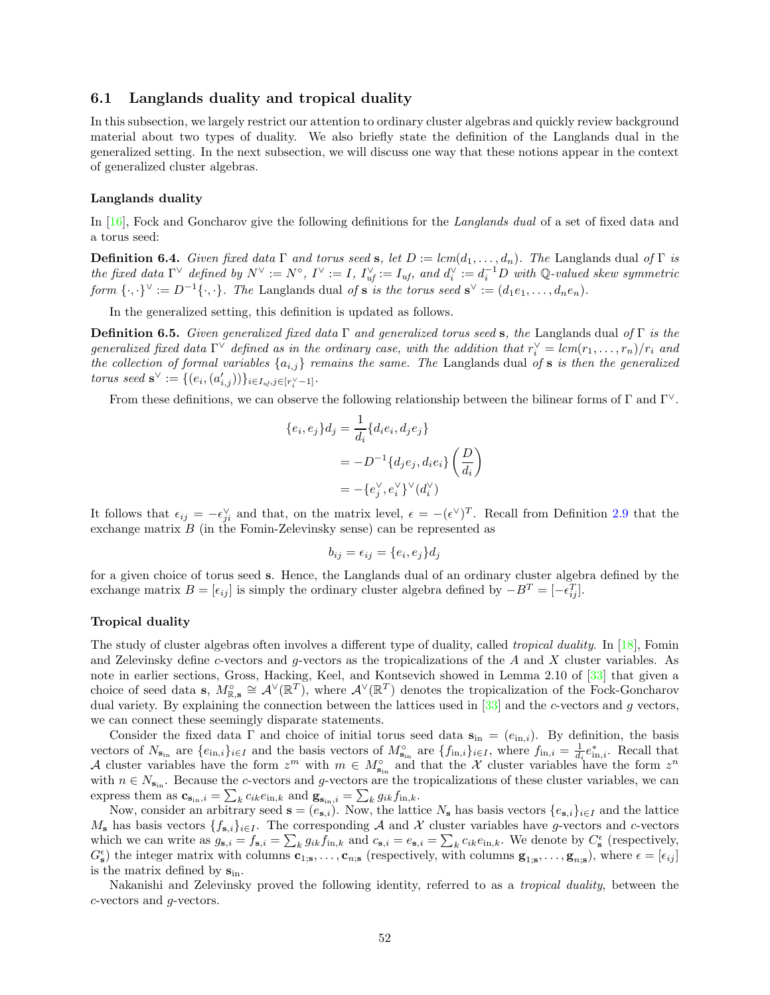### <span id="page-51-0"></span>6.1 Langlands duality and tropical duality

In this subsection, we largely restrict our attention to ordinary cluster algebras and quickly review background material about two types of duality. We also briefly state the definition of the Langlands dual in the generalized setting. In the next subsection, we will discuss one way that these notions appear in the context of generalized cluster algebras.

#### Langlands duality

In [\[16](#page-56-8)], Fock and Goncharov give the following definitions for the Langlands dual of a set of fixed data and a torus seed:

**Definition 6.4.** Given fixed data  $\Gamma$  and torus seed s, let  $D := lcm(d_1, ..., d_n)$ . The Langlands dual of  $\Gamma$  is the fixed data  $\Gamma^\vee$  defined by  $N^\vee := N^\circ$ ,  $I^\vee := I$ ,  $I_{uf}^\vee := I_{uf}$ , and  $d_i^\vee := d_i^{-1}D$  with Q-valued skew symmetric form  $\{\cdot,\cdot\}^{\vee} := D^{-1}\{\cdot,\cdot\}.$  The Langlands dual of **s** is the torus seed  $\mathbf{s}^{\vee} := (d_1e_1,\ldots,d_ne_n).$ 

In the generalized setting, this definition is updated as follows.

**Definition 6.5.** Given generalized fixed data  $\Gamma$  and generalized torus seed s, the Langlands dual of  $\Gamma$  is the generalized fixed data  $\Gamma^{\vee}$  defined as in the ordinary case, with the addition that  $r_i^{\vee} = lcm(r_1, \ldots, r_n)/r_i$  and the collection of formal variables  $\{a_{i,j}\}\$ remains the same. The Langlands dual of **s** is then the generalized torus seed  $\mathbf{s}^{\vee} := \{(e_i, (a'_{i,j}))\}_{i \in I_{\mathit{uf}}, j \in [r_i^{\vee} - 1]}.$ 

From these definitions, we can observe the following relationship between the bilinear forms of  $\Gamma$  and  $\Gamma^{\vee}$ .

$$
\{e_i, e_j\}d_j = \frac{1}{d_i}\{d_ie_i, d_je_j\}
$$

$$
= -D^{-1}\{d_je_j, d_ie_i\}\left(\frac{D}{d_i}\right)
$$

$$
= -\{e_j^\vee, e_i^\vee\}^\vee(d_i^\vee)
$$

It follows that  $\epsilon_{ij} = -\epsilon_{ji}^{\vee}$  and that, on the matrix level,  $\epsilon = -(\epsilon^{\vee})^T$ . Recall from Definition [2.9](#page-5-2) that the exchange matrix B (in the Fomin-Zelevinsky sense) can be represented as

$$
b_{ij} = \epsilon_{ij} = \{e_i, e_j\}d_j
$$

for a given choice of torus seed s. Hence, the Langlands dual of an ordinary cluster algebra defined by the exchange matrix  $B = [\epsilon_{ij}]$  is simply the ordinary cluster algebra defined by  $-B^T = [-\epsilon_{ij}^T]$ .

#### Tropical duality

The study of cluster algebras often involves a different type of duality, called tropical duality. In [\[18](#page-56-18)], Fomin and Zelevinsky define c-vectors and q-vectors as the tropicalizations of the A and X cluster variables. As note in earlier sections, Gross, Hacking, Keel, and Kontsevich showed in Lemma 2.10 of [\[33\]](#page-57-6) that given a choice of seed data s,  $M_{\mathbb{R},s}^{\circ} \cong \mathcal{A}^{\vee}(\mathbb{R}^{T})$ , where  $\mathcal{A}^{\vee}(\mathbb{R}^{T})$  denotes the tropicalization of the Fock-Goncharov dual variety. By explaining the connection between the lattices used in [\[33\]](#page-57-6) and the c-vectors and g vectors, we can connect these seemingly disparate statements.

Consider the fixed data  $\Gamma$  and choice of initial torus seed data  $s_{in} = (e_{in,i})$ . By definition, the basis vectors of  $N_{\mathbf{s}_{\text{in}}}$  are  $\{e_{\text{in},i}\}_{i\in I}$  and the basis vectors of  $M_{\mathbf{s}_{\text{in}}}^{\circ}$  are  $\{f_{\text{in},i}\}_{i\in I}$ , where  $f_{\text{in},i} = \frac{1}{d_i}e_{\text{in},i}^*$ . Recall that A cluster variables have the form  $z^m$  with  $m \in M_{s_{in}}^{\circ}$  and that the X cluster variables have the form  $z^n$ with  $n \in N_{\mathbf{s}_{in}}$ . Because the c-vectors and g-vectors are the tropicalizations of these cluster variables, we can express them as  $\mathbf{c}_{\mathbf{s}_{\text{in}},i} = \sum_{k} c_{ik} e_{\text{in},k}$  and  $\mathbf{g}_{\mathbf{s}_{\text{in}},i} = \sum_{k} g_{ik} f_{\text{in},k}$ .

Now, consider an arbitrary seed  $\mathbf{s} = (e_{\mathbf{s},i})$ . Now, the lattice  $N_{\mathbf{s}}$  has basis vectors  $\{e_{\mathbf{s},i}\}_{i\in I}$  and the lattice  $M_s$  has basis vectors  $\{f_{s,i}\}_{i\in I}$ . The corresponding A and X cluster variables have g-vectors and c-vectors which we can write as  $g_{\mathbf{s},i} = f_{\mathbf{s},i} = \sum_k g_{ik} f_{\text{in},k}$  and  $c_{\mathbf{s},i} = e_{\mathbf{s},i} = \sum_k c_{ik} e_{\text{in},k}$ . We denote by  $C_{\mathbf{s}}^{\epsilon}$  (respectively,  $G_{\mathbf{s}}^{\epsilon}$ ) the integer matrix with columns  $\mathbf{c}_{1,\mathbf{s}},\ldots,\mathbf{c}_{n,\mathbf{s}}$  (respectively, with columns  $\mathbf{g}_{1,\mathbf{s}},\ldots,\mathbf{g}_{n,\mathbf{s}}$ ), where  $\epsilon=[\epsilon_{ij}]$ is the matrix defined by  $s_{\text{in}}$ .

Nakanishi and Zelevinsky proved the following identity, referred to as a tropical duality, between the c-vectors and g-vectors.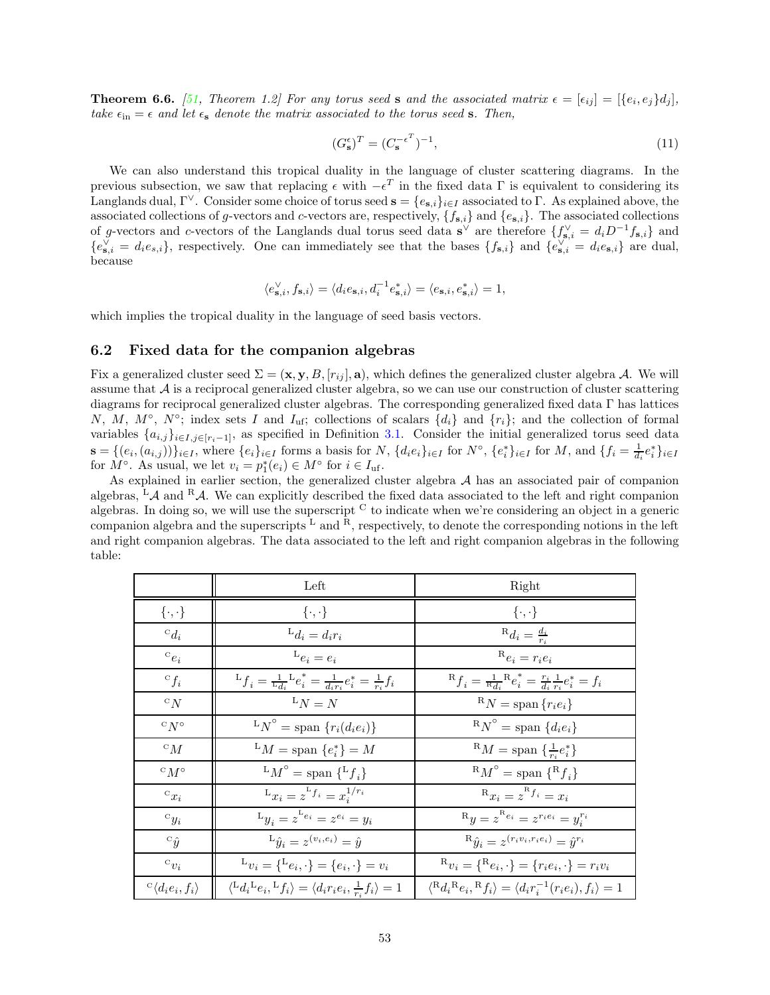**Theorem 6.6.** [\[51,](#page-58-8) Theorem 1.2] For any torus seed s and the associated matrix  $\epsilon = [\epsilon_{ij}] = [\{e_i, e_j\}d_j]$ , take  $\epsilon_{\rm in} = \epsilon$  and let  $\epsilon_{\rm s}$  denote the matrix associated to the torus seed s. Then,

$$
(G_{\mathbf{s}}^{\epsilon})^T = (C_{\mathbf{s}}^{-\epsilon^T})^{-1},\tag{11}
$$

We can also understand this tropical duality in the language of cluster scattering diagrams. In the previous subsection, we saw that replacing  $\epsilon$  with  $-\epsilon^T$  in the fixed data  $\Gamma$  is equivalent to considering its Langlands dual, Γ<sup> $\vee$ </sup>. Consider some choice of torus seed  $\mathbf{s} = \{e_{\mathbf{s},i}\}_{i\in I}$  associated to Γ. As explained above, the associated collections of g-vectors and c-vectors are, respectively,  $\{f_{\mathbf{s},i}\}\$  and  $\{e_{\mathbf{s},i}\}\$ . The associated collections of g-vectors and c-vectors of the Langlands dual torus seed data  $s^{\vee}$  are therefore  $\{f_{s,i}^{\vee} = d_i D^{-1} f_{s,i}\}$  and  ${e}_{\mathbf{s},i}^{\vee} = d_i e_{\mathbf{s},i}$ , respectively. One can immediately see that the bases  ${f}_{\mathbf{s},i}$  and  ${e}_{\mathbf{s},i}^{\vee} = d_i e_{\mathbf{s},i}$  are dual, because

$$
\langle e_{{\bf s},i}^{\vee},f_{{\bf s},i}\rangle=\langle d_ie_{{\bf s},i},d_i^{-1}e_{{\bf s},i}^{\ast}\rangle=\langle e_{{\bf s},i},e_{{\bf s},i}^{\ast}\rangle=1,
$$

<span id="page-52-0"></span>which implies the tropical duality in the language of seed basis vectors.

### 6.2 Fixed data for the companion algebras

Fix a generalized cluster seed  $\Sigma = (\mathbf{x}, \mathbf{y}, B, [r_{ij}], \mathbf{a})$ , which defines the generalized cluster algebra A. We will assume that  $A$  is a reciprocal generalized cluster algebra, so we can use our construction of cluster scattering diagrams for reciprocal generalized cluster algebras. The corresponding generalized fixed data Γ has lattices N, M, M<sup>o</sup>, N<sup>o</sup>; index sets I and I<sub>uf</sub>; collections of scalars  $\{d_i\}$  and  $\{r_i\}$ ; and the collection of formal variables  $\{a_{i,j}\}_{i\in I,j\in[r_i-1]}$ , as specified in Definition [3.1.](#page-16-2) Consider the initial generalized torus seed data  $\mathbf{s} = \{(e_i, (a_{i,j}))\}_{i \in I}$ , where  $\{e_i\}_{i \in I}$  forms a basis for N,  $\{d_i e_i\}_{i \in I}$  for  $N^{\circ}$ ,  $\{e_i^*\}_{i \in I}$  for M, and  $\{f_i = \frac{1}{d_i}e_i^*\}_{i \in I}$ for  $M^{\circ}$ . As usual, we let  $v_i = p_1^*(e_i) \in M^{\circ}$  for  $i \in I_{\text{uf}}$ .

As explained in earlier section, the generalized cluster algebra  $A$  has an associated pair of companion algebras, <sup>L</sup>A and <sup>R</sup>A. We can explicitly described the fixed data associated to the left and right companion algebras. In doing so, we will use the superscript <sup>C</sup> to indicate when we're considering an object in a generic companion algebra and the superscripts  $L$  and  $R$ , respectively, to denote the corresponding notions in the left and right companion algebras. The data associated to the left and right companion algebras in the following table:

|                                           | Left                                                                                                  | Right                                                                                                |
|-------------------------------------------|-------------------------------------------------------------------------------------------------------|------------------------------------------------------------------------------------------------------|
| $\{\cdot,\cdot\}$                         | $\{\cdot,\cdot\}$                                                                                     | $\{\cdot,\cdot\}$                                                                                    |
| ${}^{\mathrm{c}}d_i$                      | $L_{d_i} = d_i r_i$                                                                                   | $R_{d_i} = \frac{d_i}{r_i}$                                                                          |
| ${}^{\mathrm{c}}e_i$                      | ${}^{\text{L}}e_i = e_i$                                                                              | $R_{e_i} = r_i e_i$                                                                                  |
| ${}^{\circ}f_i$                           | ${}^{\rm L}f_i = \tfrac{1}{\rm L}_{d_i}{}^{\rm L}e_i^* = \tfrac{1}{d_i r_i}e_i^* = \tfrac{1}{r_i}f_i$ | ${}^{\rm R}f_i = \frac{1}{{}^{\rm R}d_i} {}^{\rm R}e_i^* = \frac{r_i}{d_i} \frac{1}{r_i}e_i^* = f_i$ |
| ${}^{\mathrm{c}}N$                        | ${}^{\mathrm{L}}N = N$                                                                                | ${}^{\rm R}N =$ span ${r_i e_i}$                                                                     |
| ${}^{\mathrm{c}}N^{\circ}$                | ${}^{\mathrm{L}}N^{\circ} = \mathrm{span} \{r_i(d_i e_i)\}$                                           | ${}^{\rm R}N^{\circ}$ = span $\{d_ie_i\}$                                                            |
| ${}^{\mathrm{c}}M$                        | ${}^LM$ = span $\{e_i^*\}=M$                                                                          | ${}^{\rm R}M =$ span $\{\frac{1}{r_i}e_i^*\}$                                                        |
| $\circ_M \circ$                           | ${}^LM^{\circ}$ = span $\{{}^Lf_i\}$                                                                  | ${}^{\rm R}M^{\circ} =$ span ${}^{\{R}{f_i\}}$                                                       |
| ${}^{\mathrm{c}}x_i$                      | $L_{x_i} = z^{Lf_i} = x_i^{1/r_i}$                                                                    | $R_{x_i} = z^{R} f_i = x_i$                                                                          |
| ${}^{\mathrm{c}}y_i$                      | $L_{y_i} = z^{L_{e_i}} = z^{e_i} = y_i$                                                               | $R_y = z^{R_{e_i}} = z^{r_i e_i} = y_i^{r_i}$                                                        |
| ${}^{\circ}\hat{y}$                       | ${}^{\rm L}\hat{y}_i = z^{(v_i,e_i)} = \hat{y}$                                                       | ${}^{\rm R}\hat{y}_i = z^{(r_i v_i, r_i e_i)} = \hat{y}^{r_i}$                                       |
| ${}^{\mathrm{c}}v_i$                      | $L_{v_i} = \{L_{e_i}, \cdot\} = \{e_i, \cdot\} = v_i$                                                 | $\mathbf{R}_{v_i}=\{\mathbf{R}_{e_i},\cdot\}=\{r_ie_i,\cdot\}=r_iv_i$                                |
| $\mathcal{C}\langle d_i e_i, f_i \rangle$ | $\langle {}^Ld_i{}^Le_i, {}^Lf_i\rangle = \langle d_ir_ie_i, \frac{1}{r_i}f_i\rangle = 1$             | $\langle R_d R_e, R_f \rangle = \langle d_i r_i^{-1} (r_i e_i), f_i \rangle = 1$                     |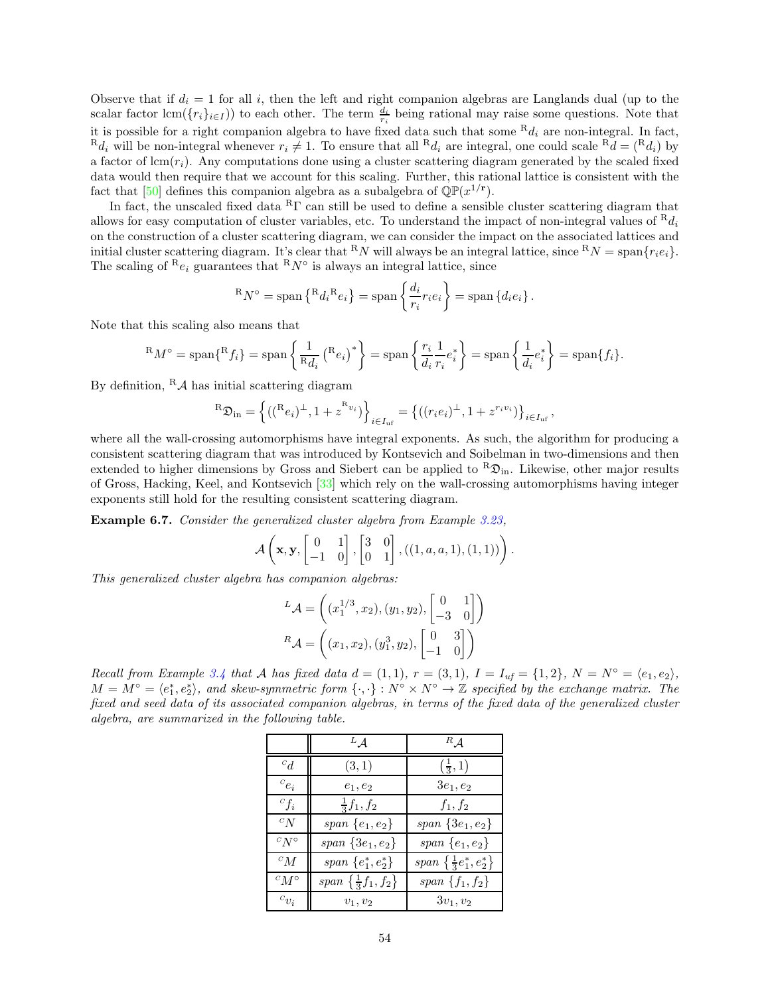Observe that if  $d_i = 1$  for all i, then the left and right companion algebras are Langlands dual (up to the scalar factor  $\text{lcm}(\lbrace r_i \rbrace_{i \in I})$  to each other. The term  $\frac{d_i}{r_i}$  being rational may raise some questions. Note that it is possible for a right companion algebra to have fixed data such that some  $R_{d_i}$  are non-integral. In fact,  $R_{d_i}$  will be non-integral whenever  $r_i \neq 1$ . To ensure that all  $R_{d_i}$  are integral, one could scale  $R_d = (R_{d_i})$  by a factor of  $\text{lcm}(r_i)$ . Any computations done using a cluster scattering diagram generated by the scaled fixed data would then require that we account for this scaling. Further, this rational lattice is consistent with the fact that [\[50](#page-58-5)] defines this companion algebra as a subalgebra of  $\mathbb{QP}(x^{1/\mathbf{r}})$ .

In fact, the unscaled fixed data  ${}^{R}\Gamma$  can still be used to define a sensible cluster scattering diagram that allows for easy computation of cluster variables, etc. To understand the impact of non-integral values of  $R_{d_i}$ on the construction of a cluster scattering diagram, we can consider the impact on the associated lattices and initial cluster scattering diagram. It's clear that <sup>R</sup>N will always be an integral lattice, since <sup>R</sup>N = span{ $r_i e_i$ }. The scaling of  ${}^{\text{R}}e_i$  guarantees that  ${}^{\text{R}}N^{\circ}$  is always an integral lattice, since

$$
{}^{\rm R}N^{\circ} = \text{span}\left\{{}^{\rm R}d_i{}^{\rm R}e_i\right\} = \text{span}\left\{\frac{d_i}{r_i}r_ie_i\right\} = \text{span}\left\{d_ie_i\right\}.
$$

Note that this scaling also means that

$$
{}^{R}M^{\circ} = \text{span}\{{}^{R}f_i\} = \text{span}\left\{\frac{1}{R_{di}}\left({}^{R}e_i\right)^{*}\right\} = \text{span}\left\{\frac{r_i}{d_i}\frac{1}{r_i}e_i^*\right\} = \text{span}\left\{\frac{1}{d_i}e_i^*\right\} = \text{span}\{f_i\}.
$$

By definition,  ${}^R\mathcal{A}$  has initial scattering diagram

$$
{}^{R}\mathfrak{D}_{in} = \left\{ (({}^{R}e_i)^{\perp}, 1 + z^{\mathcal{R}_{v_i}}) \right\}_{i \in I_{\text{uf}}} = \left\{ ((r_i e_i)^{\perp}, 1 + z^{r_i v_i}) \right\}_{i \in I_{\text{uf}}}
$$

,

where all the wall-crossing automorphisms have integral exponents. As such, the algorithm for producing a consistent scattering diagram that was introduced by Kontsevich and Soibelman in two-dimensions and then extended to higher dimensions by Gross and Siebert can be applied to  $R\mathfrak{D}_{in}$ . Likewise, other major results of Gross, Hacking, Keel, and Kontsevich [\[33](#page-57-6)] which rely on the wall-crossing automorphisms having integer exponents still hold for the resulting consistent scattering diagram.

Example 6.7. Consider the generalized cluster algebra from Example [3.23,](#page-25-1)

$$
\mathcal{A}\left(\mathbf{x},\mathbf{y},\begin{bmatrix}0&1\\-1&0\end{bmatrix},\begin{bmatrix}3&0\\0&1\end{bmatrix},((1,a,a,1),(1,1))\right).
$$

This generalized cluster algebra has companion algebras:

$$
{}^{L}\mathcal{A} = \left( (x_1^{1/3}, x_2), (y_1, y_2), \begin{bmatrix} 0 & 1 \\ -3 & 0 \end{bmatrix} \right)
$$

$$
{}^{R}\mathcal{A} = \left( (x_1, x_2), (y_1^{3}, y_2), \begin{bmatrix} 0 & 3 \\ -1 & 0 \end{bmatrix} \right)
$$

Recall from Example [3.4](#page-17-2) that A has fixed data  $d = (1, 1), r = (3, 1), I = I_{uf} = \{1, 2\}, N = N^{\circ} = \langle e_1, e_2 \rangle$ ,  $M = M^{\circ} = \langle e_1^*, e_2^* \rangle$ , and skew-symmetric form  $\{\cdot, \cdot\}: N^{\circ} \times N^{\circ} \to \mathbb{Z}$  specified by the exchange matrix. The fixed and seed data of its associated companion algebras, in terms of the fixed data of the generalized cluster algebra, are summarized in the following table.

|                 | ${}^L\mathcal{A}$                         | ${}^R \mathcal{A}$                 |
|-----------------|-------------------------------------------|------------------------------------|
| ${}^{c}d$       | (3,1)                                     | $(\frac{1}{3}, 1)$                 |
| ${}^{c}e_i$     | $e_1, e_2$                                | $3e_1, e_2$                        |
| ${}^{c}f_i$     | $\frac{1}{3}f_1, f_2$                     | $f_1, f_2$                         |
| $c_N$           | span $\{e_1, e_2\}$                       | span $\{3e_1, e_2\}$               |
| $C N^{\circ}$   | span $\{3e_1, e_2\}$                      | span $\{e_1, e_2\}$                |
| ${}^cM$         | span $\{e_1^*, e_2^*\}$                   | span $\{\frac{1}{3}e_1^*, e_2^*\}$ |
| $^{c}M^{\circ}$ | span $\left\{\frac{1}{3}f_1, f_2\right\}$ | span $\{f_1, f_2\}$                |
| ${}^{c}v_i$     | $v_1, v_2$                                | $3v_1, v_2$                        |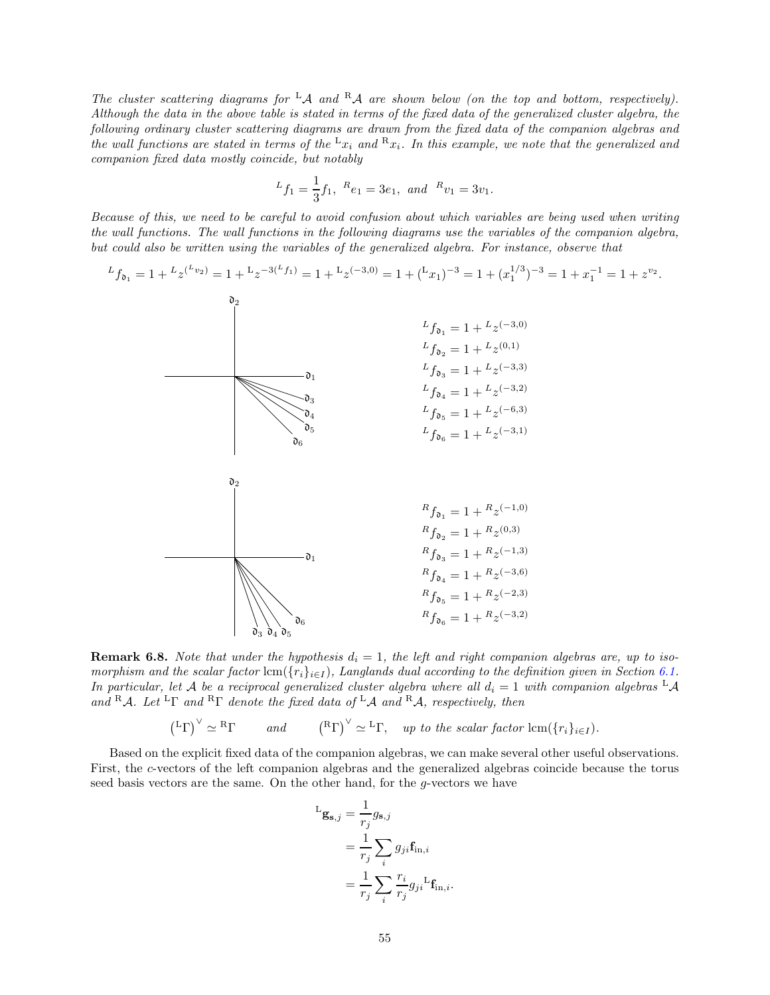The cluster scattering diagrams for  ${}^{\text{L}}\mathcal{A}$  and  ${}^{\text{R}}\mathcal{A}$  are shown below (on the top and bottom, respectively). Although the data in the above table is stated in terms of the fixed data of the generalized cluster algebra, the following ordinary cluster scattering diagrams are drawn from the fixed data of the companion algebras and the wall functions are stated in terms of the  $L_{x_i}$  and  $R_{x_i}$ . In this example, we note that the generalized and companion fixed data mostly coincide, but notably

$$
{}^{L}f_{1} = \frac{1}{3}f_{1}, \ {}^{R}e_{1} = 3e_{1}, \ and \ {}^{R}v_{1} = 3v_{1}.
$$

Because of this, we need to be careful to avoid confusion about which variables are being used when writing the wall functions. The wall functions in the following diagrams use the variables of the companion algebra, but could also be written using the variables of the generalized algebra. For instance, observe that



**Remark 6.8.** Note that under the hypothesis  $d_i = 1$ , the left and right companion algebras are, up to isomorphism and the scalar factor lcm({ $r_i\}_{i\in I}$ ), Langlands dual according to the definition given in Section [6.1.](#page-51-0) In particular, let A be a reciprocal generalized cluster algebra where all  $d_i = 1$  with companion algebras  $L \mathcal{A}$ and RA. Let <sup>L</sup>Γ and <sup>R</sup>Γ denote the fixed data of <sup>L</sup>A and <sup>R</sup>A, respectively, then

 $\left({}^{\text{L}}\Gamma\right)^{\vee}\simeq$  ${}^{R}\Gamma$  and  $({}^{R}\Gamma)^{\vee} \simeq {}^{L}\Gamma$ , up to the scalar factor  $\text{lcm}(\lbrace r_i \rbrace_{i \in I})$ .

Based on the explicit fixed data of the companion algebras, we can make several other useful observations. First, the c-vectors of the left companion algebras and the generalized algebras coincide because the torus seed basis vectors are the same. On the other hand, for the g-vectors we have

$$
\begin{aligned} \mathbf{L}_{\mathbf{g}_{\mathbf{s},j}} &= \frac{1}{r_j} g_{\mathbf{s},j} \\ &= \frac{1}{r_j} \sum_i g_{ji} \mathbf{f}_{\text{in},i} \\ &= \frac{1}{r_j} \sum_i \frac{r_i}{r_j} g_{ji} \mathbf{L}_{\text{fin},i}. \end{aligned}
$$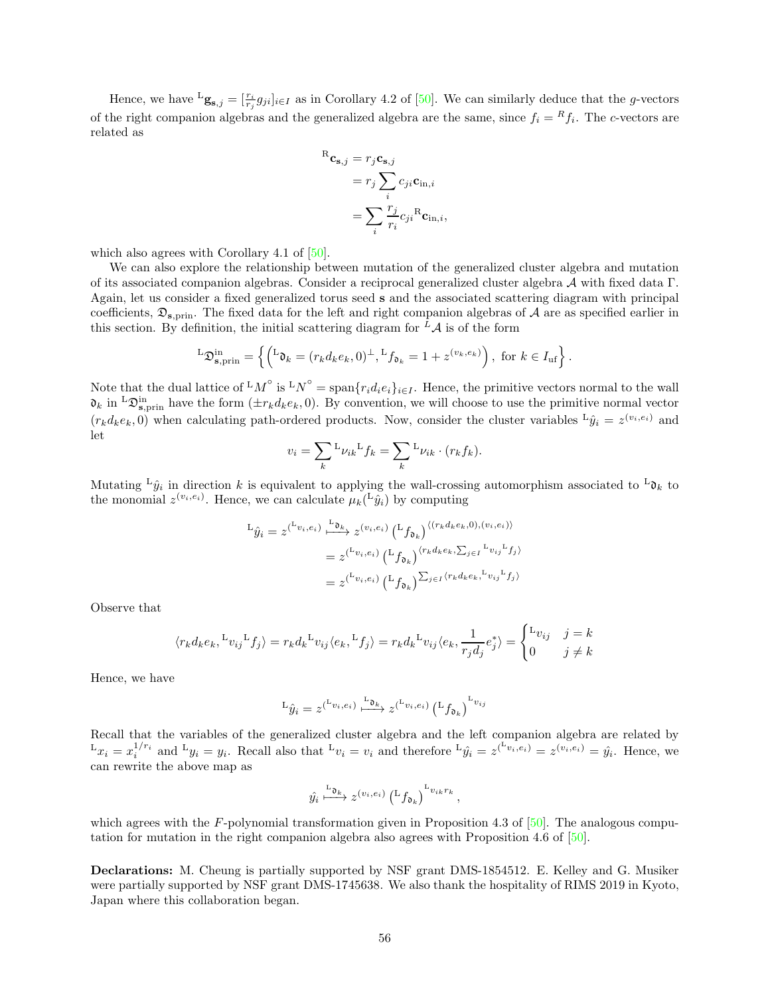Hence, we have  ${}^{\text{L}}\mathbf{g}_{s,j} = [\frac{r_i}{r_j} g_{ji}]_{i \in I}$  as in Corollary 4.2 of [\[50\]](#page-58-5). We can similarly deduce that the g-vectors of the right companion algebras and the generalized algebra are the same, since  $f_i = {}^R f_i$ . The c-vectors are related as

$$
{}^{R}\mathbf{c}_{\mathbf{s},j} = r_{j}\mathbf{c}_{\mathbf{s},j}
$$
  
=  $r_{j} \sum_{i} c_{ji} \mathbf{c}_{\text{in},i}$   
=  $\sum_{i} \frac{r_{j}}{r_{i}} c_{ji} {}^{R} \mathbf{c}_{\text{in},i},$ 

which also agrees with Corollary 4.1 of  $[50]$ .

We can also explore the relationship between mutation of the generalized cluster algebra and mutation of its associated companion algebras. Consider a reciprocal generalized cluster algebra A with fixed data Γ. Again, let us consider a fixed generalized torus seed s and the associated scattering diagram with principal coefficients,  $\mathfrak{D}_{s,\text{prin}}$ . The fixed data for the left and right companion algebras of A are as specified earlier in this section. By definition, the initial scattering diagram for  ${}^{\bar{L}}\mathcal{A}$  is of the form

$$
L\mathfrak{D}_{\mathbf{s},\text{prin}}^{\text{in}} = \left\{ \left( L\mathfrak{d}_k = (r_k d_k e_k, 0)^{\perp}, Lf_{\mathfrak{d}_k} = 1 + z^{(v_k, e_k)} \right), \text{ for } k \in I_{\text{uf}} \right\}.
$$

Note that the dual lattice of  ${}^LM^{\circ}$  is  ${}^LN^{\circ} = \text{span}\{r_id_ie_i\}_{i\in I}$ . Hence, the primitive vectors normal to the wall  $\mathfrak{d}_k$  in  ${}^L\mathfrak{D}^{\text{in}}_{\mathbf{s},\text{prin}}$  have the form  $(\pm r_kd_ke_k,0)$ . By convention, we will choose to use the primitive normal vector  $(r_k d_k e_k, 0)$  when calculating path-ordered products. Now, consider the cluster variables  $^L\hat{y}_i = z^{(v_i, e_i)}$  and let

$$
v_i = \sum_k L_{\nu_{ik}} L_{f_k} = \sum_k L_{\nu_{ik}} \cdot (r_k f_k).
$$

Mutating  ${}^{\text{L}}\hat{y}_i$  in direction k is equivalent to applying the wall-crossing automorphism associated to  ${}^{\text{L}}\mathfrak{d}_k$  to the monomial  $z^{(v_i, e_i)}$ . Hence, we can calculate  $\mu_k({}^{\text{L}}\hat{y}_i)$  by computing

$$
L_{\hat{y}_i} = z^{(L_{v_i, e_i})} \xrightarrow{L_{\mathfrak{D}_k}} z^{(v_i, e_i)} (L_{f_{\mathfrak{D}_k}})^{\langle (r_k d_k e_k, 0), (v_i, e_i) \rangle}
$$
  

$$
= z^{(L_{v_i, e_i})} (L_{f_{\mathfrak{D}_k}})^{\langle r_k d_k e_k, \sum_{j \in I} L_{v_{ij}} L_{f_j} \rangle}
$$
  

$$
= z^{(L_{v_i, e_i})} (L_{f_{\mathfrak{D}_k}})^{\sum_{j \in I} \langle r_k d_k e_k, L_{v_{ij}} L_{f_j} \rangle}
$$

Observe that

$$
\langle r_kd_ke_k, {}^{\rm L}v_{ij}{}^{\rm L}f_j\rangle = r_kd_k{}^{\rm L}v_{ij}\langle e_k, {}^{\rm L}f_j\rangle = r_kd_k{}^{\rm L}v_{ij}\langle e_k, \frac{1}{r_jd_j}e_j^*\rangle = \begin{cases} {}^{\rm L}v_{ij} & j=k\\ 0 & j\neq k \end{cases}
$$

Hence, we have

$$
L_{\hat{y}_i} = z^{(\mathcal{L}_{v_i, e_i})} \xrightarrow{\mathcal{L}_{\mathfrak{d}_k}} z^{(\mathcal{L}_{v_i, e_i})} (\mathcal{L}_{f_{\mathfrak{d}_k}})^{\mathcal{L}_{v_{ij}}}
$$

Recall that the variables of the generalized cluster algebra and the left companion algebra are related by  $L_x = x_i^{1/r_i}$  and  $L_y = y_i$ . Recall also that  $L_y = v_i$  and therefore  $L_{\hat{y}_i} = z^{(v_i, e_i)} = z^{(v_i, e_i)} = \hat{y}_i$ . Hence, we can rewrite the above map as

$$
\hat{y_i} \stackrel{\text{L}_{\mathfrak{d}_k}}{\longmapsto} z^{(v_i,e_i)} \left( \mathcal{L}_{\mathfrak{d}_k} \right)^{\text{L}_{v_{ik}r_k}},
$$

which agrees with the F-polynomial transformation given in Proposition 4.3 of  $[50]$ . The analogous computation for mutation in the right companion algebra also agrees with Proposition 4.6 of [\[50](#page-58-5)].

Declarations: M. Cheung is partially supported by NSF grant DMS-1854512. E. Kelley and G. Musiker were partially supported by NSF grant DMS-1745638. We also thank the hospitality of RIMS 2019 in Kyoto, Japan where this collaboration began.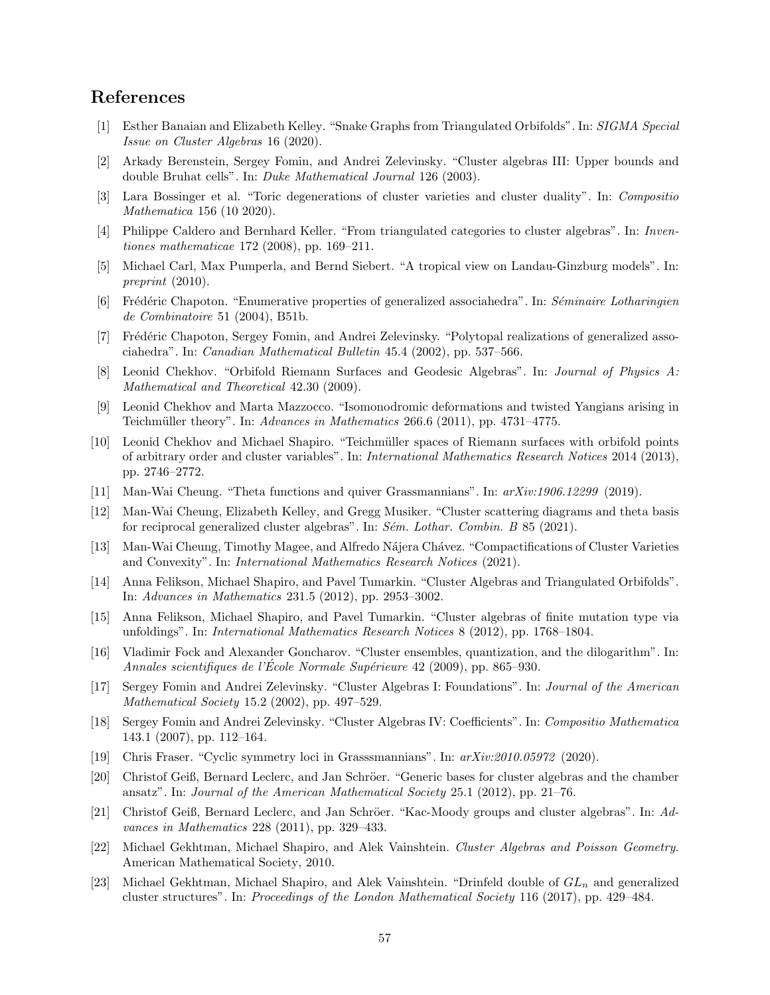# <span id="page-56-16"></span>References

- [1] Esther Banaian and Elizabeth Kelley. "Snake Graphs from Triangulated Orbifolds". In: SIGMA Special Issue on Cluster Algebras 16 (2020).
- <span id="page-56-17"></span>[2] Arkady Berenstein, Sergey Fomin, and Andrei Zelevinsky. "Cluster algebras III: Upper bounds and double Bruhat cells". In: Duke Mathematical Journal 126 (2003).
- <span id="page-56-19"></span>[3] Lara Bossinger et al. "Toric degenerations of cluster varieties and cluster duality". In: Compositio Mathematica 156 (10 2020).
- <span id="page-56-9"></span>[4] Philippe Caldero and Bernhard Keller. "From triangulated categories to cluster algebras". In: Inventiones mathematicae 172 (2008), pp. 169–211.
- <span id="page-56-22"></span>[5] Michael Carl, Max Pumperla, and Bernd Siebert. "A tropical view on Landau-Ginzburg models". In: preprint (2010).
- <span id="page-56-2"></span>[6] Frédéric Chapoton. "Enumerative properties of generalized associahedra". In: Séminaire Lotharingien de Combinatoire 51 (2004), B51b.
- <span id="page-56-3"></span>[7] Frédéric Chapoton, Sergey Fomin, and Andrei Zelevinsky. "Polytopal realizations of generalized associahedra". In: Canadian Mathematical Bulletin 45.4 (2002), pp. 537–566.
- <span id="page-56-13"></span>[8] Leonid Chekhov. "Orbifold Riemann Surfaces and Geodesic Algebras". In: Journal of Physics A: Mathematical and Theoretical 42.30 (2009).
- <span id="page-56-5"></span>[9] Leonid Chekhov and Marta Mazzocco. "Isomonodromic deformations and twisted Yangians arising in Teichmüller theory". In: Advances in Mathematics 266.6 (2011), pp. 4731-4775.
- <span id="page-56-4"></span>[10] Leonid Chekhov and Michael Shapiro. "Teichm¨uller spaces of Riemann surfaces with orbifold points of arbitrary order and cluster variables". In: International Mathematics Research Notices 2014 (2013), pp. 2746–2772.
- <span id="page-56-20"></span><span id="page-56-12"></span>[11] Man-Wai Cheung. "Theta functions and quiver Grassmannians". In: arXiv:1906.12299 (2019).
- [12] Man-Wai Cheung, Elizabeth Kelley, and Gregg Musiker. "Cluster scattering diagrams and theta basis for reciprocal generalized cluster algebras". In:  $S\acute{e}m$ . Lothar. Combin. B 85 (2021).
- <span id="page-56-21"></span>[13] Man-Wai Cheung, Timothy Magee, and Alfredo N´ajera Ch´avez. "Compactifications of Cluster Varieties and Convexity". In: International Mathematics Research Notices (2021).
- <span id="page-56-14"></span>[14] Anna Felikson, Michael Shapiro, and Pavel Tumarkin. "Cluster Algebras and Triangulated Orbifolds". In: Advances in Mathematics 231.5 (2012), pp. 2953–3002.
- <span id="page-56-15"></span>[15] Anna Felikson, Michael Shapiro, and Pavel Tumarkin. "Cluster algebras of finite mutation type via unfoldings". In: International Mathematics Research Notices 8 (2012), pp. 1768–1804.
- <span id="page-56-8"></span>[16] Vladimir Fock and Alexander Goncharov. "Cluster ensembles, quantization, and the dilogarithm". In: Annales scientifiques de l'Ecole Normale Supérieure 42 (2009), pp. 865–930.
- <span id="page-56-0"></span>[17] Sergey Fomin and Andrei Zelevinsky. "Cluster Algebras I: Foundations". In: Journal of the American Mathematical Society 15.2 (2002), pp. 497–529.
- <span id="page-56-18"></span>[18] Sergey Fomin and Andrei Zelevinsky. "Cluster Algebras IV: Coefficients". In: Compositio Mathematica 143.1 (2007), pp. 112–164.
- <span id="page-56-10"></span><span id="page-56-6"></span>[19] Chris Fraser. "Cyclic symmetry loci in Grasssmannians". In: arXiv:2010.05972 (2020).
- [20] Christof Geiß, Bernard Leclerc, and Jan Schröer. "Generic bases for cluster algebras and the chamber ansatz". In: Journal of the American Mathematical Society 25.1 (2012), pp. 21–76.
- <span id="page-56-11"></span>[21] Christof Geiß, Bernard Leclerc, and Jan Schröer. "Kac-Moody groups and cluster algebras". In: Advances in Mathematics 228 (2011), pp. 329–433.
- <span id="page-56-1"></span>[22] Michael Gekhtman, Michael Shapiro, and Alek Vainshtein. Cluster Algebras and Poisson Geometry. American Mathematical Society, 2010.
- <span id="page-56-7"></span>[23] Michael Gekhtman, Michael Shapiro, and Alek Vainshtein. "Drinfeld double of  $GL_n$  and generalized cluster structures". In: Proceedings of the London Mathematical Society 116 (2017), pp. 429–484.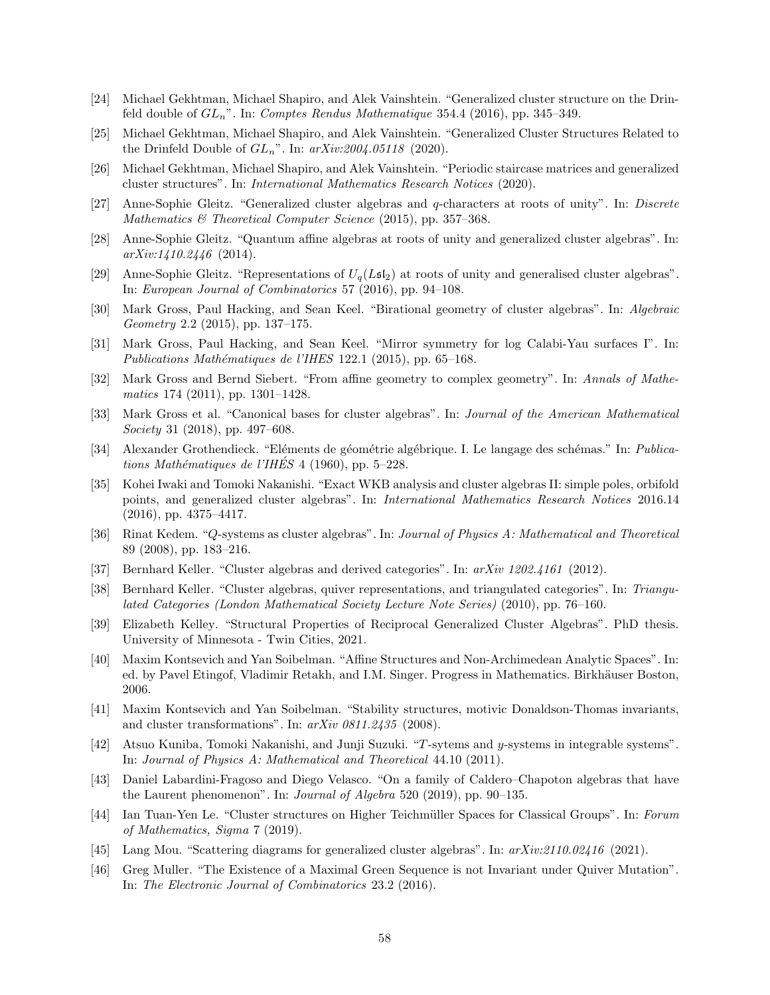- <span id="page-57-11"></span>[24] Michael Gekhtman, Michael Shapiro, and Alek Vainshtein. "Generalized cluster structure on the Drinfeld double of  $GL_n$ ". In: Comptes Rendus Mathematique 354.4 (2016), pp. 345–349.
- <span id="page-57-12"></span>[25] Michael Gekhtman, Michael Shapiro, and Alek Vainshtein. "Generalized Cluster Structures Related to the Drinfeld Double of  $GL_n$ ". In:  $arXiv:2004.05118$  (2020).
- <span id="page-57-13"></span>[26] Michael Gekhtman, Michael Shapiro, and Alek Vainshtein. "Periodic staircase matrices and generalized cluster structures". In: International Mathematics Research Notices (2020).
- <span id="page-57-7"></span>[27] Anne-Sophie Gleitz. "Generalized cluster algebras and q-characters at roots of unity". In: Discrete Mathematics & Theoretical Computer Science (2015), pp. 357-368.
- <span id="page-57-8"></span>[28] Anne-Sophie Gleitz. "Quantum affine algebras at roots of unity and generalized cluster algebras". In:  $arXiv:1410.2446$  (2014).
- <span id="page-57-9"></span>[29] Anne-Sophie Gleitz. "Representations of  $U_q(L\mathfrak{sl}_2)$  at roots of unity and generalised cluster algebras". In: European Journal of Combinatorics 57 (2016), pp. 94–108.
- <span id="page-57-20"></span>[30] Mark Gross, Paul Hacking, and Sean Keel. "Birational geometry of cluster algebras". In: Algebraic Geometry 2.2 (2015), pp. 137–175.
- <span id="page-57-17"></span>[31] Mark Gross, Paul Hacking, and Sean Keel. "Mirror symmetry for log Calabi-Yau surfaces I". In: Publications Mathématiques de l'IHES 122.1 (2015), pp. 65-168.
- <span id="page-57-16"></span>[32] Mark Gross and Bernd Siebert. "From affine geometry to complex geometry". In: Annals of Mathematics 174 (2011), pp. 1301–1428.
- <span id="page-57-6"></span>[33] Mark Gross et al. "Canonical bases for cluster algebras". In: Journal of the American Mathematical Society 31 (2018), pp. 497–608.
- <span id="page-57-21"></span>[34] Alexander Grothendieck. "Eléments de géométrie algébrique. I. Le langage des schémas." In: Publications Mathématiques de l'IHÉS<sup> $4$ </sup> (1960), pp. 5–228.
- <span id="page-57-10"></span>[35] Kohei Iwaki and Tomoki Nakanishi. "Exact WKB analysis and cluster algebras II: simple poles, orbifold points, and generalized cluster algebras". In: International Mathematics Research Notices 2016.14 (2016), pp. 4375–4417.
- <span id="page-57-2"></span>[36] Rinat Kedem. "Q-systems as cluster algebras". In: Journal of Physics A: Mathematical and Theoretical 89 (2008), pp. 183–216.
- <span id="page-57-5"></span><span id="page-57-1"></span>[37] Bernhard Keller. "Cluster algebras and derived categories". In: arXiv 1202.4161 (2012).
- [38] Bernhard Keller. "Cluster algebras, quiver representations, and triangulated categories". In: Triangulated Categories (London Mathematical Society Lecture Note Series) (2010), pp. 76–160.
- <span id="page-57-19"></span>[39] Elizabeth Kelley. "Structural Properties of Reciprocal Generalized Cluster Algebras". PhD thesis. University of Minnesota - Twin Cities, 2021.
- <span id="page-57-15"></span>[40] Maxim Kontsevich and Yan Soibelman. "Affine Structures and Non-Archimedean Analytic Spaces". In: ed. by Pavel Etingof, Vladimir Retakh, and I.M. Singer. Progress in Mathematics. Birkhäuser Boston, 2006.
- <span id="page-57-4"></span>[41] Maxim Kontsevich and Yan Soibelman. "Stability structures, motivic Donaldson-Thomas invariants, and cluster transformations". In: arXiv 0811.2435 (2008).
- <span id="page-57-3"></span>[42] Atsuo Kuniba, Tomoki Nakanishi, and Junji Suzuki. "T -sytems and y-systems in integrable systems". In: Journal of Physics A: Mathematical and Theoretical 44.10 (2011).
- <span id="page-57-14"></span>[43] Daniel Labardini-Fragoso and Diego Velasco. "On a family of Caldero–Chapoton algebras that have the Laurent phenomenon". In: Journal of Algebra 520 (2019), pp. 90–135.
- <span id="page-57-0"></span>[44] Ian Tuan-Yen Le. "Cluster structures on Higher Teichmüller Spaces for Classical Groups". In: Forum of Mathematics, Sigma 7 (2019).
- <span id="page-57-22"></span><span id="page-57-18"></span>[45] Lang Mou. "Scattering diagrams for generalized cluster algebras". In: arXiv:2110.02416 (2021).
- [46] Greg Muller. "The Existence of a Maximal Green Sequence is not Invariant under Quiver Mutation". In: The Electronic Journal of Combinatorics 23.2 (2016).